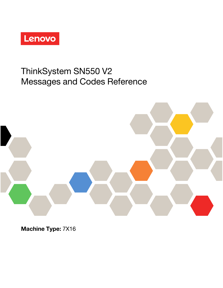

# ThinkSystem SN550 V2 Messages and Codes Reference

Machine Type: 7X16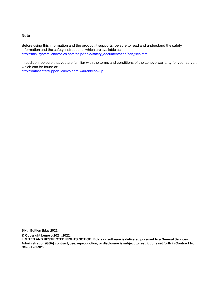#### **Note**

Before using this information and the product it supports, be sure to read and understand the safety information and the safety instructions, which are available at: [http://thinksystem.lenovofiles.com/help/topic/safety\\_documentation/pdf\\_files.html](http://thinksystem.lenovofiles.com/help/topic/safety_documentation/pdf_files.html)

In addition, be sure that you are familiar with the terms and conditions of the Lenovo warranty for your server, which can be found at: <http://datacentersupport.lenovo.com/warrantylookup>

Sixth Edition (May 2022)

© Copyright Lenovo 2021, 2022.

LIMITED AND RESTRICTED RIGHTS NOTICE: If data or software is delivered pursuant to a General Services Administration (GSA) contract, use, reproduction, or disclosure is subject to restrictions set forth in Contract No. GS-35F-05925.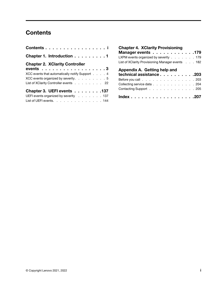## <span id="page-2-0"></span>**Contents**

| Contents i                                     |
|------------------------------------------------|
| Chapter 1. Introduction 1                      |
| <b>Chapter 2. XClarity Controller</b>          |
| events 3                                       |
| XCC events that automatically notify Support 4 |
| XCC events organized by severity. 5            |
| List of XClarity Controller events 22          |
| Chapter 3. UEFI events 137                     |
| UEFI events organized by severity 137          |
| List of UEFI events. 144                       |

| <b>Chapter 4. XClarity Provisioning</b>          |  |
|--------------------------------------------------|--|
| Manager events 179                               |  |
| LXPM events organized by severity 179            |  |
| List of XClarity Provisioning Manager events 182 |  |
| Appendix A. Getting help and                     |  |
| technical assistance 203                         |  |
|                                                  |  |
| Before you call 203                              |  |
| Collecting service data 204                      |  |
| Contacting Support 205                           |  |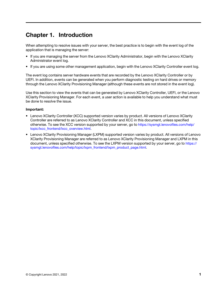### <span id="page-4-0"></span>Chapter 1. Introduction

When attempting to resolve issues with your server, the best practice is to begin with the event log of the application that is managing the server:

- If you are managing the server from the Lenovo XClarity Administrator, begin with the Lenovo XClarity Administrator event log.
- If you are using some other management application, begin with the Lenovo XClarity Controller event log.

The event log contains server hardware events that are recorded by the Lenovo XClarity Controller or by UEFI. In addition, events can be generated when you perform diagnostic testing on hard drives or memory through the Lenovo XClarity Provisioning Manager (although these events are not stored in the event log).

Use this section to view the events that can be generated by Lenovo XClarity Controller, UEFI, or the Lenovo XClarity Provisioning Manager. For each event, a user action is available to help you understand what must be done to resolve the issue.

#### Important:

- Lenovo XClarity Controller (XCC) supported version varies by product. All versions of Lenovo XClarity Controller are referred to as Lenovo XClarity Controller and XCC in this document, unless specified otherwise. To see the XCC version supported by your server, go to [https://sysmgt.lenovofiles.com/help/](https://sysmgt.lenovofiles.com/help/topic/lxcc_frontend/lxcc_overview.html)  [topic/lxcc\\_frontend/lxcc\\_overview.html](https://sysmgt.lenovofiles.com/help/topic/lxcc_frontend/lxcc_overview.html).
- Lenovo XClarity Provisioning Manager (LXPM) supported version varies by product. All versions of Lenovo XClarity Provisioning Manager are referred to as Lenovo XClarity Provisioning Manager and LXPM in this document, unless specified otherwise. To see the LXPM version supported by your server, go to [https://](https://sysmgt.lenovofiles.com/help/topic/lxpm_frontend/lxpm_product_page.html) [sysmgt.lenovofiles.com/help/topic/lxpm\\_frontend/lxpm\\_product\\_page.html](https://sysmgt.lenovofiles.com/help/topic/lxpm_frontend/lxpm_product_page.html).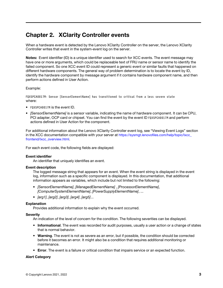### <span id="page-6-0"></span>Chapter 2. XClarity Controller events

When a hardware event is detected by the Lenovo XClarity Controller on the server, the Lenovo XClarity Controller writes that event in the system-event log on the server.

Notes: Event identifier (ID) is a unique identifier used to search for XCC events. The event message may have one or more arguments, which could be replaceable text of FRU name or sensor name to identify the failed component. So one XCC event ID could represent a generic event or similar faults that happened on different hardware components. The general way of problem determination is to locate the event by ID, identify the hardware component by message argument if it contains hardware component name, and then perform actions defined in User Action.

#### Example:

FQXSPCA0017M: Sensor [SensorElementName] has transitioned to critical from a less severe state where:

- FOXSPCA0017M is the event ID.
- [SensorElementName] is a sensor variable, indicating the name of hardware component. It can be CPU, PCI adapter, OCP card or chipset. You can find the event by the event ID FOXSPCA0017M and perform actions defined in User Action for the component.

For additional information about the Lenovo XClarity Controller event log, see "Viewing Event Logs" section in the XCC documentation compatible with your server at [https://sysmgt.lenovofiles.com/help/topic/lxcc\\_](https://sysmgt.lenovofiles.com/help/topic/lxcc_frontend/lxcc_overview.html)  [frontend/lxcc\\_overview.html](https://sysmgt.lenovofiles.com/help/topic/lxcc_frontend/lxcc_overview.html).

For each event code, the following fields are displayed:

#### Event identifier

An identifier that uniquely identifies an event.

#### Event description

The logged message string that appears for an event. When the event string is displayed in the event log, information such as a specific component is displayed. In this documentation, that additional information appears as variables, which include but not limited to the following:

- [SensorElementName], [ManagedElementName] , [ProcessorElementName], [ComputerSystemElementName], [PowerSupplyElementName], ...
- [arg1], [arg2], [arg3], [arg4], [arg5]...

#### Explanation

Provides additional information to explain why the event occurred.

#### **Severity**

An indication of the level of concern for the condition. The following severities can be displayed.

- Informational. The event was recorded for audit purposes, usually a user action or a change of states that is normal behavior.
- Warning. The event is not as severe as an error, but if possible, the condition should be corrected before it becomes an error. It might also be a condition that requires additional monitoring or maintenance.
- Error. The event is a failure or critical condition that impairs service or an expected function.

#### Alert Category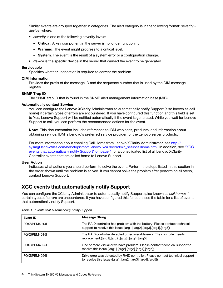Similar events are grouped together in categories. The alert category is in the following format: severity device, where:

- severity is one of the following severity levels:
	- Critical. A key component in the server is no longer functioning.
	- **Warning**. The event might progress to a critical level.
	- $-$  System. The event is the result of a system error or a configuration change.
- device is the specific device in the server that caused the event to be generated.

#### **Serviceable**

Specifies whether user action is required to correct the problem.

#### CIM Information

Provides the prefix of the message ID and the sequence number that is used by the CIM message registry.

#### SNMP Trap ID

The SNMP trap ID that is found in the SNMP alert management information base (MIB).

#### Automatically contact Service

You can configure the Lenovo XClarity Administrator to automatically notify Support (also known as call home) if certain types of errors are encountered. If you have configured this function and this field is set to Yes, Lenovo Support will be notified automatically if the event is generated. While you wait for Lenovo Support to call, you can perform the recommended actions for the event.

Note: This documentation includes references to IBM web sites, products, and information about obtaining service. IBM is Lenovo's preferred service provider for the Lenovo server products.

For more information about enabling Call Home from Lenovo XClarity Administrator, see [http://](http://sysmgt.lenovofiles.com/help/topic/com.lenovo.lxca.doc/admin_setupcallhome.html) [sysmgt.lenovofiles.com/help/topic/com.lenovo.lxca.doc/admin\\_setupcallhome.html](http://sysmgt.lenovofiles.com/help/topic/com.lenovo.lxca.doc/admin_setupcallhome.html). In addition, see ["XCC](#page-7-0) [events that automatically notify Support" on page 4](#page-7-0) for a consolidated list of all Lenovo XClarity Controller events that are called home to Lenovo Support.

#### User Action

Indicates what actions you should perform to solve the event. Perform the steps listed in this section in the order shown until the problem is solved. If you cannot solve the problem after performing all steps, contact Lenovo Support.

### <span id="page-7-0"></span>XCC events that automatically notify Support

You can configure the XClarity Administrator to automatically notify Support (also known as call home) if certain types of errors are encountered. If you have configured this function, see the table for a list of events that automatically notify Support.

| Event ID     | <b>Message String</b>                                                                                                                            |
|--------------|--------------------------------------------------------------------------------------------------------------------------------------------------|
| FOXSPEM4014I | The RAID controller has problem with the battery. Please contact technical<br>support to resolve this issue.([arg1],[arg2],[arg3],[arg4],[arg5]) |
| FOXSPEM4015I | The RAID controller detected unrecoverable error. The controller needs<br>replacement.([arg1],[arg2],[arg3],[arg4],[arg5])                       |
| FOXSPEM4025I | One or more virtual drive have problem. Please contact technical support to<br>resolve this issue.([arg1],[arg2],[arg3],[arg4],[arg5])           |
| FOXSPEM4026I | Drive error was detected by RAID controller. Please contact technical support<br>to resolve this issue.([arg1],[arg2],[arg3],[arg4],[arg5])      |

Table 1. Events that automatically notify Support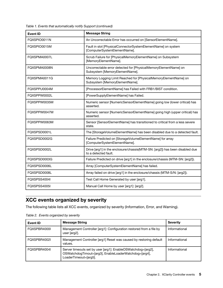Table 1. Events that automatically notify Support (continued)

| <b>Event ID</b> | <b>Message String</b>                                                                               |
|-----------------|-----------------------------------------------------------------------------------------------------|
| FQXSPIO0011N    | An Uncorrectable Error has occurred on [SensorElementName].                                         |
| FQXSPIO0015M    | Fault in slot [PhysicalConnectorSystemElementName] on system<br>[ComputerSystemElementName].        |
| FQXSPMA0007L    | Scrub Failure for [PhysicalMemoryElementName] on Subsystem<br>[MemoryElementName].                  |
| FQXSPMA0008N    | Uncorrectable error detected for [PhysicalMemoryElementName] on<br>Subsystem [MemoryElementName].   |
| FQXSPMA0011G    | Memory Logging Limit Reached for [PhysicalMemoryElementName] on<br>Subsystem [MemoryElementName].   |
| FQXSPPU0004M    | [ProcessorElementName] has Failed with FRB1/BIST condition.                                         |
| FQXSPPW0002L    | [PowerSupplyElementName] has Failed.                                                                |
| FQXSPPW0035M    | Numeric sensor [NumericSensorElementName] going low (lower critical) has<br>asserted.               |
| FQXSPPW0047M    | Numeric sensor [NumericSensorElementName] going high (upper critical) has<br>asserted.              |
| FQXSPPW0063M    | Sensor [SensorElementName] has transitioned to critical from a less severe<br>state.                |
| FQXSPSD0001L    | The [StorageVolumeElementName] has been disabled due to a detected fault.                           |
| FQXSPSD0002G    | Failure Predicted on [StorageVolumeElementName] for array<br>[ComputerSystemElementName].           |
| FQXSPSD0002L    | Drive [arg1] in the enclosure/chassis(MTM-SN: [arg2]) has been disabled due<br>to a detected fault. |
| FQXSPSD0003G    | Failure Predicted on drive [arg1] in the enclosure/chassis (MTM-SN: [arg2]).                        |
| FQXSPSD0006L    | Array [ComputerSystemElementName] has failed.                                                       |
| FQXSPSD0008L    | Array failed on drive [arg1] in the enclosure/chassis (MTM-S/N: [arg2]).                            |
| FQXSPSS4004I    | Test Call Home Generated by user [arg1].                                                            |
| FQXSPSS4005I    | Manual Call Home by user [arg1]: [arg2].                                                            |

### <span id="page-8-0"></span>XCC events organized by severity

The following table lists all XCC events, organized by severity (Information, Error, and Warning).

| Event ID     | <b>Message String</b>                                                                                                                          | <b>Severity</b> |
|--------------|------------------------------------------------------------------------------------------------------------------------------------------------|-----------------|
| FOXSPBR4000L | Management Controller [arg1]: Configuration restored from a file by<br>user [arg2].                                                            | Informational   |
| FQXSPBR4002I | Management Controller [arg1] Reset was caused by restoring default<br>values.                                                                  | Informational   |
| FQXSPBR4004I | Server timeouts set by user [arg1]: EnableOSWatchdog=[arg2],<br>OSWatchdogTimout=[arg3], EnableLoaderWatchdog=[arg4],<br>LoaderTimeout=[arg5]. | Informational   |

Table 2. Events organized by severity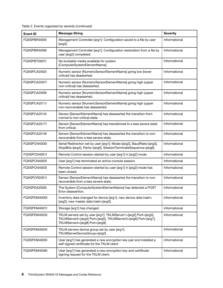| FQXSPBR4005I | Management Controller [arg1]: Configuration saved to a file by user<br>$[arg2]$ .                                                                                      | Informational |
|--------------|------------------------------------------------------------------------------------------------------------------------------------------------------------------------|---------------|
| FQXSPBR4006I | Management Controller [arg1]: Configuration restoration from a file by<br>user [arg2] completed.                                                                       | Informational |
| FQXSPBT0007I | No bootable media available for system<br>[ComputerSystemElementName].                                                                                                 | Informational |
| FQXSPCA2002I | Numeric sensor [NumericSensorElementName] going low (lower<br>critical) has deasserted.                                                                                | Informational |
| FQXSPCA2007I | Numeric sensor [NumericSensorElementName] going high (upper<br>non-critical) has deasserted.                                                                           | Informational |
| FQXSPCA2009I | Numeric sensor [NumericSensorElementName] going high (upper<br>critical) has deasserted.                                                                               | Informational |
| FQXSPCA2011I | Numeric sensor [NumericSensorElementName] going high (upper<br>non-recoverable) has deasserted.                                                                        | Informational |
| FQXSPCA2015I | Sensor [SensorElementName] has deasserted the transition from<br>normal to non-critical state.                                                                         | Informational |
| FQXSPCA2017I | Sensor [SensorElementName] has transitioned to a less severe state<br>from critical.                                                                                   | Informational |
| FQXSPCA2019I | Sensor [SensorElementName] has deasserted the transition to non-<br>recoverable from a less severe state.                                                              | Informational |
| FQXSPCN4000I | Serial Redirection set by user [arg1]: Mode=[arg2], BaudRate=[arg3],<br>StopBits=[arg4], Parity=[arg5], SessionTerminateSequence=[arg6].                               | Informational |
| FQXSPCN4001I | Remote Control session started by user [arg1] in [arg2] mode.                                                                                                          | Informational |
| FQXSPCN4002I | User [arg1] has terminated an active console session.                                                                                                                  | Informational |
| FQXSPCN4003I | Remote Control session started by user [arg1] in [arg2] mode has<br>been closed.                                                                                       | Informational |
| FQXSPCR2001I | Sensor [SensorElementName] has deasserted the transition to non-<br>recoverable from a less severe state.                                                              | Informational |
| FQXSPDA2000I | The System [ComputerSystemElementName] has detected a POST<br>Error deassertion.                                                                                       | Informational |
| FQXSPDM4000I | Inventory data changed for device [arg1], new device data hash=<br>[arg2], new master data hash=[arg3].                                                                | Informational |
| FQXSPDM4001I | Storage [arg1] has changed.                                                                                                                                            | Informational |
| FQXSPDM4003I | TKLM servers set by user [arg1]: TKLMServer1=[arg2] Port=[arg3],<br>TKLMServer2=[arg4] Port=[arg5], TKLMServer3=[arg6] Port=[arg7],<br>TKLMServer4=[arg8] Port=[arg9]. | Informational |
| FQXSPDM4004I | TKLM servers device group set by user [arg1]:<br>TKLMServerDeviceGroup=[arg2].                                                                                         | Informational |
| FQXSPDM4005I | User [arg1] has generated a new encryption key pair and installed a<br>self-signed certificate for the TKLM client.                                                    | Informational |
| FQXSPDM4006I | User [arg1] has generated a new encryption key and certificate<br>signing request for the TKLM client.                                                                 | Informational |

Event ID Message String Severity

Table 2. Events organized by severity (continued)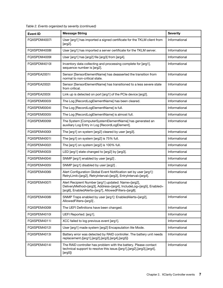| <b>Event ID</b> | <b>Message String</b>                                                                                                                                                             | <b>Severity</b> |
|-----------------|-----------------------------------------------------------------------------------------------------------------------------------------------------------------------------------|-----------------|
| FQXSPDM4007I    | User [arg1] has imported a signed certificate for the TKLM client from<br>$[arg2]$ .                                                                                              | Informational   |
| FQXSPDM4008I    | User [arg1] has imported a server certificate for the TKLM server.                                                                                                                | Informational   |
| FQXSPDM4009I    | User [arg1] has [arg2] file [arg3] from [arg4].                                                                                                                                   | Informational   |
| FQXSPDM4010I    | Inventory data collecting and processing complete for [arg1],<br>sequence number is [arg2].                                                                                       | Informational   |
| FOXSPEA2001I    | Sensor [SensorElementName] has deasserted the transition from<br>normal to non-critical state.                                                                                    | Informational   |
| FQXSPEA2002I    | Sensor [SensorElementName] has transitioned to a less severe state<br>from critical.                                                                                              | Informational   |
| FQXSPEA2003I    | Link up is detected on port [arg1] of the PCIe device [arg2].                                                                                                                     | Informational   |
| FQXSPEM0003I    | The Log [RecordLogElementName] has been cleared.                                                                                                                                  | Informational   |
| FQXSPEM0004I    | The Log [RecordLogElementName] is full.                                                                                                                                           | Informational   |
| FQXSPEM0005I    | The Log [RecordLogElementName] is almost full.                                                                                                                                    | Informational   |
| FQXSPEM0009I    | The System [ComputerSystemElementName] has generated an<br>auxiliary Log Entry in Log [RecordLogElement].                                                                         | Informational   |
| FQXSPEM4000I    | The [arg1] on system [arg2] cleared by user [arg3].                                                                                                                               | Informational   |
| FQXSPEM4001I    | The [arg1] on system [arg2] is 75% full.                                                                                                                                          | Informational   |
| FQXSPEM4002I    | The [arg1] on system [arg2] is 100% full.                                                                                                                                         | Informational   |
| FQXSPEM4003I    | LED [arg1] state changed to [arg2] by [arg3].                                                                                                                                     | Informational   |
| FQXSPEM4004I    | SNMP [arg1] enabled by user [arg2].                                                                                                                                               | Informational   |
| FQXSPEM4005I    | SNMP [arg1] disabled by user [arg2].                                                                                                                                              | Informational   |
| FQXSPEM4006I    | Alert Configuration Global Event Notification set by user [arg1]:<br>RetryLimit=[arg2], RetryInterval=[arg3], EntryInterval=[arg4].                                               | Informational   |
| FQXSPEM4007I    | Alert Recipient Number [arg1] updated: Name=[arg2],<br>DeliveryMethod=[arg3], Address=[arg4], IncludeLog=[arg5], Enabled=<br>[arg6], EnabledAlerts=[arg7], AllowedFilters=[arg8]. | Informational   |
| FQXSPEM4008I    | SNMP Traps enabled by user [arg1]: EnabledAlerts=[arg2],<br>AllowedFilters=[arg3].                                                                                                | Informational   |
| FQXSPEM4009I    | The UEFI Definitions have been changed.                                                                                                                                           | Informational   |
| FQXSPEM4010I    | UEFI Reported: [arg1].                                                                                                                                                            | Informational   |
| FQXSPEM4011I    | XCC failed to log previous event [arg1].                                                                                                                                          | Informational   |
| FQXSPEM4012I    | User [arg1] made system [arg2] Encapsulation lite Mode.                                                                                                                           | Informational   |
| FQXSPEM4013I    | Battery error was detected by RAID controller. The battery unit needs<br>replacement.([arg1],[arg2],[arg3],[arg4],[arg5])                                                         | Informational   |
| FQXSPEM4014I    | The RAID controller has problem with the battery. Please contact<br>technical support to resolve this issue.([arg1],[arg2],[arg3],[arg4],<br>[arg5]                               | Informational   |

|  | Table 2. Events organized by severity (continued) |  |  |
|--|---------------------------------------------------|--|--|
|--|---------------------------------------------------|--|--|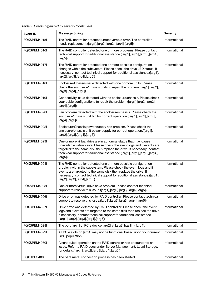Table 2. Events organized by severity (continued)

| <b>Event ID</b> | <b>Message String</b>                                                                                                                                                                                                                                                                                             | <b>Severity</b> |
|-----------------|-------------------------------------------------------------------------------------------------------------------------------------------------------------------------------------------------------------------------------------------------------------------------------------------------------------------|-----------------|
| FQXSPEM4015I    | The RAID controller detected unrecoverable error. The controller<br>needs replacement.([arg1],[arg2],[arg3],[arg4],[arg5])                                                                                                                                                                                        | Informational   |
| FQXSPEM4016I    | The RAID controller detected one or more problems. Please contact<br>technical support for additional assistance.([arg1],[arg2],[arg3],[arg4],<br>[arg5]                                                                                                                                                          | Informational   |
| FQXSPEM4017I    | The RAID controller detected one or more possible configuration<br>changes within the subsystem. Please check the drive LED status. If<br>necessary, contact technical support for additional assistance.([arg1],<br>[arg2], [arg3], [arg4], [arg5])                                                              | Informational   |
| FQXSPEM4018I    | Enclosure/Chassis issue detected with one or more units. Please<br>check the enclosure/chassis units to repair the problem.([arg1],[arg2],<br>[arg3], [arg4], [arg5])                                                                                                                                             | Informational   |
| FQXSPEM4019I    | Connectivity issue detected with the enclosure/chassis. Please check<br>your cable configurations to repair the problem.([arg1],[arg2],[arg3],<br>$[arg4]$ , $[arg5]$                                                                                                                                             | Informational   |
| FQXSPEM4020I    | Fan problem detected with the enclosure/chassis. Please check the<br>enclosure/chassis unit fan for correct operation.([arg1],[arg2],[arg3],<br>$[arg4]$ , $[arg5]$                                                                                                                                               | Informational   |
| FQXSPEM4022I    | Enclosure/Chassis power supply has problem. Please check the<br>enclosure/chassis unit power supply for correct operation.([arg1],<br>[arg2], [arg3], [arg4], [arg5])                                                                                                                                             | Informational   |
| FQXSPEM4023I    | One or more virtual drive are in abnormal status that may cause<br>unavailable virtual drive. Please check the event logs and if events are<br>targeted to the same disk then replace the drive. If necessary, contact<br>technical support for additional assistance.([arg1],[arg2],[arg3],[arg4],<br>[arg5]     | Informational   |
| FQXSPEM4024I    | The RAID controller detected one or more possible configuration<br>problem within the subsystem. Please check the event logs and if<br>events are targeted to the same disk then replace the drive. If<br>necessary, contact technical support for additional assistance.([arg1],<br>[arg2],[arg3],[arg4],[arg5]) | Informational   |
| FQXSPEM4025I    | One or more virtual drive have problem. Please contact technical<br>support to resolve this issue.([arg1],[arg2],[arg3],[arg4],[arg5])                                                                                                                                                                            | Informational   |
| FQXSPEM4026I    | Drive error was detected by RAID controller. Please contact technical<br>support to resolve this issue.([arg1],[arg2],[arg3],[arg4],[arg5])                                                                                                                                                                       | Informational   |
| FQXSPEM4027I    | Drive error was detected by RAID controller. Please check the event<br>logs and if events are targeted to the same disk then replace the drive.<br>If necessary, contact technical support for additional assistance.<br>([arg1],[arg2],[arg3],[arg4],[arg5])                                                     | Informational   |
| FQXSPEM4028I    | The port [arg1] of PCIe device [arg2] at [arg3] has link [arg4].                                                                                                                                                                                                                                                  | Informational   |
| FQXSPEM4029I    | All PCIe slots on [arg1] may not be functional based upon your current<br>CPU population.                                                                                                                                                                                                                         | Informational   |
| FQXSPEM4030I    | A scheduled operation on the RAID controller has encountered an<br>issue. Refer to RAID Logs under Server Management, Local Storage,<br>for details.([arg1],[arg2],[arg3],[arg4],[arg5])                                                                                                                          | Informational   |
| FQXSPFC4000I    | The bare metal connection process has been started.                                                                                                                                                                                                                                                               | Informational   |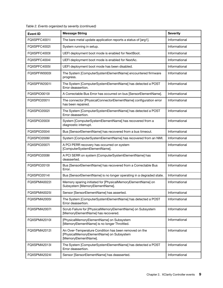| <b>Event ID</b> | <b>Message String</b>                                                                                                     | <b>Severity</b> |
|-----------------|---------------------------------------------------------------------------------------------------------------------------|-----------------|
| FQXSPFC4001I    | The bare metal update application reports a status of [arg1].                                                             | Informational   |
| FQXSPFC4002I    | System running in setup.                                                                                                  | Informational   |
| FQXSPFC4003I    | UEFI deployment boot mode is enabled for NextBoot.                                                                        | Informational   |
| FQXSPFC4004I    | UEFI deployment boot mode is enabled for NextAc.                                                                          | Informational   |
| FQXSPFC4005I    | UEFI deployment boot mode has been disabled.                                                                              | Informational   |
| FQXSPFW0003I    | The System [ComputerSystemElementName] encountered firmware<br>progress.                                                  | Informational   |
| FQXSPFW2001I    | The System [ComputerSystemElementName] has detected a POST<br>Error deassertion.                                          | Informational   |
| FQXSPIO0010I    | A Correctable Bus Error has occurred on bus [SensorElementName].                                                          | Informational   |
| FQXSPIO2001I    | The connector [PhysicalConnectorElementName] configuration error<br>has been repaired.                                    | Informational   |
| FQXSPIO2002I    | The System [ComputerSystemElementName] has detected a POST<br>Error deassertion.                                          | Informational   |
| FQXSPIO2003I    | System [ComputerSystemElementName] has recovered from a<br>diagnostic interrupt.                                          | Informational   |
| FQXSPIO2004I    | Bus [SensorElementName] has recovered from a bus timeout.                                                                 | Informational   |
| FQXSPIO2006I    | System [ComputerSystemElementName] has recovered from an NMI.                                                             | Informational   |
| FQXSPIO2007I    | A PCI PERR recovery has occurred on system<br>[ComputerSystemElementName].                                                | Informational   |
| FQXSPIO2008I    | A PCI SERR on system [ComputerSystemElementName] has<br>deasserted.                                                       | Informational   |
| FQXSPIO2010I    | Bus [SensorElementName] has recovered from a Correctable Bus<br>Error.                                                    | Informational   |
| FQXSPIO2014I    | Bus [SensorElementName] is no longer operating in a degraded state.                                                       | Informational   |
| FQXSPMA0022I    | Memory sparing initiated for [PhysicalMemoryElementName] on<br>Subsystem [MemoryElementName].                             | Informational   |
| FQXSPMA0025I    | Sensor [SensorElementName] has asserted.                                                                                  | Informational   |
| FQXSPMA2005I    | The System [ComputerSystemElementName] has detected a POST<br>Error deassertion.                                          | Informational   |
| FQXSPMA2007I    | Scrub Failure for [PhysicalMemoryElementName] on Subsystem<br>[MemoryElementName] has recovered.                          | Informational   |
| FQXSPMA2010I    | [PhysicalMemoryElementName] on Subsystem<br>[MemoryElementName] is no longer Throttled.                                   | Informational   |
| FQXSPMA2012I    | An Over-Temperature Condition has been removed on the<br>[PhysicalMemoryElementName] on Subsystem<br>[MemoryElementName]. | Informational   |
| FQXSPMA2013I    | The System [ComputerSystemElementName] has detected a POST<br>Error deassertion.                                          | Informational   |
| FQXSPMA2024I    | Sensor [SensorElementName] has deasserted.                                                                                | Informational   |

Table 2. Events organized by severity (continued)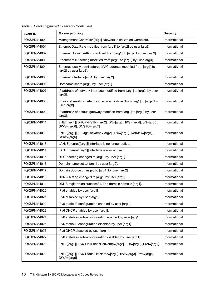| <b>Event ID</b> | <b>Message String</b>                                                                         | <b>Severity</b> |
|-----------------|-----------------------------------------------------------------------------------------------|-----------------|
| FOXSPNM4000I    | Management Controller [arg1] Network Initialization Complete.                                 | Informational   |
| FQXSPNM4001I    | Ethernet Data Rate modified from [arg1] to [arg2] by user [arg3].                             | Informational   |
| FQXSPNM4002I    | Ethernet Duplex setting modified from [arg1] to [arg2] by user [arg3].                        | Informational   |
| FQXSPNM4003I    | Ethernet MTU setting modified from [arg1] to [arg2] by user [arg3].                           | Informational   |
| FQXSPNM4004I    | Ethernet locally administered MAC address modified from [arg1] to<br>[arg2] by user [arg3].   | Informational   |
| FQXSPNM4005I    | Ethernet interface [arg1] by user [arg2].                                                     | Informational   |
| FQXSPNM4006I    | Hostname set to [arg1] by user [arg2].                                                        | Informational   |
| FQXSPNM4007I    | IP address of network interface modified from [arg1] to [arg2] by user<br>[arg3].             | Informational   |
| FQXSPNM4008I    | IP subnet mask of network interface modified from [arg1] to [arg2] by<br>user [arg3].         | Informational   |
| FQXSPNM4009I    | IP address of default gateway modified from [arg1] to [arg2] by user<br>[arg3].               | Informational   |
| FQXSPNM4011I    | ENET[[arg1]] DHCP-HSTN=[arg2], DN=[arg3], IP@=[arg4], SN=[arg5],<br>GW@=[arg6], DNS1@=[arg7]. | Informational   |
| FQXSPNM4012I    | ENET[[arg1]] IP-Cfg:HstName=[arg2], IP@=[arg3],NetMsk=[arg4],<br>$GW@=[arg5]$ .               | Informational   |
| FQXSPNM4013I    | LAN: Ethernet[[arg1]] interface is no longer active.                                          | Informational   |
| FQXSPNM4014I    | LAN: Ethernet[[arg1]] interface is now active.                                                | Informational   |
| FQXSPNM4015I    | DHCP setting changed to [arg1] by user [arg2].                                                | Informational   |
| FQXSPNM4016I    | Domain name set to [arg1] by user [arg2].                                                     | Informational   |
| FQXSPNM4017I    | Domain Source changed to [arg1] by user [arg2].                                               | Informational   |
| FQXSPNM4018I    | DDNS setting changed to [arg1] by user [arg2].                                                | Informational   |
| FQXSPNM4019I    | DDNS registration successful. The domain name is [arg1].                                      | Informational   |
| FOXSPNM4020I    | IPv6 enabled by user [arg1].                                                                  | Informational   |
| FQXSPNM4021I    | IPv6 disabled by user [arg1].                                                                 | Informational   |
| FQXSPNM4022I    | IPv6 static IP configuration enabled by user [arg1].                                          | Informational   |
| FQXSPNM4023I    | IPv6 DHCP enabled by user [arg1].                                                             | Informational   |
| FQXSPNM4024I    | IPv6 stateless auto-configuration enabled by user [arg1].                                     | Informational   |
| FQXSPNM4025I    | IPv6 static IP configuration disabled by user [arg1].                                         | Informational   |
| FQXSPNM4026I    | IPv6 DHCP disabled by user [arg1].                                                            | Informational   |
| FQXSPNM4027I    | IPv6 stateless auto-configuration disabled by user [arg1].                                    | Informational   |
| FQXSPNM4028I    | ENET[[arg1]] IPv6-LinkLocal:HstName=[arg2], IP@=[arg3] ,Pref=[arg4]                           | Informational   |
| FQXSPNM4029I    | ENET[[arg1]] IPv6-Static:HstName=[arg2], IP@=[arg3] ,Pref=[arg4],<br>$GW@=[arg5]$ .           | Informational   |

Table 2. Events organized by severity (continued)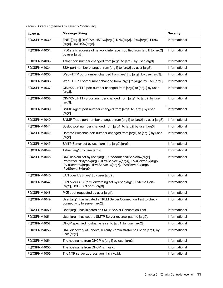| <b>Event ID</b> | <b>Message String</b>                                                                                                                                                                                                  | <b>Severity</b> |
|-----------------|------------------------------------------------------------------------------------------------------------------------------------------------------------------------------------------------------------------------|-----------------|
| FQXSPNM4030I    | ENET[[arg1]] DHCPv6-HSTN=[arg2], DN=[arg3], IP@=[arg4], Pref=<br>[arg5], DNS1@=[arg5].                                                                                                                                 | Informational   |
| FQXSPNM4031I    | IPv6 static address of network interface modified from [arg1] to [arg2]<br>by user [arg3].                                                                                                                             | Informational   |
| FQXSPNM4033I    | Telnet port number changed from [arg1] to [arg2] by user [arg3].                                                                                                                                                       | Informational   |
| FQXSPNM4034I    | SSH port number changed from [arg1] to [arg2] by user [arg3].                                                                                                                                                          | Informational   |
| FQXSPNM4035I    | Web-HTTP port number changed from [arg1] to [arg2] by user [arg3].                                                                                                                                                     | Informational   |
| FQXSPNM4036I    | Web-HTTPS port number changed from [arg1] to [arg2] by user [arg3].                                                                                                                                                    | Informational   |
| FQXSPNM4037I    | CIM/XML HTTP port number changed from [arg1] to [arg2] by user<br>$[arg3]$ .                                                                                                                                           | Informational   |
| FQXSPNM4038I    | CIM/XML HTTPS port number changed from [arg1] to [arg2] by user<br>$[arg3]$ .                                                                                                                                          | Informational   |
| FQXSPNM4039I    | SNMP Agent port number changed from [arg1] to [arg2] by user<br>$[arg3]$ .                                                                                                                                             | Informational   |
| FQXSPNM4040I    | SNMP Traps port number changed from [arg1] to [arg2] by user [arg3].                                                                                                                                                   | Informational   |
| FQXSPNM4041I    | Syslog port number changed from [arg1] to [arg2] by user [arg3].                                                                                                                                                       | Informational   |
| FQXSPNM4042I    | Remote Presence port number changed from [arg1] to [arg2] by user<br>[arg3].                                                                                                                                           | Informational   |
| FQXSPNM4043I    | SMTP Server set by user [arg1] to [arg2]: [arg3].                                                                                                                                                                      | Informational   |
| FQXSPNM4044I    | Telnet [arg1] by user [arg2].                                                                                                                                                                                          | Informational   |
| FQXSPNM4045I    | DNS servers set by user [arg1]: UseAdditionalServers=[arg2],<br>PreferredDNStype=[arg3], IPv4Server1=[arg4], IPv4Server2=[arg5],<br>IPv4Server3=[arg6], IPv6Server1=[arg7], IPv6Server2=[arg8],<br>IPv6Server3=[arg9]. | Informational   |
| FQXSPNM4046I    | LAN over USB [arg1] by user [arg2].                                                                                                                                                                                    | Informational   |
| FOXSPNM4047I    | LAN over USB Port Forwarding set by user [arg1]: ExternalPort=<br>[arg2], USB-LAN port=[arg3].                                                                                                                         | Informational   |
| FQXSPNM4048I    | PXE boot requested by user [arg1].                                                                                                                                                                                     | Informational   |
| FQXSPNM4049I    | User [arg1] has initiated a TKLM Server Connection Test to check<br>connectivity to server [arg2].                                                                                                                     | Informational   |
| FQXSPNM4050I    | User [arg1] has initiated an SMTP Server Connection Test.                                                                                                                                                              | Informational   |
| FQXSPNM4051I    | User [arg1] has set the SMTP Server reverse-path to [arg2].                                                                                                                                                            | Informational   |
| FQXSPNM4052I    | DHCP specified hostname is set to [arg1] by user [arg2].                                                                                                                                                               | Informational   |
| FQXSPNM4053I    | DNS discovery of Lenovo XClarity Administrator has been [arg1] by<br>user [arg2].                                                                                                                                      | Informational   |
| FQXSPNM4054I    | The hostname from DHCP is [arg1] by user [arg2].                                                                                                                                                                       | Informational   |
| FQXSPNM4055I    | The hostname from DHCP is invalid.                                                                                                                                                                                     | Informational   |
| FQXSPNM4056I    | The NTP server address [arg1] is invalid.                                                                                                                                                                              | Informational   |

Table 2. Events organized by severity (continued)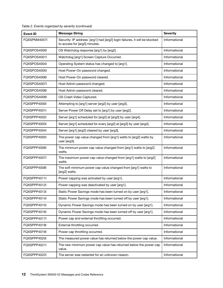| <b>Event ID</b> | <b>Message String</b>                                                                                       | <b>Severity</b> |
|-----------------|-------------------------------------------------------------------------------------------------------------|-----------------|
| FQXSPNM4057I    | Security: IP address: [arg1] had [arg2] login failures, it will be blocked<br>to access for [arg3] minutes. | Informational   |
| FOXSPOS4000I    | OS Watchdog response [arg1] by [arg2].                                                                      | Informational   |
| FOXSPOS4001I    | Watchdog [arg1] Screen Capture Occurred.                                                                    | Informational   |
| FQXSPOS4004I    | Operating System status has changed to [arg1].                                                              | Informational   |
| FQXSPOS4005I    | Host Power-On password changed.                                                                             | Informational   |
| FQXSPOS4006I    | Host Power-On password cleared.                                                                             | Informational   |
| FQXSPOS4007I    | Host Admin password changed.                                                                                | Informational   |
| FQXSPOS4008I    | Host Admin password cleared.                                                                                | Informational   |
| FQXSPOS4009I    | OS Crash Video Captured.                                                                                    | Informational   |
| FQXSPPP4000I    | Attempting to [arg1] server [arg2] by user [arg3].                                                          | Informational   |
| FQXSPPP4001I    | Server Power Off Delay set to [arg1] by user [arg2].                                                        | Informational   |
| FQXSPPP4002I    | Server [arg1] scheduled for [arg2] at [arg3] by user [arg4].                                                | Informational   |
| FQXSPPP4003I    | Server [arg1] scheduled for every [arg2] at [arg3] by user [arg4].                                          | Informational   |
| FQXSPPP4004I    | Server [arg1] [arg2] cleared by user [arg3].                                                                | Informational   |
| FQXSPPP4005I    | The power cap value changed from [arg1] watts to [arg2] watts by<br>user [arg3].                            | Informational   |
| FQXSPPP4006I    | The minimum power cap value changed from [arg1] watts to [arg2]<br>watts.                                   | Informational   |
| FQXSPPP4007I    | The maximum power cap value changed from [arg1] watts to [arg2]<br>watts.                                   | Informational   |
| FQXSPPP4008I    | The soft minimum power cap value changed from [arg1] watts to<br>[arg2] watts.                              | Informational   |
| FQXSPPP4011I    | Power capping was activated by user [arg1].                                                                 | Informational   |
| FQXSPPP4012I    | Power capping was deactivated by user [arg1].                                                               | Informational   |
| FQXSPPP4013I    | Static Power Savings mode has been turned on by user [arg1].                                                | Informational   |
| FQXSPPP4014I    | Static Power Savings mode has been turned off by user [arg1].                                               | Informational   |
| FQXSPPP4015I    | Dynamic Power Savings mode has been turned on by user [arg1].                                               | Informational   |
| FQXSPPP4016I    | Dynamic Power Savings mode has been turned off by user [arg1].                                              | Informational   |
| FQXSPPP4017I    | Power cap and external throttling occurred.                                                                 | Informational   |
| FQXSPPP4018I    | External throttling occurred.                                                                               | Informational   |
| FQXSPPP4019I    | Power cap throttling occurred.                                                                              | Informational   |
| FQXSPPP4020I    | The measured power value has returned below the power cap value.                                            | Informational   |
| FQXSPPP4021I    | The new minimum power cap value has returned below the power cap<br>value.                                  | Informational   |
| FQXSPPP4022I    | The server was restarted for an unknown reason.                                                             | Informational   |

Table 2. Events organized by severity (continued)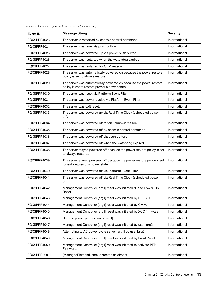| <b>Event ID</b> | <b>Message String</b>                                                                                                     | <b>Severity</b> |
|-----------------|---------------------------------------------------------------------------------------------------------------------------|-----------------|
| FQXSPPP4023I    | The server is restarted by chassis control command.                                                                       | Informational   |
| FQXSPPP4024I    | The server was reset via push button.                                                                                     | Informational   |
| FQXSPPP4025I    | The server was powered-up via power push button.                                                                          | Informational   |
| FQXSPPP4026I    | The server was restarted when the watchdog expired                                                                        | Informational   |
| FQXSPPP4027I    | The server was restarted for OEM reason.                                                                                  | Informational   |
| FQXSPPP4028I    | The server was automatically powered on because the power restore<br>policy is set to always restore                      | Informational   |
| FQXSPPP4029I    | The server was automatically powered on because the power restore<br>policy is set to restore previous power state        | Informational   |
| FQXSPPP4030I    | The server was reset via Platform Event Filter.                                                                           | Informational   |
| FQXSPPP4031I    | The server was power-cycled via Platform Event Filter.                                                                    | Informational   |
| FQXSPPP4032I    | The server was soft reset.                                                                                                | Informational   |
| FQXSPPP4033I    | The server was powered up via Real Time Clock (scheduled power<br>on).                                                    | Informational   |
| FOXSPPP4034I    | The server was powered off for an unknown reason.                                                                         | Informational   |
| FQXSPPP4035I    | The server was powered off by chassis control command.                                                                    | Informational   |
| FQXSPPP4036I    | The server was powered off via push button.                                                                               | Informational   |
| FQXSPPP4037I    | The server was powered off when the watchdog expired.                                                                     | Informational   |
| FQXSPPP4038I    | The server stayed powered off because the power restore policy is set<br>to always restore                                | Informational   |
| FQXSPPP4039I    | Informational<br>The server stayed powered off because the power restore policy is set<br>to restore previous power state |                 |
| FQXSPPP4040I    | The server was powered off via Platform Event Filter.                                                                     | Informational   |
| FQXSPPP4041I    | The server was powered off via Real Time Clock (scheduled power<br>off).                                                  | Informational   |
| FQXSPPP4042I    | Management Controller [arg1] reset was initiated due to Power-On-<br>Reset.                                               | Informational   |
| FQXSPPP4043I    | Management Controller [arg1] reset was initiated by PRESET.                                                               | Informational   |
| FQXSPPP4044I    | Management Controller [arg1] reset was initiated by CMM.                                                                  | Informational   |
| FQXSPPP4045I    | Management Controller [arg1] reset was initiated by XCC firmware.                                                         | Informational   |
| FQXSPPP4046I    | Remote power permission is [arg1].                                                                                        | Informational   |
| FQXSPPP4047I    | Management Controller [arg1] reset was initiated by user [arg2].                                                          | Informational   |
| FQXSPPP4048I    | Attempting to AC power cycle server [arg1] by user [arg2].                                                                | Informational   |
| FQXSPPP4049I    | Management Controller [arg1] reset was initiated by Front Panel.                                                          | Informational   |
| FQXSPPP4050I    | Management Controller [arg1] reset was initiated to activate PFR<br>Firmware.                                             | Informational   |
| FQXSPPR2001I    | [ManagedElementName] detected as absent.                                                                                  | Informational   |

Table 2. Events organized by severity (continued)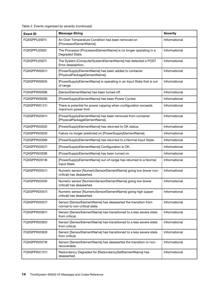| <b>Event ID</b> | <b>Message String</b>                                                                          | <b>Severity</b> |
|-----------------|------------------------------------------------------------------------------------------------|-----------------|
| FQXSPPU2001I    | An Over-Temperature Condition has been removed on<br>[ProcessorElementName].                   | Informational   |
| FQXSPPU2002I    | The Processor [ProcessorElementName] is no longer operating in a<br>Degraded State.            | Informational   |
| FQXSPPU2007I    | The System [ComputerSystemElementName] has detected a POST<br>Error deassertion.               | Informational   |
| FQXSPPW0001I    | [PowerSupplyElementName] has been added to container<br>[PhysicalPackageElementName].          | Informational   |
| FQXSPPW0005I    | [PowerSupplyElementName] is operating in an Input State that is out<br>of range.               | Informational   |
| FQXSPPW0008I    | [SensorElementName] has been turned off.                                                       | Informational   |
| FQXSPPW0009I    | [PowerSupplyElementName] has been Power Cycled.                                                | Informational   |
| FQXSPPW0121I    | There is potential for power capping when configuration exceeds<br>maximum power limit.        | Informational   |
| FOXSPPW2001I    | [PowerSupplyElementName] has been removed from container<br>[PhysicalPackageElementName].      | Informational   |
| FQXSPPW2002I    | [PowerSupplyElementName] has returned to OK status.                                            | Informational   |
| FQXSPPW2003I    | Failure no longer predicted on [PowerSupplyElementName].                                       | Informational   |
| FQXSPPW2006I    | [PowerSupplyElementName] has returned to a Normal Input State.                                 | Informational   |
| FQXSPPW2007I    | [PowerSupplyElementName] Configuration is OK.                                                  | Informational   |
| FQXSPPW2008I    | [PowerSupplyElementName] has been turned on.                                                   | Informational   |
| FQXSPPW2018I    | [PowerSupplyElementName] out-of-range has returned to a Normal<br>Input State.                 | Informational   |
| FQXSPPW2031I    | Numeric sensor [NumericSensorElementName] going low (lower non-<br>critical) has deasserted.   | Informational   |
| FQXSPPW2035I    | Numeric sensor [NumericSensorElementName] going low (lower<br>critical) has deasserted.        | Informational   |
| FQXSPPW2047I    | Numeric sensor [NumericSensorElementName] going high (upper<br>critical) has deasserted.       | Informational   |
| FQXSPPW2057I    | Sensor [SensorElementName] has deasserted the transition from<br>normal to non-critical state. | Informational   |
| FQXSPPW2061I    | Sensor [SensorElementName] has transitioned to a less severe state<br>from critical.           | Informational   |
| FQXSPPW2062I    | Sensor [SensorElementName] has transitioned to a less severe state<br>from critical.           | Informational   |
| FQXSPPW2063I    | Sensor [SensorElementName] has transitioned to a less severe state<br>from critical.           | Informational   |
| FQXSPPW2079I    | Sensor [SensorElementName] has deasserted the transition to non-<br>recoverable.               | Informational   |
| FQXSPPW2101I    | Redundancy Degraded for [RedundancySetElementName] has<br>deasserted.                          | Informational   |

Table 2. Events organized by severity (continued)

H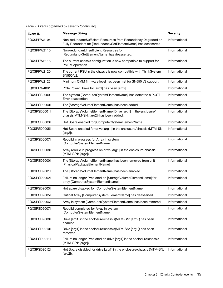| <b>Event ID</b> | <b>Message String</b>                                                                                                            | <b>Severity</b> |
|-----------------|----------------------------------------------------------------------------------------------------------------------------------|-----------------|
| FQXSPPW2104I    | Non-redundant:Sufficient Resources from Redundancy Degraded or<br>Fully Redundant for [RedundancySetElementName] has deasserted. | Informational   |
| FQXSPPW2110I    | Non-redundant:Insufficient Resources for<br>[RedundancySetElementName] has deasserted.                                           | Informational   |
| FQXSPPW2118I    | The current chassis configuration is now compatible to support for<br>PMEM operation.                                            | Informational   |
| FQXSPPW2120I    | The current PSU in the chassis is now compatible with ThinkSystem<br>SN550 V2.                                                   | Informational   |
| FQXSPPW2122I    | Minimum CMM firmware level has been met for SN550 V2 support.                                                                    | Informational   |
| FQXSPPW4001I    | PCIe Power Brake for [arg1] has been [arg2].                                                                                     | Informational   |
| FQXSPSB2000I    | The System [ComputerSystemElementName] has detected a POST<br>Error deassertion.                                                 | Informational   |
| FQXSPSD0000I    | The [StorageVolumeElementName] has been added.                                                                                   | Informational   |
| FQXSPSD0001I    | The [StorageVolumeElementName] Drive [arg1] in the enclosure/<br>chassis(MTM-SN: [arg2]) has been added.                         | Informational   |
| FQXSPSD0003I    | Hot Spare enabled for [ComputerSystemElementName].                                                                               | Informational   |
| FOXSPSD0005I    | Hot Spare enabled for drive [arg1] in the enclosure/chassis (MTM-SN:<br>[arg2]).                                                 | Informational   |
| FQXSPSD0007I    | Rebuild in progress for Array in system<br>[ComputerSystemElementName].                                                          | Informational   |
| FQXSPSD0008I    | Array rebuild in progress on drive [arg1] in the enclosure/chassis<br>(MTM-S/N: [arg2]).                                         | Informational   |
| FQXSPSD2000I    | The [StorageVolumeElementName] has been removed from unit<br>[PhysicalPackageElementName].                                       | Informational   |
| FOXSPSD2001I    | The [StorageVolumeElementName] has been enabled.                                                                                 | Informational   |
| FQXSPSD2002I    | Failure no longer Predicted on [StorageVolumeElementName] for<br>array [ComputerSystemElementName].                              | Informational   |
| FQXSPSD2003I    | Hot spare disabled for [ComputerSystemElementName].                                                                              | Informational   |
| FQXSPSD2005I    | Critical Array [ComputerSystemElementName] has deasserted.                                                                       | Informational   |
| FQXSPSD2006I    | Array in system [ComputerSystemElementName] has been restored.                                                                   | Informational   |
| FQXSPSD2007I    | Rebuild completed for Array in system<br>[ComputerSystemElementName].                                                            | Informational   |
| FQXSPSD2008I    | Drive [arg1] in the enclosure/chassis(MTM-SN: [arg2]) has been<br>enabled.                                                       | Informational   |
| FQXSPSD2010I    | Drive [arg1] in the enclosure/chassis(MTM-SN: [arg2]) has been<br>removed.                                                       | Informational   |
| FQXSPSD2011I    | Failure no longer Predicted on drive [arg1] in the enclosure/chassis<br>(MTM-S/N: [arg2]).                                       | Informational   |
| FQXSPSD2012I    | Hot Spare disabled for drive [arg1] in the enclosure/chassis (MTM-SN:<br>[arg2]).                                                | Informational   |

Table 2. Events organized by severity (continued)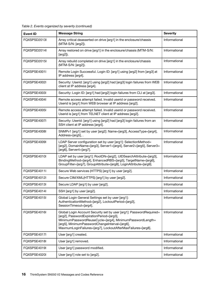|  |  | Table 2. Events organized by severity (continued) |  |  |  |  |
|--|--|---------------------------------------------------|--|--|--|--|
|--|--|---------------------------------------------------|--|--|--|--|

| <b>Event ID</b> | <b>Message String</b>                                                                                                                                                                                                                                                                       | <b>Severity</b> |
|-----------------|---------------------------------------------------------------------------------------------------------------------------------------------------------------------------------------------------------------------------------------------------------------------------------------------|-----------------|
| FQXSPSD2013I    | Array critical deasserted on drive [arg1] in the enclosure/chassis<br>(MTM-S/N: [arg2]).                                                                                                                                                                                                    | Informational   |
| FQXSPSD2014I    | Array restored on drive [arg1] in the enclosure/chassis (MTM-S/N:<br>$[arg2]$ ).                                                                                                                                                                                                            | Informational   |
| FQXSPSD2015I    | Array rebuild completed on drive [arg1] in the enclosure/chassis<br>(MTM-S/N: [arg2]).                                                                                                                                                                                                      | Informational   |
| FQXSPSE4001I    | Remote Login Successful. Login ID: [arg1] using [arg2] from [arg3] at<br>IP address [arg4].                                                                                                                                                                                                 | Informational   |
| FQXSPSE4002I    | Security: Userid: [arg1] using [arg2] had [arg3] login failures from WEB<br>client at IP address [arg4].                                                                                                                                                                                    | Informational   |
| FQXSPSE4003I    | Security: Login ID: [arg1] had [arg2] login failures from CLI at [arg3].                                                                                                                                                                                                                    | Informational   |
| FQXSPSE4004I    | Remote access attempt failed. Invalid userid or password received.<br>Userid is [arg1] from WEB browser at IP address [arg2].                                                                                                                                                               | Informational   |
| FQXSPSE4005I    | Remote access attempt failed. Invalid userid or password received.<br>Userid is [arg1] from TELNET client at IP address [arg2].                                                                                                                                                             | Informational   |
| FQXSPSE4007I    | Security: Userid: [arg1] using [arg2] had [arg3] login failures from an<br>SSH client at IP address [arg4].                                                                                                                                                                                 | Informational   |
| FOXSPSE4008I    | SNMPv1 [arg1] set by user [arg2]: Name=[arg3], AccessType=[arg4],<br>Address=[arg5], .                                                                                                                                                                                                      | Informational   |
| FQXSPSE4009I    | LDAP Server configuration set by user [arg1]: SelectionMethod=<br>[arg2], DomainName=[arg3], Server1=[arg4], Server2=[arg5], Server3=<br>[arg6], Server4=[arg7].                                                                                                                            | Informational   |
| FQXSPSE4010I    | LDAP set by user [arg1]: RootDN=[arg2], UIDSearchAttribute=[arg3],<br>BindingMethod=[arg4], EnhancedRBS=[arg5], TargetName=[arg6],<br>GroupFilter=[arg7], GroupAttribute=[arg8], LoginAttribute=[arg9].                                                                                     | Informational   |
| FQXSPSE4011I    | Secure Web services (HTTPS) [arg1] by user [arg2].                                                                                                                                                                                                                                          | Informational   |
| FOXSPSE4012I    | Secure CIM/XML(HTTPS) [arg1] by user [arg2].                                                                                                                                                                                                                                                | Informational   |
| FQXSPSE4013I    | Secure LDAP [arg1] by user [arg2].                                                                                                                                                                                                                                                          | Informational   |
| FQXSPSE4014I    | SSH [arg1] by user [arg2].                                                                                                                                                                                                                                                                  | Informational   |
| FQXSPSE4015I    | Global Login General Settings set by user [arg1]:<br>AuthenticationMethod=[arg2], LockoutPeriod=[arg3],<br>SessionTimeout=[arg4].                                                                                                                                                           | Informational   |
| FQXSPSE4016I    | Global Login Account Security set by user [arg1]: PasswordRequired=<br>[arg2], PasswordExpirationPeriod=[arg3],<br>MinimumPasswordReuseCycle=[arg4], MinimumPasswordLength=<br>[arg5], MinimumPasswordChangeInterval=[arg6],<br>MaxmumLoginFailures=[arg7], LockoutAfterMaxFailures=[arg8]. |                 |
| FQXSPSE4017I    | User [arg1] created.                                                                                                                                                                                                                                                                        | Informational   |
| FQXSPSE4018I    | User [arg1] removed.                                                                                                                                                                                                                                                                        | Informational   |
| FQXSPSE4019I    | User [arg1] password modified.                                                                                                                                                                                                                                                              | Informational   |
| FQXSPSE4020I    | User [arg1] role set to [arg2].                                                                                                                                                                                                                                                             | Informational   |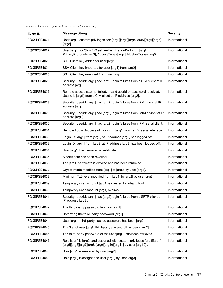| <b>Event ID</b> | <b>Message String</b>                                                                                                                   | <b>Severity</b> |
|-----------------|-----------------------------------------------------------------------------------------------------------------------------------------|-----------------|
| FQXSPSE4021I    | User [arg1] custom privileges set: [arg2][arg3][arg4][arg5][arg6][arg7]<br>$[arg8]$ .                                                   | Informational   |
| FQXSPSE4022I    | User [arg1] for SNMPv3 set: AuthenticationProtocol=[arg2],<br>PrivacyProtocol=[arg3], AccessType=[arg4], HostforTraps=[arg5].           | Informational   |
| FQXSPSE4023I    | SSH Client key added for user [arg1].                                                                                                   | Informational   |
| FOXSPSE4024I    | SSH Client key imported for user [arg1] from [arg2].                                                                                    | Informational   |
| FQXSPSE4025I    | SSH Client key removed from user [arg1].                                                                                                | Informational   |
| FQXSPSE4026I    | Security: Userid: [arg1] had [arg2] login failures from a CIM client at IP<br>address [arg3].                                           | Informational   |
| FQXSPSE4027I    | Remote access attempt failed. Invalid userid or password received.<br>Userid is [arg1] from a CIM client at IP address [arg2].          | Informational   |
| FQXSPSE4028I    | Security: Userid: [arg1] had [arg2] login failures from IPMI client at IP<br>address [arg3].                                            | Informational   |
| FOXSPSE4029I    | Security: Userid: [arg1] had [arg2] login failures from SNMP client at IP<br>address [arg3].                                            | Informational   |
| FQXSPSE4030I    | Security: Userid: [arg1] had [arg2] login failures from IPMI serial client.                                                             | Informational   |
| FQXSPSE4031I    | Remote Login Successful. Login ID: [arg1] from [arg2] serial interface.                                                                 | Informational   |
| FQXSPSE4032I    | Login ID: [arg1] from [arg2] at IP address [arg3] has logged off.                                                                       | Informational   |
| FQXSPSE4033I    | Login ID: [arg1] from [arg2] at IP address [arg3] has been logged off.                                                                  | Informational   |
| FQXSPSE4034I    | User [arg1] has removed a certificate.                                                                                                  | Informational   |
| FQXSPSE4035I    | A certificate has been revoked.                                                                                                         | Informational   |
| FQXSPSE4036I    | The [arg1] certificate is expired and has been removed.                                                                                 | Informational   |
| FQXSPSE4037I    | Crypto mode modified from [arg1] to [arg2] by user [arg3].                                                                              | Informational   |
| FQXSPSE4038I    | Minimum TLS level modified from [arg1] to [arg2] by user [arg3].                                                                        | Informational   |
| FQXSPSE4039I    | Temporary user account [arg1] is created by inband tool.                                                                                | Informational   |
| FQXSPSE4040I    | Temporary user account [arg1] expires.                                                                                                  | Informational   |
| FQXSPSE4041I    | Security: Userid: [arg1] had [arg2] login failures from a SFTP client at<br>IP address [arg3].                                          | Informational   |
| FQXSPSE4042I    | The third-party password function [arg1].                                                                                               | Informational   |
| FQXSPSE4043I    | Retrieving the third-party password [arg1].                                                                                             | Informational   |
| FQXSPSE4044I    | User [arg1] third-party hashed password has been [arg2].                                                                                | Informational   |
| FQXSPSE4045I    | The Salt of user [arg1] third-party password has been [arg2].                                                                           | Informational   |
| FQXSPSE4046I    | The third-party password of the user [arg1] has been retrieved.                                                                         | Informational   |
| FQXSPSE4047I    | Role [arg1] is [arg2] and assigned with custom privileges [arg3][arg4]<br>[arg5][arg6][arg7][arg8][arg9][arg10][arg11] by user [arg12]. | Informational   |
| FQXSPSE4048I    | Role [arg1] is removed by user [arg2].                                                                                                  | Informational   |
| FQXSPSE4049I    | Role [arg1] is assigned to user [arg2] by user [arg3].                                                                                  | Informational   |

Table 2. Events organized by severity (continued)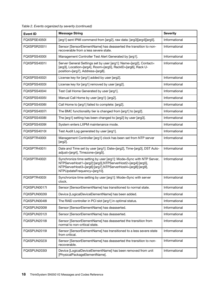| <b>Event ID</b> | <b>Message String</b>                                                                                                                                                                                                          | <b>Severity</b> |
|-----------------|--------------------------------------------------------------------------------------------------------------------------------------------------------------------------------------------------------------------------------|-----------------|
| FQXSPSE4050I    | [arg1] sent IPMI command from [arg2], raw data: [arg3][arg4][arg5].                                                                                                                                                            | Informational   |
| FQXSPSR2001I    | Sensor [SensorElementName] has deasserted the transition to non-<br>recoverable from a less severe state.                                                                                                                      | Informational   |
| FQXSPSS4000I    | Management Controller Test Alert Generated by [arg1].                                                                                                                                                                          | Informational   |
| FQXSPSS4001I    | Server General Settings set by user [arg1]: Name=[arg2], Contact=<br>[arg3], Location=[arg4], Room=[arg5], RackID=[arg6], Rack U-<br>position=[arg7], Address=[arg8].                                                          | Informational   |
| FOXSPSS4002I    | License key for [arg1] added by user [arg2].                                                                                                                                                                                   | Informational   |
| FQXSPSS4003I    | License key for [arg1] removed by user [arg2].                                                                                                                                                                                 | Informational   |
| FQXSPSS4004I    | Test Call Home Generated by user [arg1].                                                                                                                                                                                       | Informational   |
| FQXSPSS4005I    | Manual Call Home by user [arg1]: [arg2].                                                                                                                                                                                       | Informational   |
| FQXSPSS4006I    | Call Home to [arg1] failed to complete: [arg2].                                                                                                                                                                                | Informational   |
| FQXSPSS4007I    | The BMC functionality tier is changed from [arg1] to [arg2].                                                                                                                                                                   | Informational   |
| FQXSPSS4008I    | The [arg1] setting has been changed to [arg2] by user [arg3].                                                                                                                                                                  | Informational   |
| FOXSPSS4009I    | System enters LXPM maintenance mode.                                                                                                                                                                                           | Informational   |
| FQXSPSS4010I    | Test Audit Log generated by user [arg1].                                                                                                                                                                                       | Informational   |
| FQXSPTR4000I    | Management Controller [arg1] clock has been set from NTP server<br>$[arg2]$ .                                                                                                                                                  | Informational   |
| FQXSPTR4001I    | Date and Time set by user [arg1]: Date=[arg2], Time-[arg3], DST Auto-<br>adjust=[arg4], Timezone=[arg5].                                                                                                                       | Informational   |
| FQXSPTR4002I    | Synchronize time setting by user [arg1]: Mode=Sync with NTP Server,<br>NTPServerHost1=[arg2]:[arg3],NTPServerHost2=[arg4]:[arg5],<br>NTPServerHost3=[arg6]:[arg7],NTPServerHost4=[arg8]:[arg9],<br>NTPUpdateFrequency=[arg10]. |                 |
| FQXSPTR4003I    | Synchronize time setting by user [arg1]: Mode=Sync with server<br>clock.                                                                                                                                                       | Informational   |
| FOXSPUN0017I    | Sensor [SensorElementName] has transitioned to normal state.                                                                                                                                                                   | Informational   |
| FQXSPUN0026I    | Device [LogicalDeviceElementName] has been added.                                                                                                                                                                              | Informational   |
| FQXSPUN0048I    | The RAID controller in PCI slot [arg1] in optimal status.                                                                                                                                                                      | Informational   |
| FQXSPUN2009I    | Sensor [SensorElementName] has deasserted.                                                                                                                                                                                     | Informational   |
| FQXSPUN2012I    | Sensor [SensorElementName] has deasserted.                                                                                                                                                                                     | Informational   |
| FQXSPUN2018I    | Sensor [SensorElementName] has deasserted the transition from<br>normal to non-critical state.                                                                                                                                 | Informational   |
| FQXSPUN2019I    | Sensor [SensorElementName] has transitioned to a less severe state<br>from critical.                                                                                                                                           | Informational   |
| FQXSPUN2023I    | Sensor [SensorElementName] has deasserted the transition to non-<br>recoverable.                                                                                                                                               | Informational   |
| FQXSPUN2030I    | Device [LogicalDeviceElementName] has been removed from unit<br>[PhysicalPackageElementName].                                                                                                                                  | Informational   |

Table 2. Events organized by severity (continued)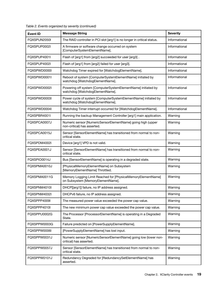| <b>Event ID</b> | <b>Message String</b>                                                                             | <b>Severity</b> |
|-----------------|---------------------------------------------------------------------------------------------------|-----------------|
| FQXSPUN2050I    | The RAID controller in PCI slot [arg1] is no longer in critical status.                           | Informational   |
| FQXSPUP0002I    | A firmware or software change occurred on system<br>[ComputerSystemElementName].                  | Informational   |
| FQXSPUP4001I    | Flash of [arg1] from [arg2] succeeded for user [arg3].                                            | Informational   |
| FQXSPUP4002I    | Flash of [arg1] from [arg2] failed for user [arg3].                                               | Informational   |
| FQXSPWD0000I    | Watchdog Timer expired for [WatchdogElementName].                                                 | Informational   |
| FQXSPWD0001I    | Reboot of system [ComputerSystemElementName] initiated by<br>watchdog [WatchdogElementName].      | Informational   |
| FQXSPWD0002I    | Powering off system [ComputerSystemElementName] initiated by<br>watchdog [WatchdogElementName].   | Informational   |
| FQXSPWD0003I    | Power cycle of system [ComputerSystemElementName] initiated by<br>watchdog [WatchdogElementName]. | Informational   |
| FQXSPWD0004I    | Watchdog Timer interrupt occurred for [WatchdogElementName].                                      | Informational   |
| FQXSPBR4001I    | Running the backup Management Controller [arg1] main application.                                 | Warning         |
| FQXSPCA0007J    | Numeric sensor [NumericSensorElementName] going high (upper<br>non-critical) has asserted.        | Warning         |
| FQXSPCA0015J    | Sensor [SensorElementName] has transitioned from normal to non-<br>critical state.                | Warning         |
| FQXSPDM4002I    | Device [arg1] VPD is not valid.                                                                   | Warning         |
| FQXSPEA0001J    | Sensor [SensorElementName] has transitioned from normal to non-<br>critical state.                | Warning         |
| FQXSPIO0014J    | Bus [SensorElementName] is operating in a degraded state.                                         | Warning         |
| FQXSPMA0010J    | [PhysicalMemoryElementName] on Subsystem<br>[MemoryElementName] Throttled.                        | Warning         |
| FQXSPMA0011G    | Memory Logging Limit Reached for [PhysicalMemoryElementName]<br>on Subsystem [MemoryElementName]. | Warning         |
| FQXSPNM4010I    | DHCP[[arg1]] failure, no IP address assigned.                                                     | Warning         |
| FQXSPNM4032I    | DHCPv6 failure, no IP address assigned.                                                           | Warning         |
| FQXSPPP4009I    | The measured power value exceeded the power cap value.                                            | Warning         |
| FQXSPPP4010I    | The new minimum power cap value exceeded the power cap value.                                     | Warning         |
| FQXSPPU0002G    | The Processor [ProcessorElementName] is operating in a Degraded<br>State.                         | Warning         |
| FQXSPPW0003G    | Failure predicted on [PowerSupplyElementName].                                                    | Warning         |
| FQXSPPW0006I    | [PowerSupplyElementName] has lost input.                                                          | Warning         |
| FQXSPPW0031J    | Numeric sensor [NumericSensorElementName] going low (lower non-<br>critical) has asserted.        | Warning         |
| FQXSPPW0057J    | Sensor [SensorElementName] has transitioned from normal to non-<br>critical state.                |                 |
| FQXSPPW0101J    | Redundancy Degraded for [RedundancySetElementName] has<br>asserted.                               | Warning         |

Table 2. Events organized by severity (continued)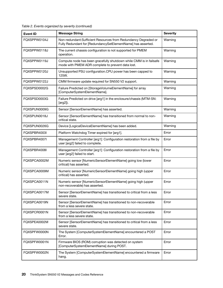Table 2. Events organized by severity (continued)

| <b>Event ID</b> | <b>Message String</b>                                                                                                          | <b>Severity</b> |
|-----------------|--------------------------------------------------------------------------------------------------------------------------------|-----------------|
| FQXSPPW0104J    | Non-redundant:Sufficient Resources from Redundancy Degraded or<br>Fully Redundant for [RedundancySetElementName] has asserted. | Warning         |
| FQXSPPW0118J    | The current chassis configuration is not supported for PMEM<br>operation.                                                      | Warning         |
| FQXSPPW0119J    | Compute node has been gracefully shutdown while CMM is in failsafe<br>mode with PMEM ADR complete to prevent data lost.        | Warning         |
| FQXSPPW0120J    | Unsupported PSU configuration.CPU power has been capped to<br>125W.                                                            | Warning         |
| FQXSPPW0122J    | CMM firmware update required for SN550 V2 support.                                                                             | Warning         |
| FQXSPSD0002G    | Failure Predicted on [StorageVolumeElementName] for array<br>[ComputerSystemElementName].                                      | Warning         |
| FQXSPSD0003G    | Failure Predicted on drive [arg1] in the enclosure/chassis (MTM-SN:<br>[arg2]).                                                | Warning         |
| FQXSPUN0009G    | Sensor [SensorElementName] has asserted.                                                                                       | Warning         |
| FQXSPUN0018J    | Sensor [SensorElementName] has transitioned from normal to non-<br>critical state.                                             | Warning         |
| FOXSPUN0026G    | Device [LogicalDeviceElementName] has been added.                                                                              | Warning         |
| FQXSPBR4003I    | Platform Watchdog Timer expired for [arg1].                                                                                    | Error           |
| FQXSPBR4007I    | Management Controller [arg1]: Configuration restoration from a file by<br>user [arg2] failed to complete.                      | Error           |
| FQXSPBR4008I    | Management Controller [arg1]: Configuration restoration from a file by<br>user [arg2] failed to start.                         | Error           |
| FQXSPCA0002M    | Numeric sensor [NumericSensorElementName] going low (lower<br>critical) has asserted.                                          | Error           |
| FQXSPCA0009M    | Numeric sensor [NumericSensorElementName] going high (upper<br>critical) has asserted.                                         | Error           |
| FQXSPCA0011N    | Numeric sensor [NumericSensorElementName] going high (upper<br>non-recoverable) has asserted.                                  |                 |
| FQXSPCA0017M    | Sensor [SensorElementName] has transitioned to critical from a less<br>severe state.                                           |                 |
| FQXSPCA0019N    | Sensor [SensorElementName] has transitioned to non-recoverable<br>from a less severe state.                                    |                 |
| FQXSPCR0001N    | Sensor [SensorElementName] has transitioned to non-recoverable<br>from a less severe state.                                    | Error           |
| FQXSPEA0002M    | Sensor [SensorElementName] has transitioned to critical from a less<br>severe state.                                           | Error           |
| FQXSPFW0000N    | The System [ComputerSystemElementName] encountered a POST<br>Error.                                                            | Error           |
| FQXSPFW0001N    | Firmware BIOS (ROM) corruption was detected on system<br>[ComputerSystemElementName] during POST.                              | Error           |
| FQXSPFW0002N    | The System [ComputerSystemElementName] encountered a firmware<br>hang.                                                         | Error           |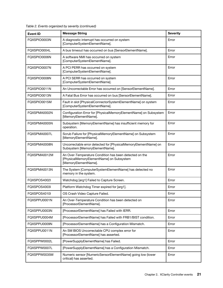| <b>Event ID</b>                                                                                       | <b>Message String</b>                                                                                                      | <b>Severity</b> |
|-------------------------------------------------------------------------------------------------------|----------------------------------------------------------------------------------------------------------------------------|-----------------|
| FQXSPIO0003N                                                                                          | A diagnostic interrupt has occurred on system<br>[ComputerSystemElementName].                                              | Error           |
| FQXSPIO0004L                                                                                          | A bus timeout has occurred on bus [SensorElementName].                                                                     | Error           |
| FQXSPIO0006N                                                                                          | A software NMI has occurred on system<br>[ComputerSystemElementName].                                                      | Error           |
| FQXSPIO0007N                                                                                          | A PCI PERR has occurred on system<br>[ComputerSystemElementName].                                                          | Error           |
| FQXSPIO0008N                                                                                          | A PCI SERR has occurred on system<br>[ComputerSystemElementName].                                                          | Error           |
| FQXSPIO0011N                                                                                          | An Uncorrectable Error has occurred on [SensorElementName].                                                                | Error           |
| FQXSPIO0013N                                                                                          | A Fatal Bus Error has occurred on bus [SensorElementName].                                                                 | Error           |
| FQXSPIO0015M                                                                                          | Fault in slot [PhysicalConnectorSystemElementName] on system<br>[ComputerSystemElementName].                               | Error           |
| FQXSPMA0002N                                                                                          | Configuration Error for [PhysicalMemoryElementName] on Subsystem<br>[MemoryElementName].                                   | Error           |
| FQXSPMA0005N                                                                                          | Subsystem [MemoryElementName] has insufficient memory for<br>operation.                                                    | Error           |
| FOXSPMA0007L                                                                                          | Scrub Failure for [PhysicalMemoryElementName] on Subsystem<br>[MemoryElementName].                                         | Error           |
| FQXSPMA0008N                                                                                          | Uncorrectable error detected for [PhysicalMemoryElementName] on<br>Subsystem [MemoryElementName].                          | Error           |
| FQXSPMA0012M                                                                                          | An Over-Temperature Condition has been detected on the<br>[PhysicalMemoryElementName] on Subsystem<br>[MemoryElementName]. |                 |
| FQXSPMA0013N                                                                                          | The System [ComputerSystemElementName] has detected no<br>memory in the system.                                            | Error           |
| FQXSPOS4002I                                                                                          | Watchdog [arg1] Failed to Capture Screen.                                                                                  | Error           |
| FQXSPOS4003I                                                                                          | Platform Watchdog Timer expired for [arg1].                                                                                | Error           |
| FQXSPOS4010I                                                                                          | OS Crash Video Capture Failed.                                                                                             | Error           |
| FQXSPPU0001N                                                                                          | An Over-Temperature Condition has been detected on<br>[ProcessorElementName].                                              | Error           |
| FQXSPPU0003N                                                                                          | [ProcessorElementName] has Failed with IERR.                                                                               | Error           |
| FQXSPPU0004M                                                                                          | [ProcessorElementName] has Failed with FRB1/BIST condition.                                                                | Error           |
| FQXSPPU0009N                                                                                          | [ProcessorElementName] has a Configuration Mismatch.                                                                       | Error           |
| FQXSPPU0011N                                                                                          | An SM BIOS Uncorrectable CPU complex error for<br>[ProcessorElementName] has asserted.                                     | Error           |
| FQXSPPW0002L                                                                                          | [PowerSupplyElementName] has Failed.                                                                                       | Error           |
| FQXSPPW0007L                                                                                          | [PowerSupplyElementName] has a Configuration Mismatch.                                                                     | Error           |
| Numeric sensor [NumericSensorElementName] going low (lower<br>FQXSPPW0035M<br>critical) has asserted. |                                                                                                                            | Error           |

Table 2. Events organized by severity (continued)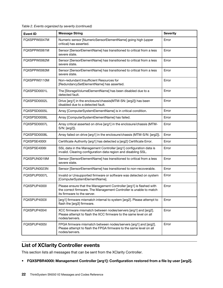|  |  | Table 2. Events organized by severity (continued) |  |  |
|--|--|---------------------------------------------------|--|--|
|--|--|---------------------------------------------------|--|--|

| <b>Event ID</b> | <b>Message String</b>                                                                                                                                                    | <b>Severity</b> |
|-----------------|--------------------------------------------------------------------------------------------------------------------------------------------------------------------------|-----------------|
| FQXSPPW0047M    | Numeric sensor [NumericSensorElementName] going high (upper<br>critical) has asserted.                                                                                   | Error           |
| FOXSPPW0061M    | Sensor [SensorElementName] has transitioned to critical from a less<br>severe state.                                                                                     | Error           |
| FQXSPPW0062M    | Sensor [SensorElementName] has transitioned to critical from a less<br>severe state.                                                                                     | Error           |
| FQXSPPW0063M    | Sensor [SensorElementName] has transitioned to critical from a less<br>severe state.                                                                                     | Error           |
| FQXSPPW0110M    | Non-redundant:Insufficient Resources for<br>[RedundancySetElementName] has asserted.                                                                                     | Error           |
| FQXSPSD0001L    | The [StorageVolumeElementName] has been disabled due to a<br>detected fault.                                                                                             | Error           |
| FQXSPSD0002L    | Drive [arg1] in the enclosure/chassis(MTM-SN: [arg2]) has been<br>disabled due to a detected fault.                                                                      | Error           |
| FQXSPSD0005L    | Array [ComputerSystemElementName] is in critical condition.                                                                                                              | Error           |
| FQXSPSD0006L    | Array [ComputerSystemElementName] has failed.                                                                                                                            | Error           |
| FQXSPSD0007L    | Array critical asserted on drive [arg1] in the enclosure/chassis (MTM-<br>S/N: [arg2]).                                                                                  | Error           |
| FQXSPSD0008L    | Array failed on drive [arg1] in the enclosure/chassis (MTM-S/N: [arg2]).                                                                                                 | Error           |
| FQXSPSE4000I    | Certificate Authority [arg1] has detected a [arg2] Certificate Error.                                                                                                    | Error           |
| FQXSPSE4006I    | SSL data in the Management Controller [arg1] configuration data is<br>invalid. Clearing configuration data region and disabling SSL.                                     | Error           |
| FQXSPUN0019M    | Sensor [SensorElementName] has transitioned to critical from a less<br>severe state.                                                                                     | Error           |
| FQXSPUN0023N    | Sensor [SensorElementName] has transitioned to non-recoverable.                                                                                                          | Error           |
| FQXSPUP0007L    | Invalid or Unsupported firmware or software was detected on system<br>[ComputerSystemElementName].                                                                       | Error           |
| FQXSPUP4000I    | Please ensure that the Management Controller [arg1] is flashed with<br>the correct firmware. The Management Controller is unable to match<br>its firmware to the server. | Error           |
| FQXSPUP4003I    | [arg1] firmware mismatch internal to system [arg2]. Please attempt to<br>flash the [arg3] firmware.                                                                      | Error           |
| FQXSPUP4004I    | XCC firmware mismatch between nodes/servers [arg1] and [arg2].<br>Please attempt to flash the XCC firmware to the same level on all<br>nodes/servers.                    | Error           |
| FQXSPUP4005I    | FPGA firmware mismatch between nodes/servers [arg1] and [arg2].<br>Please attempt to flash the FPGA firmware to the same level on all<br>nodes/servers.                  | Error           |

### <span id="page-25-0"></span>List of XClarity Controller events

This section lists all messages that can be sent from the XClarity Controller.

• FQXSPBR4000I: Management Controller [arg1]: Configuration restored from a file by user [arg2].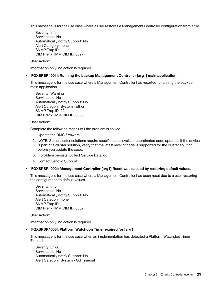This message is for the use case where a user restores a Management Controller configuration from a file.

Severity: Info Serviceable: No Automatically notify Support: No Alert Category: none SNMP Trap ID: CIM Prefix: IMM CIM ID: 0027

User Action:

Information only; no action is required.

• FQXSPBR4001I: Running the backup Management Controller [arg1] main application.

This message is for the use case where a Management Controller has resorted to running the backup main application.

Severity: Warning Serviceable: No Automatically notify Support: No Alert Category: System - other SNMP Trap ID: 22 CIM Prefix: IMM CIM ID: 0030

User Action:

Complete the following steps until the problem is solved:

- 1. Update the BMC firmware.
- 2. NOTE: Some cluster solutions require specific code levels or coordinated code updates. If the device is part of a cluster solution, verify that the latest level of code is supported for the cluster solution before you update the code.
- 3. If problem persists, collect Service Data log.
- 4. Contact Lenovo Support.
- FQXSPBR4002I: Management Controller [arg1] Reset was caused by restoring default values.

This message is for the use case where a Management Controller has been reset due to a user restoring the configuration to default values.

Severity: Info Serviceable: No Automatically notify Support: No Alert Category: none SNMP Trap ID: CIM Prefix: IMM CIM ID: 0032

User Action:

Information only; no action is required.

#### • FQXSPBR4003I: Platform Watchdog Timer expired for [arg1].

This message is for the use case when an implementation has detected a Platform Watchdog Timer Expired

Severity: Error Serviceable: No Automatically notify Support: No Alert Category: System - OS Timeout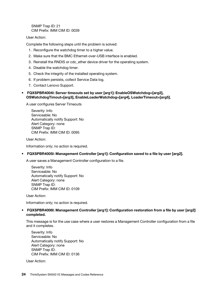SNMP Trap ID: 21 CIM Prefix: IMM CIM ID: 0039

User Action:

Complete the following steps until the problem is solved:

- 1. Reconfigure the watchdog timer to a higher value.
- 2. Make sure that the BMC Ethernet-over-USB interface is enabled.
- 3. Reinstall the RNDIS or cdc\_ether device driver for the operating system.
- 4. Disable the watchdog timer.
- 5. Check the integrity of the installed operating system.
- 6. If problem persists, collect Service Data log.
- 7. Contact Lenovo Support.
- FQXSPBR4004I: Server timeouts set by user [arg1]: EnableOSWatchdog=[arg2], OSWatchdogTimout=[arg3], EnableLoaderWatchdog=[arg4], LoaderTimeout=[arg5].

A user configures Server Timeouts

Severity: Info Serviceable: No Automatically notify Support: No Alert Category: none SNMP Trap ID: CIM Prefix: IMM CIM ID: 0095

User Action:

Information only; no action is required.

#### • FQXSPBR4005I: Management Controller [arg1]: Configuration saved to a file by user [arg2].

A user saves a Management Controller configuration to a file.

Severity: Info Serviceable: No Automatically notify Support: No Alert Category: none SNMP Trap ID: CIM Prefix: IMM CIM ID: 0109

User Action:

Information only; no action is required.

#### • FQXSPBR4006I: Management Controller [arg1]: Configuration restoration from a file by user [arg2] completed.

This message is for the use case where a user restores a Management Controller configuration from a file and it completes.

Severity: Info Serviceable: No Automatically notify Support: No Alert Category: none SNMP Trap ID: CIM Prefix: IMM CIM ID: 0136

User Action: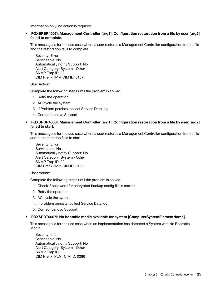Information only; no action is required.

• FQXSPBR4007I: Management Controller [arg1]: Configuration restoration from a file by user [arg2] failed to complete.

This message is for the use case where a user restores a Management Controller configuration from a file and the restoration fails to complete.

Severity: Error Serviceable: No Automatically notify Support: No Alert Category: System - Other SNMP Trap ID: 22 CIM Prefix: IMM CIM ID: 0137

User Action:

Complete the following steps until the problem is solved:

- 1. Retry the operation.
- 2. AC cycle the system.
- 3. If Problem persists, collect Service Data log.
- 4. Contact Lenovo Support.
- FQXSPBR4008I: Management Controller [arg1]: Configuration restoration from a file by user [arg2] failed to start.

This message is for the use case where a user restores a Management Controller configuration from a file and the restoration fails to start.

Severity: Error Serviceable: No Automatically notify Support: No Alert Category: System - Other SNMP Trap ID: 22 CIM Prefix: IMM CIM ID: 0138

User Action:

Complete the following steps until the problem is solved:

- 1. Check if password for encrypted backup config file is correct.
- 2. Retry the operation.
- 3. AC cycle the system.
- 4. If problem persists, collect Service Data log.
- 5. Contact Lenovo Support.

#### • FQXSPBT0007I: No bootable media available for system [ComputerSystemElementName].

This message is for the use case when an implementation has detected a System with No Bootable Media.

Severity: Info Serviceable: No Automatically notify Support: No Alert Category: System - Other SNMP Trap ID: CIM Prefix: PLAT CIM ID: 0286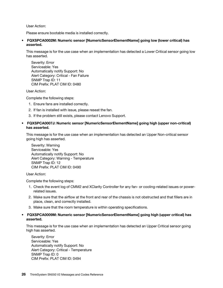User Action:

Please ensure bootable media is installed correctly.

• FQXSPCA0002M: Numeric sensor [NumericSensorElementName] going low (lower critical) has asserted.

This message is for the use case when an implementation has detected a Lower Critical sensor going low has asserted.

Severity: Error Serviceable: Yes Automatically notify Support: No Alert Category: Critical - Fan Failure SNMP Trap ID: 11 CIM Prefix: PLAT CIM ID: 0480

User Action:

Complete the following steps:

- 1. Ensure fans are installed correctly.
- 2. If fan is installed with issue, please reseat the fan.
- 3. If the problem still exists, please contact Lenovo Support.
- FQXSPCA0007J: Numeric sensor [NumericSensorElementName] going high (upper non-critical) has asserted.

This message is for the use case when an implementation has detected an Upper Non-critical sensor going high has asserted.

Severity: Warning Serviceable: Yes Automatically notify Support: No Alert Category: Warning - Temperature SNMP Trap ID: 12 CIM Prefix: PLAT CIM ID: 0490

User Action:

Complete the following steps:

- 1. Check the event log of CMM2 and XClarity Controller for any fan- or cooling-related issues or powerrelated issues.
- 2. Make sure that the airflow at the front and rear of the chassis is not obstructed and that fillers are in place, clean, and correctly installed.
- 3. Make sure that the room temperature is within operating specifications.

#### • FQXSPCA0009M: Numeric sensor [NumericSensorElementName] going high (upper critical) has asserted.

This message is for the use case when an implementation has detected an Upper Critical sensor going high has asserted.

Severity: Error Serviceable: Yes Automatically notify Support: No Alert Category: Critical - Temperature SNMP Trap ID: 0 CIM Prefix: PLAT CIM ID: 0494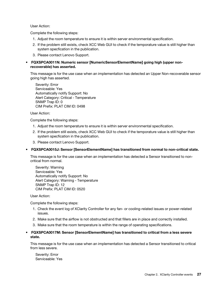User Action:

Complete the following steps:

- 1. Adjust the room temperature to ensure it is within server environmental specification.
- 2. If the problem still exists, check XCC Web GUI to check if the temporature value is still higher than system specfication in the publication.
- 3. Please contact Lenovo Support.
- FQXSPCA0011N: Numeric sensor [NumericSensorElementName] going high (upper nonrecoverable) has asserted.

This message is for the use case when an implementation has detected an Upper Non-recoverable sensor going high has asserted.

Severity: Error Serviceable: Yes Automatically notify Support: No Alert Category: Critical - Temperature SNMP Trap ID: 0 CIM Prefix: PLAT CIM ID: 0498

User Action:

Complete the following steps:

- 1. Adjust the room temperature to ensure it is within server environmental specification.
- 2. If the problem still exists, check XCC Web GUI to check if the temporature value is still higher than system specfication in the publication.
- 3. Please contact Lenovo Support.

#### • FQXSPCA0015J: Sensor [SensorElementName] has transitioned from normal to non-critical state.

This message is for the use case when an implementation has detected a Sensor transitioned to noncritical from normal.

Severity: Warning Serviceable: Yes Automatically notify Support: No Alert Category: Warning - Temperature SNMP Trap ID: 12 CIM Prefix: PLAT CIM ID: 0520

User Action:

Complete the following steps:

- 1. Check the event log of XClarity Controller for any fan- or cooling-related issues or power-related issues.
- 2. Make sure that the airflow is not obstructed and that fillers are in place and correctly installed.
- 3. Make sure that the room temperature is within the range of operating specifications.
- FQXSPCA0017M: Sensor [SensorElementName] has transitioned to critical from a less severe state.

This message is for the use case when an implementation has detected a Sensor transitioned to critical from less severe.

Severity: Error Serviceable: Yes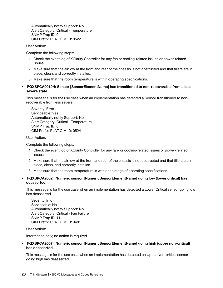Automatically notify Support: No Alert Category: Critical - Temperature SNMP Trap ID: 0 CIM Prefix: PLAT CIM ID: 0522

User Action:

Complete the following steps:

- 1. Check the event log of XClarity Controller for any fan or cooling-related issues or power-related issues.
- 2. Make sure that the airflow at the front and rear of the chassis is not obstructed and that fillers are in place, clean, and correctly installed.
- 3. Make sure that the room temperature is within operating specifications.
- FQXSPCA0019N: Sensor [SensorElementName] has transitioned to non-recoverable from a less severe state.

This message is for the use case when an implementation has detected a Sensor transitioned to nonrecoverable from less severe.

Severity: Error Serviceable: Yes Automatically notify Support: No Alert Category: Critical - Temperature SNMP Trap ID: 0 CIM Prefix: PLAT CIM ID: 0524

User Action:

Complete the following steps:

- 1. Check the event log of XClarity Controller for any fan- or cooling-related issues or power-related issues.
- 2. Make sure that the airflow at the front and rear of the chassis is not obstructed and that fillers are in place, clean, and correctly installed.
- 3. Make sure that the room temperature is within the range of operating specifications.

#### • FQXSPCA2002I: Numeric sensor [NumericSensorElementName] going low (lower critical) has deasserted.

This message is for the use case when an implementation has detected a Lower Critical sensor going low has deasserted.

Severity: Info Serviceable: No Automatically notify Support: No Alert Category: Critical - Fan Failure SNMP Trap ID: 11 CIM Prefix: PLAT CIM ID: 0481

User Action:

Information only; no action is required

#### • FQXSPCA2007I: Numeric sensor [NumericSensorElementName] going high (upper non-critical) has deasserted.

This message is for the use case when an implementation has detected an Upper Non-critical sensor going high has deasserted.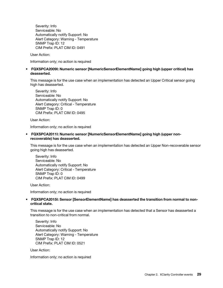Severity: Info Serviceable: No Automatically notify Support: No Alert Category: Warning - Temperature SNMP Trap ID: 12 CIM Prefix: PLAT CIM ID: 0491

User Action:

Information only; no action is required

#### • FQXSPCA2009I: Numeric sensor [NumericSensorElementName] going high (upper critical) has deasserted.

This message is for the use case when an implementation has detected an Upper Critical sensor going high has deasserted.

Severity: Info Serviceable: No Automatically notify Support: No Alert Category: Critical - Temperature SNMP Trap ID: 0 CIM Prefix: PLAT CIM ID: 0495

User Action:

Information only; no action is required

• FQXSPCA2011I: Numeric sensor [NumericSensorElementName] going high (upper nonrecoverable) has deasserted.

This message is for the use case when an implementation has detected an Upper Non-recoverable sensor going high has deasserted.

Severity: Info Serviceable: No Automatically notify Support: No Alert Category: Critical - Temperature SNMP Trap ID: 0 CIM Prefix: PLAT CIM ID: 0499

User Action:

Information only; no action is required

#### • FQXSPCA2015I: Sensor [SensorElementName] has deasserted the transition from normal to noncritical state.

This message is for the use case when an implementation has detected that a Sensor has deasserted a transition to non-critical from normal.

Severity: Info Serviceable: No Automatically notify Support: No Alert Category: Warning - Temperature SNMP Trap ID: 12 CIM Prefix: PLAT CIM ID: 0521

User Action:

Information only; no action is required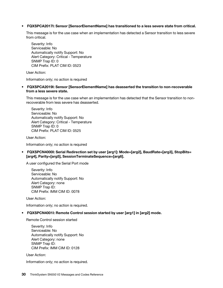#### • FQXSPCA2017I: Sensor [SensorElementName] has transitioned to a less severe state from critical.

This message is for the use case when an implementation has detected a Sensor transition to less severe from critical.

Severity: Info Serviceable: No Automatically notify Support: No Alert Category: Critical - Temperature SNMP Trap ID: 0 CIM Prefix: PLAT CIM ID: 0523

User Action:

Information only; no action is required

• FQXSPCA2019I: Sensor [SensorElementName] has deasserted the transition to non-recoverable from a less severe state.

This message is for the use case when an implementation has detected that the Sensor transition to nonrecoverable from less severe has deasserted.

Severity: Info Serviceable: No Automatically notify Support: No Alert Category: Critical - Temperature SNMP Trap ID: 0 CIM Prefix: PLAT CIM ID: 0525

User Action:

Information only; no action is required

• FQXSPCN4000I: Serial Redirection set by user [arg1]: Mode=[arg2], BaudRate=[arg3], StopBits= [arg4], Parity=[arg5], SessionTerminateSequence=[arg6].

A user configured the Serial Port mode

Severity: Info Serviceable: No Automatically notify Support: No Alert Category: none SNMP Trap ID: CIM Prefix: IMM CIM ID: 0078

User Action:

Information only; no action is required.

#### • FQXSPCN4001I: Remote Control session started by user [arg1] in [arg2] mode.

Remote Control session started

Severity: Info Serviceable: No Automatically notify Support: No Alert Category: none SNMP Trap ID: CIM Prefix: IMM CIM ID: 0128

User Action:

Information only; no action is required.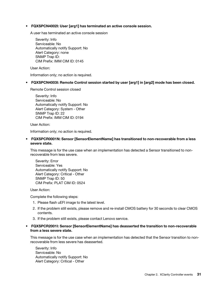#### • FQXSPCN4002I: User [arg1] has terminated an active console session.

A user has terminated an active console session

Severity: Info Serviceable: No Automatically notify Support: No Alert Category: none SNMP Trap ID: CIM Prefix: IMM CIM ID: 0145

User Action:

Information only; no action is required.

#### • FQXSPCN4003I: Remote Control session started by user [arg1] in [arg2] mode has been closed.

Remote Control session closed

Severity: Info Serviceable: No Automatically notify Support: No Alert Category: System - Other SNMP Trap ID: 22 CIM Prefix: IMM CIM ID: 0194

User Action:

Information only; no action is required.

• FQXSPCR0001N: Sensor [SensorElementName] has transitioned to non-recoverable from a less severe state.

This message is for the use case when an implementation has detected a Sensor transitioned to nonrecoverable from less severe.

Severity: Error Serviceable: Yes Automatically notify Support: No Alert Category: Critical - Other SNMP Trap ID: 50 CIM Prefix: PLAT CIM ID: 0524

User Action:

Complete the following steps:

- 1. Please flash uEFI image to the latest level.
- 2. If the problem still exists, please remove and re-install CMOS battery for 30 seconds to clear CMOS contents.
- 3. If the problem still exists, please contact Lenovo service.

#### • FQXSPCR2001I: Sensor [SensorElementName] has deasserted the transition to non-recoverable from a less severe state.

This message is for the use case when an implementation has detected that the Sensor transition to nonrecoverable from less severe has deasserted.

Severity: Info Serviceable: No Automatically notify Support: No Alert Category: Critical - Other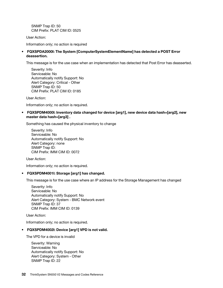SNMP Trap ID: 50 CIM Prefix: PLAT CIM ID: 0525

User Action:

Information only; no action is required

#### • FQXSPDA2000I: The System [ComputerSystemElementName] has detected a POST Error deassertion.

This message is for the use case when an implementation has detected that Post Error has deasserted.

Severity: Info Serviceable: No Automatically notify Support: No Alert Category: Critical - Other SNMP Trap ID: 50 CIM Prefix: PLAT CIM ID: 0185

User Action:

Information only; no action is required.

• FQXSPDM4000I: Inventory data changed for device [arg1], new device data hash=[arg2], new master data hash=[arg3] .

Something has caused the physical inventory to change

Severity: Info Serviceable: No Automatically notify Support: No Alert Category: none SNMP Trap ID: CIM Prefix: IMM CIM ID: 0072

User Action:

Information only; no action is required.

#### • FQXSPDM4001I: Storage [arg1] has changed.

This message is for the use case where an IP address for the Storage Management has changed

Severity: Info Serviceable: No Automatically notify Support: No Alert Category: System - BMC Network event SNMP Trap ID: 37 CIM Prefix: IMM CIM ID: 0139

User Action:

Information only; no action is required.

#### • FQXSPDM4002I: Device [arg1] VPD is not valid.

The VPD for a device is invalid

Severity: Warning Serviceable: No Automatically notify Support: No Alert Category: System - Other SNMP Trap ID: 22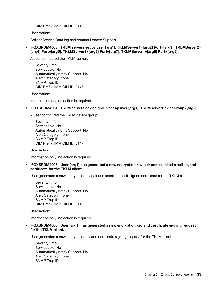CIM Prefix: IMM CIM ID: 0142

User Action:

Collect Service Data log and contact Lenovo Support.

• FQXSPDM4003I: TKLM servers set by user [arg1]: TKLMServer1=[arg2] Port=[arg3], TKLMServer2= [arg4] Port=[arg5], TKLMServer3=[arg6] Port=[arg7], TKLMServer4=[arg8] Port=[arg9].

A user configured the TKLM servers

Severity: Info Serviceable: No Automatically notify Support: No Alert Category: none SNMP Trap ID: CIM Prefix: IMM CIM ID: 0146

User Action:

Information only; no action is required.

• FQXSPDM4004I: TKLM servers device group set by user [arg1]: TKLMServerDeviceGroup=[arg2] .

A user configured the TKLM device group

Severity: Info Serviceable: No Automatically notify Support: No Alert Category: none SNMP Trap ID: CIM Prefix: IMM CIM ID: 0147

User Action:

Information only; no action is required.

• FQXSPDM4005I: User [arg1] has generated a new encryption key pair and installed a self-signed certificate for the TKLM client.

User generated a new encryption key pair and installed a self-signed certificate for the TKLM client

Severity: Info Serviceable: No Automatically notify Support: No Alert Category: none SNMP Trap ID: CIM Prefix: IMM CIM ID: 0148

User Action:

Information only; no action is required.

• FQXSPDM4006I: User [arg1] has generated a new encryption key and certificate signing request for the TKLM client.

User generated a new encryption key and certificate signing request for the TKLM client

Severity: Info Serviceable: No Automatically notify Support: No Alert Category: none SNMP Trap ID: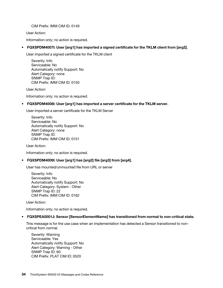CIM Prefix: IMM CIM ID: 0149

User Action:

Information only; no action is required.

# • FQXSPDM4007I: User [arg1] has imported a signed certificate for the TKLM client from [arg2].

User imported a signed certificate for the TKLM client

Severity: Info Serviceable: No Automatically notify Support: No Alert Category: none SNMP Trap ID: CIM Prefix: IMM CIM ID: 0150

User Action:

Information only; no action is required.

### • FQXSPDM4008I: User [arg1] has imported a server certificate for the TKLM server.

User imported a server certificate for the TKLM Server

Severity: Info Serviceable: No Automatically notify Support: No Alert Category: none SNMP Trap ID: CIM Prefix: IMM CIM ID: 0151

User Action:

Information only; no action is required.

# • FQXSPDM4009I: User [arg1] has [arg2] file [arg3] from [arg4].

User has mounted/unmounted file from URL or server

Severity: Info Serviceable: No Automatically notify Support: No Alert Category: System - Other SNMP Trap ID: 22 CIM Prefix: IMM CIM ID: 0162

User Action:

Information only; no action is required.

#### • FQXSPEA0001J: Sensor [SensorElementName] has transitioned from normal to non-critical state.

This message is for the use case when an implementation has detected a Sensor transitioned to noncritical from normal.

Severity: Warning Serviceable: Yes Automatically notify Support: No Alert Category: Warning - Other SNMP Trap ID: 60 CIM Prefix: PLAT CIM ID: 0520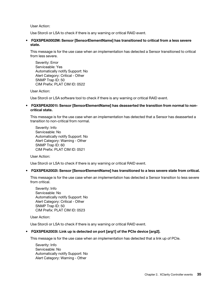User Action:

Use Storcli or LSA to check if there is any warning or critical RAID event.

• FQXSPEA0002M: Sensor [SensorElementName] has transitioned to critical from a less severe state.

This message is for the use case when an implementation has detected a Sensor transitioned to critical from less severe.

Severity: Error Serviceable: Yes Automatically notify Support: No Alert Category: Critical - Other SNMP Trap ID: 50 CIM Prefix: PLAT CIM ID: 0522

User Action:

Use Storcli or LSA software tool to check if there is any warning or critical RAID event.

## • FQXSPEA2001I: Sensor [SensorElementName] has deasserted the transition from normal to noncritical state.

This message is for the use case when an implementation has detected that a Sensor has deasserted a transition to non-critical from normal.

Severity: Info Serviceable: No Automatically notify Support: No Alert Category: Warning - Other SNMP Trap ID: 60 CIM Prefix: PLAT CIM ID: 0521

User Action:

Use Storcli or LSA to check if there is any warning or critical RAID event.

# • FQXSPEA2002I: Sensor [SensorElementName] has transitioned to a less severe state from critical.

This message is for the use case when an implementation has detected a Sensor transition to less severe from critical.

Severity: Info Serviceable: No Automatically notify Support: No Alert Category: Critical - Other SNMP Trap ID: 50 CIM Prefix: PLAT CIM ID: 0523

User Action:

Use Storcli or LSA to check if there is any warning or critical RAID event.

# • FQXSPEA2003I: Link up is detected on port [arg1] of the PCIe device [arg2].

This message is for the use case when an implementation has detected that a link up of PCIe.

Severity: Info Serviceable: No Automatically notify Support: No Alert Category: Warning - Other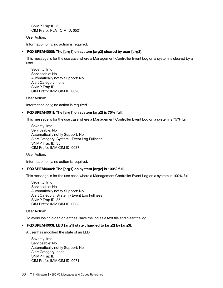SNMP Trap ID: 60 CIM Prefix: PLAT CIM ID: 0521

User Action:

Information only; no action is required.

# • FQXSPEM4000I: The [arg1] on system [arg2] cleared by user [arg3].

This message is for the use case where a Management Controller Event Log on a system is cleared by a user.

Severity: Info Serviceable: No Automatically notify Support: No Alert Category: none SNMP Trap ID: CIM Prefix: IMM CIM ID: 0020

User Action:

Information only; no action is required.

# • FQXSPEM4001I: The [arg1] on system [arg2] is 75% full.

This message is for the use case where a Management Controller Event Log on a system is 75% full.

Severity: Info Serviceable: No Automatically notify Support: No Alert Category: System - Event Log Fullness SNMP Trap ID: 35 CIM Prefix: IMM CIM ID: 0037

User Action:

Information only; no action is required.

#### • FQXSPEM4002I: The [arg1] on system [arg2] is 100% full.

This message is for the use case where a Management Controller Event Log on a system is 100% full.

Severity: Info Serviceable: No Automatically notify Support: No Alert Category: System - Event Log Fullness SNMP Trap ID: 35 CIM Prefix: IMM CIM ID: 0038

User Action:

To avoid losing older log entries, save the log as a text file and clear the log.

#### • FQXSPEM4003I: LED [arg1] state changed to [arg2] by [arg3].

A user has modified the state of an LED

Severity: Info Serviceable: No Automatically notify Support: No Alert Category: none SNMP Trap ID: CIM Prefix: IMM CIM ID: 0071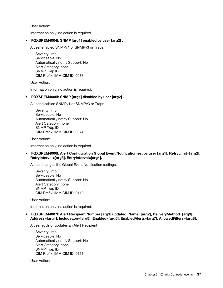User Action:

Information only; no action is required.

# • FQXSPEM4004I: SNMP [arg1] enabled by user [arg2] .

A user enabled SNMPv1 or SNMPv3 or Traps

Severity: Info Serviceable: No Automatically notify Support: No Alert Category: none SNMP Trap ID: CIM Prefix: IMM CIM ID: 0073

User Action:

Information only; no action is required.

# • FQXSPEM4005I: SNMP [arg1] disabled by user [arg2] .

A user disabled SNMPv1 or SNMPv3 or Traps

Severity: Info Serviceable: No Automatically notify Support: No Alert Category: none SNMP Trap ID: CIM Prefix: IMM CIM ID: 0074

User Action:

Information only; no action is required.

# • FQXSPEM4006I: Alert Configuration Global Event Notification set by user [arg1]: RetryLimit=[arg2], RetryInterval=[arg3], EntryInterval=[arg4].

A user changes the Global Event Notification settings.

Severity: Info Serviceable: No Automatically notify Support: No Alert Category: none SNMP Trap ID: CIM Prefix: IMM CIM ID: 0110

User Action:

Information only; no action is required.

• FQXSPEM4007I: Alert Recipient Number [arg1] updated: Name=[arg2], DeliveryMethod=[arg3], Address=[arg4], IncludeLog=[arg5], Enabled=[arg6], EnabledAlerts=[arg7], AllowedFilters=[arg8].

A user adds or updates an Alert Recipient

Severity: Info Serviceable: No Automatically notify Support: No Alert Category: none SNMP Trap ID: CIM Prefix: IMM CIM ID: 0111

User Action: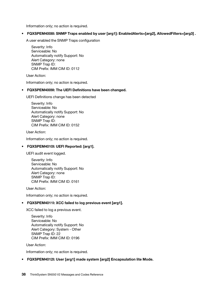Information only; no action is required.

• FQXSPEM4008I: SNMP Traps enabled by user [arg1]: EnabledAlerts=[arg2], AllowedFilters=[arg3] .

A user enabled the SNMP Traps configuration

Severity: Info Serviceable: No Automatically notify Support: No Alert Category: none SNMP Trap ID: CIM Prefix: IMM CIM ID: 0112

User Action:

Information only; no action is required.

# • FQXSPEM4009I: The UEFI Definitions have been changed.

UEFI Definitions change has been detected

Severity: Info Serviceable: No Automatically notify Support: No Alert Category: none SNMP Trap ID: CIM Prefix: IMM CIM ID: 0152

User Action:

Information only; no action is required.

# • FQXSPEM4010I: UEFI Reported: [arg1].

UEFI audit event logged.

Severity: Info Serviceable: No Automatically notify Support: No Alert Category: none SNMP Trap ID: CIM Prefix: IMM CIM ID: 0161

User Action:

Information only; no action is required.

# • FQXSPEM4011I: XCC failed to log previous event [arg1].

XCC failed to log a previous event.

Severity: Info Serviceable: No Automatically notify Support: No Alert Category: System - Other SNMP Trap ID: 22 CIM Prefix: IMM CIM ID: 0196

User Action:

Information only; no action is required.

# • FQXSPEM4012I: User [arg1] made system [arg2] Encapsulation lite Mode.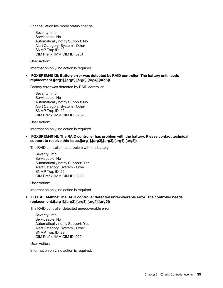Encapsulation lite mode status change

Severity: Info Serviceable: No Automatically notify Support: No Alert Category: System - Other SNMP Trap ID: 22 CIM Prefix: IMM CIM ID: 0201

User Action:

Information only; no action is required.

• FQXSPEM4013I: Battery error was detected by RAID controller. The battery unit needs replacement.([arg1],[arg2],[arg3],[arg4],[arg5])

Battery error was detected by RAID controller

Severity: Info Serviceable: No Automatically notify Support: No Alert Category: System - Other SNMP Trap ID: 22 CIM Prefix: IMM CIM ID: 0202

User Action:

Information only; no action is required.

• FQXSPEM4014I: The RAID controller has problem with the battery. Please contact technical support to resolve this issue.([arg1],[arg2],[arg3],[arg4],[arg5])

The RAID controller has problem with the battery

Severity: Info Serviceable: No Automatically notify Support: Yes Alert Category: System - Other SNMP Trap ID: 22 CIM Prefix: IMM CIM ID: 0203

User Action:

Information only; no action is required.

### • FQXSPEM4015I: The RAID controller detected unrecoverable error. The controller needs replacement.([arg1],[arg2],[arg3],[arg4],[arg5])

The RAID controller detected unrecoverable error

Severity: Info Serviceable: No Automatically notify Support: Yes Alert Category: System - Other SNMP Trap ID: 22 CIM Prefix: IMM CIM ID: 0204

User Action:

Information only; no action is required.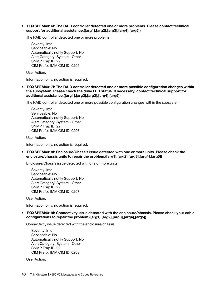### • FQXSPEM4016I: The RAID controller detected one or more problems. Please contact technical support for additional assistance.([arg1],[arg2],[arg3],[arg4],[arg5])

The RAID controller detected one or more problems

Severity: Info Serviceable: No Automatically notify Support: No Alert Category: System - Other SNMP Trap ID: 22 CIM Prefix: IMM CIM ID: 0205

User Action:

Information only; no action is required.

• FQXSPEM4017I: The RAID controller detected one or more possible configuration changes within the subsystem. Please check the drive LED status. If necessary, contact technical support for additional assistance.([arg1],[arg2],[arg3],[arg4],[arg5])

The RAID controller detected one or more possible configuration changes within the subsystem

Severity: Info Serviceable: No Automatically notify Support: No Alert Category: System - Other SNMP Trap ID: 22 CIM Prefix: IMM CIM ID: 0206

User Action:

Information only; no action is required.

• FQXSPEM4018I: Enclosure/Chassis issue detected with one or more units. Please check the enclosure/chassis units to repair the problem.([arg1],[arg2],[arg3],[arg4],[arg5])

Enclosure/Chassis issue detected with one or more units

Severity: Info Serviceable: No Automatically notify Support: No Alert Category: System - Other SNMP Trap ID: 22 CIM Prefix: IMM CIM ID: 0207

User Action:

Information only; no action is required.

• FQXSPEM4019I: Connectivity issue detected with the enclosure/chassis. Please check your cable configurations to repair the problem.([arg1],[arg2],[arg3],[arg4],[arg5])

Connectivity issue detected with the enclosure/chassis

Severity: Info Serviceable: No Automatically notify Support: No Alert Category: System - Other SNMP Trap ID: 22 CIM Prefix: IMM CIM ID: 0208

User Action: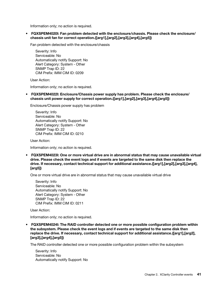Information only; no action is required.

• FQXSPEM4020I: Fan problem detected with the enclosure/chassis. Please check the enclosure/ chassis unit fan for correct operation.([arg1],[arg2],[arg3],[arg4],[arg5])

Fan problem detected with the enclosure/chassis

Severity: Info Serviceable: No Automatically notify Support: No Alert Category: System - Other SNMP Trap ID: 22 CIM Prefix: IMM CIM ID: 0209

User Action:

Information only; no action is required.

• FQXSPEM4022I: Enclosure/Chassis power supply has problem. Please check the enclosure/ chassis unit power supply for correct operation.([arg1],[arg2],[arg3],[arg4],[arg5])

Enclosure/Chassis power supply has problem

Severity: Info Serviceable: No Automatically notify Support: No Alert Category: System - Other SNMP Trap ID: 22 CIM Prefix: IMM CIM ID: 0210

User Action:

Information only; no action is required.

• FQXSPEM4023I: One or more virtual drive are in abnormal status that may cause unavailable virtual drive. Please check the event logs and if events are targeted to the same disk then replace the drive. If necessary, contact technical support for additional assistance.([arg1],[arg2],[arg3],[arg4], [arg5])

One or more virtual drive are in abnormal status that may cause unavailable virtual drive

Severity: Info Serviceable: No Automatically notify Support: No Alert Category: System - Other SNMP Trap ID: 22 CIM Prefix: IMM CIM ID: 0211

User Action:

Information only; no action is required.

• FQXSPEM4024I: The RAID controller detected one or more possible configuration problem within the subsystem. Please check the event logs and if events are targeted to the same disk then replace the drive. If necessary, contact technical support for additional assistance.([arg1],[arg2], [arg3],[arg4],[arg5])

The RAID controller detected one or more possible configuration problem within the subsystem

Severity: Info Serviceable: No Automatically notify Support: No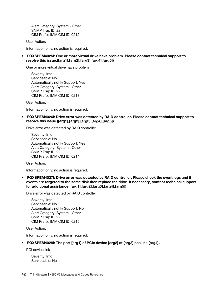Alert Category: System - Other SNMP Trap ID: 22 CIM Prefix: IMM CIM ID: 0212

User Action:

Information only; no action is required.

• FQXSPEM4025I: One or more virtual drive have problem. Please contact technical support to resolve this issue.([arg1],[arg2],[arg3],[arg4],[arg5])

One or more virtual drive have problem

Severity: Info Serviceable: No Automatically notify Support: Yes Alert Category: System - Other SNMP Trap ID: 22 CIM Prefix: IMM CIM ID: 0213

User Action:

Information only; no action is required.

• FQXSPEM4026I: Drive error was detected by RAID controller. Please contact technical support to resolve this issue.([arg1],[arg2],[arg3],[arg4],[arg5])

Drive error was detected by RAID controller

Severity: Info Serviceable: No Automatically notify Support: Yes Alert Category: System - Other SNMP Trap ID: 22 CIM Prefix: IMM CIM ID: 0214

User Action:

Information only; no action is required.

• FQXSPEM4027I: Drive error was detected by RAID controller. Please check the event logs and if events are targeted to the same disk then replace the drive. If necessary, contact technical support for additional assistance.([arg1],[arg2],[arg3],[arg4],[arg5])

Drive error was detected by RAID controller

Severity: Info Serviceable: No Automatically notify Support: No Alert Category: System - Other SNMP Trap ID: 22 CIM Prefix: IMM CIM ID: 0215

User Action:

Information only; no action is required.

#### • FQXSPEM4028I: The port [arg1] of PCIe device [arg2] at [arg3] has link [arg4].

PCI device link

Severity: Info Serviceable: No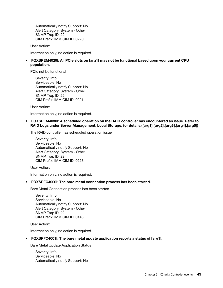Automatically notify Support: No Alert Category: System - Other SNMP Trap ID: 22 CIM Prefix: IMM CIM ID: 0220

User Action:

Information only; no action is required.

• FQXSPEM4029I: All PCIe slots on [arg1] may not be functional based upon your current CPU population.

PCIe not be functional

Severity: Info Serviceable: No Automatically notify Support: No Alert Category: System - Other SNMP Trap ID: 22 CIM Prefix: IMM CIM ID: 0221

User Action:

Information only; no action is required.

• FQXSPEM4030I: A scheduled operation on the RAID controller has encountered an issue. Refer to RAID Logs under Server Management, Local Storage, for details.([arg1],[arg2],[arg3],[arg4],[arg5])

The RAID controller has scheduled operation issue

Severity: Info Serviceable: No Automatically notify Support: No Alert Category: System - Other SNMP Trap ID: 22 CIM Prefix: IMM CIM ID: 0223

User Action:

Information only; no action is required.

#### • FQXSPFC4000I: The bare metal connection process has been started.

Bare Metal Connection process has been started

Severity: Info Serviceable: No Automatically notify Support: No Alert Category: System - Other SNMP Trap ID: 22 CIM Prefix: IMM CIM ID: 0143

User Action:

Information only; no action is required.

### • FQXSPFC4001I: The bare metal update application reports a status of [arg1].

Bare Metal Update Application Status

Severity: Info Serviceable: No Automatically notify Support: No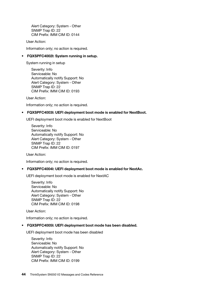Alert Category: System - Other SNMP Trap ID: 22 CIM Prefix: IMM CIM ID: 0144

User Action:

Information only; no action is required.

### • FQXSPFC4002I: System running in setup.

System running in setup

Severity: Info Serviceable: No Automatically notify Support: No Alert Category: System - Other SNMP Trap ID: 22 CIM Prefix: IMM CIM ID: 0193

User Action:

Information only; no action is required.

#### • FQXSPFC4003I: UEFI deployment boot mode is enabled for NextBoot.

UEFI deployment boot mode is enabled for NextBoot

Severity: Info Serviceable: No Automatically notify Support: No Alert Category: System - Other SNMP Trap ID: 22 CIM Prefix: IMM CIM ID: 0197

User Action:

Information only; no action is required.

#### • FQXSPFC4004I: UEFI deployment boot mode is enabled for NextAc.

UEFI deployment boot mode is enabled for NextAC

Severity: Info Serviceable: No Automatically notify Support: No Alert Category: System - Other SNMP Trap ID: 22 CIM Prefix: IMM CIM ID: 0198

User Action:

Information only; no action is required.

#### • FQXSPFC4005I: UEFI deployment boot mode has been disabled.

UEFI deployment boot mode has been disabled

Severity: Info Serviceable: No Automatically notify Support: No Alert Category: System - Other SNMP Trap ID: 22 CIM Prefix: IMM CIM ID: 0199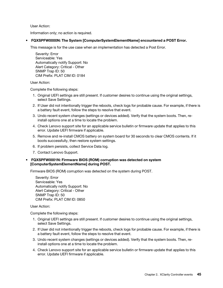User Action:

Information only; no action is required.

• FQXSPFW0000N: The System [ComputerSystemElementName] encountered a POST Error.

This message is for the use case when an implementation has detected a Post Error.

Severity: Error Serviceable: Yes Automatically notify Support: No Alert Category: Critical - Other SNMP Trap ID: 50 CIM Prefix: PLAT CIM ID: 0184

User Action:

Complete the following steps:

- 1. Original UEFI settings are still present. If customer desires to continue using the original settings, select Save Settings.
- 2. If User did not intentionally trigger the reboots, check logs for probable cause. For example, if there is a battery fault event, follow the steps to resolve that event.
- 3. Undo recent system changes (settings or devices added). Verify that the system boots. Then, reinstall options one at a time to locate the problem.
- 4. Check Lenovo support site for an applicable service bulletin or firmware update that applies to this error. Update UEFI firmware if applicable.
- 5. Remove and re-install CMOS battery on system board for 30 seconds to clear CMOS contents. If it boots successfully, then restore system settings.
- 6. If problem persists, collect Service Data log.
- 7. Contact Lenovo Support.

# • FQXSPFW0001N: Firmware BIOS (ROM) corruption was detected on system [ComputerSystemElementName] during POST.

Firmware BIOS (ROM) corruption was detected on the system during POST.

Severity: Error Serviceable: Yes Automatically notify Support: No Alert Category: Critical - Other SNMP Trap ID: 50 CIM Prefix: PLAT CIM ID: 0850

User Action:

Complete the following steps:

- 1. Original UEFI settings are still present. If customer desires to continue using the original settings, select Save Settings.
- 2. If User did not intentionally trigger the reboots, check logs for probable cause. For example, if there is a battery fault event, follow the steps to resolve that event.
- 3. Undo recent system changes (settings or devices added). Verify that the system boots. Then, reinstall options one at a time to locate the problem.
- 4. Check Lenovo support site for an applicable service bulletin or firmware update that applies to this error. Update UEFI firmware if applicable.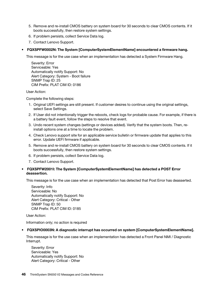- 5. Remove and re-install CMOS battery on system board for 30 seconds to clear CMOS contents. If it boots successfully, then restore system settings.
- 6. If problem persists, collect Service Data log.
- 7. Contact Lenovo Support.

### • FQXSPFW0002N: The System [ComputerSystemElementName] encountered a firmware hang.

This message is for the use case when an implementation has detected a System Firmware Hang.

Severity: Error Serviceable: Yes Automatically notify Support: No Alert Category: System - Boot failure SNMP Trap ID: 25 CIM Prefix: PLAT CIM ID: 0186

User Action:

Complete the following steps:

- 1. Original UEFI settings are still present. If customer desires to continue using the original settings, select Save Settings.
- 2. If User did not intentionally trigger the reboots, check logs for probable cause. For example, if there is a battery fault event, follow the steps to resolve that event.
- 3. Undo recent system changes (settings or devices added). Verify that the system boots. Then, reinstall options one at a time to locate the problem.
- 4. Check Lenovo support site for an applicable service bulletin or firmware update that applies to this error. Update UEFI firmware if applicable.
- 5. Remove and re-install CMOS battery on system board for 30 seconds to clear CMOS contents. If it boots successfully, then restore system settings.
- 6. If problem persists, collect Service Data log.
- 7. Contact Lenovo Support.

# • FQXSPFW2001I: The System [ComputerSystemElementName] has detected a POST Error deassertion.

This message is for the use case when an implementation has detected that Post Error has deasserted.

Severity: Info Serviceable: No Automatically notify Support: No Alert Category: Critical - Other SNMP Trap ID: 50 CIM Prefix: PLAT CIM ID: 0185

User Action:

Information only; no action is required

#### • FQXSPIO0003N: A diagnostic interrupt has occurred on system [ComputerSystemElementName].

This message is for the use case when an implementation has detected a Front Panel NMI / Diagnostic Interrupt.

Severity: Error Serviceable: Yes Automatically notify Support: No Alert Category: Critical - Other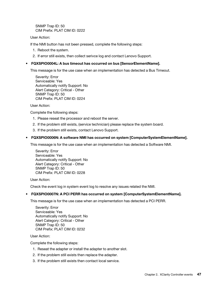SNMP Trap ID: 50 CIM Prefix: PLAT CIM ID: 0222

### User Action:

If the NMI button has not been pressed, complete the following steps:

- 1. Reboot the system.
- 2. If error still exists, then collect serivce log and contact Lenovo Support.

## • FQXSPIO0004L: A bus timeout has occurred on bus [SensorElementName].

This message is for the use case when an implementation has detected a Bus Timeout.

Severity: Error Serviceable: Yes Automatically notify Support: No Alert Category: Critical - Other SNMP Trap ID: 50 CIM Prefix: PLAT CIM ID: 0224

### User Action:

Complete the following steps:

- 1. Please reseat the processor and reboot the server.
- 2. If the problem still exists, (service technician) please replace the system board.
- 3. If the problem still exists, contact Lenovo Support.

### • FQXSPIO0006N: A software NMI has occurred on system [ComputerSystemElementName].

This message is for the use case when an implementation has detected a Software NMI.

Severity: Error Serviceable: Yes Automatically notify Support: No Alert Category: Critical - Other SNMP Trap ID: 50 CIM Prefix: PLAT CIM ID: 0228

User Action:

Check the event log in system event log to resolve any issues related the NMI.

# • FQXSPIO0007N: A PCI PERR has occurred on system [ComputerSystemElementName].

This message is for the use case when an implementation has detected a PCI PERR.

Severity: Error Serviceable: Yes Automatically notify Support: No Alert Category: Critical - Other SNMP Trap ID: 50 CIM Prefix: PLAT CIM ID: 0232

User Action:

Complete the following steps:

- 1. Reseat the adapter or install the adapter to another slot.
- 2. If the problem still exists then replace the adapter.
- 3. If the problem still exists then contact local service.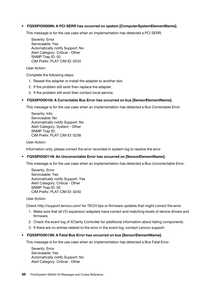### • FQXSPIO0008N: A PCI SERR has occurred on system [ComputerSystemElementName].

This message is for the use case when an implementation has detected a PCI SERR.

Severity: Error Serviceable: Yes Automatically notify Support: No Alert Category: Critical - Other SNMP Trap ID: 50 CIM Prefix: PLAT CIM ID: 0234

User Action:

Complete the following steps:

- 1. Reseat the adapter or install the adapter to another slot.
- 2. If the problem still exist then replace the adapter.
- 3. If the problem still exist then contact local service.

### • FQXSPIO0010I: A Correctable Bus Error has occurred on bus [SensorElementName].

This message is for the use case when an implementation has detected a Bus Correctable Error.

Severity: Info Serviceable: No Automatically notify Support: No Alert Category: System - Other SNMP Trap ID: CIM Prefix: PLAT CIM ID: 0238

User Action:

Information only; please correct the error recorded in system log to resolve the error

#### • FQXSPIO0011N: An Uncorrectable Error has occurred on [SensorElementName].

This message is for the use case when an implementation has detected a Bus Uncorrectable Error.

Severity: Error Serviceable: Yes Automatically notify Support: Yes Alert Category: Critical - Other SNMP Trap ID: 50 CIM Prefix: PLAT CIM ID: 0240

User Action:

Check http://support.lenovo.com/ for TECH tips or firmware updates that might correct the error.

- 1. Make sure that all I/O expansion adapters have correct and matching levels of device drivers and firmware.
- 2. Check the event log of XClarity Controller for additional information about failing components.
- 3. If there are no entries related to the error in the event log, contact Lenovo support.

#### • FQXSPIO0013N: A Fatal Bus Error has occurred on bus [SensorElementName].

This message is for the use case when an implementation has detected a Bus Fatal Error.

Severity: Error Serviceable: Yes Automatically notify Support: No Alert Category: Critical - Other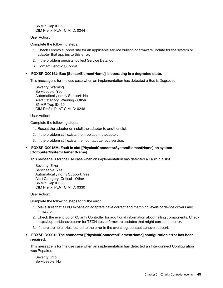SNMP Trap ID: 50 CIM Prefix: PLAT CIM ID: 0244

User Action:

Complete the following steps:

- 1. Check Lenovo support site for an applicable service bulletin or firmware update for the system or adapter that applies to this error.
- 2. If the problem persists, collect Service Data log.
- 3. Contact Lenovo Support.

### • FQXSPIO0014J: Bus [SensorElementName] is operating in a degraded state.

This message is for the use case when an implementation has detected a Bus is Degraded.

Severity: Warning Serviceable: Yes Automatically notify Support: No Alert Category: Warning - Other SNMP Trap ID: 60 CIM Prefix: PLAT CIM ID: 0246

User Action:

Complete the following steps:

- 1. Reseat the adapter or install the adapter to another slot.
- 2. If the problem still exists then replace the adapter.
- 3. If the problem still exists then contact Lenovo service.

### • FQXSPIO0015M: Fault in slot [PhysicalConnectorSystemElementName] on system [ComputerSystemElementName].

This message is for the use case when an implementation has detected a Fault in a slot.

Severity: Error Serviceable: Yes Automatically notify Support: Yes Alert Category: Critical - Other SNMP Trap ID: 50 CIM Prefix: PLAT CIM ID: 0330

User Action:

Complete the following steps to fix the error:

- 1. Make sure that all I/O expansion adapters have correct and matching levels of device drivers and firmware.
- 2. Check the event log of XClarity Controller for additional information about failing components. Check http://support.lenovo.com/ for TECH tips or firmware updates that might correct the error.
- 3. If there are no entries related to the error in the event log, contact Lenovo support.
- FQXSPIO2001I: The connector [PhysicalConnectorElementName] configuration error has been repaired.

This message is for the use case when an implementation has detected an Interconnect Configuration was Repaired.

Severity: Info Serviceable: No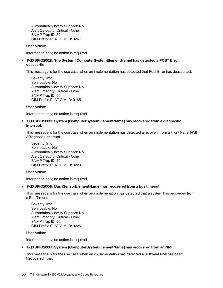Automatically notify Support: No Alert Category: Critical - Other SNMP Trap ID: 50 CIM Prefix: PLAT CIM ID: 0267

User Action:

Information only; no action is required

### • FQXSPIO2002I: The System [ComputerSystemElementName] has detected a POST Error deassertion.

This message is for the use case when an implementation has detected that Post Error has deasserted.

Severity: Info Serviceable: No Automatically notify Support: No Alert Category: Critical - Other SNMP Trap ID: 50 CIM Prefix: PLAT CIM ID: 0185

User Action:

Information only; no action is required.

### • FQXSPIO2003I: System [ComputerSystemElementName] has recovered from a diagnostic interrupt.

This message is for the use case when an implementation has detected a recovery from a Front Panel NMI / Diagnostic Interrupt

Severity: Info Serviceable: No Automatically notify Support: No Alert Category: Critical - Other SNMP Trap ID: 50 CIM Prefix: PLAT CIM ID: 0223

User Action:

Information only; no action is required

#### • FQXSPIO2004I: Bus [SensorElementName] has recovered from a bus timeout.

This message is for the use case when an implemenation has detected that a system has recovered from a Bus Timeout.

Severity: Info Serviceable: No Automatically notify Support: No Alert Category: Critical - Other SNMP Trap ID: 50 CIM Prefix: PLAT CIM ID: 0225

User Action:

Information only; no action is required

#### • FQXSPIO2006I: System [ComputerSystemElementName] has recovered from an NMI.

This message is for the use case when an implementation has detected a Software NMI has been Recovered from.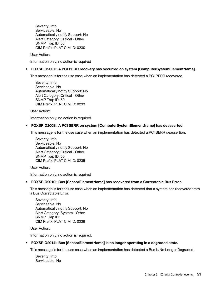Severity: Info Serviceable: No Automatically notify Support: No Alert Category: Critical - Other SNMP Trap ID: 50 CIM Prefix: PLAT CIM ID: 0230

User Action:

Information only; no action is required

## • FQXSPIO2007I: A PCI PERR recovery has occurred on system [ComputerSystemElementName].

This message is for the use case when an implementation has detected a PCI PERR recovered.

Severity: Info Serviceable: No Automatically notify Support: No Alert Category: Critical - Other SNMP Trap ID: 50 CIM Prefix: PLAT CIM ID: 0233

User Action:

Information only; no action is required

### • FQXSPIO2008I: A PCI SERR on system [ComputerSystemElementName] has deasserted.

This message is for the use case when an implementation has detected a PCI SERR deassertion.

Severity: Info Serviceable: No Automatically notify Support: No Alert Category: Critical - Other SNMP Trap ID: 50 CIM Prefix: PLAT CIM ID: 0235

User Action:

Information only; no action is required

#### • FQXSPIO2010I: Bus [SensorElementName] has recovered from a Correctable Bus Error.

This message is for the use case when an implementation has detected that a system has recovered from a Bus Correctable Error.

Severity: Info Serviceable: No Automatically notify Support: No Alert Category: System - Other SNMP Trap ID: CIM Prefix: PLAT CIM ID: 0239

User Action:

Information only; no action is required.

#### • FQXSPIO2014I: Bus [SensorElementName] is no longer operating in a degraded state.

This message is for the use case when an implementation has detected a Bus is No Longer Degraded.

Severity: Info Serviceable: No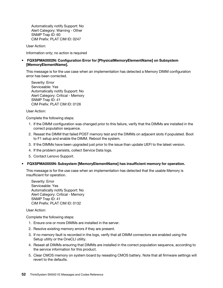Automatically notify Support: No Alert Category: Warning - Other SNMP Trap ID: 60 CIM Prefix: PLAT CIM ID: 0247

User Action:

Information only; no action is required

# • FQXSPMA0002N: Configuration Error for [PhysicalMemoryElementName] on Subsystem [MemoryElementName].

This message is for the use case when an implementation has detected a Memory DIMM configuration error has been corrected.

Severity: Error Serviceable: Yes Automatically notify Support: No Alert Category: Critical - Memory SNMP Trap ID: 41 CIM Prefix: PLAT CIM ID: 0126

User Action:

Complete the following steps:

- 1. If the DIMM configuration was changed prior to this failure, verify that the DIMMs are installed in the correct population sequence.
- 2. Reseat the DIMM that failed POST memory test and the DIMMs on adjacent slots if populated. Boot to F1 setup and enable the DIMM. Reboot the system.
- 3. If the DIMMs have been upgraded just prior to the issue than update UEFI to the latest version.
- 4. If the problem persists, collect Service Data logs.
- 5. Contact Lenovo Support.
- FQXSPMA0005N: Subsystem [MemoryElementName] has insufficient memory for operation.

This message is for the use case when an implementation has detected that the usable Memory is insufficient for operation.

Severity: Error Serviceable: Yes Automatically notify Support: No Alert Category: Critical - Memory SNMP Trap ID: 41 CIM Prefix: PLAT CIM ID: 0132

User Action:

Complete the following steps:

- 1. Ensure one or more DIMMs are installed in the server.
- 2. Resolve existing memory errors if they are present.
- 3. If no memory fault is recorded in the logs, verify that all DIMM connectors are enabled using the Setup utility or the OneCLI utility.
- 4. Reseat all DIMMs ensuring that DIMMs are installed in the correct population sequence, according to the service information for this product.
- 5. Clear CMOS memory on system board by reseating CMOS battery. Note that all firmware settings will revert to the defaults.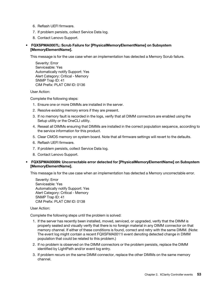- 6. Reflash UEFI firmware.
- 7. If problem persists, collect Service Data log.
- 8. Contact Lenovo Support.
- FQXSPMA0007L: Scrub Failure for [PhysicalMemoryElementName] on Subsystem [MemoryElementName].

This message is for the use case when an implementation has detected a Memory Scrub failure.

Severity: Error Serviceable: Yes Automatically notify Support: Yes Alert Category: Critical - Memory SNMP Trap ID: 41 CIM Prefix: PLAT CIM ID: 0136

User Action:

Complete the following steps:

- 1. Ensure one or more DIMMs are installed in the server.
- 2. Resolve existing memory errors if they are present.
- 3. If no memory fault is recorded in the logs, verify that all DIMM connectors are enabled using the Setup utility or the OneCLI utility.
- 4. Reseat all DIMMs ensuring that DIMMs are installed in the correct population sequence, according to the service information for this product.
- 5. Clear CMOS memory on system board. Note that all firmware settings will revert to the defaults.
- 6. Reflash UEFI firmware.
- 7. If problem persists, collect Service Data log.
- 8. Contact Lenovo Support.

### • FQXSPMA0008N: Uncorrectable error detected for [PhysicalMemoryElementName] on Subsystem [MemoryElementName].

This message is for the use case when an implementation has detected a Memory uncorrectable error.

Severity: Error Serviceable: Yes Automatically notify Support: Yes Alert Category: Critical - Memory SNMP Trap ID: 41 CIM Prefix: PLAT CIM ID: 0138

#### User Action:

Complete the following steps until the problem is solved:

- 1. If the server has recently been installed, moved, serviced, or upgraded, verify that the DIMM is properly seated and visually verify that there is no foreign material in any DIMM connector on that memory channel. If either of these conditions is found, correct and retry with the same DIMM. (Note: The event log might contain a recent FQXSFMA0011I event denoting detected change in DIMM population that could be related to this problem.)
- 2. If no problem is observed on the DIMM connectors or the problem persists, replace the DIMM identified by LightPath and/or event log entry.
- 3. If problem recurs on the same DIMM connector, replace the other DIMMs on the same memory channel.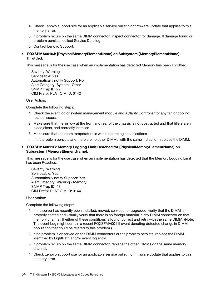- 4. Check Lenovo support site for an applicable service bulletin or firmware update that applies to this memory error.
- 5. If problem recurs on the same DIMM connector, inspect connector for damage. If damage found or problem persists, collect Service Data log.
- 6. Contact Lenovo Support.
- FQXSPMA0010J: [PhysicalMemoryElementName] on Subsystem [MemoryElementName] Throttled.

This message is for the use case when an implementation has detected Memory has been Throttled.

Severity: Warning Serviceable: Yes Automatically notify Support: No Alert Category: System - Other SNMP Trap ID: 22 CIM Prefix: PLAT CIM ID: 0142

User Action:

Complete the following steps:

- 1. Check the event log of system management module and XClarity Controller for any fan or cooling related issues.
- 2. Make sure that the airflow at the front and rear of the chassis is not obstructed and that fillers are in place,clean, and correctly installed.
- 3. Make sure that the room temperature is within operating specifications.
- 4. If the problem persists and there are no other DIMMs with the same indication, replace the DIMM.

### • FQXSPMA0011G: Memory Logging Limit Reached for [PhysicalMemoryElementName] on Subsystem [MemoryElementName].

This message is for the use case when an implementation has detected that the Memory Logging Limit has been Reached.

Severity: Warning Serviceable: Yes Automatically notify Support: Yes Alert Category: Warning - Memory SNMP Trap ID: 43 CIM Prefix: PLAT CIM ID: 0144

User Action:

Complete the following steps:

- 1. If the server has recently been installed, moved, serviced, or upgraded, verify that the DIMM is properly seated and visually verify that there is no foreign material in any DIMM connector on that memory channel. If either of these conditions is found, correct and retry with the same DIMM. (Note: The event Log might contain a recent FQXSFMA0011I event denoting detected change in DIMM population that could be related to this problem.)
- 2. If no problem is observed on the DIMM connectors or the problem persists, replace the DIMM identified by LightPath and/or event log entry.
- 3. If problem recurs on the same DIMM connector, replace the other DIMMs on the same memory channel.
- 4. Check Lenovo support site for an applicable service bulletin or firmware update that applies to this memory error.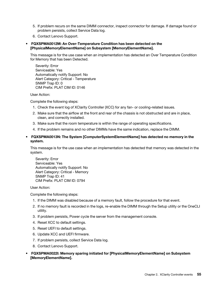- 5. If problem recurs on the same DIMM connector, inspect connector for damage. If damage found or problem persists, collect Service Data log.
- 6. Contact Lenovo Support.

### • FQXSPMA0012M: An Over-Temperature Condition has been detected on the [PhysicalMemoryElementName] on Subsystem [MemoryElementName].

This message is for the use case when an implementation has detected an Over Temperature Condition for Memory that has been Detected.

Severity: Error Serviceable: Yes Automatically notify Support: No Alert Category: Critical - Temperature SNMP Trap ID: 0 CIM Prefix: PLAT CIM ID: 0146

User Action:

Complete the following steps:

- 1. Check the event log of XClarity Controller (XCC) for any fan- or cooling-related issues.
- 2. Make sure that the airflow at the front and rear of the chassis is not obstructed and are in place, clean, and correctly installed.
- 3. Make sure that the room temperature is within the range of operating specifications.
- 4. If the problem remains and no other DIMMs have the same indication, replace the DIMM.
- FQXSPMA0013N: The System [ComputerSystemElementName] has detected no memory in the system.

This message is for the use case when an implementation has detected that memory was detected in the system.

Severity: Error Serviceable: Yes Automatically notify Support: No Alert Category: Critical - Memory SNMP Trap ID: 41 CIM Prefix: PLAT CIM ID: 0794

User Action:

Complete the following steps:

- 1. If the DIMM was disabled because of a memory fault, follow the procedure for that event.
- 2. If no memory fault is recorded in the logs, re-enable the DIMM through the Setup utility or the OneCLI utility.
- 3. If problem persists, Power cycle the server from the management console.
- 4. Reset XCC to default settings.
- 5. Reset UEFI to default settings.
- 6. Update XCC and UEFI firmware.
- 7. If problem persists, collect Service Data log.
- 8. Contact Lenovo Support.
- FQXSPMA0022I: Memory sparing initiated for [PhysicalMemoryElementName] on Subsystem [MemoryElementName].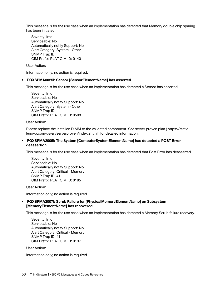This message is for the use case when an implementation has detected that Memory double chip sparing has been initiated.

Severity: Info Serviceable: No Automatically notify Support: No Alert Category: System - Other SNMP Trap ID: CIM Prefix: PLAT CIM ID: 0140

User Action:

Information only; no action is required.

### • FQXSPMA0025I: Sensor [SensorElementName] has asserted.

This message is for the use case when an implementation has detected a Sensor has asserted.

Severity: Info Serviceable: No Automatically notify Support: No Alert Category: System - Other SNMP Trap ID: CIM Prefix: PLAT CIM ID: 0508

User Action:

Please replace the installed DIMM to the validated component. See server proven plan ( https://static. lenovo.com/us/en/serverproven/index.shtml ) for detailed information.

### • FQXSPMA2005I: The System [ComputerSystemElementName] has detected a POST Error deassertion.

This message is for the use case when an implementation has detected that Post Error has deasserted.

Severity: Info Serviceable: No Automatically notify Support: No Alert Category: Critical - Memory SNMP Trap ID: 41 CIM Prefix: PLAT CIM ID: 0185

User Action:

Information only; no action is required

# • FQXSPMA2007I: Scrub Failure for [PhysicalMemoryElementName] on Subsystem [MemoryElementName] has recovered.

This message is for the use case when an implementation has detected a Memory Scrub failure recovery.

Severity: Info Serviceable: No Automatically notify Support: No Alert Category: Critical - Memory SNMP Trap ID: 41 CIM Prefix: PLAT CIM ID: 0137

User Action:

Information only; no action is required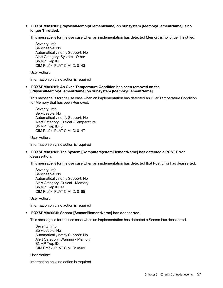### • FQXSPMA2010I: [PhysicalMemoryElementName] on Subsystem [MemoryElementName] is no longer Throttled.

This message is for the use case when an implementation has detected Memory is no longer Throttled.

Severity: Info Serviceable: No Automatically notify Support: No Alert Category: System - Other SNMP Trap ID: CIM Prefix: PLAT CIM ID: 0143

User Action:

Information only; no action is required

### • FQXSPMA2012I: An Over-Temperature Condition has been removed on the [PhysicalMemoryElementName] on Subsystem [MemoryElementName].

This message is for the use case when an implementation has detected an Over Temperature Condition for Memory that has been Removed.

Severity: Info Serviceable: No Automatically notify Support: No Alert Category: Critical - Temperature SNMP Trap ID: 0 CIM Prefix: PLAT CIM ID: 0147

User Action:

Information only; no action is required

# • FQXSPMA2013I: The System [ComputerSystemElementName] has detected a POST Error deassertion.

This message is for the use case when an implementation has detected that Post Error has deasserted.

Severity: Info Serviceable: No Automatically notify Support: No Alert Category: Critical - Memory SNMP Trap ID: 41 CIM Prefix: PLAT CIM ID: 0185

User Action:

Information only; no action is required

# • FQXSPMA2024I: Sensor [SensorElementName] has deasserted.

This message is for the use case when an implementation has detected a Sensor has deasserted.

Severity: Info Serviceable: No Automatically notify Support: No Alert Category: Warning - Memory SNMP Trap ID: CIM Prefix: PLAT CIM ID: 0509

User Action:

Information only; no action is required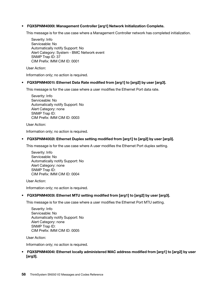## • FQXSPNM4000I: Management Controller [arg1] Network Initialization Complete.

This message is for the use case where a Management Controller network has completed initialization.

Severity: Info Serviceable: No Automatically notify Support: No Alert Category: System - BMC Network event SNMP Trap ID: 37 CIM Prefix: IMM CIM ID: 0001

User Action:

Information only; no action is required.

#### • FQXSPNM4001I: Ethernet Data Rate modified from [arg1] to [arg2] by user [arg3].

This message is for the use case where a user modifies the Ethernet Port data rate.

Severity: Info Serviceable: No Automatically notify Support: No Alert Category: none SNMP Trap ID: CIM Prefix: IMM CIM ID: 0003

User Action:

Information only; no action is required.

#### • FQXSPNM4002I: Ethernet Duplex setting modified from [arg1] to [arg2] by user [arg3].

This message is for the use case where A user modifies the Ethernet Port duplex setting.

Severity: Info Serviceable: No Automatically notify Support: No Alert Category: none SNMP Trap ID: CIM Prefix: IMM CIM ID: 0004

User Action:

Information only; no action is required.

#### • FQXSPNM4003I: Ethernet MTU setting modified from [arg1] to [arg2] by user [arg3].

This message is for the use case where a user modifies the Ethernet Port MTU setting.

Severity: Info Serviceable: No Automatically notify Support: No Alert Category: none SNMP Trap ID: CIM Prefix: IMM CIM ID: 0005

User Action:

Information only; no action is required.

• FQXSPNM4004I: Ethernet locally administered MAC address modified from [arg1] to [arg2] by user [arg3].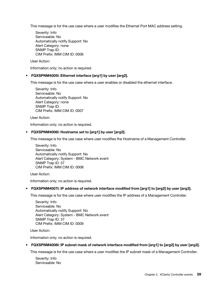This message is for the use case where a user modifies the Ethernet Port MAC address setting.

Severity: Info Serviceable: No Automatically notify Support: No Alert Category: none SNMP Trap ID: CIM Prefix: IMM CIM ID: 0006

User Action:

Information only; no action is required.

### • FQXSPNM4005I: Ethernet interface [arg1] by user [arg2].

This message is for the use case where a user enables or disabled the ethernet interface.

Severity: Info Serviceable: No Automatically notify Support: No Alert Category: none SNMP Trap ID: CIM Prefix: IMM CIM ID: 0007

User Action:

Information only; no action is required.

#### • FQXSPNM4006I: Hostname set to [arg1] by user [arg2].

This message is for the use case where user modifies the Hostname of a Management Controller.

Severity: Info Serviceable: No Automatically notify Support: No Alert Category: System - BMC Network event SNMP Trap ID: 37 CIM Prefix: IMM CIM ID: 0008

User Action:

Information only; no action is required.

#### • FQXSPNM4007I: IP address of network interface modified from [arg1] to [arg2] by user [arg3].

This message is for the use case where user modifies the IP address of a Management Controller.

Severity: Info Serviceable: No Automatically notify Support: No Alert Category: System - BMC Network event SNMP Trap ID: 37 CIM Prefix: IMM CIM ID: 0009

User Action:

Information only; no action is required.

#### • FQXSPNM4008I: IP subnet mask of network interface modified from [arg1] to [arg2] by user [arg3].

This message is for the use case where a user modifies the IP subnet mask of a Management Controller.

Severity: Info Serviceable: No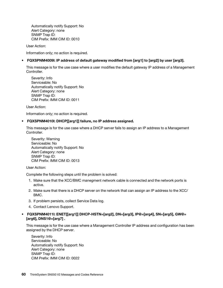Automatically notify Support: No Alert Category: none SNMP Trap ID: CIM Prefix: IMM CIM ID: 0010

User Action:

Information only; no action is required.

## • FQXSPNM4009I: IP address of default gateway modified from [arg1] to [arg2] by user [arg3].

This message is for the use case where a user modifies the default gateway IP address of a Management Controller.

Severity: Info Serviceable: No Automatically notify Support: No Alert Category: none SNMP Trap ID: CIM Prefix: IMM CIM ID: 0011

User Action:

Information only; no action is required.

#### • FQXSPNM4010I: DHCP[[arg1]] failure, no IP address assigned.

This message is for the use case where a DHCP server fails to assign an IP address to a Management Controller.

Severity: Warning Serviceable: No Automatically notify Support: No Alert Category: none SNMP Trap ID: CIM Prefix: IMM CIM ID: 0013

User Action:

Complete the following steps until the problem is solved:

- 1. Make sure that the XCC/BMC manegment network cable is connected and the network ports is active.
- 2. Make sure that there is a DHCP server on the network that can assign an IP address to the XCC/ BMC.
- 3. If problem persists, collect Service Data log.
- 4. Contact Lenovo Support.

# • FQXSPNM4011I: ENET[[arg1]] DHCP-HSTN=[arg2], DN=[arg3], IP@=[arg4], SN=[arg5], GW@= [arg6], DNS1@=[arg7] .

This message is for the use case where a Management Controller IP address and configuration has been assigned by the DHCP server.

Severity: Info Serviceable: No Automatically notify Support: No Alert Category: none SNMP Trap ID: CIM Prefix: IMM CIM ID: 0022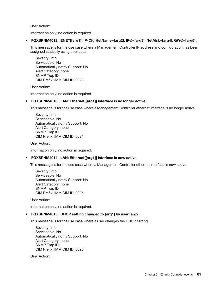User Action:

Information only; no action is required.

• FQXSPNM4012I: ENET[[arg1]] IP-Cfg:HstName=[arg2], IP@=[arg3] ,NetMsk=[arg4], GW@=[arg5] .

This message is for the use case where a Management Controller IP address and configuration has been assigned statically using user data.

Severity: Info Serviceable: No Automatically notify Support: No Alert Category: none SNMP Trap ID: CIM Prefix: IMM CIM ID: 0023

User Action:

Information only; no action is required.

### • FQXSPNM4013I: LAN: Ethernet[[arg1]] interface is no longer active.

This message is for the use case where a Management Controller ethernet interface is no longer active.

Severity: Info Serviceable: No Automatically notify Support: No Alert Category: none SNMP Trap ID: CIM Prefix: IMM CIM ID: 0024

User Action:

Information only; no action is required.

# • FQXSPNM4014I: LAN: Ethernet[[arg1]] interface is now active.

This message is for the use case where a Management Controller ethernet interface is now active.

Severity: Info Serviceable: No Automatically notify Support: No Alert Category: none SNMP Trap ID: CIM Prefix: IMM CIM ID: 0025

User Action:

Information only; no action is required.

# • FQXSPNM4015I: DHCP setting changed to [arg1] by user [arg2].

This message is for the use case where a user changes the DHCP setting.

Severity: Info Serviceable: No Automatically notify Support: No Alert Category: none SNMP Trap ID: CIM Prefix: IMM CIM ID: 0026

User Action: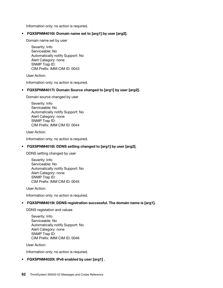Information only; no action is required.

### • FQXSPNM4016I: Domain name set to [arg1] by user [arg2].

Domain name set by user

Severity: Info Serviceable: No Automatically notify Support: No Alert Category: none SNMP Trap ID: CIM Prefix: IMM CIM ID: 0043

User Action:

Information only; no action is required.

#### • FQXSPNM4017I: Domain Source changed to [arg1] by user [arg2].

Domain source changed by user

Severity: Info Serviceable: No Automatically notify Support: No Alert Category: none SNMP Trap ID: CIM Prefix: IMM CIM ID: 0044

User Action:

Information only; no action is required.

#### • FQXSPNM4018I: DDNS setting changed to [arg1] by user [arg2].

DDNS setting changed by user

Severity: Info Serviceable: No Automatically notify Support: No Alert Category: none SNMP Trap ID: CIM Prefix: IMM CIM ID: 0045

User Action:

Information only; no action is required.

#### • FQXSPNM4019I: DDNS registration successful. The domain name is [arg1].

DDNS registation and values

Severity: Info Serviceable: No Automatically notify Support: No Alert Category: none SNMP Trap ID: CIM Prefix: IMM CIM ID: 0046

User Action:

Information only; no action is required.

#### • FQXSPNM4020I: IPv6 enabled by user [arg1] .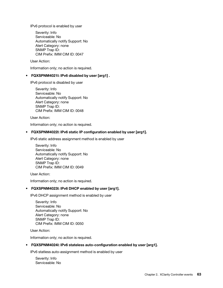IPv6 protocol is enabled by user

Severity: Info Serviceable: No Automatically notify Support: No Alert Category: none SNMP Trap ID: CIM Prefix: IMM CIM ID: 0047

User Action:

Information only; no action is required.

### • FQXSPNM4021I: IPv6 disabled by user [arg1] .

IPv6 protocol is disabled by user

Severity: Info Serviceable: No Automatically notify Support: No Alert Category: none SNMP Trap ID: CIM Prefix: IMM CIM ID: 0048

User Action:

Information only; no action is required.

#### • FQXSPNM4022I: IPv6 static IP configuration enabled by user [arg1].

IPv6 static address assignment method is enabled by user

Severity: Info Serviceable: No Automatically notify Support: No Alert Category: none SNMP Trap ID: CIM Prefix: IMM CIM ID: 0049

User Action:

Information only; no action is required.

### • FQXSPNM4023I: IPv6 DHCP enabled by user [arg1].

IPv6 DHCP assignment method is enabled by user

Severity: Info Serviceable: No Automatically notify Support: No Alert Category: none SNMP Trap ID: CIM Prefix: IMM CIM ID: 0050

User Action:

Information only; no action is required.

#### • FQXSPNM4024I: IPv6 stateless auto-configuration enabled by user [arg1].

IPv6 statless auto-assignment method is enabled by user

Severity: Info Serviceable: No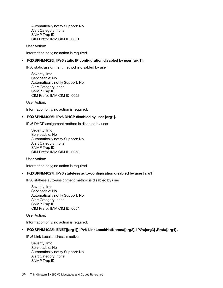Automatically notify Support: No Alert Category: none SNMP Trap ID: CIM Prefix: IMM CIM ID: 0051

User Action:

Information only; no action is required.

### • FQXSPNM4025I: IPv6 static IP configuration disabled by user [arg1].

IPv6 static assignment method is disabled by user

Severity: Info Serviceable: No Automatically notify Support: No Alert Category: none SNMP Trap ID: CIM Prefix: IMM CIM ID: 0052

User Action:

Information only; no action is required.

#### • FQXSPNM4026I: IPv6 DHCP disabled by user [arg1].

IPv6 DHCP assignment method is disabled by user

Severity: Info Serviceable: No Automatically notify Support: No Alert Category: none SNMP Trap ID: CIM Prefix: IMM CIM ID: 0053

User Action:

Information only; no action is required.

#### • FQXSPNM4027I: IPv6 stateless auto-configuration disabled by user [arg1].

IPv6 statless auto-assignment method is disabled by user

Severity: Info Serviceable: No Automatically notify Support: No Alert Category: none SNMP Trap ID: CIM Prefix: IMM CIM ID: 0054

User Action:

Information only; no action is required.

#### • FQXSPNM4028I: ENET[[arg1]] IPv6-LinkLocal:HstName=[arg2], IP@=[arg3] ,Pref=[arg4] .

IPv6 Link Local address is active

Severity: Info Serviceable: No Automatically notify Support: No Alert Category: none SNMP Trap ID: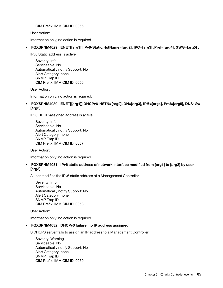CIM Prefix: IMM CIM ID: 0055

User Action:

Information only; no action is required.

# • FQXSPNM4029I: ENET[[arg1]] IPv6-Static:HstName=[arg2], IP@=[arg3] ,Pref=[arg4], GW@=[arg5] .

IPv6 Static address is active

Severity: Info Serviceable: No Automatically notify Support: No Alert Category: none SNMP Trap ID: CIM Prefix: IMM CIM ID: 0056

User Action:

Information only; no action is required.

# • FQXSPNM4030I: ENET[[arg1]] DHCPv6-HSTN=[arg2], DN=[arg3], IP@=[arg4], Pref=[arg5], DNS1@= [arg5].

IPv6 DHCP-assigned address is active

Severity: Info Serviceable: No Automatically notify Support: No Alert Category: none SNMP Trap ID: CIM Prefix: IMM CIM ID: 0057

User Action:

Information only; no action is required.

# • FQXSPNM4031I: IPv6 static address of network interface modified from [arg1] to [arg2] by user [arg3].

A user modifies the IPv6 static address of a Management Controller

Severity: Info Serviceable: No Automatically notify Support: No Alert Category: none SNMP Trap ID: CIM Prefix: IMM CIM ID: 0058

User Action:

Information only; no action is required.

#### • FQXSPNM4032I: DHCPv6 failure, no IP address assigned.

S DHCP6 server fails to assign an IP address to a Management Controller.

Severity: Warning Serviceable: No Automatically notify Support: No Alert Category: none SNMP Trap ID: CIM Prefix: IMM CIM ID: 0059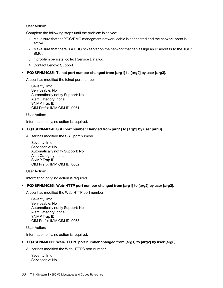User Action:

Complete the following steps until the problem is solved:

- 1. Make sure that the XCC/BMC manegment network cable is connected and the network ports is active.
- 2. Make sure that there is a DHCPv6 server on the network that can assign an IP address to the XCC/ BMC.
- 3. If problem persists, collect Service Data log.
- 4. Contact Lenovo Support.

## • FQXSPNM4033I: Telnet port number changed from [arg1] to [arg2] by user [arg3].

A user has modified the telnet port number

Severity: Info Serviceable: No Automatically notify Support: No Alert Category: none SNMP Trap ID: CIM Prefix: IMM CIM ID: 0061

User Action:

Information only; no action is required.

### • FQXSPNM4034I: SSH port number changed from [arg1] to [arg2] by user [arg3].

A user has modified the SSH port number

Severity: Info Serviceable: No Automatically notify Support: No Alert Category: none SNMP Trap ID: CIM Prefix: IMM CIM ID: 0062

User Action:

Information only; no action is required.

# • FQXSPNM4035I: Web-HTTP port number changed from [arg1] to [arg2] by user [arg3].

A user has modified the Web HTTP port number

Severity: Info Serviceable: No Automatically notify Support: No Alert Category: none SNMP Trap ID: CIM Prefix: IMM CIM ID: 0063

User Action:

Information only; no action is required.

# • FQXSPNM4036I: Web-HTTPS port number changed from [arg1] to [arg2] by user [arg3].

A user has modified the Web HTTPS port number

Severity: Info Serviceable: No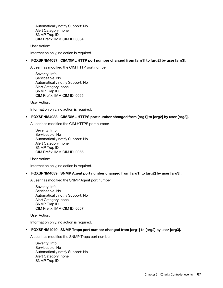Automatically notify Support: No Alert Category: none SNMP Trap ID: CIM Prefix: IMM CIM ID: 0064

User Action:

Information only; no action is required.

# • FQXSPNM4037I: CIM/XML HTTP port number changed from [arg1] to [arg2] by user [arg3].

A user has modified the CIM HTTP port number

Severity: Info Serviceable: No Automatically notify Support: No Alert Category: none SNMP Trap ID: CIM Prefix: IMM CIM ID: 0065

User Action:

Information only; no action is required.

# • FQXSPNM4038I: CIM/XML HTTPS port number changed from [arg1] to [arg2] by user [arg3].

A user has modified the CIM HTTPS port number

Severity: Info Serviceable: No Automatically notify Support: No Alert Category: none SNMP Trap ID: CIM Prefix: IMM CIM ID: 0066

User Action:

Information only; no action is required.

# • FQXSPNM4039I: SNMP Agent port number changed from [arg1] to [arg2] by user [arg3].

A user has modified the SNMP Agent port number

Severity: Info Serviceable: No Automatically notify Support: No Alert Category: none SNMP Trap ID: CIM Prefix: IMM CIM ID: 0067

User Action:

Information only; no action is required.

#### • FQXSPNM4040I: SNMP Traps port number changed from [arg1] to [arg2] by user [arg3].

A user has modified the SNMP Traps port number

Severity: Info Serviceable: No Automatically notify Support: No Alert Category: none SNMP Trap ID: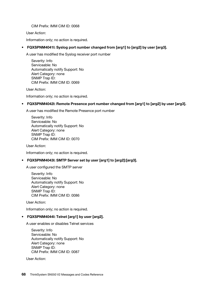CIM Prefix: IMM CIM ID: 0068

User Action:

Information only; no action is required.

# • FQXSPNM4041I: Syslog port number changed from [arg1] to [arg2] by user [arg3].

A user has modified the Syslog receiver port number

Severity: Info Serviceable: No Automatically notify Support: No Alert Category: none SNMP Trap ID: CIM Prefix: IMM CIM ID: 0069

User Action:

Information only; no action is required.

### • FQXSPNM4042I: Remote Presence port number changed from [arg1] to [arg2] by user [arg3].

A user has modified the Remote Presence port number

Severity: Info Serviceable: No Automatically notify Support: No Alert Category: none SNMP Trap ID: CIM Prefix: IMM CIM ID: 0070

User Action:

Information only; no action is required.

# • FQXSPNM4043I: SMTP Server set by user [arg1] to [arg2]:[arg3].

A user configured the SMTP server

Severity: Info Serviceable: No Automatically notify Support: No Alert Category: none SNMP Trap ID: CIM Prefix: IMM CIM ID: 0086

User Action:

Information only; no action is required.

#### • FQXSPNM4044I: Telnet [arg1] by user [arg2].

A user enables or disables Telnet services

Severity: Info Serviceable: No Automatically notify Support: No Alert Category: none SNMP Trap ID: CIM Prefix: IMM CIM ID: 0087

User Action: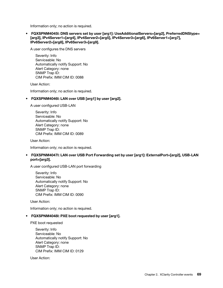Information only; no action is required.

• FQXSPNM4045I: DNS servers set by user [arg1]: UseAdditionalServers=[arg2], PreferredDNStype= [arg3], IPv4Server1=[arg4], IPv4Server2=[arg5], IPv4Server3=[arg6], IPv6Server1=[arg7], IPv6Server2=[arg8], IPv6Server3=[arg9].

A user configures the DNS servers

Severity: Info Serviceable: No Automatically notify Support: No Alert Category: none SNMP Trap ID: CIM Prefix: IMM CIM ID: 0088

User Action:

Information only; no action is required.

#### • FQXSPNM4046I: LAN over USB [arg1] by user [arg2].

A user configured USB-LAN

Severity: Info Serviceable: No Automatically notify Support: No Alert Category: none SNMP Trap ID: CIM Prefix: IMM CIM ID: 0089

User Action:

Information only; no action is required.

# • FQXSPNM4047I: LAN over USB Port Forwarding set by user [arg1]: ExternalPort=[arg2], USB-LAN port=[arg3].

A user configured USB-LAN port forwarding

Severity: Info Serviceable: No Automatically notify Support: No Alert Category: none SNMP Trap ID: CIM Prefix: IMM CIM ID: 0090

User Action:

Information only; no action is required.

#### • FQXSPNM4048I: PXE boot requested by user [arg1].

PXE boot requested

Severity: Info Serviceable: No Automatically notify Support: No Alert Category: none SNMP Trap ID: CIM Prefix: IMM CIM ID: 0129

User Action: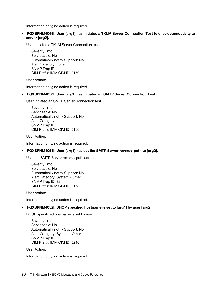Information only; no action is required.

# • FQXSPNM4049I: User [arg1] has initiated a TKLM Server Connection Test to check connectivity to server [arg2].

User initiated a TKLM Server Connection test.

Severity: Info Serviceable: No Automatically notify Support: No Alert Category: none SNMP Trap ID: CIM Prefix: IMM CIM ID: 0159

User Action:

Information only; no action is required.

# • FQXSPNM4050I: User [arg1] has initiated an SMTP Server Connection Test.

User initiated an SMTP Server Connection test.

Severity: Info Serviceable: No Automatically notify Support: No Alert Category: none SNMP Trap ID: CIM Prefix: IMM CIM ID: 0160

User Action:

Information only; no action is required.

#### • FQXSPNM4051I: User [arg1] has set the SMTP Server reverse-path to [arg2].

User set SMTP Server reverse-path address

Severity: Info Serviceable: No Automatically notify Support: No Alert Category: System - Other SNMP Trap ID: 22 CIM Prefix: IMM CIM ID: 0163

User Action:

Information only; no action is required.

#### • FQXSPNM4052I: DHCP specified hostname is set to [arg1] by user [arg2].

DHCP specificed hostname is set by user

Severity: Info Serviceable: No Automatically notify Support: No Alert Category: System - Other SNMP Trap ID: 22 CIM Prefix: IMM CIM ID: 0216

User Action:

Information only; no action is required.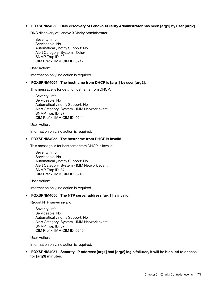# • FQXSPNM4053I: DNS discovery of Lenovo XClarity Administrator has been [arg1] by user [arg2].

DNS discovery of Lenovo XClarity Administrator

Severity: Info Serviceable: No Automatically notify Support: No Alert Category: System - Other SNMP Trap ID: 22 CIM Prefix: IMM CIM ID: 0217

User Action:

Information only; no action is required.

#### • FQXSPNM4054I: The hostname from DHCP is [arg1] by user [arg2].

This message is for getting hostname from DHCP.

Severity: Info Serviceable: No Automatically notify Support: No Alert Category: System - IMM Network event SNMP Trap ID: 37 CIM Prefix: IMM CIM ID: 0244

User Action:

Information only; no action is required.

#### • FQXSPNM4055I: The hostname from DHCP is invalid.

This message is for hostname from DHCP is invalid.

Severity: Info Serviceable: No Automatically notify Support: No Alert Category: System - IMM Network event SNMP Trap ID: 37 CIM Prefix: IMM CIM ID: 0245

User Action:

Information only; no action is required.

#### • FQXSPNM4056I: The NTP server address [arg1] is invalid.

Report NTP server invalid

Severity: Info Serviceable: No Automatically notify Support: No Alert Category: System - IMM Network event SNMP Trap ID: 37 CIM Prefix: IMM CIM ID: 0249

User Action:

Information only; no action is required.

• FQXSPNM4057I: Security: IP address: [arg1] had [arg2] login failures, it will be blocked to access for [arg3] minutes.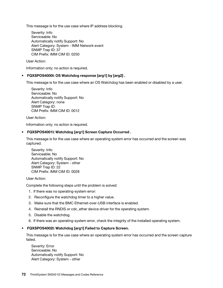This message is for the use case where IP address blocking.

Severity: Info Serviceable: No Automatically notify Support: No Alert Category: System - IMM Network event SNMP Trap ID: 37 CIM Prefix: IMM CIM ID: 0250

User Action:

Information only; no action is required.

# • FQXSPOS4000I: OS Watchdog response [arg1] by [arg2] .

This message is for the use case where an OS Watchdog has been enabled or disabled by a user.

Severity: Info Serviceable: No Automatically notify Support: No Alert Category: none SNMP Trap ID: CIM Prefix: IMM CIM ID: 0012

User Action:

Information only; no action is required.

#### • FQXSPOS4001I: Watchdog [arg1] Screen Capture Occurred .

This message is for the use case where an operating system error has occurred and the screen was captured.

Severity: Info Serviceable: No Automatically notify Support: No Alert Category: System - other SNMP Trap ID: 22 CIM Prefix: IMM CIM ID: 0028

User Action:

Complete the following steps until the problem is solved:

- 1. If there was no operating-system error:
- 2. Reconfigure the watchdog timer to a higher value.
- 3. Make sure that the BMC Ethernet-over-USB interface is enabled.
- 4. Reinstall the RNDIS or cdc\_ether device driver for the operating system.
- 5. Disable the watchdog.
- 6. If there was an operating-system error, check the integrity of the installed operating system.

#### • FQXSPOS4002I: Watchdog [arg1] Failed to Capture Screen.

This message is for the use case where an operating system error has occurred and the screen capture failed.

Severity: Error Serviceable: No Automatically notify Support: No Alert Category: System - other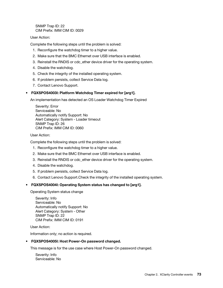SNMP Trap ID: 22 CIM Prefix: IMM CIM ID: 0029

# User Action:

Complete the following steps until the problem is solved:

- 1. Reconfigure the watchdog timer to a higher value.
- 2. Make sure that the BMC Ethernet over USB interface is enabled.
- 3. Reinstall the RNDIS or cdc\_ether device driver for the operating system.
- 4. Disable the watchdog.
- 5. Check the integrity of the installed operating system.
- 6. If problem persists, collect Service Data log.
- 7. Contact Lenovo Support.

# • FQXSPOS4003I: Platform Watchdog Timer expired for [arg1].

An implementation has detected an OS Loader Watchdog Timer Expired

Severity: Error Serviceable: No Automatically notify Support: No Alert Category: System - Loader timeout SNMP Trap ID: 26 CIM Prefix: IMM CIM ID: 0060

#### User Action:

Complete the following steps until the problem is solved:

- 1. Reconfigure the watchdog timer to a higher value.
- 2. Make sure that the BMC Ethernet over USB interface is enabled.
- 3. Reinstall the RNDIS or cdc\_ether device driver for the operating system.
- 4. Disable the watchdog.
- 5. If problem persists, collect Service Data log.
- 6. Contact Lenovo Support.Check the integrity of the installed operating system.

#### • FQXSPOS4004I: Operating System status has changed to [arg1].

Operating System status change

Severity: Info Serviceable: No Automatically notify Support: No Alert Category: System - Other SNMP Trap ID: 22 CIM Prefix: IMM CIM ID: 0191

User Action:

Information only; no action is required.

#### • FQXSPOS4005I: Host Power-On password changed.

This message is for the use case where Host Power-On password changed.

Severity: Info Serviceable: No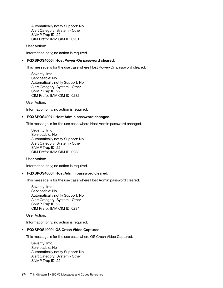Automatically notify Support: No Alert Category: System - Other SNMP Trap ID: 22 CIM Prefix: IMM CIM ID: 0231

User Action:

Information only; no action is required.

# • FQXSPOS4006I: Host Power-On password cleared.

This message is for the use case where Host Power-On password cleared.

Severity: Info Serviceable: No Automatically notify Support: No Alert Category: System - Other SNMP Trap ID: 22 CIM Prefix: IMM CIM ID: 0232

User Action:

Information only; no action is required.

#### • FQXSPOS4007I: Host Admin password changed.

This message is for the use case where Host Admin password changed.

Severity: Info Serviceable: No Automatically notify Support: No Alert Category: System - Other SNMP Trap ID: 22 CIM Prefix: IMM CIM ID: 0233

User Action:

Information only; no action is required.

#### • FQXSPOS4008I: Host Admin password cleared.

This message is for the use case where Host Admin password cleared.

Severity: Info Serviceable: No Automatically notify Support: No Alert Category: System - Other SNMP Trap ID: 22 CIM Prefix: IMM CIM ID: 0234

User Action:

Information only; no action is required.

#### • FQXSPOS4009I: OS Crash Video Captured.

This message is for the use case where OS Crash Video Captured.

Severity: Info Serviceable: No Automatically notify Support: No Alert Category: System - Other SNMP Trap ID: 22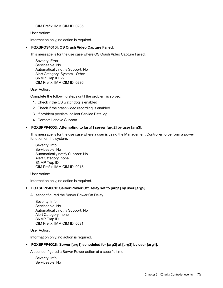CIM Prefix: IMM CIM ID: 0235

User Action:

Information only; no action is required.

# • FQXSPOS4010I: OS Crash Video Capture Failed.

This message is for the use case where OS Crash Video Capture Failed.

Severity: Error Serviceable: No Automatically notify Support: No Alert Category: System - Other SNMP Trap ID: 22 CIM Prefix: IMM CIM ID: 0236

User Action:

Complete the following steps until the problem is solved:

- 1. Check if the OS watchdog is enabled
- 2. Check if the crash video recording is enabled
- 3. If problem persists, collect Service Data log.
- 4. Contact Lenovo Support.

# • FQXSPPP4000I: Attempting to [arg1] server [arg2] by user [arg3].

This message is for the use case where a user is using the Management Controller to perform a power function on the system.

Severity: Info Serviceable: No Automatically notify Support: No Alert Category: none SNMP Trap ID: CIM Prefix: IMM CIM ID: 0015

User Action:

Information only; no action is required.

# • FQXSPPP4001I: Server Power Off Delay set to [arg1] by user [arg2].

A user configured the Server Power Off Delay

Severity: Info Serviceable: No Automatically notify Support: No Alert Category: none SNMP Trap ID: CIM Prefix: IMM CIM ID: 0081

User Action:

Information only; no action is required.

#### • FQXSPPP4002I: Server [arg1] scheduled for [arg2] at [arg3] by user [arg4].

A user configured a Server Power action at a specific time

Severity: Info Serviceable: No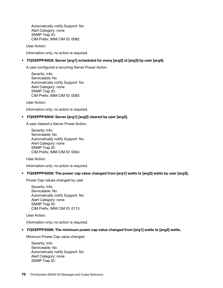Automatically notify Support: No Alert Category: none SNMP Trap ID: CIM Prefix: IMM CIM ID: 0082

User Action:

Information only; no action is required.

# • FQXSPPP4003I: Server [arg1] scheduled for every [arg2] at [arg3] by user [arg4].

A user configured a recurring Server Power Action

Severity: Info Serviceable: No Automatically notify Support: No Alert Category: none SNMP Trap ID: CIM Prefix: IMM CIM ID: 0083

User Action:

Information only; no action is required.

# • FQXSPPP4004I: Server [arg1] [arg2] cleared by user [arg3].

A user cleared a Server Power Action.

Severity: Info Serviceable: No Automatically notify Support: No Alert Category: none SNMP Trap ID: CIM Prefix: IMM CIM ID: 0084

User Action:

Information only; no action is required.

• FQXSPPP4005I: The power cap value changed from [arg1] watts to [arg2] watts by user [arg3].

Power Cap values changed by user

Severity: Info Serviceable: No Automatically notify Support: No Alert Category: none SNMP Trap ID: CIM Prefix: IMM CIM ID: 0113

User Action:

Information only; no action is required.

• FQXSPPP4006I: The minimum power cap value changed from [arg1] watts to [arg2] watts.

Minimum Power Cap value changed

Severity: Info Serviceable: No Automatically notify Support: No Alert Category: none SNMP Trap ID: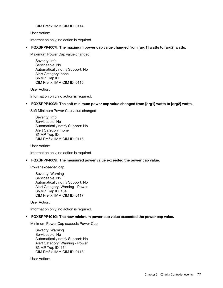CIM Prefix: IMM CIM ID: 0114

User Action:

Information only; no action is required.

• FQXSPPP4007I: The maximum power cap value changed from [arg1] watts to [arg2] watts.

Maximum Power Cap value changed

Severity: Info Serviceable: No Automatically notify Support: No Alert Category: none SNMP Trap ID: CIM Prefix: IMM CIM ID: 0115

User Action:

Information only; no action is required.

• FQXSPPP4008I: The soft minimum power cap value changed from [arg1] watts to [arg2] watts.

Soft Minimum Power Cap value changed

Severity: Info Serviceable: No Automatically notify Support: No Alert Category: none SNMP Trap ID: CIM Prefix: IMM CIM ID: 0116

User Action:

Information only; no action is required.

• FQXSPPP4009I: The measured power value exceeded the power cap value.

Power exceeded cap

Severity: Warning Serviceable: No Automatically notify Support: No Alert Category: Warning - Power SNMP Trap ID: 164 CIM Prefix: IMM CIM ID: 0117

User Action:

Information only; no action is required.

• FQXSPPP4010I: The new minimum power cap value exceeded the power cap value.

Minimum Power Cap exceeds Power Cap

Severity: Warning Serviceable: No Automatically notify Support: No Alert Category: Warning - Power SNMP Trap ID: 164 CIM Prefix: IMM CIM ID: 0118

User Action: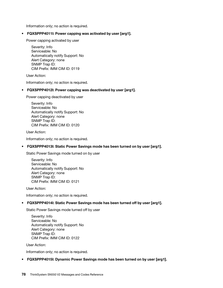Information only; no action is required.

# • FQXSPPP4011I: Power capping was activated by user [arg1].

Power capping activated by user

Severity: Info Serviceable: No Automatically notify Support: No Alert Category: none SNMP Trap ID: CIM Prefix: IMM CIM ID: 0119

User Action:

Information only; no action is required.

# • FQXSPPP4012I: Power capping was deactivated by user [arg1].

Power capping deactivated by user

Severity: Info Serviceable: No Automatically notify Support: No Alert Category: none SNMP Trap ID: CIM Prefix: IMM CIM ID: 0120

User Action:

Information only; no action is required.

# • FQXSPPP4013I: Static Power Savings mode has been turned on by user [arg1].

Static Power Savings mode turned on by user

Severity: Info Serviceable: No Automatically notify Support: No Alert Category: none SNMP Trap ID: CIM Prefix: IMM CIM ID: 0121

User Action:

Information only; no action is required.

#### • FQXSPPP4014I: Static Power Savings mode has been turned off by user [arg1].

Static Power Savings mode turned off by user

Severity: Info Serviceable: No Automatically notify Support: No Alert Category: none SNMP Trap ID: CIM Prefix: IMM CIM ID: 0122

User Action:

Information only; no action is required.

#### • FQXSPPP4015I: Dynamic Power Savings mode has been turned on by user [arg1].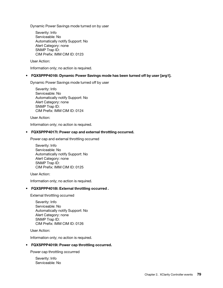Dynamic Power Savings mode turned on by user

Severity: Info Serviceable: No Automatically notify Support: No Alert Category: none SNMP Trap ID: CIM Prefix: IMM CIM ID: 0123

User Action:

Information only; no action is required.

• FQXSPPP4016I: Dynamic Power Savings mode has been turned off by user [arg1].

Dynamic Power Savings mode turned off by user

Severity: Info Serviceable: No Automatically notify Support: No Alert Category: none SNMP Trap ID: CIM Prefix: IMM CIM ID: 0124

User Action:

Information only; no action is required.

#### • FQXSPPP4017I: Power cap and external throttling occurred.

Power cap and external throttling occurred

Severity: Info Serviceable: No Automatically notify Support: No Alert Category: none SNMP Trap ID: CIM Prefix: IMM CIM ID: 0125

User Action:

Information only; no action is required.

#### • FQXSPPP4018I: External throttling occurred .

External throttling occurred

Severity: Info Serviceable: No Automatically notify Support: No Alert Category: none SNMP Trap ID: CIM Prefix: IMM CIM ID: 0126

User Action:

Information only; no action is required.

#### • FQXSPPP4019I: Power cap throttling occurred.

Power cap throttling occurrred

Severity: Info Serviceable: No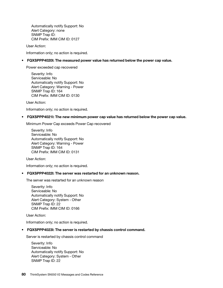Automatically notify Support: No Alert Category: none SNMP Trap ID: CIM Prefix: IMM CIM ID: 0127

User Action:

Information only; no action is required.

• FQXSPPP4020I: The measured power value has returned below the power cap value.

Power exceeded cap recovered

Severity: Info Serviceable: No Automatically notify Support: No Alert Category: Warning - Power SNMP Trap ID: 164 CIM Prefix: IMM CIM ID: 0130

User Action:

Information only; no action is required.

#### • FQXSPPP4021I: The new minimum power cap value has returned below the power cap value.

Minimum Power Cap exceeds Power Cap recovered

Severity: Info Serviceable: No Automatically notify Support: No Alert Category: Warning - Power SNMP Trap ID: 164 CIM Prefix: IMM CIM ID: 0131

User Action:

Information only; no action is required.

#### • FQXSPPP4022I: The server was restarted for an unknown reason.

The server was restarted for an unknown reason

Severity: Info Serviceable: No Automatically notify Support: No Alert Category: System - Other SNMP Trap ID: 22 CIM Prefix: IMM CIM ID: 0166

User Action:

Information only; no action is required.

#### • FQXSPPP4023I: The server is restarted by chassis control command.

Server is restarted by chassis control command

Severity: Info Serviceable: No Automatically notify Support: No Alert Category: System - Other SNMP Trap ID: 22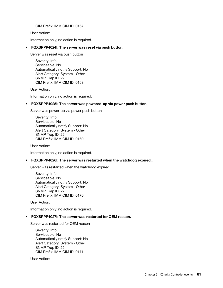CIM Prefix: IMM CIM ID: 0167

User Action:

Information only; no action is required.

### • FQXSPPP4024I: The server was reset via push button.

Server was reset via push button

Severity: Info Serviceable: No Automatically notify Support: No Alert Category: System - Other SNMP Trap ID: 22 CIM Prefix: IMM CIM ID: 0168

User Action:

Information only; no action is required.

# • FQXSPPP4025I: The server was powered-up via power push button.

Server was power-up via power push button

Severity: Info Serviceable: No Automatically notify Support: No Alert Category: System - Other SNMP Trap ID: 22 CIM Prefix: IMM CIM ID: 0169

User Action:

Information only; no action is required.

# • FQXSPPP4026I: The server was restarted when the watchdog expired..

Server was restarted when the watchdog expired.

Severity: Info Serviceable: No Automatically notify Support: No Alert Category: System - Other SNMP Trap ID: 22 CIM Prefix: IMM CIM ID: 0170

User Action:

Information only; no action is required.

# • FQXSPPP4027I: The server was restarted for OEM reason.

Server was restarted for OEM reason

Severity: Info Serviceable: No Automatically notify Support: No Alert Category: System - Other SNMP Trap ID: 22 CIM Prefix: IMM CIM ID: 0171

User Action: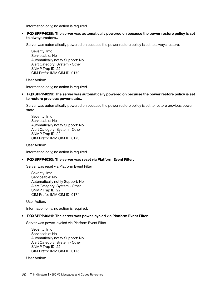Information only; no action is required.

• FQXSPPP4028I: The server was automatically powered on because the power restore policy is set to always restore..

Server was automatically powered on because the power restore policy is set to always restore.

Severity: Info Serviceable: No Automatically notify Support: No Alert Category: System - Other SNMP Trap ID: 22 CIM Prefix: IMM CIM ID: 0172

User Action:

Information only; no action is required.

• FQXSPPP4029I: The server was automatically powered on because the power restore policy is set to restore previous power state..

Server was automatically powered on because the power restore policy is set to restore previous power state.

Severity: Info Serviceable: No Automatically notify Support: No Alert Category: System - Other SNMP Trap ID: 22 CIM Prefix: IMM CIM ID: 0173

User Action:

Information only; no action is required.

#### • FQXSPPP4030I: The server was reset via Platform Event Filter.

Server was reset via Platform Event Filter

Severity: Info Serviceable: No Automatically notify Support: No Alert Category: System - Other SNMP Trap ID: 22 CIM Prefix: IMM CIM ID: 0174

User Action:

Information only; no action is required.

#### • FQXSPPP4031I: The server was power-cycled via Platform Event Filter.

Server was power-cycled via Platform Event Filter

Severity: Info Serviceable: No Automatically notify Support: No Alert Category: System - Other SNMP Trap ID: 22 CIM Prefix: IMM CIM ID: 0175

User Action: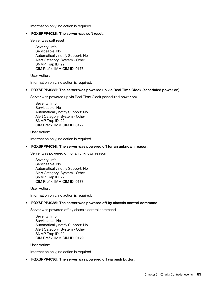Information only; no action is required.

#### • FQXSPPP4032I: The server was soft reset.

Server was soft reset

Severity: Info Serviceable: No Automatically notify Support: No Alert Category: System - Other SNMP Trap ID: 22 CIM Prefix: IMM CIM ID: 0176

User Action:

Information only; no action is required.

• FQXSPPP4033I: The server was powered up via Real Time Clock (scheduled power on).

Server was powered up via Real Time Clock (scheduled power on)

Severity: Info Serviceable: No Automatically notify Support: No Alert Category: System - Other SNMP Trap ID: 22 CIM Prefix: IMM CIM ID: 0177

User Action:

Information only; no action is required.

#### • FQXSPPP4034I: The server was powered off for an unknown reason.

Server was powered off for an unknown reason

Severity: Info Serviceable: No Automatically notify Support: No Alert Category: System - Other SNMP Trap ID: 22 CIM Prefix: IMM CIM ID: 0178

User Action:

Information only; no action is required.

# • FQXSPPP4035I: The server was powered off by chassis control command.

Server was powered off by chassis control command

Severity: Info Serviceable: No Automatically notify Support: No Alert Category: System - Other SNMP Trap ID: 22 CIM Prefix: IMM CIM ID: 0179

User Action:

Information only; no action is required.

#### • FQXSPPP4036I: The server was powered off via push button.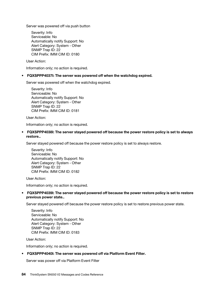Server was powered off via push button

Severity: Info Serviceable: No Automatically notify Support: No Alert Category: System - Other SNMP Trap ID: 22 CIM Prefix: IMM CIM ID: 0180

User Action:

Information only; no action is required.

#### • FQXSPPP4037I: The server was powered off when the watchdog expired.

Server was powered off when the watchdog expired.

Severity: Info Serviceable: No Automatically notify Support: No Alert Category: System - Other SNMP Trap ID: 22 CIM Prefix: IMM CIM ID: 0181

User Action:

Information only; no action is required.

• FQXSPPP4038I: The server stayed powered off because the power restore policy is set to always restore..

Server stayed powered off because the power restore policy is set to always restore.

Severity: Info Serviceable: No Automatically notify Support: No Alert Category: System - Other SNMP Trap ID: 22 CIM Prefix: IMM CIM ID: 0182

User Action:

Information only; no action is required.

# • FQXSPPP4039I: The server stayed powered off because the power restore policy is set to restore previous power state..

Server stayed powered off because the power restore policy is set to restore previous power state.

Severity: Info Serviceable: No Automatically notify Support: No Alert Category: System - Other SNMP Trap ID: 22 CIM Prefix: IMM CIM ID: 0183

User Action:

Information only; no action is required.

#### • FQXSPPP4040I: The server was powered off via Platform Event Filter.

Server was power off via Platform Event Filter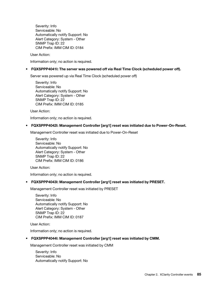Severity: Info Serviceable: No Automatically notify Support: No Alert Category: System - Other SNMP Trap ID: 22 CIM Prefix: IMM CIM ID: 0184

User Action:

Information only; no action is required.

# • FQXSPPP4041I: The server was powered off via Real Time Clock (scheduled power off).

Server was powered up via Real Time Clock (scheduled power off)

Severity: Info Serviceable: No Automatically notify Support: No Alert Category: System - Other SNMP Trap ID: 22 CIM Prefix: IMM CIM ID: 0185

User Action:

Information only; no action is required.

• FQXSPPP4042I: Management Controller [arg1] reset was initiated due to Power-On-Reset.

Management Controller reset was initiated due to Power-On-Reset

Severity: Info Serviceable: No Automatically notify Support: No Alert Category: System - Other SNMP Trap ID: 22 CIM Prefix: IMM CIM ID: 0186

User Action:

Information only; no action is required.

#### • FQXSPPP4043I: Management Controller [arg1] reset was initiated by PRESET.

Management Controller reset was initiated by PRESET

Severity: Info Serviceable: No Automatically notify Support: No Alert Category: System - Other SNMP Trap ID: 22 CIM Prefix: IMM CIM ID: 0187

User Action:

Information only; no action is required.

### • FQXSPPP4044I: Management Controller [arg1] reset was initiated by CMM.

Management Controller reset was initiated by CMM

Severity: Info Serviceable: No Automatically notify Support: No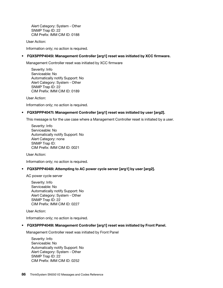Alert Category: System - Other SNMP Trap ID: 22 CIM Prefix: IMM CIM ID: 0188

User Action:

Information only; no action is required.

### • FQXSPPP4045I: Management Controller [arg1] reset was initiated by XCC firmware.

Management Controller reset was initiated by XCC firmware

Severity: Info Serviceable: No Automatically notify Support: No Alert Category: System - Other SNMP Trap ID: 22 CIM Prefix: IMM CIM ID: 0189

User Action:

Information only; no action is required.

#### • FQXSPPP4047I: Management Controller [arg1] reset was initiated by user [arg2].

This message is for the use case where a Management Controller reset is initiated by a user.

Severity: Info Serviceable: No Automatically notify Support: No Alert Category: none SNMP Trap ID: CIM Prefix: IMM CIM ID: 0021

User Action:

Information only; no action is required.

#### • FQXSPPP4048I: Attempting to AC power cycle server [arg1] by user [arg2].

AC power cycle server

Severity: Info Serviceable: No Automatically notify Support: No Alert Category: System - Other SNMP Trap ID: 22 CIM Prefix: IMM CIM ID: 0227

User Action:

Information only; no action is required.

#### • FQXSPPP4049I: Management Controller [arg1] reset was initiated by Front Panel.

Management Controller reset was initiated by Front Panel

Severity: Info Serviceable: No Automatically notify Support: No Alert Category: System - Other SNMP Trap ID: 22 CIM Prefix: IMM CIM ID: 0252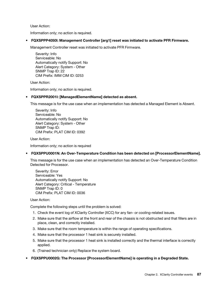User Action:

Information only; no action is required.

• FQXSPPP4050I: Management Controller [arg1] reset was initiated to activate PFR Firmware.

Management Controller reset was initiated to activate PFR Firmware.

Severity: Info Serviceable: No Automatically notify Support: No Alert Category: System - Other SNMP Trap ID: 22 CIM Prefix: IMM CIM ID: 0253

User Action:

Information only; no action is required.

# • FQXSPPR2001I: [ManagedElementName] detected as absent.

This message is for the use case when an implementation has detected a Managed Element is Absent.

Severity: Info Serviceable: No Automatically notify Support: No Alert Category: System - Other SNMP Trap ID: CIM Prefix: PLAT CIM ID: 0392

User Action:

Information only; no action is required

#### • FQXSPPU0001N: An Over-Temperature Condition has been detected on [ProcessorElementName].

This message is for the use case when an implementation has detected an Over-Temperature Condition Detected for Processor.

Severity: Error Serviceable: Yes Automatically notify Support: No Alert Category: Critical - Temperature SNMP Trap ID: 0 CIM Prefix: PLAT CIM ID: 0036

User Action:

Complete the following steps until the problem is solved:

- 1. Check the event log of XClarity Controller (XCC) for any fan- or cooling-related issues.
- 2. Make sure that the airflow at the front and rear of the chassis is not obstructed and that fillers are in place, clean, and correctly installed.
- 3. Make sure that the room temperature is within the range of operating specifications.
- 4. Make sure that the processor 1 heat sink is securely installed.
- 5. Make sure that the processor 1 heat sink is installed correctly and the thermal interface is correctly applied.
- 6. (Trained technician only) Replace the system board.
- FQXSPPU0002G: The Processor [ProcessorElementName] is operating in a Degraded State.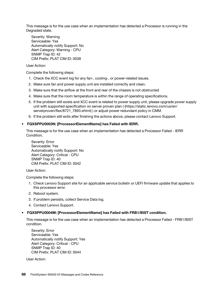This message is for the use case when an implementation has detected a Processor is running in the Degraded state.

Severity: Warning Serviceable: Yes Automatically notify Support: No Alert Category: Warning - CPU SNMP Trap ID: 42 CIM Prefix: PLAT CIM ID: 0038

User Action:

Complete the following steps:

- 1. Check the XCC event log for any fan-, cooling-, or power-related issues.
- 2. Make sure fan and power supply unit are installed correctly and clean.
- 3. Make sure that the airflow at the front and rear of the chassis is not obstructed
- 4. Make sure that the room temperature is within the range of operating specifications.
- 5. If the problem still exists and XCC event is related to power supply unit, please upgrade power supply unit with supported specification on server proven plan ( (https://static.lenovo.com/us/en/ serverproven/flex/8721\_7893.shtml) ) or adjust power redundant policy in CMM.
- 6. If the problem still exits after finishing the actions above, please contact Lenovo Support.

# • FQXSPPU0003N: [ProcessorElementName] has Failed with IERR.

This message is for the use case when an implementation has detected a Processor Failed - IERR Condition.

Severity: Error Serviceable: Yes Automatically notify Support: No Alert Category: Critical - CPU SNMP Trap ID: 40 CIM Prefix: PLAT CIM ID: 0042

User Action:

Complete the following steps:

- 1. Check Lenovo Support site for an applicable service bulletin or UEFI firmware update that applies to this processor error.
- 2. Reboot system.
- 3. If problem persists, collect Service Data log.
- 4. Contact Lenovo Support.

# • FQXSPPU0004M: [ProcessorElementName] has Failed with FRB1/BIST condition.

This message is for the use case when an implementation has detected a Processor Failed - FRB1/BIST condition.

Severity: Error Serviceable: Yes Automatically notify Support: Yes Alert Category: Critical - CPU SNMP Trap ID: 40 CIM Prefix: PLAT CIM ID: 0044

User Action: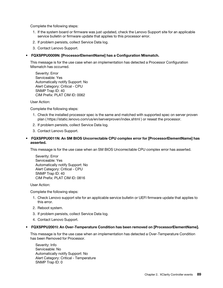Complete the following steps:

- 1. If the system board or firmware was just updated, check the Lenovo Support site for an applicable service bulletin or firmware update that applies to this processor error.
- 2. If problem persists, collect Service Data log.
- 3. Contact Lenovo Support.

### • FQXSPPU0009N: [ProcessorElementName] has a Configuration Mismatch.

This message is for the use case when an implementation has detected a Processor Configuration Mismatch has occurred.

| Severity: Error                  |
|----------------------------------|
| Serviceable: Yes                 |
| Automatically notify Support: No |
| Alert Category: Critical - CPU   |
| SNMP Trap ID: 40                 |
| CIM Prefix: PLAT CIM ID: 0062    |

User Action:

Complete the following steps:

- 1. Check the installed processor spec is the same and matched with supported spec on server proven plan ( https://static.lenovo.com/us/en/serverproven/index.shtml ) or reseat the processor.
- 2. If problem persists, collect Service Data log.
- 3. Contact Lenovo Support.
- FQXSPPU0011N: An SM BIOS Uncorrectable CPU complex error for [ProcessorElementName] has asserted.

This message is for the use case when an SM BIOS Uncorrectable CPU complex error has asserted.

Severity: Error Serviceable: Yes Automatically notify Support: No Alert Category: Critical - CPU SNMP Trap ID: 40 CIM Prefix: PLAT CIM ID: 0816

User Action:

Complete the following steps:

- 1. Check Lenovo support site for an applicable service bulletin or UEFI firmware update that applies to this error.
- 2. Reboot system.
- 3. If problem persists, collect Service Data log.
- 4. Contact Lenovo Support.

#### • FQXSPPU2001I: An Over-Temperature Condition has been removed on [ProcessorElementName].

This message is for the use case when an implementation has detected a Over-Temperature Condition has been Removed for Processor.

Severity: Info Serviceable: No Automatically notify Support: No Alert Category: Critical - Temperature SNMP Trap ID: 0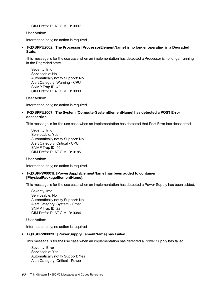CIM Prefix: PLAT CIM ID: 0037

User Action:

Information only; no action is required

• FQXSPPU2002I: The Processor [ProcessorElementName] is no longer operating in a Degraded State.

This message is for the use case when an implementation has detected a Processor is no longer running in the Degraded state.

Severity: Info Serviceable: No Automatically notify Support: No Alert Category: Warning - CPU SNMP Trap ID: 42 CIM Prefix: PLAT CIM ID: 0039

User Action:

Information only; no action is required

# • FQXSPPU2007I: The System [ComputerSystemElementName] has detected a POST Error deassertion.

This message is for the use case when an implementation has detected that Post Error has deasserted.

Severity: Info Serviceable: Yes Automatically notify Support: No Alert Category: Critical - CPU SNMP Trap ID: 40 CIM Prefix: PLAT CIM ID: 0185

User Action:

Information only; no action is required.

• FQXSPPW0001I: [PowerSupplyElementName] has been added to container [PhysicalPackageElementName].

This message is for the use case when an implementation has detected a Power Supply has been added.

Severity: Info Serviceable: No Automatically notify Support: No Alert Category: System - Other SNMP Trap ID: 22 CIM Prefix: PLAT CIM ID: 0084

User Action:

Information only; no action is required

# • FQXSPPW0002L: [PowerSupplyElementName] has Failed.

This message is for the use case when an implementation has detected a Power Supply has failed.

Severity: Error Serviceable: Yes Automatically notify Support: Yes Alert Category: Critical - Power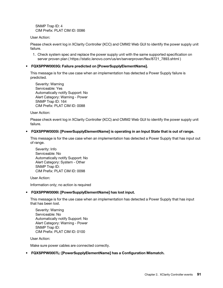SNMP Trap ID: 4 CIM Prefix: PLAT CIM ID: 0086

User Action:

Please check event log in XClarity Controller (XCC) and CMM2 Web GUI to identify the power supply unit failure.

1. Check system spec and replace the power supply unit with the same supported specification on server proven plan ( https://static.lenovo.com/us/en/serverproven/flex/8721\_7893.shtml )

# • FQXSPPW0003G: Failure predicted on [PowerSupplyElementName].

This message is for the use case when an implementation has detected a Power Supply failure is predicted.

Severity: Warning Serviceable: Yes Automatically notify Support: No Alert Category: Warning - Power SNMP Trap ID: 164 CIM Prefix: PLAT CIM ID: 0088

User Action:

Please check event log in XClarity Controller (XCC) and CMM2 Web GUI to identify the power supply unit failure.

# • FQXSPPW0005I: [PowerSupplyElementName] is operating in an Input State that is out of range.

This message is for the use case when an implementation has detected a Power Supply that has input out of range.

Severity: Info Serviceable: No Automatically notify Support: No Alert Category: System - Other SNMP Trap ID: CIM Prefix: PLAT CIM ID: 0098

User Action:

Information only; no action is required

# • FQXSPPW0006I: [PowerSupplyElementName] has lost input.

This message is for the use case when an implementation has detected a Power Supply that has input that has been lost.

Severity: Warning Serviceable: No Automatically notify Support: No Alert Category: Warning - Power SNMP Trap ID: CIM Prefix: PLAT CIM ID: 0100

User Action:

Make sure power cables are connected correctly.

# • FQXSPPW0007L: [PowerSupplyElementName] has a Configuration Mismatch.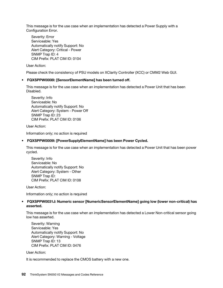This message is for the use case when an implementation has detected a Power Supply with a Configuration Error.

Severity: Error Serviceable: Yes Automatically notify Support: No Alert Category: Critical - Power SNMP Trap ID: 4 CIM Prefix: PLAT CIM ID: 0104

User Action:

Please check the consistency of PSU models on XClarity Controller (XCC) or CMM2 Web GUI.

# • FQXSPPW0008I: [SensorElementName] has been turned off.

This message is for the use case when an implementation has detected a Power Unit that has been Disabled.

Severity: Info Serviceable: No Automatically notify Support: No Alert Category: System - Power Off SNMP Trap ID: 23 CIM Prefix: PLAT CIM ID: 0106

User Action:

Information only; no action is required

# • FQXSPPW0009I: [PowerSupplyElementName] has been Power Cycled.

This message is for the use case when an implementation has detected a Power Unit that has been power cycled.

Severity: Info Serviceable: No Automatically notify Support: No Alert Category: System - Other SNMP Trap ID: CIM Prefix: PLAT CIM ID: 0108

User Action:

Information only; no action is required

# • FQXSPPW0031J: Numeric sensor [NumericSensorElementName] going low (lower non-critical) has asserted.

This message is for the use case when an implementation has detected a Lower Non-critical sensor going low has asserted.

Severity: Warning Serviceable: Yes Automatically notify Support: No Alert Category: Warning - Voltage SNMP Trap ID: 13 CIM Prefix: PLAT CIM ID: 0476

User Action:

It is recommended to replace the CMOS battery with a new one.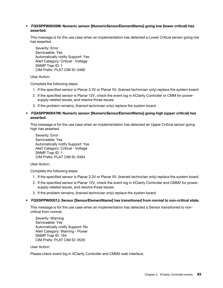### • FQXSPPW0035M: Numeric sensor [NumericSensorElementName] going low (lower critical) has asserted.

This message is for the use case when an implementation has detected a Lower Critical sensor going low has asserted.

Severity: Error Serviceable: Yes Automatically notify Support: Yes Alert Category: Critical - Voltage SNMP Trap ID: 1 CIM Prefix: PLAT CIM ID: 0480

User Action:

Complete the following steps:

- 1. If the specified sensor is Planar 3.3V or Planar 5V, (trained technician only) replace the system board.
- 2. If the specified sensor is Planar 12V, check the event log in XClarity Controller or CMM for powersupply-related issues, and resolve those issues.
- 3. If the problem remains, (trained technician only) replace the system board.
- FQXSPPW0047M: Numeric sensor [NumericSensorElementName] going high (upper critical) has asserted.

This message is for the use case when an implementation has detected an Upper Critical sensor going high has asserted.

Severity: Error Serviceable: Yes Automatically notify Support: Yes Alert Category: Critical - Voltage SNMP Trap ID: 1 CIM Prefix: PLAT CIM ID: 0494

User Action:

Complete the following steps:

- 1. If the specified sensor is Planar 3.3V or Planar 5V, (trained technician only) replace the system board.
- 2. If the specified sensor is Planar 12V, check the event log in XClarity Controller and CMM2 for powersupply-related issues, and resolve those issues.
- 3. If the problem remains, (trained technician only) replace the system board.

#### • FQXSPPW0057J: Sensor [SensorElementName] has transitioned from normal to non-critical state.

This message is for the use case when an implementation has detected a Sensor transitioned to noncritical from normal.

Severity: Warning Serviceable: Yes Automatically notify Support: No Alert Category: Warning - Power SNMP Trap ID: 164 CIM Prefix: PLAT CIM ID: 0520

User Action:

Please check event log in XClarity Controller and CMM2 web interface.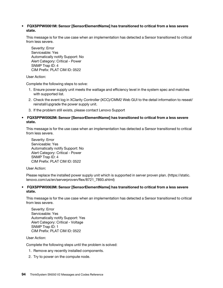### • FQXSPPW0061M: Sensor [SensorElementName] has transitioned to critical from a less severe state.

This message is for the use case when an implementation has detected a Sensor transitioned to critical from less severe.

Severity: Error Serviceable: Yes Automatically notify Support: No Alert Category: Critical - Power SNMP Trap ID: 4 CIM Prefix: PLAT CIM ID: 0522

User Action:

Complete the following steps to solve:

- 1. Ensure power supply unit meets the wattage and efficiency level in the system spec and matches with supported list.
- 2. Check the event log in XClarity Controller (XCC)/CMM2 Web GUI to the detail information to reseat/ reinstall/upgrade the power supply unit.
- 3. If the problem still exists, please contact Lenovo Support

# • FQXSPPW0062M: Sensor [SensorElementName] has transitioned to critical from a less severe state.

This message is for the use case when an implementation has detected a Sensor transitioned to critical from less severe.

Severity: Error Serviceable: Yes Automatically notify Support: No Alert Category: Critical - Power SNMP Trap ID: 4 CIM Prefix: PLAT CIM ID: 0522

User Action:

Please replace the installed power supply unit which is supported in server proven plan. (https://static. lenovo.com/us/en/serverproven/flex/8721\_7893.shtml)

# • FQXSPPW0063M: Sensor [SensorElementName] has transitioned to critical from a less severe state.

This message is for the use case when an implementation has detected a Sensor transitioned to critical from less severe.

Severity: Error Serviceable: Yes Automatically notify Support: Yes Alert Category: Critical - Voltage SNMP Trap ID: 1 CIM Prefix: PLAT CIM ID: 0522

User Action:

Complete the following steps until the problem is solved:

- 1. Remove any recently installed components.
- 2. Try to power on the compute node.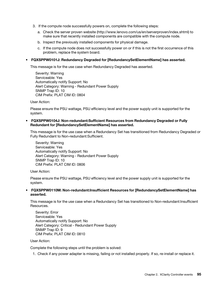- 3. If the compute node successfully powers on, complete the following steps:
	- a. Check the server proven website (http://www.lenovo.com/us/en/serverproven/index.shtml) to make sure that recently installed components are compatible with the compute node.
	- b. Inspect the previously installed components for physical damage.
	- c. If the compute node does not successfully power on or if this is not the first occurrence of this problem, replace the system board.

#### • FQXSPPW0101J: Redundancy Degraded for [RedundancySetElementName] has asserted.

This message is for the use case when Redundancy Degraded has asserted.

Severity: Warning Serviceable: Yes Automatically notify Support: No Alert Category: Warning - Redundant Power Supply SNMP Trap ID: 10 CIM Prefix: PLAT CIM ID: 0804

User Action:

Please ensure the PSU wattage, PSU efficiency level and the power supply unit is supported for the system.

• FQXSPPW0104J: Non-redundant:Sufficient Resources from Redundancy Degraded or Fully Redundant for [RedundancySetElementName] has asserted.

This message is for the use case when a Redundancy Set has transitioned from Redundancy Degraded or Fully Redundant to Non-redundant:Sufficient.

Severity: Warning Serviceable: Yes Automatically notify Support: No Alert Category: Warning - Redundant Power Supply SNMP Trap ID: 10 CIM Prefix: PLAT CIM ID: 0806

User Action:

Please ensure the PSU wattage, PSU efficiency level and the power supply unit is supported for the system.

• FQXSPPW0110M: Non-redundant:Insufficient Resources for [RedundancySetElementName] has asserted.

This message is for the use case when a Redundancy Set has transitioned to Non-redundant:Insufficient **Resources** 

Severity: Error Serviceable: Yes Automatically notify Support: No Alert Category: Critical - Redundant Power Supply SNMP Trap ID: 9 CIM Prefix: PLAT CIM ID: 0810

User Action:

Complete the following steps until the problem is solved:

1. Check if any power adapter is missing, failing or not installed properly. If so, re-install or replace it.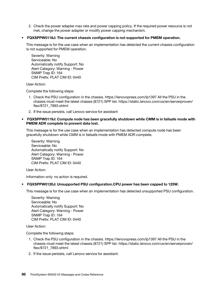2. Check the power adapter max rate and power capping policy. If the required power resource is not met, change the power adapter or modify power capping mechanism.

### • FQXSPPW0118J: The current chassis configuration is not supported for PMEM operation.

This message is for the use case when an implementation has detected the current chassis configuration is not supported for PMEM operation.

Severity: Warning Serviceable: No Automatically notify Support: No Alert Category: Warning - Power SNMP Trap ID: 164 CIM Prefix: PLAT CIM ID: 0440

User Action:

Complete the following steps:

- 1. Check the PSU configuration in the chassis. https://lenovopress.com/lp1397 All the PSU in the chassis must meet the latest chassis (8721) SPP list. https://static.lenovo.com/us/en/serverproven/ flex/8721\_7893.shtml
- 2. If the issue persists, call Lenovo service for assistant
- FQXSPPW0119J: Compute node has been gracefully shutdown while CMM is in failsafe mode with PMEM ADR complete to prevent data lost.

This message is for the use case when an implementation has detected compute node has been gracefully shutdown while CMM is in failsafe mode with PMEM ADR complete.

Severity: Warning Serviceable: No Automatically notify Support: No Alert Category: Warning - Power SNMP Trap ID: 164 CIM Prefix: PLAT CIM ID: 0440

User Action:

Information only; no action is required.

# • FQXSPPW0120J: Unsupported PSU configuration.CPU power has been capped to 125W.

This message is for the use case when an implementation has detected unsupported PSU configuration.

Severity: Warning Serviceable: No Automatically notify Support: No Alert Category: Warning - Power SNMP Trap ID: 164 CIM Prefix: PLAT CIM ID: 0440

User Action:

Complete the following steps:

- 1. Check the PSU configuration in the chassis. https://lenovopress.com/lp1397 All the PSU in the chassis must meet the latest chassis (8721) SPP list. https://static.lenovo.com/us/en/serverproven/ flex/8721\_7893.shtml
- 2. If the issue persists, call Lenovo service for assistant.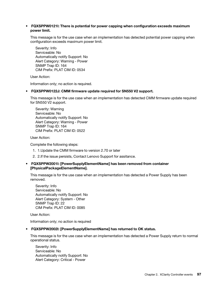### • FQXSPPW0121I: There is potential for power capping when configuration exceeds maximum power limit.

This message is for the use case when an implementation has detected potential power capping when configuration exceeds maximum power limit.

Severity: Info Serviceable: No Automatically notify Support: No Alert Category: Warning - Power SNMP Trap ID: 164 CIM Prefix: PLAT CIM ID: 0534

User Action:

Information only; no action is required.

#### • FQXSPPW0122J: CMM firmware update required for SN550 V2 support.

This message is for the use case when an implementation has detected CMM firmware update required for SN550 V2 support.

Severity: Warning Serviceable: No Automatically notify Support: No Alert Category: Warning - Power SNMP Trap ID: 164 CIM Prefix: PLAT CIM ID: 0522

User Action:

Complete the following steps:

- 1. 1.Update the CMM firmware to version 2.70 or later
- 2. 2.If the issue persists, Contact Lenovo Support for assitance.

### • FQXSPPW2001I: [PowerSupplyElementName] has been removed from container [PhysicalPackageElementName].

This message is for the use case when an implementation has detected a Power Supply has been removed.

Severity: Info Serviceable: No Automatically notify Support: No Alert Category: System - Other SNMP Trap ID: 22 CIM Prefix: PLAT CIM ID: 0085

User Action:

Information only; no action is required

#### • FQXSPPW2002I: [PowerSupplyElementName] has returned to OK status.

This message is for the use case when an implementation has detected a Power Supply return to normal operational status.

Severity: Info Serviceable: No Automatically notify Support: No Alert Category: Critical - Power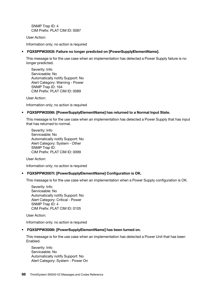SNMP Trap ID: 4 CIM Prefix: PLAT CIM ID: 0087

User Action:

Information only; no action is required

# • FQXSPPW2003I: Failure no longer predicted on [PowerSupplyElementName].

This message is for the use case when an implementation has detected a Power Supply failure is no longer predicted.

Severity: Info Serviceable: No Automatically notify Support: No Alert Category: Warning - Power SNMP Trap ID: 164 CIM Prefix: PLAT CIM ID: 0089

User Action:

Information only; no action is required

# • FQXSPPW2006I: [PowerSupplyElementName] has returned to a Normal Input State.

This message is for the use case when an implementation has detected a Power Supply that has input that has returned to normal.

Severity: Info Serviceable: No Automatically notify Support: No Alert Category: System - Other SNMP Trap ID: CIM Prefix: PLAT CIM ID: 0099

User Action:

Information only; no action is required

#### • FQXSPPW2007I: [PowerSupplyElementName] Configuration is OK.

This message is for the use case when an implementation when a Power Supply configuration is OK.

Severity: Info Serviceable: No Automatically notify Support: No Alert Category: Critical - Power SNMP Trap ID: 4 CIM Prefix: PLAT CIM ID: 0105

User Action:

Information only; no action is required

#### • FQXSPPW2008I: [PowerSupplyElementName] has been turned on.

This message is for the use case when an implementation has detected a Power Unit that has been Enabled.

Severity: Info Serviceable: No Automatically notify Support: No Alert Category: System - Power On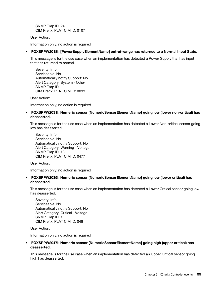SNMP Trap ID: 24 CIM Prefix: PLAT CIM ID: 0107

User Action:

Information only; no action is required

# • FQXSPPW2018I: [PowerSupplyElementName] out-of-range has returned to a Normal Input State.

This message is for the use case when an implementation has detected a Power Supply that has input that has returned to normal.

Severity: Info Serviceable: No Automatically notify Support: No Alert Category: System - Other SNMP Trap ID: CIM Prefix: PLAT CIM ID: 0099

User Action:

Information only; no action is required.

• FQXSPPW2031I: Numeric sensor [NumericSensorElementName] going low (lower non-critical) has deasserted.

This message is for the use case when an implementation has detected a Lower Non-critical sensor going low has deasserted.

Severity: Info Serviceable: No Automatically notify Support: No Alert Category: Warning - Voltage SNMP Trap ID: 13 CIM Prefix: PLAT CIM ID: 0477

User Action:

Information only; no action is required

• FQXSPPW2035I: Numeric sensor [NumericSensorElementName] going low (lower critical) has deasserted.

This message is for the use case when an implementation has detected a Lower Critical sensor going low has deasserted.

Severity: Info Serviceable: No Automatically notify Support: No Alert Category: Critical - Voltage SNMP Trap ID: 1 CIM Prefix: PLAT CIM ID: 0481

User Action:

Information only; no action is required

# • FQXSPPW2047I: Numeric sensor [NumericSensorElementName] going high (upper critical) has deasserted.

This message is for the use case when an implementation has detected an Upper Critical sensor going high has deasserted.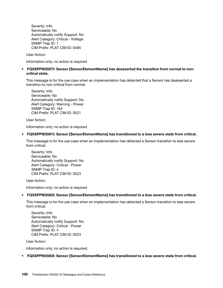Severity: Info Serviceable: No Automatically notify Support: No Alert Category: Critical - Voltage SNMP Trap ID: 1 CIM Prefix: PLAT CIM ID: 0495

User Action:

Information only; no action is required

# • FQXSPPW2057I: Sensor [SensorElementName] has deasserted the transition from normal to noncritical state.

This message is for the use case when an implementation has detected that a Sensor has deasserted a transition to non-critical from normal.

Severity: Info Serviceable: No Automatically notify Support: No Alert Category: Warning - Power SNMP Trap ID: 164 CIM Prefix: PLAT CIM ID: 0521

User Action:

Information only; no action is required

#### • FQXSPPW2061I: Sensor [SensorElementName] has transitioned to a less severe state from critical.

This message is for the use case when an implementation has detected a Sensor transition to less severe from critical.

Severity: Info Serviceable: No Automatically notify Support: No Alert Category: Critical - Power SNMP Trap ID: 4 CIM Prefix: PLAT CIM ID: 0523

User Action:

Information only; no action is required

#### • FQXSPPW2062I: Sensor [SensorElementName] has transitioned to a less severe state from critical.

This message is for the use case when an implementation has detected a Sensor transition to less severe from critical.

Severity: Info Serviceable: No Automatically notify Support: No Alert Category: Critical - Power SNMP Trap ID: 4 CIM Prefix: PLAT CIM ID: 0523

User Action:

Information only; no action is required.

• FQXSPPW2063I: Sensor [SensorElementName] has transitioned to a less severe state from critical.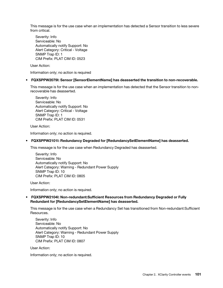This message is for the use case when an implementation has detected a Sensor transition to less severe from critical.

Severity: Info Serviceable: No Automatically notify Support: No Alert Category: Critical - Voltage SNMP Trap ID: 1 CIM Prefix: PLAT CIM ID: 0523

User Action:

Information only; no action is required

# • FQXSPPW2079I: Sensor [SensorElementName] has deasserted the transition to non-recoverable.

This message is for the use case when an implementation has detected that the Sensor transition to nonrecoverable has deasserted.

Severity: Info Serviceable: No Automatically notify Support: No Alert Category: Critical - Voltage SNMP Trap ID: 1 CIM Prefix: PLAT CIM ID: 0531

User Action:

Information only; no action is required.

#### • FQXSPPW2101I: Redundancy Degraded for [RedundancySetElementName] has deasserted.

This message is for the use case when Redundancy Degraded has deasserted.

Severity: Info Serviceable: No Automatically notify Support: No Alert Category: Warning - Redundant Power Supply SNMP Trap ID: 10 CIM Prefix: PLAT CIM ID: 0805

User Action:

Information only; no action is required.

#### • FQXSPPW2104I: Non-redundant:Sufficient Resources from Redundancy Degraded or Fully Redundant for [RedundancySetElementName] has deasserted.

This message is for the use case when a Redundancy Set has transitioned from Non-redundant:Sufficient Resources.

Severity: Info Serviceable: No Automatically notify Support: No Alert Category: Warning - Redundant Power Supply SNMP Trap ID: 10 CIM Prefix: PLAT CIM ID: 0807

User Action:

Information only; no action is required.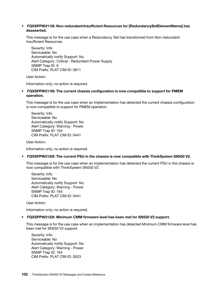#### • FQXSPPW2110I: Non-redundant:Insufficient Resources for [RedundancySetElementName] has deasserted.

This message is for the use case when a Redundancy Set has transitioned from Non-redundant: Insufficient Resources.

Severity: Info Serviceable: No Automatically notify Support: No Alert Category: Critical - Redundant Power Supply SNMP Trap ID: 9 CIM Prefix: PLAT CIM ID: 0811

User Action:

Information only; no action is required.

### • FQXSPPW2118I: The current chassis configuration is now compatible to support for PMEM operation.

This message is for the use case when an implementation has detected the current chassis configuration is now compatible to support for PMEM operation.

Severity: Info Serviceable: No Automatically notify Support: No Alert Category: Warning - Power SNMP Trap ID: 164 CIM Prefix: PLAT CIM ID: 0441

User Action:

Information only; no action is required.

#### • FQXSPPW2120I: The current PSU in the chassis is now compatible with ThinkSystem SN550 V2.

This message is for the use case when an implementation has detected the current PSU in the chassis is now compatible with ThinkSystem SN550 V2.

Severity: Info Serviceable: No Automatically notify Support: No Alert Category: Warning - Power SNMP Trap ID: 164 CIM Prefix: PLAT CIM ID: 0441

User Action:

Information only; no action is required.

#### • FQXSPPW2122I: Minimum CMM firmware level has been met for SN550 V2 support.

This message is for the use case when an implementation has detected Minimum CMM firmware level has been met for SN550 V2 support.

Severity: Info Serviceable: No Automatically notify Support: No Alert Category: Warning - Power SNMP Trap ID: 164 CIM Prefix: PLAT CIM ID: 0523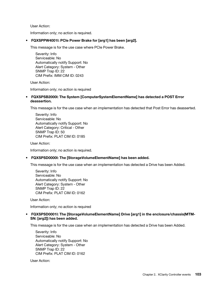User Action:

Information only; no action is required.

### • FQXSPPW4001I: PCIe Power Brake for [arg1] has been [arg2].

This message is for the use case where PCIe Power Brake.

Severity: Info Serviceable: No Automatically notify Support: No Alert Category: System - Other SNMP Trap ID: 22 CIM Prefix: IMM CIM ID: 0243

User Action:

Information only; no action is required

### • FQXSPSB2000I: The System [ComputerSystemElementName] has detected a POST Error deassertion.

This message is for the use case when an implementation has detected that Post Error has deasserted.

Severity: Info Serviceable: No Automatically notify Support: No Alert Category: Critical - Other SNMP Trap ID: 50 CIM Prefix: PLAT CIM ID: 0185

User Action:

Information only; no action is required.

#### • FQXSPSD0000I: The [StorageVolumeElementName] has been added.

This message is for the use case when an implementation has detected a Drive has been Added.

Severity: Info Serviceable: No Automatically notify Support: No Alert Category: System - Other SNMP Trap ID: 22 CIM Prefix: PLAT CIM ID: 0162

User Action:

Information only; no action is required

# • FQXSPSD0001I: The [StorageVolumeElementName] Drive [arg1] in the enclosure/chassis(MTM-SN: [arg2]) has been added.

This message is for the use case when an implementation has detected a Drive has been Added.

Severity: Info Serviceable: No Automatically notify Support: No Alert Category: System - Other SNMP Trap ID: 22 CIM Prefix: PLAT CIM ID: 0162

User Action: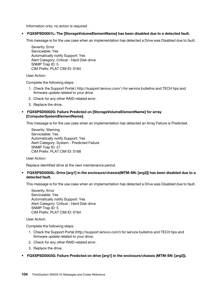Information only; no action is required

• FQXSPSD0001L: The [StorageVolumeElementName] has been disabled due to a detected fault.

This message is for the use case when an implementation has detected a Drive was Disabled due to fault.

Severity: Error Serviceable: Yes Automatically notify Support: Yes Alert Category: Critical - Hard Disk drive SNMP Trap ID: 5 CIM Prefix: PLAT CIM ID: 0164

User Action:

Complete the following steps:

- 1. Check the Support Portal ( http://support.lenovo.com/ ) for service bulletins and TECH tips and firmware update related to your drive.
- 2. Check for any other RAID-related error.
- 3. Replace the drive.

# • FQXSPSD0002G: Failure Predicted on [StorageVolumeElementName] for array [ComputerSystemElementName].

This message is for the use case when an implementation has detected an Array Failure is Predicted.

Severity: Warning Serviceable: Yes Automatically notify Support: Yes Alert Category: System - Predicted Failure SNMP Trap ID: 27 CIM Prefix: PLAT CIM ID: 0168

User Action:

Replace identified drive at the next maintenance period.

• FQXSPSD0002L: Drive [arg1] in the enclosure/chassis(MTM-SN: [arg2]) has been disabled due to a detected fault.

This message is for the use case when an implementation has detected a Drive was Disabled due to fault.

Severity: Error Serviceable: Yes Automatically notify Support: Yes Alert Category: Critical - Hard Disk drive SNMP Trap ID: 5 CIM Prefix: PLAT CIM ID: 0164

User Action:

Complete the following steps:

- 1. Check the Support Portal (http://support.lenovo.com/) for service bulletins and TECH tips and firmware update related to your drive.
- 2. Check for any other RAID-related error.
- 3. Replace the drive.
- FQXSPSD0003G: Failure Predicted on drive [arg1] in the enclosure/chassis (MTM-SN: [arg2]).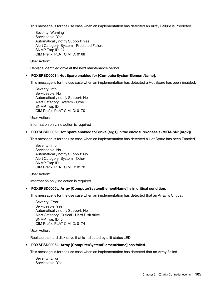This message is for the use case when an implementation has detected an Array Failure is Predicted.

Severity: Warning Serviceable: Yes Automatically notify Support: Yes Alert Category: System - Predicted Failure SNMP Trap ID: 27 CIM Prefix: PLAT CIM ID: 0168

User Action:

Replace identified drive at the next maintenance period.

## • FQXSPSD0003I: Hot Spare enabled for [ComputerSystemElementName].

This message is for the use case when an implementation has detected a Hot Spare has been Enabled.

Severity: Info Serviceable: No Automatically notify Support: No Alert Category: System - Other SNMP Trap ID: CIM Prefix: PLAT CIM ID: 0170

User Action:

Information only; no action is required

## • FQXSPSD0005I: Hot Spare enabled for drive [arg1] in the enclosure/chassis (MTM-SN: [arg2]).

This message is for the use case when an implementation has detected a Hot Spare has been Enabled.

Severity: Info Serviceable: No Automatically notify Support: No Alert Category: System - Other SNMP Trap ID: CIM Prefix: PLAT CIM ID: 0170

User Action:

Information only; no action is required

## • FQXSPSD0005L: Array [ComputerSystemElementName] is in critical condition.

This message is for the use case when an implementation has detected that an Array is Critical.

Severity: Error Serviceable: Yes Automatically notify Support: No Alert Category: Critical - Hard Disk drive SNMP Trap ID: 5 CIM Prefix: PLAT CIM ID: 0174

User Action:

Replace the hard disk drive that is indicated by a lit status LED.

## • FQXSPSD0006L: Array [ComputerSystemElementName] has failed.

This message is for the use case when an implementation has detected that an Array Failed.

Severity: Error Serviceable: Yes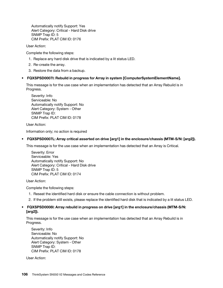Automatically notify Support: Yes Alert Category: Critical - Hard Disk drive SNMP Trap ID: 5 CIM Prefix: PLAT CIM ID: 0176

User Action:

Complete the following steps:

- 1. Replace any hard disk drive that is indicated by a lit status LED.
- 2. Re-create the array.
- 3. Restore the data from a backup.

## • FQXSPSD0007I: Rebuild in progress for Array in system [ComputerSystemElementName].

This message is for the use case when an implementation has detected that an Array Rebuild is in Progress.

Severity: Info Serviceable: No Automatically notify Support: No Alert Category: System - Other SNMP Trap ID: CIM Prefix: PLAT CIM ID: 0178

User Action:

Information only; no action is required

## • FQXSPSD0007L: Array critical asserted on drive [arg1] in the enclosure/chassis (MTM-S/N: [arg2]).

This message is for the use case when an implementation has detected that an Array is Critical.

Severity: Error Serviceable: Yes Automatically notify Support: No Alert Category: Critical - Hard Disk drive SNMP Trap ID: 5 CIM Prefix: PLAT CIM ID: 0174

User Action:

Complete the following steps:

- 1. Reseat the identified hard disk or ensure the cable connection is without problem.
- 2. If the problem still exists, please replace the identified hard disk that is indicated by a lit status LED.

## • FQXSPSD0008I: Array rebuild in progress on drive [arg1] in the enclosure/chassis (MTM-S/N: [arg2]).

This message is for the use case when an implementation has detected that an Array Rebuild is in Progress.

Severity: Info Serviceable: No Automatically notify Support: No Alert Category: System - Other SNMP Trap ID: CIM Prefix: PLAT CIM ID: 0178

User Action: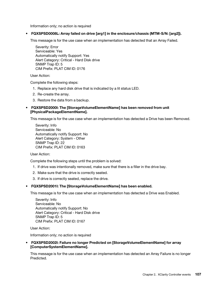Information only; no action is required

## • FQXSPSD0008L: Array failed on drive [arg1] in the enclosure/chassis (MTM-S/N: [arg2]).

This message is for the use case when an implementation has detected that an Array Failed.

Severity: Error Serviceable: Yes Automatically notify Support: Yes Alert Category: Critical - Hard Disk drive SNMP Trap ID: 5 CIM Prefix: PLAT CIM ID: 0176

User Action:

Complete the following steps:

- 1. Replace any hard disk drive that is indicated by a lit status LED.
- 2. Re-create the array.
- 3. Restore the data from a backup.

## • FQXSPSD2000I: The [StorageVolumeElementName] has been removed from unit [PhysicalPackageElementName].

This message is for the use case when an implementation has detected a Drive has been Removed.

Severity: Info Serviceable: No Automatically notify Support: No Alert Category: System - Other SNMP Trap ID: 22 CIM Prefix: PLAT CIM ID: 0163

## User Action:

Complete the following steps until the problem is solved:

- 1. If drive was intentionally removed, make sure that there is a filler in the drive bay.
- 2. Make sure that the drive is correctly seated.
- 3. If drive is correctly seated, replace the drive.

## • FQXSPSD2001I: The [StorageVolumeElementName] has been enabled.

This message is for the use case when an implementation has detected a Drive was Enabled.

Severity: Info Serviceable: No Automatically notify Support: No Alert Category: Critical - Hard Disk drive SNMP Trap ID: 5 CIM Prefix: PLAT CIM ID: 0167

User Action:

Information only; no action is required

• FQXSPSD2002I: Failure no longer Predicted on [StorageVolumeElementName] for array [ComputerSystemElementName].

This message is for the use case when an implementation has detected an Array Failure is no longer Predicted.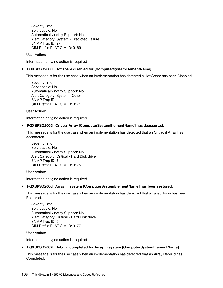Severity: Info Serviceable: No Automatically notify Support: No Alert Category: System - Predicted Failure SNMP Trap ID: 27 CIM Prefix: PLAT CIM ID: 0169

User Action:

Information only; no action is required

## • FQXSPSD2003I: Hot spare disabled for [ComputerSystemElementName].

This message is for the use case when an implementation has detected a Hot Spare has been Disabled.

Severity: Info Serviceable: No Automatically notify Support: No Alert Category: System - Other SNMP Trap ID: CIM Prefix: PLAT CIM ID: 0171

User Action:

Information only; no action is required

## • FQXSPSD2005I: Critical Array [ComputerSystemElementName] has deasserted.

This message is for the use case when an implementation has detected that an Critiacal Array has deasserted.

Severity: Info Serviceable: No Automatically notify Support: No Alert Category: Critical - Hard Disk drive SNMP Trap ID: 5 CIM Prefix: PLAT CIM ID: 0175

User Action:

Information only; no action is required

## • FQXSPSD2006I: Array in system [ComputerSystemElementName] has been restored.

This message is for the use case when an implementation has detected that a Failed Array has been Restored.

Severity: Info Serviceable: No Automatically notify Support: No Alert Category: Critical - Hard Disk drive SNMP Trap ID: 5 CIM Prefix: PLAT CIM ID: 0177

User Action:

Information only; no action is required

## • FQXSPSD2007I: Rebuild completed for Array in system [ComputerSystemElementName].

This message is for the use case when an implementation has detected that an Array Rebuild has Completed.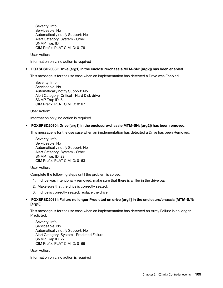Severity: Info Serviceable: No Automatically notify Support: No Alert Category: System - Other SNMP Trap ID: CIM Prefix: PLAT CIM ID: 0179

User Action:

Information only; no action is required

## • FQXSPSD2008I: Drive [arg1] in the enclosure/chassis(MTM-SN: [arg2]) has been enabled.

This message is for the use case when an implementation has detected a Drive was Enabled.

Severity: Info Serviceable: No Automatically notify Support: No Alert Category: Critical - Hard Disk drive SNMP Trap ID: 5 CIM Prefix: PLAT CIM ID: 0167

User Action:

Information only; no action is required

## • FQXSPSD2010I: Drive [arg1] in the enclosure/chassis(MTM-SN: [arg2]) has been removed.

This message is for the use case when an implementation has detected a Drive has been Removed.

Severity: Info Serviceable: No Automatically notify Support: No Alert Category: System - Other SNMP Trap ID: 22 CIM Prefix: PLAT CIM ID: 0163

User Action:

Complete the following steps until the problem is solved:

- 1. If drive was intentionally removed, make sure that there is a filler in the drive bay.
- 2. Make sure that the drive is correctly seated.
- 3. If drive is correctly seated, replace the drive.

## • FQXSPSD2011I: Failure no longer Predicted on drive [arg1] in the enclosure/chassis (MTM-S/N: [arg2]).

This message is for the use case when an implementation has detected an Array Failure is no longer Predicted.

Severity: Info Serviceable: No Automatically notify Support: No Alert Category: System - Predicted Failure SNMP Trap ID: 27 CIM Prefix: PLAT CIM ID: 0169

User Action:

Information only; no action is required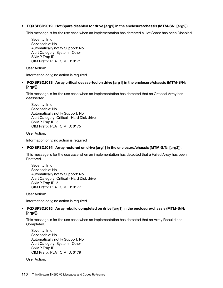## • FQXSPSD2012I: Hot Spare disabled for drive [arg1] in the enclosure/chassis (MTM-SN: [arg2]).

This message is for the use case when an implementation has detected a Hot Spare has been Disabled.

Severity: Info Serviceable: No Automatically notify Support: No Alert Category: System - Other SNMP Trap ID: CIM Prefix: PLAT CIM ID: 0171

User Action:

Information only; no action is required

## • FQXSPSD2013I: Array critical deasserted on drive [arg1] in the enclosure/chassis (MTM-S/N: [arg2]).

This message is for the use case when an implementation has detected that an Critiacal Array has deasserted.

Severity: Info Serviceable: No Automatically notify Support: No Alert Category: Critical - Hard Disk drive SNMP Trap ID: 5 CIM Prefix: PLAT CIM ID: 0175

User Action:

Information only; no action is required

## • FQXSPSD2014I: Array restored on drive [arg1] in the enclosure/chassis (MTM-S/N: [arg2]).

This message is for the use case when an implementation has detected that a Failed Array has been Restored.

Severity: Info Serviceable: No Automatically notify Support: No Alert Category: Critical - Hard Disk drive SNMP Trap ID: 5 CIM Prefix: PLAT CIM ID: 0177

User Action:

Information only; no action is required

## • FQXSPSD2015I: Array rebuild completed on drive [arg1] in the enclosure/chassis (MTM-S/N: [arg2]).

This message is for the use case when an implementation has detected that an Array Rebuild has Completed.

Severity: Info Serviceable: No Automatically notify Support: No Alert Category: System - Other SNMP Trap ID: CIM Prefix: PLAT CIM ID: 0179

User Action: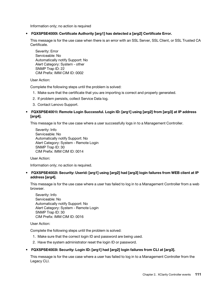Information only; no action is required

## • FQXSPSE4000I: Certificate Authority [arg1] has detected a [arg2] Certificate Error.

This message is for the use case when there is an error with an SSL Server, SSL Client, or SSL Trusted CA Certificate.

Severity: Error Serviceable: No Automatically notify Support: No Alert Category: System - other SNMP Trap ID: 22 CIM Prefix: IMM CIM ID: 0002

User Action:

Complete the following steps until the problem is solved:

- 1. Make sure that the certificate that you are importing is correct and properly generated.
- 2. If problem persists, collect Service Data log.
- 3. Contact Lenovo Support.

## • FQXSPSE4001I: Remote Login Successful. Login ID: [arg1] using [arg2] from [arg3] at IP address [arg4].

This message is for the use case where a user successfully logs in to a Management Controller.

Severity: Info Serviceable: No Automatically notify Support: No Alert Category: System - Remote Login SNMP Trap ID: 30 CIM Prefix: IMM CIM ID: 0014

User Action:

Information only; no action is required.

• FQXSPSE4002I: Security: Userid: [arg1] using [arg2] had [arg3] login failures from WEB client at IP address [arg4].

This message is for the use case where a user has failed to log in to a Management Controller from a web browser.

Severity: Info Serviceable: No Automatically notify Support: No Alert Category: System - Remote Login SNMP Trap ID: 30 CIM Prefix: IMM CIM ID: 0016

User Action:

Complete the following steps until the problem is solved:

- 1. Make sure that the correct login ID and password are being used.
- 2. Have the system administrator reset the login ID or password.

## • FQXSPSE4003I: Security: Login ID: [arg1] had [arg2] login failures from CLI at [arg3].

This message is for the use case where a user has failed to log in to a Management Controller from the Legacy CLI.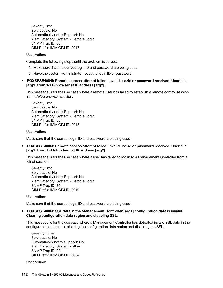Severity: Info Serviceable: No Automatically notify Support: No Alert Category: System - Remote Login SNMP Trap ID: 30 CIM Prefix: IMM CIM ID: 0017

User Action:

Complete the following steps until the problem is solved:

- 1. Make sure that the correct login ID and password are being used.
- 2. Have the system administrator reset the login ID or password.

## • FQXSPSE4004I: Remote access attempt failed. Invalid userid or password received. Userid is [arg1] from WEB browser at IP address [arg2].

This message is for the use case where a remote user has failed to establish a remote control session from a Web browser session.

Severity: Info Serviceable: No Automatically notify Support: No Alert Category: System - Remote Login SNMP Trap ID: 30 CIM Prefix: IMM CIM ID: 0018

User Action:

Make sure that the correct login ID and password are being used.

## • FQXSPSE4005I: Remote access attempt failed. Invalid userid or password received. Userid is [arg1] from TELNET client at IP address [arg2].

This message is for the use case where a user has failed to log in to a Management Controller from a telnet session.

Severity: Info Serviceable: No Automatically notify Support: No Alert Category: System - Remote Login SNMP Trap ID: 30 CIM Prefix: IMM CIM ID: 0019

User Action:

Make sure that the correct login ID and password are being used.

## • FQXSPSE4006I: SSL data in the Management Controller [arg1] configuration data is invalid. Clearing configuration data region and disabling SSL.

This message is for the use case where a Management Controller has detected invalid SSL data in the configuration data and is clearing the configuration data region and disabling the SSL.

Severity: Error Serviceable: No Automatically notify Support: No Alert Category: System - other SNMP Trap ID: 22 CIM Prefix: IMM CIM ID: 0034

User Action: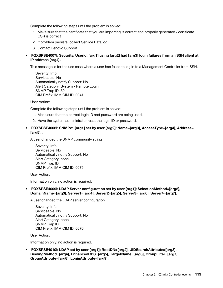Complete the following steps until the problem is solved:

- 1. Make sure that the certificate that you are importing is correct and properly generated / certificate CSR is correct
- 2. If problem persists, collect Service Data log.
- 3. Contact Lenovo Support.
- FQXSPSE4007I: Security: Userid: [arg1] using [arg2] had [arg3] login failures from an SSH client at IP address [arg4].

This message is for the use case where a user has failed to log in to a Management Controller from SSH.

Severity: Info Serviceable: No Automatically notify Support: No Alert Category: System - Remote Login SNMP Trap ID: 30 CIM Prefix: IMM CIM ID: 0041

User Action:

Complete the following steps until the problem is solved:

- 1. Make sure that the correct login ID and password are being used.
- 2. Have the system administrator reset the login ID or password.
- FQXSPSE4008I: SNMPv1 [arg1] set by user [arg2]: Name=[arg3], AccessType=[arg4], Address= [arg5], .

A user changed the SNMP community string

Severity: Info Serviceable: No Automatically notify Support: No Alert Category: none SNMP Trap ID: CIM Prefix: IMM CIM ID: 0075

User Action:

Information only; no action is required.

• FQXSPSE4009I: LDAP Server configuration set by user [arg1]: SelectionMethod=[arg2], DomainName=[arg3], Server1=[arg4], Server2=[arg5], Server3=[arg6], Server4=[arg7].

A user changed the LDAP server configuration

Severity: Info Serviceable: No Automatically notify Support: No Alert Category: none SNMP Trap ID: CIM Prefix: IMM CIM ID: 0076

User Action:

Information only; no action is required.

• FQXSPSE4010I: LDAP set by user [arg1]: RootDN=[arg2], UIDSearchAttribute=[arg3], BindingMethod=[arg4], EnhancedRBS=[arg5], TargetName=[arg6], GroupFilter=[arg7], GroupAttribute=[arg8], LoginAttribute=[arg9].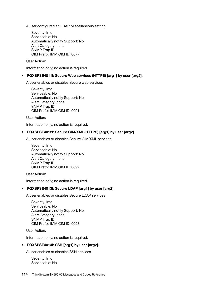A user configured an LDAP Miscellaneous setting

Severity: Info Serviceable: No Automatically notify Support: No Alert Category: none SNMP Trap ID: CIM Prefix: IMM CIM ID: 0077

User Action:

Information only; no action is required.

## • FQXSPSE4011I: Secure Web services (HTTPS) [arg1] by user [arg2].

A user enables or disables Secure web services

Severity: Info Serviceable: No Automatically notify Support: No Alert Category: none SNMP Trap ID: CIM Prefix: IMM CIM ID: 0091

User Action:

Information only; no action is required.

## • FQXSPSE4012I: Secure CIM/XML(HTTPS) [arg1] by user [arg2].

A user enables or disables Secure CIM/XML services

Severity: Info Serviceable: No Automatically notify Support: No Alert Category: none SNMP Trap ID: CIM Prefix: IMM CIM ID: 0092

User Action:

Information only; no action is required.

## • FQXSPSE4013I: Secure LDAP [arg1] by user [arg2].

A user enables or disables Secure LDAP services

Severity: Info Serviceable: No Automatically notify Support: No Alert Category: none SNMP Trap ID: CIM Prefix: IMM CIM ID: 0093

User Action:

Information only; no action is required.

## • FQXSPSE4014I: SSH [arg1] by user [arg2].

A user enables or disables SSH services

Severity: Info Serviceable: No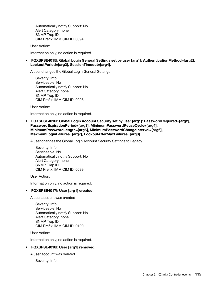Automatically notify Support: No Alert Category: none SNMP Trap ID: CIM Prefix: IMM CIM ID: 0094

User Action:

Information only; no action is required.

• FQXSPSE4015I: Global Login General Settings set by user [arg1]: AuthenticationMethod=[arg2], LockoutPeriod=[arg3], SessionTimeout=[arg4].

A user changes the Global Login General Settings

Severity: Info Serviceable: No Automatically notify Support: No Alert Category: none SNMP Trap ID: CIM Prefix: IMM CIM ID: 0098

User Action:

Information only; no action is required.

• FQXSPSE4016I: Global Login Account Security set by user [arg1]: PasswordRequired=[arg2], PasswordExpirationPeriod=[arg3], MinimumPasswordReuseCycle=[arg4], MinimumPasswordLength=[arg5], MinimumPasswordChangeInterval=[arg6], MaxmumLoginFailures=[arg7], LockoutAfterMaxFailures=[arg8].

A user changes the Global Login Account Security Settings to Legacy

Severity: Info Serviceable: No Automatically notify Support: No Alert Category: none SNMP Trap ID: CIM Prefix: IMM CIM ID: 0099

User Action:

Information only; no action is required.

## • FQXSPSE4017I: User [arg1] created.

A user account was created

Severity: Info Serviceable: No Automatically notify Support: No Alert Category: none SNMP Trap ID: CIM Prefix: IMM CIM ID: 0100

User Action:

Information only; no action is required.

## • FQXSPSE4018I: User [arg1] removed.

A user account was deleted

Severity: Info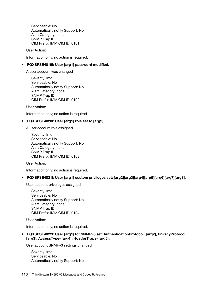Serviceable: No Automatically notify Support: No Alert Category: none SNMP Trap ID: CIM Prefix: IMM CIM ID: 0101

User Action:

Information only; no action is required.

## • FQXSPSE4019I: User [arg1] password modified.

A user account was changed

Severity: Info Serviceable: No Automatically notify Support: No Alert Category: none SNMP Trap ID: CIM Prefix: IMM CIM ID: 0102

User Action:

Information only; no action is required.

## • FQXSPSE4020I: User [arg1] role set to [arg2].

A user account role assigned

Severity: Info Serviceable: No Automatically notify Support: No Alert Category: none SNMP Trap ID: CIM Prefix: IMM CIM ID: 0103

User Action:

Information only; no action is required.

## • FQXSPSE4021I: User [arg1] custom privileges set: [arg2][arg3][arg4][arg5][arg6][arg7][arg8].

User account priveleges assigned

Severity: Info Serviceable: No Automatically notify Support: No Alert Category: none SNMP Trap ID: CIM Prefix: IMM CIM ID: 0104

User Action:

Information only; no action is required.

• FQXSPSE4022I: User [arg1] for SNMPv3 set: AuthenticationProtocol=[arg2], PrivacyProtocol= [arg3], AccessType=[arg4], HostforTraps=[arg5].

User account SNMPv3 settings changed

Severity: Info Serviceable: No Automatically notify Support: No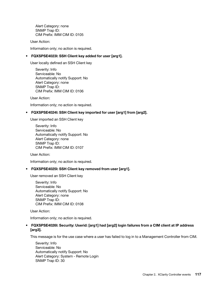Alert Category: none SNMP Trap ID: CIM Prefix: IMM CIM ID: 0105

User Action:

Information only; no action is required.

## • FQXSPSE4023I: SSH Client key added for user [arg1].

User locally defined an SSH Client key

Severity: Info Serviceable: No Automatically notify Support: No Alert Category: none SNMP Trap ID: CIM Prefix: IMM CIM ID: 0106

User Action:

Information only; no action is required.

## • FQXSPSE4024I: SSH Client key imported for user [arg1] from [arg2].

User imported an SSH Client key

Severity: Info Serviceable: No Automatically notify Support: No Alert Category: none SNMP Trap ID: CIM Prefix: IMM CIM ID: 0107

User Action:

Information only; no action is required.

## • FQXSPSE4025I: SSH Client key removed from user [arg1].

User removed an SSH Client key

Severity: Info Serviceable: No Automatically notify Support: No Alert Category: none SNMP Trap ID: CIM Prefix: IMM CIM ID: 0108

User Action:

Information only; no action is required.

## • FQXSPSE4026I: Security: Userid: [arg1] had [arg2] login failures from a CIM client at IP address [arg3].

This message is for the use case where a user has failed to log in to a Management Controller from CIM.

Severity: Info Serviceable: No Automatically notify Support: No Alert Category: System - Remote Login SNMP Trap ID: 30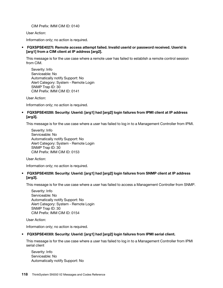CIM Prefix: IMM CIM ID: 0140

User Action:

Information only; no action is required.

• FQXSPSE4027I: Remote access attempt failed. Invalid userid or password received. Userid is [arg1] from a CIM client at IP address [arg2].

This message is for the use case where a remote user has failed to establish a remote control session from CIM.

Severity: Info Serviceable: No Automatically notify Support: No Alert Category: System - Remote Login SNMP Trap ID: 30 CIM Prefix: IMM CIM ID: 0141

User Action:

Information only; no action is required.

• FQXSPSE4028I: Security: Userid: [arg1] had [arg2] login failures from IPMI client at IP address [arg3].

This message is for the use case where a user has failed to log in to a Management Controller from IPMI.

Severity: Info Serviceable: No Automatically notify Support: No Alert Category: System - Remote Login SNMP Trap ID: 30 CIM Prefix: IMM CIM ID: 0153

User Action:

Information only; no action is required.

• FQXSPSE4029I: Security: Userid: [arg1] had [arg2] login failures from SNMP client at IP address [arg3].

This message is for the use case where a user has failed to access a Management Controller from SNMP.

Severity: Info Serviceable: No Automatically notify Support: No Alert Category: System - Remote Login SNMP Trap ID: 30 CIM Prefix: IMM CIM ID: 0154

User Action:

Information only; no action is required.

## • FQXSPSE4030I: Security: Userid: [arg1] had [arg2] login failures from IPMI serial client.

This message is for the use case where a user has failed to log in to a Management Controller from IPMI serial client

Severity: Info Serviceable: No Automatically notify Support: No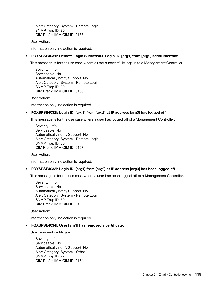Alert Category: System - Remote Login SNMP Trap ID: 30 CIM Prefix: IMM CIM ID: 0155

User Action:

Information only; no action is required.

## • FQXSPSE4031I: Remote Login Successful. Login ID: [arg1] from [arg2] serial interface.

This message is for the use case where a user successfully logs in to a Management Controller.

Severity: Info Serviceable: No Automatically notify Support: No Alert Category: System - Remote Login SNMP Trap ID: 30 CIM Prefix: IMM CIM ID: 0156

User Action:

Information only; no action is required.

## • FQXSPSE4032I: Login ID: [arg1] from [arg2] at IP address [arg3] has logged off.

This message is for the use case where a user has logged off of a Management Controller.

Severity: Info Serviceable: No Automatically notify Support: No Alert Category: System - Remote Login SNMP Trap ID: 30 CIM Prefix: IMM CIM ID: 0157

User Action:

Information only; no action is required.

## • FQXSPSE4033I: Login ID: [arg1] from [arg2] at IP address [arg3] has been logged off.

This message is for the use case where a user has been logged off of a Management Controller.

Severity: Info Serviceable: No Automatically notify Support: No Alert Category: System - Remote Login SNMP Trap ID: 30 CIM Prefix: IMM CIM ID: 0158

User Action:

Information only; no action is required.

## • FQXSPSE4034I: User [arg1] has removed a certificate.

User removed certificate

Severity: Info Serviceable: No Automatically notify Support: No Alert Category: System - Other SNMP Trap ID: 22 CIM Prefix: IMM CIM ID: 0164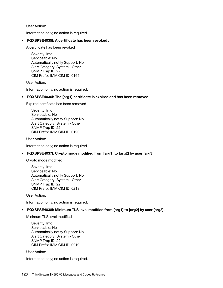User Action:

Information only; no action is required.

## • FQXSPSE4035I: A certificate has been revoked .

A certificate has been revoked

Severity: Info Serviceable: No Automatically notify Support: No Alert Category: System - Other SNMP Trap ID: 22 CIM Prefix: IMM CIM ID: 0165

User Action:

Information only; no action is required.

## • FQXSPSE4036I: The [arg1] certificate is expired and has been removed.

Expired certificate has been removed

Severity: Info Serviceable: No Automatically notify Support: No Alert Category: System - Other SNMP Trap ID: 22 CIM Prefix: IMM CIM ID: 0190

User Action:

Information only; no action is required.

## • FQXSPSE4037I: Crypto mode modified from [arg1] to [arg2] by user [arg3].

Crypto mode modified

Severity: Info Serviceable: No Automatically notify Support: No Alert Category: System - Other SNMP Trap ID: 22 CIM Prefix: IMM CIM ID: 0218

User Action:

Information only; no action is required.

## • FQXSPSE4038I: Minimum TLS level modified from [arg1] to [arg2] by user [arg3].

Minimum TLS level modified

Severity: Info Serviceable: No Automatically notify Support: No Alert Category: System - Other SNMP Trap ID: 22 CIM Prefix: IMM CIM ID: 0219

User Action:

Information only; no action is required.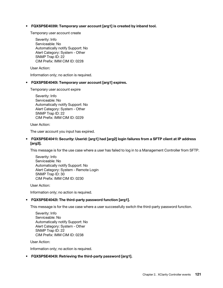• FQXSPSE4039I: Temporary user account [arg1] is created by inband tool.

Temporary user account create

Severity: Info Serviceable: No Automatically notify Support: No Alert Category: System - Other SNMP Trap ID: 22 CIM Prefix: IMM CIM ID: 0228

User Action:

Information only; no action is required.

## • FQXSPSE4040I: Temporary user account [arg1] expires.

Temporary user account expire

Severity: Info Serviceable: No Automatically notify Support: No Alert Category: System - Other SNMP Trap ID: 22 CIM Prefix: IMM CIM ID: 0229

User Action:

The user account you input has expired.

## • FQXSPSE4041I: Security: Userid: [arg1] had [arg2] login failures from a SFTP client at IP address [arg3].

This message is for the use case where a user has failed to log in to a Management Controller from SFTP.

Severity: Info Serviceable: No Automatically notify Support: No Alert Category: System - Remote Login SNMP Trap ID: 30 CIM Prefix: IMM CIM ID: 0230

User Action:

Information only; no action is required.

## • FQXSPSE4042I: The third-party password function [arg1].

This message is for the use case where a user successfully switch the third-party password function.

Severity: Info Serviceable: No Automatically notify Support: No Alert Category: System - Other SNMP Trap ID: 22 CIM Prefix: IMM CIM ID: 0238

User Action:

Information only; no action is required.

## • FQXSPSE4043I: Retrieving the third-party password [arg1].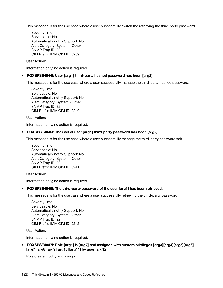This message is for the use case where a user successfully switch the retrieving the third-party password.

Severity: Info Serviceable: No Automatically notify Support: No Alert Category: System - Other SNMP Trap ID: 22 CIM Prefix: IMM CIM ID: 0239

User Action:

Information only; no action is required.

## • FQXSPSE4044I: User [arg1] third-party hashed password has been [arg2].

This message is for the use case where a user successfully manage the third-party hashed password.

Severity: Info Serviceable: No Automatically notify Support: No Alert Category: System - Other SNMP Trap ID: 22 CIM Prefix: IMM CIM ID: 0240

User Action:

Information only; no action is required.

## • FQXSPSE4045I: The Salt of user [arg1] third-party password has been [arg2].

This message is for the use case where a user successfully manage the third-party password salt.

Severity: Info Serviceable: No Automatically notify Support: No Alert Category: System - Other SNMP Trap ID: 22 CIM Prefix: IMM CIM ID: 0241

User Action:

Information only; no action is required.

## • FQXSPSE4046I: The third-party password of the user [arg1] has been retrieved.

This message is for the use case where a user successfully retrieving the third-party password.

Severity: Info Serviceable: No Automatically notify Support: No Alert Category: System - Other SNMP Trap ID: 22 CIM Prefix: IMM CIM ID: 0242

User Action:

Information only; no action is required.

• FQXSPSE4047I: Role [arg1] is [arg2] and assigned with custom privileges [arg3][arg4][arg5][arg6] [arg7][arg8][arg9][arg10][arg11] by user [arg12] .

Role create modify and assign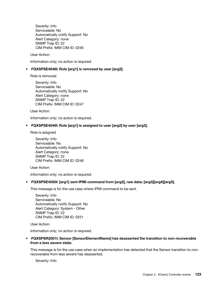Severity: Info Serviceable: No Automatically notify Support: No Alert Category: none SNMP Trap ID: 22 CIM Prefix: IMM CIM ID: 0246

User Action:

Information only; no action is required.

## • FQXSPSE4048I: Role [arg1] is removed by user [arg2].

Role is removed

Severity: Info Serviceable: No Automatically notify Support: No Alert Category: none SNMP Trap ID: 22 CIM Prefix: IMM CIM ID: 0247

User Action:

Information only; no action is required.

## • FQXSPSE4049I: Role [arg1] is assigned to user [arg2] by user [arg3].

Role is assgned

Severity: Info Serviceable: No Automatically notify Support: No Alert Category: none SNMP Trap ID: 22 CIM Prefix: IMM CIM ID: 0248

User Action:

Information only; no action is required.

## • FQXSPSE4050I: [arg1] sent IPMI command from [arg2], raw data: [arg3][arg4][arg5].

This message is for the use case where IPMI command to be sent.

Severity: Info Serviceable: No Automatically notify Support: No Alert Category: System - Other SNMP Trap ID: 22 CIM Prefix: IMM CIM ID: 0251

User Action:

Information only; no action is required.

• FQXSPSR2001I: Sensor [SensorElementName] has deasserted the transition to non-recoverable from a less severe state.

This message is for the use case when an implementation has detected that the Sensor transition to nonrecoverable from less severe has deasserted.

Severity: Info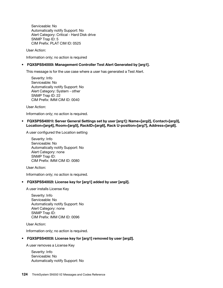Serviceable: No Automatically notify Support: No Alert Category: Critical - Hard Disk drive SNMP Trap ID: 5 CIM Prefix: PLAT CIM ID: 0525

User Action:

Information only; no action is required

## • FQXSPSS4000I: Management Controller Test Alert Generated by [arg1].

This message is for the use case where a user has generated a Test Alert.

Severity: Info Serviceable: No Automatically notify Support: No Alert Category: System - other SNMP Trap ID: 22 CIM Prefix: IMM CIM ID: 0040

User Action:

Information only; no action is required.

• FQXSPSS4001I: Server General Settings set by user [arg1]: Name=[arg2], Contact=[arg3], Location=[arg4], Room=[arg5], RackID=[arg6], Rack U-position=[arg7], Address=[arg8].

A user configured the Location setting

Severity: Info Serviceable: No Automatically notify Support: No Alert Category: none SNMP Trap ID: CIM Prefix: IMM CIM ID: 0080

User Action:

Information only; no action is required.

## • FQXSPSS4002I: License key for [arg1] added by user [arg2].

A user installs License Key

Severity: Info Serviceable: No Automatically notify Support: No Alert Category: none SNMP Trap ID: CIM Prefix: IMM CIM ID: 0096

User Action:

Information only; no action is required.

## • FQXSPSS4003I: License key for [arg1] removed by user [arg2].

A user removes a License Key

Severity: Info Serviceable: No Automatically notify Support: No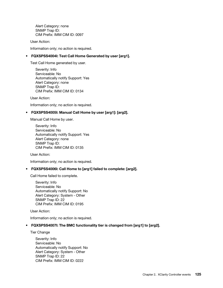Alert Category: none SNMP Trap ID: CIM Prefix: IMM CIM ID: 0097

User Action:

Information only; no action is required.

## • FQXSPSS4004I: Test Call Home Generated by user [arg1].

Test Call Home generated by user.

Severity: Info Serviceable: No Automatically notify Support: Yes Alert Category: none SNMP Trap ID: CIM Prefix: IMM CIM ID: 0134

User Action:

Information only; no action is required.

## • FQXSPSS4005I: Manual Call Home by user [arg1]: [arg2].

Manual Call Home by user.

Severity: Info Serviceable: No Automatically notify Support: Yes Alert Category: none SNMP Trap ID: CIM Prefix: IMM CIM ID: 0135

User Action:

Information only; no action is required.

## • FQXSPSS4006I: Call Home to [arg1] failed to complete: [arg2].

Call Home failed to complete.

Severity: Info Serviceable: No Automatically notify Support: No Alert Category: System - Other SNMP Trap ID: 22 CIM Prefix: IMM CIM ID: 0195

User Action:

Information only; no action is required.

## • FQXSPSS4007I: The BMC functionality tier is changed from [arg1] to [arg2].

Tier Change

Severity: Info Serviceable: No Automatically notify Support: No Alert Category: System - Other SNMP Trap ID: 22 CIM Prefix: IMM CIM ID: 0222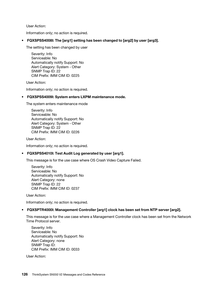User Action:

Information only; no action is required.

• FQXSPSS4008I: The [arg1] setting has been changed to [arg2] by user [arg3].

The setting has been changed by user

Severity: Info Serviceable: No Automatically notify Support: No Alert Category: System - Other SNMP Trap ID: 22 CIM Prefix: IMM CIM ID: 0225

User Action:

Information only; no action is required.

## • FQXSPSS4009I: System enters LXPM maintenance mode.

The system enters maintenance mode

Severity: Info Serviceable: No Automatically notify Support: No Alert Category: System - Other SNMP Trap ID: 22 CIM Prefix: IMM CIM ID: 0226

User Action:

Information only; no action is required.

## • FQXSPSS4010I: Test Audit Log generated by user [arg1].

This message is for the use case where OS Crash Video Capture Failed.

Severity: Info Serviceable: No Automatically notify Support: No Alert Category: none SNMP Trap ID: 22 CIM Prefix: IMM CIM ID: 0237

User Action:

Information only; no action is required.

## • FQXSPTR4000I: Management Controller [arg1] clock has been set from NTP server [arg2].

This message is for the use case where a Management Controller clock has been set from the Network Time Protocol server.

Severity: Info Serviceable: No Automatically notify Support: No Alert Category: none SNMP Trap ID: CIM Prefix: IMM CIM ID: 0033

User Action: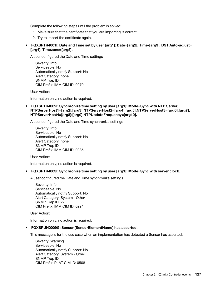Complete the following steps until the problem is solved:

- 1. Make sure that the certificate that you are importing is correct.
- 2. Try to import the certificate again.

## • FQXSPTR4001I: Date and Time set by user [arg1]: Date=[arg2], Time-[arg3], DST Auto-adjust= [arg4], Timezone=[arg5].

A user configured the Date and Time settings

Severity: Info Serviceable: No Automatically notify Support: No Alert Category: none SNMP Trap ID: CIM Prefix: IMM CIM ID: 0079

User Action:

Information only; no action is required.

• FQXSPTR4002I: Synchronize time setting by user [arg1]: Mode=Sync with NTP Server, NTPServerHost1=[arg2]:[arg3],NTPServerHost2=[arg4]:[arg5],NTPServerHost3=[arg6]:[arg7], NTPServerHost4=[arg8]:[arg9],NTPUpdateFrequency=[arg10].

A user configured the Date and Time synchronize settings

Severity: Info Serviceable: No Automatically notify Support: No Alert Category: none SNMP Trap ID: CIM Prefix: IMM CIM ID: 0085

User Action:

Information only; no action is required.

• FQXSPTR4003I: Synchronize time setting by user [arg1]: Mode=Sync with server clock.

A user configured the Date and Time synchronize settings

Severity: Info Serviceable: No Automatically notify Support: No Alert Category: System - Other SNMP Trap ID: 22 CIM Prefix: IMM CIM ID: 0224

User Action:

Information only; no action is required.

## • FQXSPUN0009G: Sensor [SensorElementName] has asserted.

This message is for the use case when an implementation has detected a Sensor has asserted.

Severity: Warning Serviceable: No Automatically notify Support: No Alert Category: System - Other SNMP Trap ID: CIM Prefix: PLAT CIM ID: 0508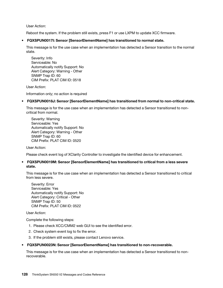User Action:

Reboot the system. If the problem still exists, press F1 or use LXPM to update XCC firmware.

## • FQXSPUN0017I: Sensor [SensorElementName] has transitioned to normal state.

This message is for the use case when an implementation has detected a Sensor transition to the normal state.

Severity: Info Serviceable: No Automatically notify Support: No Alert Category: Warning - Other SNMP Trap ID: 60 CIM Prefix: PLAT CIM ID: 0518

User Action:

Information only; no action is required

## • FQXSPUN0018J: Sensor [SensorElementName] has transitioned from normal to non-critical state.

This message is for the use case when an implementation has detected a Sensor transitioned to noncritical from normal.

Severity: Warning Serviceable: Yes Automatically notify Support: No Alert Category: Warning - Other SNMP Trap ID: 60 CIM Prefix: PLAT CIM ID: 0520

User Action:

Please check event log of XClarity Controller to investigate the identified device for enhancement.

## • FQXSPUN0019M: Sensor [SensorElementName] has transitioned to critical from a less severe state.

This message is for the use case when an implementation has detected a Sensor transitioned to critical from less severe.

Severity: Error Serviceable: Yes Automatically notify Support: No Alert Category: Critical - Other SNMP Trap ID: 50 CIM Prefix: PLAT CIM ID: 0522

User Action:

Complete the following steps:

- 1. Please check XCC/CMM2 web GUI to see the identified error.
- 2. Check system event log to fix the error.
- 3. If the problem still exists, please contact Lenovo service.

## • FQXSPUN0023N: Sensor [SensorElementName] has transitioned to non-recoverable.

This message is for the use case when an implementation has detected a Sensor transitioned to nonrecoverable.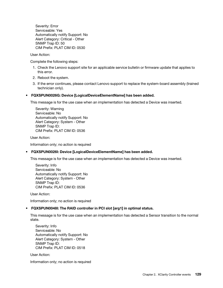Severity: Error Serviceable: Yes Automatically notify Support: No Alert Category: Critical - Other SNMP Trap ID: 50 CIM Prefix: PLAT CIM ID: 0530

User Action:

Complete the following steps:

- 1. Check the Lenovo support site for an applicable service bulletin or firmware update that applies to this error.
- 2. Reboot the system.
- 3. If the error continues, please contact Lenovo support to replace the system-board assembly (trained technician only).

## • FQXSPUN0026G: Device [LogicalDeviceElementName] has been added.

This message is for the use case when an implementation has detected a Device was inserted.

Severity: Warning Serviceable: No Automatically notify Support: No Alert Category: System - Other SNMP Trap ID: CIM Prefix: PLAT CIM ID: 0536

User Action:

Information only; no action is required

## • FQXSPUN0026I: Device [LogicalDeviceElementName] has been added.

This message is for the use case when an implementation has detected a Device was inserted.

Severity: Info Serviceable: No Automatically notify Support: No Alert Category: System - Other SNMP Trap ID: CIM Prefix: PLAT CIM ID: 0536

User Action:

Information only; no action is required

## • FQXSPUN0048I: The RAID controller in PCI slot [arg1] in optimal status.

This message is for the use case when an implementation has detected a Sensor transition to the normal state.

Severity: Info Serviceable: No Automatically notify Support: No Alert Category: System - Other SNMP Trap ID: CIM Prefix: PLAT CIM ID: 0518

User Action:

Information only; no action is required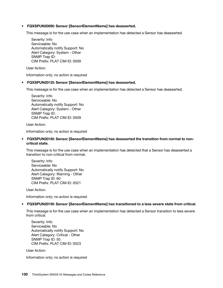## • FQXSPUN2009I: Sensor [SensorElementName] has deasserted.

This message is for the use case when an implementation has detected a Sensor has deasserted.

Severity: Info Serviceable: No Automatically notify Support: No Alert Category: System - Other SNMP Trap ID: CIM Prefix: PLAT CIM ID: 0509

User Action:

Information only; no action is required

#### • FQXSPUN2012I: Sensor [SensorElementName] has deasserted.

This message is for the use case when an implementation has detected a Sensor has deasserted.

Severity: Info Serviceable: No Automatically notify Support: No Alert Category: System - Other SNMP Trap ID: CIM Prefix: PLAT CIM ID: 0509

User Action:

Information only; no action is required

## • FQXSPUN2018I: Sensor [SensorElementName] has deasserted the transition from normal to noncritical state.

This message is for the use case when an implementation has detected that a Sensor has deasserted a transition to non-critical from normal.

Severity: Info Serviceable: No Automatically notify Support: No Alert Category: Warning - Other SNMP Trap ID: 60 CIM Prefix: PLAT CIM ID: 0521

User Action:

Information only; no action is required

## • FQXSPUN2019I: Sensor [SensorElementName] has transitioned to a less severe state from critical.

This message is for the use case when an implementation has detected a Sensor transition to less severe from critical.

Severity: Info Serviceable: No Automatically notify Support: No Alert Category: Critical - Other SNMP Trap ID: 50 CIM Prefix: PLAT CIM ID: 0523

User Action:

Information only; no action is required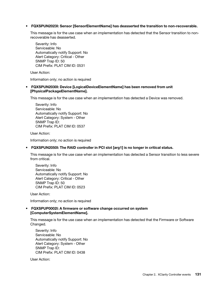## • FQXSPUN2023I: Sensor [SensorElementName] has deasserted the transition to non-recoverable.

This message is for the use case when an implementation has detected that the Sensor transition to nonrecoverable has deasserted.

Severity: Info Serviceable: No Automatically notify Support: No Alert Category: Critical - Other SNMP Trap ID: 50 CIM Prefix: PLAT CIM ID: 0531

User Action:

Information only; no action is required

• FQXSPUN2030I: Device [LogicalDeviceElementName] has been removed from unit [PhysicalPackageElementName].

This message is for the use case when an implementation has detected a Device was removed.

Severity: Info Serviceable: No Automatically notify Support: No Alert Category: System - Other SNMP Trap ID: CIM Prefix: PLAT CIM ID: 0537

User Action:

Information only; no action is required

## • FQXSPUN2050I: The RAID controller in PCI slot [arg1] is no longer in critical status.

This message is for the use case when an implementation has detected a Sensor transition to less severe from critical.

Severity: Info Serviceable: No Automatically notify Support: No Alert Category: Critical - Other SNMP Trap ID: 50 CIM Prefix: PLAT CIM ID: 0523

User Action:

Information only; no action is required

## • FQXSPUP0002I: A firmware or software change occurred on system [ComputerSystemElementName].

This message is for the use case when an implementation has detected that the Firmware or Software Changed.

Severity: Info Serviceable: No Automatically notify Support: No Alert Category: System - Other SNMP Trap ID: CIM Prefix: PLAT CIM ID: 0438

User Action: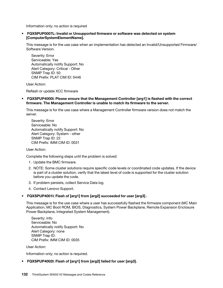Information only; no action is required

• FQXSPUP0007L: Invalid or Unsupported firmware or software was detected on system [ComputerSystemElementName].

This message is for the use case when an implementation has detected an Invalid/Unsupported Firmware/ Software Version.

Severity: Error Serviceable: Yes Automatically notify Support: No Alert Category: Critical - Other SNMP Trap ID: 50 CIM Prefix: PLAT CIM ID: 0446

User Action:

Reflash or update XCC firmware

• FQXSPUP4000I: Please ensure that the Management Controller [arg1] is flashed with the correct firmware. The Management Controller is unable to match its firmware to the server.

This message is for the use case where a Management Controller firmware version does not match the server.

Severity: Error Serviceable: No Automatically notify Support: No Alert Category: System - other SNMP Trap ID: 22 CIM Prefix: IMM CIM ID: 0031

User Action:

Complete the following steps until the problem is solved:

- 1. Update the BMC firmware.
- 2. NOTE: Some cluster solutions require specific code levels or coordinated code updates. If the device is part of a cluster solution, verify that the latest level of code is supported for the cluster solution before you update the code.
- 3. If problem persists, collect Service Data log.
- 4. Contact Lenovo Support.

## • FQXSPUP4001I: Flash of [arg1] from [arg2] succeeded for user [arg3] .

This message is for the use case where a user has successfully flashed the firmware component (MC Main Application, MC Boot ROM, BIOS, Diagnostics, System Power Backplane, Remote Expansion Enclosure Power Backplane, Integrated System Management).

Severity: Info Serviceable: No Automatically notify Support: No Alert Category: none SNMP Trap ID: CIM Prefix: IMM CIM ID: 0035

User Action:

Information only; no action is required.

## • FQXSPUP4002I: Flash of [arg1] from [arg2] failed for user [arg3].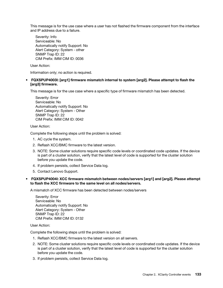This message is for the use case where a user has not flashed the firmware component from the interface and IP address due to a failure.

Severity: Info Serviceable: No Automatically notify Support: No Alert Category: System - other SNMP Trap ID: 22 CIM Prefix: IMM CIM ID: 0036

User Action:

Information only; no action is required.

## • FQXSPUP4003I: [arg1] firmware mismatch internal to system [arg2]. Please attempt to flash the [arg3] firmware.

This message is for the use case where a specific type of firmware mismatch has been detected.

Severity: Error Serviceable: No Automatically notify Support: No Alert Category: System - Other SNMP Trap ID: 22 CIM Prefix: IMM CIM ID: 0042

User Action:

Complete the following steps until the problem is solved:

- 1. AC cycle the system.
- 2. Reflash XCC/BMC firmware to the latest version.
- 3. NOTE: Some cluster solutions require specific code levels or coordinated code updates. If the device is part of a cluster solution, verify that the latest level of code is supported for the cluster solution before you update the code.
- 4. If problem persists, collect Service Data log.
- 5. Contact Lenovo Support.

## • FQXSPUP4004I: XCC firmware mismatch between nodes/servers [arg1] and [arg2]. Please attempt to flash the XCC firmware to the same level on all nodes/servers.

A mismatch of XCC firmware has been detected between nodes/servers

Severity: Error Serviceable: No Automatically notify Support: No Alert Category: System - Other SNMP Trap ID: 22 CIM Prefix: IMM CIM ID: 0132

User Action:

Complete the following steps until the problem is solved:

- 1. Reflash XCC/BMC firmware to the latest version on all servers.
- 2. NOTE: Some cluster solutions require specific code levels or coordinated code updates. If the device is part of a cluster solution, verify that the latest level of code is supported for the cluster solution before you update the code.
- 3. If problem persists, collect Service Data log.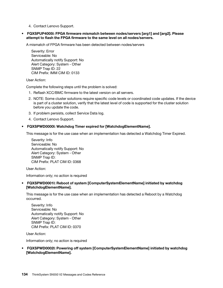4. Contact Lenovo Support.

## • FQXSPUP4005I: FPGA firmware mismatch between nodes/servers [arg1] and [arg2]. Please attempt to flash the FPGA firmware to the same level on all nodes/servers.

A mismatch of FPGA firmware has been detected between nodes/servers

Severity: Error Serviceable: No Automatically notify Support: No Alert Category: System - Other SNMP Trap ID: 22 CIM Prefix: IMM CIM ID: 0133

User Action:

Complete the following steps until the problem is solved:

- 1. Reflash XCC/BMC firmware to the latest version on all servers.
- 2. NOTE: Some cluster solutions require specific code levels or coordinated code updates. If the device is part of a cluster solution, verify that the latest level of code is supported for the cluster solution before you update the code.
- 3. If problem persists, collect Service Data log.
- 4. Contact Lenovo Support.

#### • FQXSPWD0000I: Watchdog Timer expired for [WatchdogElementName].

This message is for the use case when an implementation has detected a Watchdog Timer Expired.

Severity: Info Serviceable: No Automatically notify Support: No Alert Category: System - Other SNMP Trap ID: CIM Prefix: PLAT CIM ID: 0368

User Action:

Information only; no action is required

• FQXSPWD0001I: Reboot of system [ComputerSystemElementName] initiated by watchdog [WatchdogElementName].

This message is for the use case when an implementation has detected a Reboot by a Watchdog occurred.

Severity: Info Serviceable: No Automatically notify Support: No Alert Category: System - Other SNMP Trap ID: CIM Prefix: PLAT CIM ID: 0370

User Action:

Information only; no action is required

• FQXSPWD0002I: Powering off system [ComputerSystemElementName] initiated by watchdog [WatchdogElementName].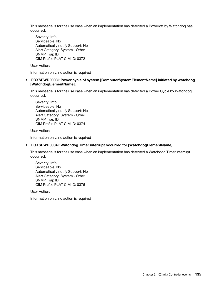This message is for the use case when an implementation has detected a Poweroff by Watchdog has occurred.

Severity: Info Serviceable: No Automatically notify Support: No Alert Category: System - Other SNMP Trap ID: CIM Prefix: PLAT CIM ID: 0372

User Action:

Information only; no action is required

• FQXSPWD0003I: Power cycle of system [ComputerSystemElementName] initiated by watchdog [WatchdogElementName].

This message is for the use case when an implementation has detected a Power Cycle by Watchdog occurred.

Severity: Info Serviceable: No Automatically notify Support: No Alert Category: System - Other SNMP Trap ID: CIM Prefix: PLAT CIM ID: 0374

User Action:

Information only; no action is required

## • FQXSPWD0004I: Watchdog Timer interrupt occurred for [WatchdogElementName].

This message is for the use case when an implementation has detected a Watchdog Timer interrupt occurred.

Severity: Info Serviceable: No Automatically notify Support: No Alert Category: System - Other SNMP Trap ID: CIM Prefix: PLAT CIM ID: 0376

User Action:

Information only; no action is required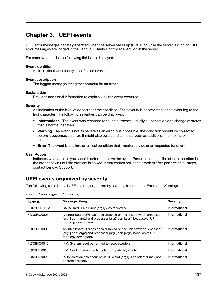# <span id="page-140-0"></span>Chapter 3. UEFI events

UEFI error messages can be generated when the server starts up (POST) or while the server is running. UEFI error messages are logged in the Lenovo XClarity Controller event log in the server.

For each event code, the following fields are displayed:

#### Event identifier

An identifier that uniquely identifies an event.

#### Event description

The logged message string that appears for an event.

#### **Explanation**

Provides additional information to explain why the event occurred.

#### **Severity**

An indication of the level of concern for the condition. The severity is abbreviated in the event log to the first character. The following severities can be displayed:

- Informational. The event was recorded for audit purposes, usually a user action or a change of states that is normal behavior.
- Warning. The event is not as severe as an error, but if possible, the condition should be corrected before it becomes an error. It might also be a condition that requires additional monitoring or maintenance.
- Error. The event is a failure or critical condition that impairs service or an expected function.

#### User Action

Indicates what actions you should perform to solve the event. Perform the steps listed in this section in the order shown until the problem is solved. If you cannot solve the problem after performing all steps, contact Lenovo Support.

## UEFI events organized by severity

The following table lists all UEFI events, organized by severity (Information, Error, and Warning).

| Event ID     | <b>Message String</b>                                                                                                                                          | <b>Severity</b> |
|--------------|----------------------------------------------------------------------------------------------------------------------------------------------------------------|-----------------|
| FOXSFDD0012I | SATA Hard Drive Error: [arg1] was recovered.                                                                                                                   | Informational   |
| FQXSFIO0005I | An intra-board UPI has been disabled on the link between processor<br>[arg1] port [arg2] and processor [arg3]port [arg4] because of UPI<br>topology downgrade. | Informational   |
| FOXSFIO0006I | An inter-board UPI has been disabled on the link between processor<br>[arg1] port [arg2] and processor [arg3]port [arg4] because of UPI<br>topology downgrade. | Informational   |
| FOXSFIO0015I | IFM: System reset performed to reset adapters.                                                                                                                 | Informational   |
| FOXSFIO0018I | IFM: Configuration too large for compatibility mode.                                                                                                           | Informational   |
| FOXSFIO0020J | PCIe Isolation has occurred in PCIe slot [arg1]. The adapter may not<br>operate correctly.                                                                     | Informational   |

Table 3. Events organized by severity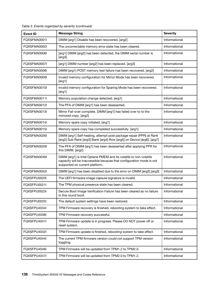| <b>Event ID</b> | <b>Message String</b>                                                                                                                                                       | <b>Severity</b> |
|-----------------|-----------------------------------------------------------------------------------------------------------------------------------------------------------------------------|-----------------|
| FQXSFMA0001I    | DIMM [arg1] Disable has been recovered. [arg2]                                                                                                                              | Informational   |
| FQXSFMA0002I    | The uncorrectable memory error state has been cleared.                                                                                                                      | Informational   |
| FQXSFMA0006I    | [arg1] DIMM [arg2] has been detected, the DIMM serial number is<br>$[arg3]$ .                                                                                               | Informational   |
| FQXSFMA0007I    | [arg1] DIMM number [arg2] has been replaced. [arg3]                                                                                                                         | Informational   |
| FQXSFMA0008I    | DIMM [arg1] POST memory test failure has been recovered. [arg2]                                                                                                             | Informational   |
| FQXSFMA0009I    | Invalid memory configuration for Mirror Mode has been recovered.<br>[arg1]                                                                                                  | Informational   |
| FQXSFMA0010I    | Invalid memory configuration for Sparing Mode has been recovered.<br>[arg1]                                                                                                 | Informational   |
| FQXSFMA0011I    | Memory population change detected. [arg1]                                                                                                                                   | Informational   |
| FOXSFMA0012I    | The PFA of DIMM [arg1] has been deasserted.                                                                                                                                 | Informational   |
| FQXSFMA0013I    | Mirror Fail-over complete. DIMM [arg1] has failed over to to the<br>mirrored copy. [arg2]                                                                                   | Informational   |
| FOXSFMA0014I    | Memory spare copy initiated. [arg1]                                                                                                                                         | Informational   |
| FQXSFMA0015I    | Memory spare copy has completed successfully. [arg1]                                                                                                                        | Informational   |
| FOXSFMA0026I    | DIMM [arg1] Self-healing, attempt post package repair (PPR) at Rank<br>[arg2] Sub Rank [arg3] Bank [arg4] Row [arg5] on Device [arg6]. [arg7]                               | Informational   |
| FQXSFMA0029I    | The PFA of DIMM [arg1] has been deasserted after applying PPR for<br>this DIMM. [arg2]                                                                                      | Informational   |
| FQXSFMA0046I    | DIMM [arg1] is Intel Optane PMEM and its volatile or non-volatile<br>capacity will be inaccessible because that configuration mode is not<br>supported on current platform. | Informational   |
| FQXSFMA0052I    | DIMM [arg1] has been disabled due to the error on DIMM [arg2].[arg3]                                                                                                        | Informational   |
| FQXSFPU0020I    | The UEFI firmware image capsule signature is invalid.                                                                                                                       | Informational   |
| FOXSFPU0021I    | The TPM physical presence state has been cleared.                                                                                                                           | Informational   |
| FQXSFPU0023I    | Secure Boot Image Verification Failure has been cleared as no failure<br>in this round boot.                                                                                | Informational   |
| FQXSFPU0025I    | The default system settings have been restored.                                                                                                                             | Informational   |
| FQXSFPU4034I    | TPM Firmware recovery is finished, rebooting system to take effect.                                                                                                         | Informational   |
| FQXSFPU4038I    | TPM Firmware recovery successful.                                                                                                                                           | Informational   |
| FQXSFPU4041I    | TPM Firmware update is in progress. Please DO NOT power off or<br>reset system.                                                                                             | Informational   |
| FQXSFPU4042I    | TPM Firmware update is finished, rebooting system to take effect.                                                                                                           | Informational   |
| FQXSFPU4044I    | The current TPM firmware version could not support TPM version<br>toggling.                                                                                                 | Informational   |
| FQXSFPU4046I    | TPM Firmware will be updated from TPM1.2 to TPM2.0.                                                                                                                         | Informational   |
| FQXSFPU4047I    | TPM Firmware will be updated from TPM2.0 to TPM1.2.                                                                                                                         | Informational   |

Table 3. Events organized by severity (continued)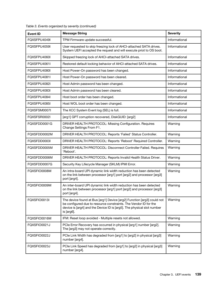| <b>Event ID</b> | <b>Message String</b>                                                                                                                                                                                                              | <b>Severity</b> |
|-----------------|------------------------------------------------------------------------------------------------------------------------------------------------------------------------------------------------------------------------------------|-----------------|
| FOXSFPU4049I    | TPM Firmware update successful.                                                                                                                                                                                                    | Informational   |
| FQXSFPU4059I    | User requested to skip freezing lock of AHCI-attached SATA drives.<br>System UEFI accepted the request and will execute priot to OS boot.                                                                                          | Informational   |
| FQXSFPU4060I    | Skipped freezing lock of AHCI-attached SATA drives.                                                                                                                                                                                | Informational   |
| FQXSFPU4061I    | Restored default locking behavior of AHCI-attached SATA drives.                                                                                                                                                                    | Informational   |
| FQXSFPU4080I    | Host Power-On password has been changed.                                                                                                                                                                                           | Informational   |
| FQXSFPU4081I    | Host Power-On password has been cleared.                                                                                                                                                                                           | Informational   |
| FQXSFPU4082I    | Host Admin password has been changed.                                                                                                                                                                                              | Informational   |
| FQXSFPU4083I    | Host Admin password has been cleared.                                                                                                                                                                                              | Informational   |
| FQXSFPU4084I    | Host boot order has been changed.                                                                                                                                                                                                  | Informational   |
| FQXSFPU4085I    | Host WOL boot order has been changed.                                                                                                                                                                                              | Informational   |
| FQXSFSM0007I    | The XCC System Event log (SEL) is full.                                                                                                                                                                                            | Informational   |
| FQXSFSR0002I    | [arg1] GPT corruption recovered, DiskGUID: [arg2]                                                                                                                                                                                  | Informational   |
| FQXSFDD0001G    | DRIVER HEALTH PROTOCOL: Missing Configuration. Requires<br>Change Settings From F1.                                                                                                                                                | Warning         |
| FOXSFDD0002M    | DRIVER HEALTH PROTOCOL: Reports 'Failed' Status Controller.                                                                                                                                                                        | Warning         |
| FQXSFDD0003I    | DRIVER HEALTH PROTOCOL: Reports 'Reboot' Required Controller.                                                                                                                                                                      | Warning         |
| FQXSFDD0005M    | DRIVER HEALTH PROTOCOL: Disconnect Controller Failed. Requires<br>'Reboot'.                                                                                                                                                        | Warning         |
| FQXSFDD0006M    | DRIVER HEALTH PROTOCOL: Reports Invalid Health Status Driver.                                                                                                                                                                      | Warning         |
| FQXSFDD0007G    | Security Key Lifecycle Manager (SKLM) IPMI Error.                                                                                                                                                                                  | Warning         |
| FQXSFIO0008M    | An intra-board UPI dynamic link width reduction has been detected<br>on the link between processor [arg1] port [arg2] and processor [arg3]<br>port [arg4].                                                                         | Warning         |
| FQXSFIO0009M    | An inter-board UPI dynamic link width reduction has been detected<br>on the link between processor [arg1] port [arg2] and processor [arg3]<br>port [arg4].                                                                         | Warning         |
| FQXSFIO0013I    | The device found at Bus [arg1] Device [arg2] Function [arg3] could not<br>be configured due to resource constraints. The Vendor ID for the<br>device is [arg4] and the Device ID is [arg5]. The physical slot number<br>is [arg6]. | Warning         |
| FQXSFIO0016M    | IFM: Reset loop avoided - Multiple resets not allowed.                                                                                                                                                                             | Warning         |
| FQXSFIO0021J    | PCIe Error Recovery has occurred in physical [arg1] number [arg2].<br>The [arg3] may not operate correctly.                                                                                                                        | Warning         |
| FQXSFIO0022J    | PCIe Link Width has degraded from [arg1] to [arg2] in physical [arg3]<br>number [arg4].                                                                                                                                            | Warning         |
| FQXSFIO0023J    | PCIe Link Speed has degraded from [arg1] to [arg2] in physical [arg3]<br>number [arg4].                                                                                                                                            | Warning         |

Table 3. Events organized by severity (continued)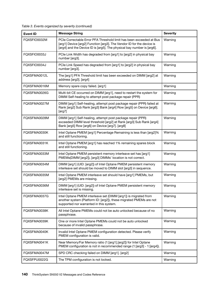Table 3. Events organized by severity (continued)

| <b>Event ID</b> | <b>Message String</b>                                                                                                                                                                                                  | <b>Severity</b> |
|-----------------|------------------------------------------------------------------------------------------------------------------------------------------------------------------------------------------------------------------------|-----------------|
| FQXSFIO0032M    | PCIe Correctable Error PFA Threshold limit has been exceeded at Bus<br>[arg1] Device [arg2] Function [arg3]. The Vendor ID for the device is<br>[arg4] and the Device ID is [arg5]. The physical bay number is [arg6]. | Warning         |
| FQXSFIO0033J    | PCIe Link Width has degraded from [arg1] to [arg2] in physical bay<br>number [arg3].                                                                                                                                   | Warning         |
| FQXSFIO0034J    | PCIe Link Speed has degraded from [arg1] to [arg2] in physical bay<br>number [arg3].                                                                                                                                   | Warning         |
| FOXSFMA0012L    | The [arg1] PFA Threshold limit has been exceeded on DIMM [arg2] at<br>address [arg3]. [arg4]                                                                                                                           | Warning         |
| FQXSFMA0016M    | Memory spare copy failed. [arg1]                                                                                                                                                                                       | Warning         |
| FQXSFMA0026G    | Multi-bit CE occurred on DIMM [arg1], need to restart the system for<br>DIMM Self-healing to attempt post package repair (PPR)                                                                                         | Warning         |
| FOXSFMA0027M    | DIMM [arg1] Self-healing, attempt post package repair (PPR) failed at<br>Rank [arg2] Sub Rank [arg3] Bank [arg4] Row [arg5] on Device [arg6].<br>[arg7]                                                                | Warning         |
| FQXSFMA0028M    | DIMM [arg1] Self-healing, attempt post package repair (PPR)<br>exceeded DIMM level threshold [arg2] at Rank [arg3] Sub Rank [arg4]<br>Bank [arg5] Row [arg6] on Device [arg7]. [arg8]                                  | Warning         |
| FQXSFMA0030K    | Intel Optane PMEM [arg1] Percentage Remaining is less than [arg2]%<br>and still functioning.                                                                                                                           | Warning         |
| FQXSFMA0031K    | Intel Optane PMEM [arg1] has reached 1% remaining spares block<br>and still functioning.                                                                                                                               | Warning         |
| FQXSFMA0033M    | Intel Optane PMEM persistent memory interleave set has [arg1]<br>PMEMs(DIMM [arg2]), [arg3] DIMMs' location is not correct.                                                                                            | Warning         |
| FQXSFMA0034M    | DIMM [arg1] (UID: [arg2]) of Intel Optane PMEM persistent memory<br>interleave set should be moved to DIMM slot [arg3] in sequence.                                                                                    | Warning         |
| FQXSFMA0035M    | Intel Optane PMEM interleave set should have [arg1] PMEMs, but<br>[arg2] PMEMs are missing.                                                                                                                            | Warning         |
| FQXSFMA0036M    | DIMM [arg1] (UID: [arg2]) of Intel Optane PMEM persistent memory<br>interleave set is missing.                                                                                                                         | Warning         |
| FQXSFMA0037G    | Intel Optane PMEM interleave set (DIMM [arg1]) is migrated from<br>another system (Platform ID: [arg2]), these migrated PMEMs are not<br>supported nor warranted in this system.                                       | Warning         |
| FQXSFMA0038K    | All Intel Optane PMEMs could not be auto unlocked because of no<br>passphrase.                                                                                                                                         | Warning         |
| FQXSFMA0039K    | One or more Intel Optane PMEMs could not be auto unlocked<br>because of invalid passphrase.                                                                                                                            | Warning         |
| FQXSFMA0040K    | Invalid Intel Optane PMEM configuration detected. Please verify<br>PMEM configuration is valid.                                                                                                                        | Warning         |
| FQXSFMA0041K    | Near Memory/Far Memory ratio (1:[arg1].[arg2]) for Intel Optane<br>PMEM configuration is not in recommended range (1: [arg3] - 1: [arg4]).                                                                             | Warning         |
| FQXSFMA0047M    | SPD CRC checking failed on DIMM [arg1]. [arg2]                                                                                                                                                                         | Warning         |
| FQXSFPU0022G    | The TPM configuration is not locked.                                                                                                                                                                                   | Warning         |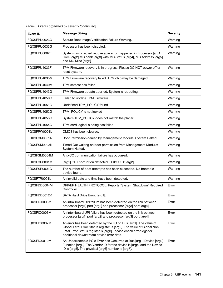| <b>Event ID</b> | <b>Message String</b>                                                                                                                                                                                                                                         | <b>Severity</b> |
|-----------------|---------------------------------------------------------------------------------------------------------------------------------------------------------------------------------------------------------------------------------------------------------------|-----------------|
| FQXSFPU0023G    | Secure Boot Image Verification Failure Warning.                                                                                                                                                                                                               | Warning         |
| FQXSFPU0033G    | Processor has been disabled.                                                                                                                                                                                                                                  | Warning         |
| FQXSFPU0062F    | System uncorrected recoverable error happened in Processor [arg1]<br>Core [arg2] MC bank [arg3] with MC Status [arg4], MC Address [arg5],<br>and MC Misc [arg6].                                                                                              | Warning         |
| FQXSFPU4033F    | TPM Firmware recovery is in progress. Please DO NOT power off or<br>reset system.                                                                                                                                                                             | Warning         |
| FQXSFPU4035M    | TPM Firmware recovery failed. TPM chip may be damaged.                                                                                                                                                                                                        | Warning         |
| FQXSFPU4040M    | TPM selftest has failed.                                                                                                                                                                                                                                      | Warning         |
| FQXSFPU4043G    | TPM Firmware update aborted. System is rebooting                                                                                                                                                                                                              | Warning         |
| FQXSFPU4050G    | Failed to update TPM Firmware.                                                                                                                                                                                                                                | Warning         |
| FQXSFPU4051G    | Undefined TPM_POLICY found                                                                                                                                                                                                                                    | Warning         |
| FQXSFPU4052G    | TPM_POLICY is not locked                                                                                                                                                                                                                                      | Warning         |
| FQXSFPU4053G    | System TPM_POLICY does not match the planar.                                                                                                                                                                                                                  | Warning         |
| FQXSFPU4054G    | TPM card logical binding has failed.                                                                                                                                                                                                                          | Warning         |
| FQXSFPW0001L    | CMOS has been cleared.                                                                                                                                                                                                                                        | Warning         |
| FQXSFSM0002N    | Boot Permission denied by Management Module: System Halted.                                                                                                                                                                                                   | Warning         |
| FQXSFSM0003N    | Timed Out waiting on boot permission from Management Module:<br>System Halted.                                                                                                                                                                                | Warning         |
| FQXSFSM0004M    | An XCC communication failure has occurred.                                                                                                                                                                                                                    | Warning         |
| FQXSFSR0001M    | [arg1] GPT corruption detected, DiskGUID: [arg2]                                                                                                                                                                                                              | Warning         |
| FQXSFSR0003G    | The number of boot attempts has been exceeded. No bootable<br>device found.                                                                                                                                                                                   | Warning         |
| FQXSFTR0001L    | An invalid date and time have been detected.                                                                                                                                                                                                                  | Warning         |
| FOXSFDD0004M    | DRIVER HEALTH PROTOCOL: Reports 'System Shutdown' Required<br>Controller.                                                                                                                                                                                     | Error           |
| FQXSFDD0012K    | SATA Hard Drive Error: [arg1].                                                                                                                                                                                                                                | Error           |
| FQXSFIO0005M    | An intra-board UPI failure has been detected on the link between<br>processor [arg1] port [arg2] and processor [arg3] port [arg4].                                                                                                                            | Error           |
| FQXSFIO0006M    | An inter-board UPI failure has been detected on the link between<br>processor [arg1] port [arg2] and processor [arg3] port [arg4].                                                                                                                            | Error           |
| FQXSFIO0007M    | An error has been detected by the IIO on Bus [arg1]. The value of<br>Global Fatal Error Status register is [arg2]. The value of Global Non-<br>Fatal Error Status register is [arg3]. Please check error logs for<br>additional downstream device error data. | Error           |
| FQXSFIO0010M    | An Uncorrectable PCIe Error has Occurred at Bus [arg1] Device [arg2]<br>Function [arg3]. The Vendor ID for the device is [arg4] and the Device<br>ID is [arg5]. The physical [arg6] number is [arg7].                                                         | Error           |

Table 3. Events organized by severity (continued)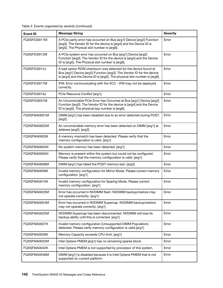Table 3. Events organized by severity (continued)

| <b>Event ID</b> | <b>Message String</b>                                                                                                                                                                                                  | <b>Severity</b> |
|-----------------|------------------------------------------------------------------------------------------------------------------------------------------------------------------------------------------------------------------------|-----------------|
| FQXSFIO0011M    | A PCIe parity error has occurred on Bus [arg1] Device [arg2] Function<br>[arg3]. The Vendor ID for the device is [arg4] and the Device ID is<br>[arg5]. The Physical slot number is [arg6].                            | Error           |
| FQXSFIO0012M    | A PCIe system error has occurred on Bus [arg1] Device [arg2]<br>Function [arg3]. The Vendor ID for the device is [arg4] and the Device<br>ID is [arg5]. The Physical slot number is [arg6].                            | Error           |
| FQXSFIO0014J    | A bad option ROM checksum was detected for the device found at<br>Bus [arg1] Device [arg2] Function [arg3]. The Vendor ID for the device<br>is [arg4] and the Device ID is [arg5]. The physical slot number is [arg6]. | Error           |
| FQXSFIO0017M    | IFM: Error communicating with the XCC - IFM may not be deployed<br>correctly.                                                                                                                                          | Error           |
| FQXSFIO0019J    | PCIe Resource Conflict [arg1].                                                                                                                                                                                         | Error           |
| FQXSFIO0031M    | An Uncorrectable PCIe Error has Occurred at Bus [arg1] Device [arg2]<br>Function [arg3]. The Vendor ID for the device is [arg4] and the Device<br>ID is [arg5]. The physical bay number is [arg6].                     | Error           |
| FQXSFMA0001M    | DIMM [arg1] has been disabled due to an error detected during POST.<br>[arg2]                                                                                                                                          | Error           |
| FQXSFMA0002M    | An uncorrectable memory error has been detected on DIMM [arg1] at<br>address [arg2]. [arg3]                                                                                                                            | Error           |
| FQXSFMA0003K    | A memory mismatch has been detected. Please verify that the<br>memory configuration is valid. [arg1]                                                                                                                   | Error           |
| FQXSFMA0004N    | No system memory has been detected. [arg1]                                                                                                                                                                             | Error           |
| FQXSFMA0005N    | Memory is present within the system but could not be configured.<br>Please verify that the memory configuration is valid. [arg1]                                                                                       | Error           |
| FQXSFMA0008M    | DIMM [arg1] has failed the POST memory test. [arg2]                                                                                                                                                                    | Error           |
| FQXSFMA0009K    | Invalid memory configuration for Mirror Mode. Please correct memory<br>configuration. [arg1]                                                                                                                           | Error           |
| FQXSFMA0010K    | Invalid memory configuration for Sparing Mode. Please correct<br>memory configuration. [arg1]                                                                                                                          | Error           |
| FQXSFMA0023M    | Error has occurred in NVDIMM flash. NVDIMM backup/restore may<br>not operate correctly. [arg1]                                                                                                                         | Error           |
| FQXSFMA0024M    | Error has occurred in NVDIMM Supercap. NVDIMM backup/restore<br>may not operate correctly. [arg1]                                                                                                                      | Error           |
| FQXSFMA0025M    | NVDIMM Supercap has been disconnected. NVDIMM will lose its<br>backup ability until this is corrected. [arg1]                                                                                                          | Error           |
| FQXSFMA0027K    | Invalid memory configuration (Unsupported DIMM Population)<br>detected. Please verify memory configuration is valid.[arg1]                                                                                             | Error           |
| FQXSFMA0028K    | Memory Capacity exceeds CPU limit. [arg1]                                                                                                                                                                              | Error           |
| FQXSFMA0032M    | Intel Optane PMEM [arg1] has no remaining spares block.                                                                                                                                                                | Error           |
| FQXSFMA0042K    | Intel Optane PMEM is not supported by processor of this system.                                                                                                                                                        | Error           |
| FQXSFMA0046M    | DIMM [arg1] is disabled because it is Intel Optane PMEM that is not<br>supported on current platform                                                                                                                   | Error           |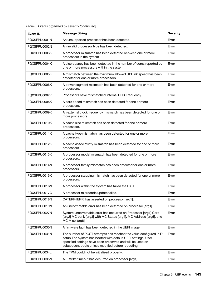| <b>Event ID</b> | <b>Message String</b>                                                                                                                                                                                                                                   | <b>Severity</b> |
|-----------------|---------------------------------------------------------------------------------------------------------------------------------------------------------------------------------------------------------------------------------------------------------|-----------------|
| FQXSFPU0001N    | An unsupported processor has been detected.                                                                                                                                                                                                             | Error           |
| FQXSFPU0002N    | An invalid processor type has been detected.                                                                                                                                                                                                            | Error           |
| FQXSFPU0003K    | A processor mismatch has been detected between one or more<br>processors in the system.                                                                                                                                                                 | Error           |
| FQXSFPU0004K    | A discrepancy has been detected in the number of cores reported by<br>one or more processors within the system.                                                                                                                                         | Error           |
| FQXSFPU0005K    | A mismatch between the maximum allowed UPI link speed has been<br>detected for one or more processors.                                                                                                                                                  | Error           |
| FQXSFPU0006K    | A power segment mismatch has been detected for one or more<br>processors.                                                                                                                                                                               | Error           |
| FQXSFPU0007K    | Processors have mismatched Internal DDR Frequency                                                                                                                                                                                                       | Error           |
| FQXSFPU0008K    | A core speed mismatch has been detected for one or more<br>processors.                                                                                                                                                                                  | Error           |
| FQXSFPU0009K    | An external clock frequency mismatch has been detected for one or<br>more processors.                                                                                                                                                                   | Error           |
| FQXSFPU0010K    | A cache size mismatch has been detected for one or more<br>processors.                                                                                                                                                                                  | Error           |
| FQXSFPU0011K    | A cache type mismatch has been detected for one or more<br>processors.                                                                                                                                                                                  | Error           |
| FQXSFPU0012K    | A cache associativity mismatch has been detected for one or more<br>processors.                                                                                                                                                                         | Error           |
| FQXSFPU0013K    | A processor model mismatch has been detected for one or more<br>processors.                                                                                                                                                                             | Error           |
| FQXSFPU0014N    | A processor family mismatch has been detected for one or more<br>processors.                                                                                                                                                                            | Error           |
| FQXSFPU0015K    | A processor stepping mismatch has been detected for one or more<br>processors.                                                                                                                                                                          | Error           |
| FQXSFPU0016N    | A processor within the system has failed the BIST.                                                                                                                                                                                                      | Error           |
| FQXSFPU0017G    | A processor microcode update failed.                                                                                                                                                                                                                    | Error           |
| FQXSFPU0018N    | CATERR(IERR) has asserted on processor [arg1].                                                                                                                                                                                                          | Error           |
| FQXSFPU0019N    | An uncorrectable error has been detected on processor [arg1].                                                                                                                                                                                           | Error           |
| FQXSFPU0027N    | System uncorrectable error has occurred on Processor [arg1] Core<br>[arg2] MC bank [arg3] with MC Status [arg4], MC Address [arg5], and<br>MC Misc [arg6].                                                                                              | Error           |
| FQXSFPU0030N    | A firmware fault has been detected in the UEFI image.                                                                                                                                                                                                   | Error           |
| FQXSFPU0031N    | The number of POST attempts has reached the value configured in F1<br>setup. The system has booted with default UEFI settings. User<br>specified settings have been preserved and will be used on<br>subsequent boots unless modified before rebooting. | Error           |
| FQXSFPU0034L    | The TPM could not be initialized properly.                                                                                                                                                                                                              | Error           |
| FQXSFPU0035N    | A 3-strike timeout has occurred on processor [arg1].                                                                                                                                                                                                    | Error           |

Table 3. Events organized by severity (continued)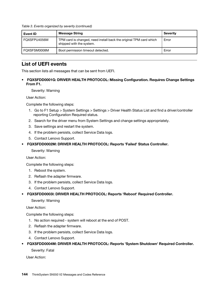Table 3. Events organized by severity (continued)

| Event ID     | <b>Message String</b>                                                                          | <b>Severity</b> |
|--------------|------------------------------------------------------------------------------------------------|-----------------|
| FQXSFPU4056M | TPM card is changed, need install back the original TPM card which<br>shipped with the system. | Error           |
| FQXSFSM0008M | Boot permission timeout detected.                                                              | Error           |

# List of UEFI events

This section lists all messages that can be sent from UEFI.

• FQXSFDD0001G: DRIVER HEALTH PROTOCOL: Missing Configuration. Requires Change Settings From F1.

Severity: Warning

User Action:

Complete the following steps:

- 1. Go to F1 Setup > System Settings > Settings > Driver Health Status List and find a driver/controller reporting Configuration Required status.
- 2. Search for the driver menu from System Settings and change settings appropriately.
- 3. Save settings and restart the system.
- 4. If the problem persists, collect Service Data logs.
- 5. Contact Lenovo Support.
- FQXSFDD0002M: DRIVER HEALTH PROTOCOL: Reports 'Failed' Status Controller.

Severity: Warning

User Action:

Complete the following steps:

- 1. Reboot the system.
- 2. Reflash the adapter firmware.
- 3. If the problem persists, collect Service Data logs.
- 4. Contact Lenovo Support.
- FQXSFDD0003I: DRIVER HEALTH PROTOCOL: Reports 'Reboot' Required Controller.

#### Severity: Warning

User Action:

Complete the following steps:

- 1. No action required system will reboot at the end of POST.
- 2. Reflash the adapter firmware.
- 3. If the problem persists, collect Service Data logs.
- 4. Contact Lenovo Support.

#### • FQXSFDD0004M: DRIVER HEALTH PROTOCOL: Reports 'System Shutdown' Required Controller.

Severity: Fatal

User Action: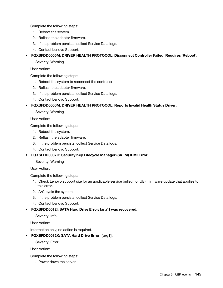Complete the following steps:

- 1. Reboot the system.
- 2. Reflash the adapter firmware.
- 3. If the problem persists, collect Service Data logs.
- 4. Contact Lenovo Support.

• FQXSFDD0005M: DRIVER HEALTH PROTOCOL: Disconnect Controller Failed. Requires 'Reboot'.

Severity: Warning

User Action:

Complete the following steps:

- 1. Reboot the system to reconnect the controller.
- 2. Reflash the adapter firmware.
- 3. If the problem persists, collect Service Data logs.
- 4. Contact Lenovo Support.
- FQXSFDD0006M: DRIVER HEALTH PROTOCOL: Reports Invalid Health Status Driver.

#### Severity: Warning

User Action:

Complete the following steps:

- 1. Reboot the system.
- 2. Reflash the adapter firmware.
- 3. If the problem persists, collect Service Data logs.
- 4. Contact Lenovo Support.
- FQXSFDD0007G: Security Key Lifecycle Manager (SKLM) IPMI Error.

Severity: Warning

User Action:

Complete the following steps:

- 1. Check Lenovo support site for an applicable service bulletin or UEFI firmware update that applies to this error.
- 2. A/C cycle the system.
- 3. If the problem persists, collect Service Data logs.
- 4. Contact Lenovo Support.
- FQXSFDD0012I: SATA Hard Drive Error: [arg1] was recovered.

Severity: Info

User Action:

Information only; no action is required.

# • FQXSFDD0012K: SATA Hard Drive Error: [arg1].

Severity: Error

User Action:

Complete the following steps:

1. Power down the server.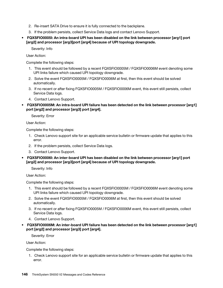- 2. Re-insert SATA Drive to ensure it is fully connected to the backplane.
- 3. If the problem persists, collect Service Data logs and contact Lenovo Support.
- FQXSFIO0005I: An intra-board UPI has been disabled on the link between processor [arg1] port [arg2] and processor [arg3]port [arg4] because of UPI topology downgrade.

User Action:

Complete the following steps:

- 1. This event should be followed by a recent FQXSFIO0005M / FQXSFIO0006M event denoting some UPI links failure which caused UPI topology downgrade.
- 2. Solve the event FQXSFIO0005M / FQXSFIO0006M at first, then this event should be solved automatically.
- 3. If no recent or after fixing FQXSFIO0005M / FQXSFIO0006M event, this event still persists, collect Service Data logs.
- 4. Contact Lenovo Support.
- FQXSFIO0005M: An intra-board UPI failure has been detected on the link between processor [arg1] port [arg2] and processor [arg3] port [arg4].

Severity: Error

User Action:

Complete the following steps:

- 1. Check Lenovo support site for an applicable service bulletin or firmware update that applies to this error.
- 2. If the problem persists, collect Service Data logs.
- 3. Contact Lenovo Support.
- FQXSFIO0006I: An inter-board UPI has been disabled on the link between processor [arg1] port [arg2] and processor [arg3]port [arg4] because of UPI topology downgrade.

Severity: Info

User Action:

Complete the following steps:

- 1. This event should be followed by a recent FQXSFIO0005M / FQXSFIO0006M event denoting some UPI links failure which caused UPI topology downgrade.
- 2. Solve the event FQXSFIO0005M / FQXSFIO0006M at first, then this event should be solved automatically.
- 3. If no recent or after fixing FQXSFIO0005M / FQXSFIO0006M event, this event still persists, collect Service Data logs.
- 4. Contact Lenovo Support.
- FQXSFIO0006M: An inter-board UPI failure has been detected on the link between processor [arg1] port [arg2] and processor [arg3] port [arg4].

Severity: Error

User Action:

Complete the following steps:

1. Check Lenovo support site for an applicable service bulletin or firmware update that applies to this error.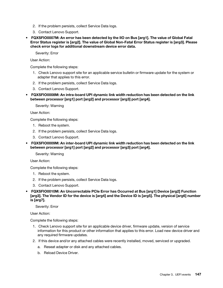- 2. If the problem persists, collect Service Data logs.
- 3. Contact Lenovo Support.
- FQXSFIO0007M: An error has been detected by the IIO on Bus [arg1]. The value of Global Fatal Error Status register is [arg2]. The value of Global Non-Fatal Error Status register is [arg3]. Please check error logs for additional downstream device error data.

User Action:

Complete the following steps:

- 1. Check Lenovo support site for an applicable service bulletin or firmware update for the system or adapter that applies to this error.
- 2. If the problem persists, collect Service Data logs.
- 3. Contact Lenovo Support.
- FQXSFIO0008M: An intra-board UPI dynamic link width reduction has been detected on the link between processor [arg1] port [arg2] and processor [arg3] port [arg4].

Severity: Warning

User Action:

Complete the following steps:

- 1. Reboot the system.
- 2. If the problem persists, collect Service Data logs.
- 3. Contact Lenovo Support.
- FQXSFIO0009M: An inter-board UPI dynamic link width reduction has been detected on the link between processor [arg1] port [arg2] and processor [arg3] port [arg4].

Severity: Warning

User Action:

Complete the following steps:

- 1. Reboot the system.
- 2. If the problem persists, collect Service Data logs.
- 3. Contact Lenovo Support.
- FQXSFIO0010M: An Uncorrectable PCIe Error has Occurred at Bus [arg1] Device [arg2] Function [arg3]. The Vendor ID for the device is [arg4] and the Device ID is [arg5]. The physical [arg6] number is [arg7].

Severity: Error

User Action:

- 1. Check Lenovo support site for an applicable device driver, firmware update, version of service information for this product or other information that applies to this error. Load new device driver and any required firmware updates.
- 2. If this device and/or any attached cables were recently installed, moved, serviced or upgraded.
	- a. Reseat adapter or disk and any attached cables.
	- b. Reload Device Driver.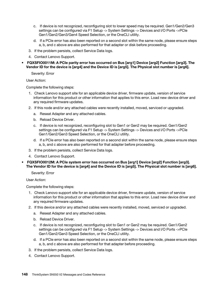- c. If device is not recognized, reconfiguring slot to lower speed may be required. Gen1/Gen2/Gen3 settings can be configured via F1 Setup -> System Settings -> Devices and I/O Ports ->PCIe Gen1/Gen2/Gen3/Gen4 Speed Selection, or the OneCLI utility.
- d. If a PCIe error has also been reported on a second slot within the same node, please ensure steps a, b, and c above are also performed for that adapter or disk before proceeding.
- 3. If the problem persists, collect Service Data logs.
- 4. Contact Lenovo Support.
- FQXSFIO0011M: A PCIe parity error has occurred on Bus [arg1] Device [arg2] Function [arg3]. The Vendor ID for the device is [arg4] and the Device ID is [arg5]. The Physical slot number is [arg6].

User Action:

Complete the following steps:

- 1. Check Lenovo support site for an applicable device driver, firmware update, version of service information for this product or other information that applies to this error. Load new device driver and any required firmware updates.
- 2. If this node and/or any attached cables were recently installed, moved, serviced or upgraded.
	- a. Reseat Adapter and any attached cables.
	- b. Reload Device Driver.
	- c. If device is not recognized, reconfiguring slot to Gen1 or Gen2 may be required. Gen1/Gen2 settings can be configured via F1 Setup -> System Settings -> Devices and I/O Ports ->PCIe Gen1/Gen2/Gen3 Speed Selection, or the OneCLI utility.
	- d. If a PCIe error has also been reported on a second slot within the same node, please ensure steps a, b, and c above are also performed for that adapter before proceeding.
- 3. If the problem persists, collect Service Data logs.
- 4. Contact Lenovo Support.
- FQXSFIO0012M: A PCIe system error has occurred on Bus [arg1] Device [arg2] Function [arg3]. The Vendor ID for the device is [arg4] and the Device ID is [arg5]. The Physical slot number is [arg6].

Severity: Error

User Action:

- 1. Check Lenovo support site for an applicable device driver, firmware update, version of service information for this product or other information that applies to this error. Load new device driver and any required firmware updates.
- 2. If this device and/or any attached cables were recently installed, moved, serviced or upgraded.
	- a. Reseat Adapter and any attached cables.
	- b. Reload Device Driver.
	- c. If device is not recognized, reconfiguring slot to Gen1 or Gen2 may be required. Gen1/Gen2 settings can be configured via F1 Setup -> System Settings -> Devices and I/O Ports ->PCIe Gen1/Gen2/Gen3 Speed Selection, or the OneCLI utility.
	- d. If a PCIe error has also been reported on a second slot within the same node, please ensure steps a, b, and c above are also performed for that adapter before proceeding.
- 3. If the problem persists, collect Service Data logs.
- 4. Contact Lenovo Support.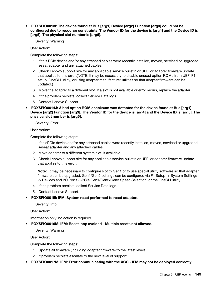• FQXSFIO0013I: The device found at Bus [arg1] Device [arg2] Function [arg3] could not be configured due to resource constraints. The Vendor ID for the device is [arg4] and the Device ID is [arg5]. The physical slot number is [arg6].

Severity: Warning

User Action:

Complete the following steps:

- 1. If this PCIe device and/or any attached cables were recently installed, moved, serviced or upgraded, reseat adapter and any attached cables.
- 2. Check Lenovo support site for any applicable service bulletin or UEFI or adapter firmware update that applies to this error.(NOTE: It may be necessary to disable unused option ROMs from UEFI F1 setup, OneCLI utility, or using adapter manufacturer utilities so that adapter firmware can be updated.)
- 3. Move the adapter to a different slot. If a slot is not available or error recurs, replace the adapter.
- 4. If the problem persists, collect Service Data logs.
- 5. Contact Lenovo Support.
- FQXSFIO0014J: A bad option ROM checksum was detected for the device found at Bus [arg1] Device [arg2] Function [arg3]. The Vendor ID for the device is [arg4] and the Device ID is [arg5]. The physical slot number is [arg6].

Severity: Error

User Action:

Complete the following steps:

- 1. If thisPCIe device and/or any attached cables were recently installed, moved, serviced or upgraded. Reseat adapter and any attached cables.
- 2. Move adapter to a different system slot, if available.
- 3. Check Lenovo support site for any applicable service bulletin or UEFI or adapter firmware update that applies to this error.

Note: It may be necessary to configure slot to Gen1 or to use special utility software so that adapter firmware can be upgraded. Gen1/Gen2 settings can be configured via F1 Setup -> System Settings -> Devices and I/O Ports ->PCIe Gen1/Gen2/Gen3 Speed Selection, or the OneCLI utility.

- 4. If the problem persists, collect Service Data logs.
- 5. Contact Lenovo Support.
- FQXSFIO0015I: IFM: System reset performed to reset adapters.

Severity: Info

User Action:

Information only; no action is required.

• FQXSFIO0016M: IFM: Reset loop avoided - Multiple resets not allowed.

Severity: Warning

User Action:

- 1. Update all firmware (including adapter firmware) to the latest levels.
- 2. If problem persists escalate to the next level of support.
- FQXSFIO0017M: IFM: Error communicating with the XCC IFM may not be deployed correctly.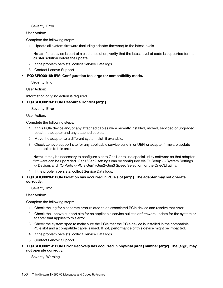User Action:

Complete the following steps:

1. Update all system firmware (including adapter firmware) to the latest levels.

Note: If the device is part of a cluster solution, verify that the latest level of code is supported for the cluster solution before the update.

- 2. If the problem persists, collect Service Data logs.
- 3. Contact Lenovo Support.
- FQXSFIO0018I: IFM: Configuration too large for compatibility mode.

Severity: Info

User Action:

Information only; no action is required.

• FQXSFIO0019J: PCIe Resource Conflict [arg1].

Severity: Error

User Action:

Complete the following steps:

- 1. If this PCIe device and/or any attached cables were recently installed, moved, serviced or upgraded, reseat the adapter and any attached cables.
- 2. Move the adapter to a different system slot, if available.
- 3. Check Lenovo support site for any applicable service bulletin or UEFI or adapter firmware update that applies to this error.

Note: It may be necessary to configure slot to Gen1 or to use special utility software so that adapter firmware can be upgraded. Gen1/Gen2 settings can be configured via F1 Setup -> System Settings -> Devices and I/O Ports ->PCIe Gen1/Gen2/Gen3 Speed Selection, or the OneCLI utility.

- 4. If the problem persists, collect Service Data logs.
- FQXSFIO0020J: PCIe Isolation has occurred in PCIe slot [arg1]. The adapter may not operate correctly.

Severity: Info

User Action:

Complete the following steps:

- 1. Check the log for a separate error related to an associated PCIe device and resolve that error.
- 2. Check the Lenovo support site for an applicable service bulletin or firmware update for the system or adapter that applies to this error.
- 3. Check the system spec to make sure the PCIe that the PCIe device is installed in the compatible PCIe slot and a compatible cable is used. If not, performance of this device might be impacted.
- 4. If the problem persists, collect Service Data logs.
- 5. Contact Lenovo Support.
- FQXSFIO0021J: PCIe Error Recovery has occurred in physical [arg1] number [arg2]. The [arg3] may not operate correctly.

Severity: Warning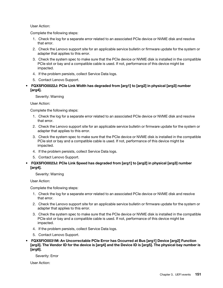#### User Action:

Complete the following steps:

- 1. Check the log for a separate error related to an associated PCIe device or NVME disk and resolve that error.
- 2. Check the Lenovo support site for an applicable service bulletin or firmware update for the system or adapter that applies to this error.
- 3. Check the system spec to make sure that the PCIe device or NVME disk is installed in the compatible PCIe slot or bay and a compatible cable is used. If not, performance of this device might be impacted.
- 4. If the problem persists, collect Service Data logs.
- 5. Contact Lenovo Support.
- FQXSFIO0022J: PCIe Link Width has degraded from [arg1] to [arg2] in physical [arg3] number [arg4].

Severity: Warning

User Action:

Complete the following steps:

- 1. Check the log for a separate error related to an associated PCIe device or NVME disk and resolve that error.
- 2. Check the Lenovo support site for an applicable service bulletin or firmware update for the system or adapter that applies to this error.
- 3. Check the system spec to make sure that the PCIe device or NVME disk is installed in the compatible PCIe slot or bay and a compatible cable is used. If not, performance of this device might be impacted.
- 4. If the problem persists, collect Service Data logs.
- 5. Contact Lenovo Support.
- FQXSFIO0023J: PCIe Link Speed has degraded from [arg1] to [arg2] in physical [arg3] number [arg4].

Severity: Warning

User Action:

Complete the following steps:

- 1. Check the log for a separate error related to an associated PCIe device or NVME disk and resolve that error.
- 2. Check the Lenovo support site for an applicable service bulletin or firmware update for the system or adapter that applies to this error.
- 3. Check the system spec to make sure that the PCIe device or NVME disk is installed in the compatible PCIe slot or bay and a compatible cable is used. If not, performance of this device might be impacted.
- 4. If the problem persists, collect Service Data logs.
- 5. Contact Lenovo Support.
- FQXSFIO0031M: An Uncorrectable PCIe Error has Occurred at Bus [arg1] Device [arg2] Function [arg3]. The Vendor ID for the device is [arg4] and the Device ID is [arg5]. The physical bay number is [arg6].

Severity: Error

User Action: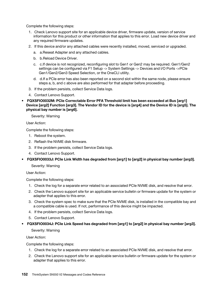Complete the following steps:

- 1. Check Lenovo support site for an applicable device driver, firmware update, version of service information for this product or other information that applies to this error. Load new device driver and any required firmware updates.
- 2. If this device and/or any attached cables were recently installed, moved, serviced or upgraded.
	- a. a.Reseat Adapter and any attached cables.
	- b. b.Reload Device Driver.
	- c. c.If device is not recognized, reconfiguring slot to Gen1 or Gen2 may be required. Gen1/Gen2 settings can be configured via F1 Setup -> System Settings -> Devices and I/O Ports ->PCIe Gen1/Gen2/Gen3 Speed Selection, or the OneCLI utility.
	- d. d.If a PCIe error has also been reported on a second slot within the same node, please ensure steps a, b, and c above are also performed for that adapter before proceeding.
- 3. If the problem persists, collect Service Data logs.
- 4. Contact Lenovo Support.
- FQXSFIO0032M: PCIe Correctable Error PFA Threshold limit has been exceeded at Bus [arg1] Device [arg2] Function [arg3]. The Vendor ID for the device is [arg4] and the Device ID is [arg5]. The physical bay number is [arg6].

Severity: Warning

User Action:

Complete the following steps:

- 1. Reboot the system.
- 2. Reflash the NVME disk firmware.
- 3. If the problem persists, collect Service Data logs.
- 4. Contact Lenovo Support.
- FQXSFIO0033J: PCIe Link Width has degraded from [arg1] to [arg2] in physical bay number [arg3].

Severity: Warning

User Action:

Complete the following steps:

- 1. Check the log for a separate error related to an associated PCIe NVME disk, and resolve that error.
- 2. Check the Lenovo support site for an applicable service bulletin or firmware update for the system or adapter that applies to this error.
- 3. Check the system spec to make sure that the PCIe NVME disk, is installed in the compatible bay and a compatible cable is used. If not, performance of this device might be impacted.
- 4. If the problem persists, collect Service Data logs.
- 5. Contact Lenovo Support.
- FQXSFIO0034J: PCIe Link Speed has degraded from [arg1] to [arg2] in physical bay number [arg3].

Severity: Warning

User Action:

- 1. Check the log for a separate error related to an associated PCIe NVME disk, and resolve that error.
- 2. Check the Lenovo support site for an applicable service bulletin or firmware update for the system or adapter that applies to this error.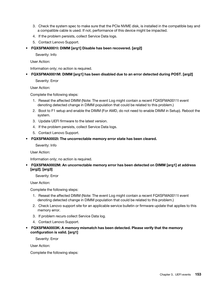- 3. Check the system spec to make sure that the PCIe NVME disk, is installed in the compatible bay and a compatible cable is used. If not, performance of this device might be impacted.
- 4. If the problem persists, collect Service Data logs.
- 5. Contact Lenovo Support.
- FQXSFMA0001I: DIMM [arg1] Disable has been recovered. [arg2]

User Action:

Information only; no action is required.

#### • FQXSFMA0001M: DIMM [arg1] has been disabled due to an error detected during POST. [arg2]

Severity: Error

User Action:

Complete the following steps:

- 1. Reseat the affected DIMM (Note: The event Log might contain a recent FQXSFMA0011I event denoting detected change in DIMM population that could be related to this problem.)
- 2. Boot to F1 setup and enable the DIMM (For AMD, do not need to enable DIMM in Setup). Reboot the system.
- 3. Update UEFI firmware to the latest version.
- 4. If the problem persists, collect Service Data logs.
- 5. Contact Lenovo Support.
- FQXSFMA0002I: The uncorrectable memory error state has been cleared.

Severity: Info

User Action:

Information only; no action is required.

# • FQXSFMA0002M: An uncorrectable memory error has been detected on DIMM [arg1] at address [arg2]. [arg3]

Severity: Error

User Action:

Complete the following steps:

- 1. Reseat the affected DIMM (Note: The event Log might contain a recent FQXSFMA0011I event denoting detected change in DIMM population that could be related to this problem.)
- 2. Check Lenovo support site for an applicable service bulletin or firmware update that applies to this memory error.
- 3. If problem recurs collect Service Data log.
- 4. Contact Lenovo Support.
- FQXSFMA0003K: A memory mismatch has been detected. Please verify that the memory configuration is valid. [arg1]

Severity: Error

User Action: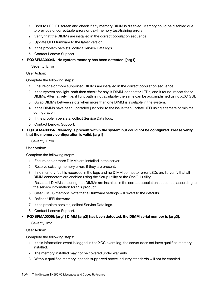- 1. Boot to uEFI F1 screen and check if any memory DIMM is disabled. Memory could be disabled due to previous uncorrectable Errors or uEFI memory test/training errors.
- 2. Verify that the DIMMs are installed in the correct population sequence.
- 3. Update UEFI firmware to the latest version.
- 4. If the problem persists, collect Service Data logs
- 5. Contact Lenovo Support.

#### • FQXSFMA0004N: No system memory has been detected. [arg1]

Severity: Error

User Action:

Complete the following steps:

- 1. Ensure one or more supported DIMMs are installed in the correct population sequence.
- 2. If the system has light-path then check for any lit DIMM-connector LEDs, and if found, reseat those DIMMs. Alternatively ( i.e. if light path is not available) the same can be accomplished using XCC GUI.
- 3. Swap DIMMs between slots when more than one DIMM is available in the system.
- 4. If the DIMMs have been upgraded just prior to the issue than update uEFI using alternate or minimal configuration.
- 5. If the problem persists, collect Service Data logs.
- 6. Contact Lenovo Support.
- FQXSFMA0005N: Memory is present within the system but could not be configured. Please verify that the memory configuration is valid. [arg1]

Severity: Error

User Action:

Complete the following steps:

- 1. Ensure one or more DIMMs are installed in the server.
- 2. Resolve existing memory errors if they are present.
- 3. If no memory fault is recorded in the logs and no DIMM connector error LEDs are lit, verify that all DIMM connectors are enabled using the Setup utility or the OneCLI utility.
- 4. Reseat all DIMMs ensuring that DIMMs are installed in the correct population sequence, according to the service information for this product.
- 5. Clear CMOS memory. Note that all firmware settings will revert to the defaults.
- 6. Reflash UEFI firmware.
- 7. If the problem persists, collect Service Data logs.
- 8. Contact Lenovo Support.

#### • FQXSFMA0006I: [arg1] DIMM [arg2] has been detected, the DIMM serial number is [arg3].

Severity: Info

User Action:

- 1. If this information event is logged in the XCC event log, the server does not have qualified memory installed.
- 2. The memory installed may not be covered under warranty.
- 3. Without qualified memory, speeds supported above industry standards will not be enabled.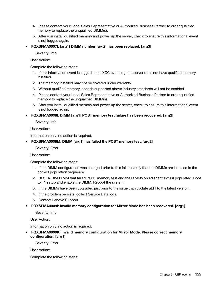- 4. Please contact your Local Sales Representative or Authorized Business Partner to order qualified memory to replace the unqualified DIMM(s).
- 5. After you install qualified memory and power up the server, check to ensure this informational event is not logged again.
- FQXSFMA0007I: [arg1] DIMM number [arg2] has been replaced. [arg3]

User Action:

Complete the following steps:

- 1. If this information event is logged in the XCC event log, the server does not have qualified memory installed.
- 2. The memory installed may not be covered under warranty.
- 3. Without qualified memory, speeds supported above industry standards will not be enabled.
- 4. Please contact your Local Sales Representative or Authorized Business Partner to order qualified memory to replace the unqualified DIMM(s).
- 5. After you install qualified memory and power up the server, check to ensure this informational event is not logged again.
- FQXSFMA0008I: DIMM [arg1] POST memory test failure has been recovered. [arg2]

Severity: Info

User Action:

Information only; no action is required.

#### • FQXSFMA0008M: DIMM [arg1] has failed the POST memory test. [arg2]

Severity: Error

User Action:

Complete the following steps:

- 1. If the DIMM configuration was changed prior to this failure verify that the DIMMs are installed in the correct population sequence.
- 2. RESEAT the DIMM that failed POST memory test and the DIMMs on adjacent slots if populated. Boot to F1 setup and enable the DIMM. Reboot the system.
- 3. If the DIMMs have been upgraded just prior to the issue than update uEFI to the latest version.
- 4. If the problem persists, collect Service Data logs.
- 5. Contact Lenovo Support.
- FQXSFMA0009I: Invalid memory configuration for Mirror Mode has been recovered. [arg1]

Severity: Info

User Action:

Information only; no action is required.

• FQXSFMA0009K: Invalid memory configuration for Mirror Mode. Please correct memory configuration. [arg1]

Severity: Error

User Action: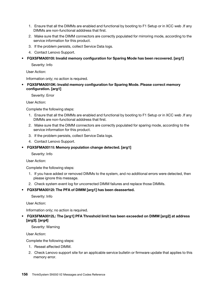- 1. Ensure that all the DIMMs are enabled and functional by booting to F1 Setup or in XCC web .If any DIMMs are non-functional adddress that first.
- 2. Make sure that the DIMM connectors are correctly populated for mirroring mode, according to the service information for this product.
- 3. If the problem persists, collect Service Data logs.
- 4. Contact Lenovo Support.
- FQXSFMA0010I: Invalid memory configuration for Sparing Mode has been recovered. [arg1]

User Action:

Information only; no action is required.

• FQXSFMA0010K: Invalid memory configuration for Sparing Mode. Please correct memory configuration. [arg1]

Severity: Error

User Action:

Complete the following steps:

- 1. Ensure that all the DIMMs are enabled and functional by booting to F1 Setup or in XCC web .If any DIMMs are non-functional adddress that first.
- 2. Make sure that the DIMM connectors are correctly populated for sparing mode, according to the service information for this product.
- 3. If the problem persists, collect Service Data logs.
- 4. Contact Lenovo Support.
- FQXSFMA0011I: Memory population change detected. [arg1]
	- Severity: Info

User Action:

Complete the following steps:

- 1. If you have added or removed DIMMs to the system, and no additional errors were detected, then please ignore this message.
- 2. Check system event log for uncorrected DIMM failures and replace those DIMMs.

# • FQXSFMA0012I: The PFA of DIMM [arg1] has been deasserted.

Severity: Info

User Action:

Information only; no action is required.

• FQXSFMA0012L: The [arg1] PFA Threshold limit has been exceeded on DIMM [arg2] at address [arg3]. [arg4]

Severity: Warning

User Action:

- 1. Reseat affected DIMM.
- 2. Check Lenovo support site for an applicable service bulletin or firmware update that applies to this memory error.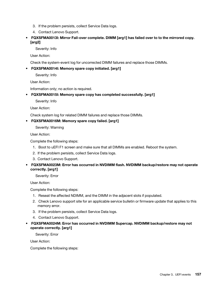- 3. If the problem persists, collect Service Data logs.
- 4. Contact Lenovo Support.
- FQXSFMA0013I: Mirror Fail-over complete. DIMM [arg1] has failed over to to the mirrored copy. [arg2]

User Action:

Check the system-event log for uncorrected DIMM failures and replace those DIMMs.

# • FQXSFMA0014I: Memory spare copy initiated. [arg1]

Severity: Info

User Action:

Information only; no action is required.

# • FQXSFMA0015I: Memory spare copy has completed successfully. [arg1]

Severity: Info

User Action:

Check system log for related DIMM failures and replace those DIMMs.

#### • FQXSFMA0016M: Memory spare copy failed. [arg1]

Severity: Warning

User Action:

Complete the following steps:

- 1. Boot to uEFI F1 screen and make sure that all DIMMs are enabled. Reboot the system.
- 2. If the problem persists, collect Service Data logs.
- 3. Contact Lenovo Support.

# • FQXSFMA0023M: Error has occurred in NVDIMM flash. NVDIMM backup/restore may not operate correctly. [arg1]

Severity: Error

User Action:

Complete the following steps:

- 1. Reseat the affected NDIMM, and the DIMM in the adjacent slots if populated.
- 2. Check Lenovo support site for an applicable service bulletin or firmware update that applies to this memory error.
- 3. If the problem persists, collect Service Data logs.
- 4. Contact Lenovo Support.
- FQXSFMA0024M: Error has occurred in NVDIMM Supercap. NVDIMM backup/restore may not operate correctly. [arg1]

Severity: Error

User Action: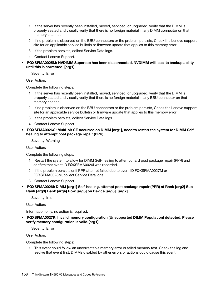- 1. If the server has recently been installed, moved, serviced, or upgraded, verify that the DIMM is properly seated and visually verify that there is no foreign material in any DIMM connector on that memory channel.
- 2. If no problem is observed on the BBU connectors or the problem persists, Check the Lenovo support site for an applicable service bulletin or firmware update that applies to this memory error.
- 3. If the problem persists, collect Service Data logs.
- 4. Contact Lenovo Support.
- FQXSFMA0025M: NVDIMM Supercap has been disconnected. NVDIMM will lose its backup ability until this is corrected. [arg1]

User Action:

Complete the following steps:

- 1. If the server has recently been installed, moved, serviced, or upgraded, verify that the DIMM is properly seated and visually verify that there is no foreign material in any BBU connector on that memory channel.
- 2. If no problem is observed on the BBU connectors or the problem persists, Check the Lenovo support site for an applicable service bulletin or firmware update that applies to this memory error.
- 3. If the problem persists, collect Service Data logs.
- 4. Contact Lenovo Support.
- FQXSFMA0026G: Multi-bit CE occurred on DIMM [arg1], need to restart the system for DIMM Selfhealing to attempt post package repair (PPR)

Severity: Warning

User Action:

Complete the following steps:

- 1. Restart the system to allow for DIMM Self-healing to attempt hard post package repair (PPR) and confirm that event ID FQXSFMA0026I was recorded.
- 2. If the problem persists or if PPR attempt failed due to event ID FQXSFMA0027M or FQXSFMA0028M, collect Service Data logs.
- 3. Contact Lenovo Support.
- FQXSFMA0026I: DIMM [arg1] Self-healing, attempt post package repair (PPR) at Rank [arg2] Sub Rank [arg3] Bank [arg4] Row [arg5] on Device [arg6]. [arg7]

Severity: Info

User Action:

Information only; no action is required.

• FQXSFMA0027K: Invalid memory configuration (Unsupported DIMM Population) detected. Please verify memory configuration is valid.[arg1]

Severity: Error

User Action:

Complete the following steps:

1. This event could follow an uncorrectable memory error or failed memory test. Check the log and resolve that event first. DIMMs disabled by other errors or actions could cause this event.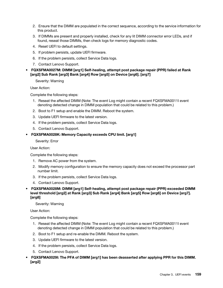- 2. Ensure that the DIMM are populated in the correct sequence, according to the service information for this product.
- 3. If DIMMs are present and properly installed, check for any lit DIMM connector error LEDs, and if found, reseat those DIMMs, then check logs for memory diagnostic codes.
- 4. Reset UEFI to default settings.
- 5. If problem persists, update UEFI firmware.
- 6. If the problem persists, collect Service Data logs.
- 7. Contact Lenovo Support.

#### • FQXSFMA0027M: DIMM [arg1] Self-healing, attempt post package repair (PPR) failed at Rank [arg2] Sub Rank [arg3] Bank [arg4] Row [arg5] on Device [arg6]. [arg7]

Severity: Warning

User Action:

Complete the following steps:

- 1. Reseat the affected DIMM (Note: The event Log might contain a recent FQXSFMA0011I event denoting detected change in DIMM population that could be related to this problem.)
- 2. Boot to F1 setup and enable the DIMM. Reboot the system.
- 3. Update UEFI firmware to the latest version.
- 4. If the problem persists, collect Service Data logs.
- 5. Contact Lenovo Support.

#### • FQXSFMA0028K: Memory Capacity exceeds CPU limit. [arg1]

Severity: Error

User Action:

Complete the following steps:

- 1. Remove AC power from the system.
- 2. Modify memory configuration to ensure the memory capacity does not exceed the processor part number limit.
- 3. If the problem persists, collect Service Data logs.
- 4. Contact Lenovo Support.
- FQXSFMA0028M: DIMM [arg1] Self-healing, attempt post package repair (PPR) exceeded DIMM level threshold [arg2] at Rank [arg3] Sub Rank [arg4] Bank [arg5] Row [arg6] on Device [arg7]. [arg8]

Severity: Warning

User Action:

- 1. Reseat the affected DIMM (Note: The event Log might contain a recent FQXSFMA0011I event denoting detected change in DIMM population that could be related to this problem.)
- 2. Boot to F1 setup and re-enable the DIMM. Reboot the system.
- 3. Update UEFI firmware to the latest version.
- 4. If the problem persists, collect Service Data logs.
- 5. Contact Lenovo Support.
- FQXSFMA0029I: The PFA of DIMM [arg1] has been deasserted after applying PPR for this DIMM. [arg2]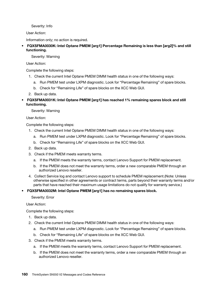User Action:

Information only; no action is required.

# • FQXSFMA0030K: Intel Optane PMEM [arg1] Percentage Remaining is less than [arg2]% and still functioning.

Severity: Warning

User Action:

Complete the following steps:

- 1. Check the current Intel Optane PMEM DIMM health status in one of the following ways:
	- a. Run PMEM test under LXPM diagnostic. Look for "Percentage Remaining" of spare blocks.
	- b. Check for "Remaining Life" of spare blocks on the XCC Web GUI.
- 2. Back up data.
- FQXSFMA0031K: Intel Optane PMEM [arg1] has reached 1% remaining spares block and still functioning.

Severity: Warning

User Action:

Complete the following steps:

- 1. Check the current Intel Optane PMEM DIMM health status in one of the following ways:
	- a. Run PMEM test under LXPM diagnostic. Look for "Percentage Remaining" of spare blocks.
	- b. Check for "Remaining Life" of spare blocks on the XCC Web GUI.
- 2. Back up data.
- 3. Check if the PMEM meets warranty terms.
	- a. If the PMEM meets the warranty terms, contact Lenovo Support for PMEM replacement.
	- b. If the PMEM does not meet the warranty terms, order a new comparable PMEM through an authorized Lenovo reseller.
- 4. Collect Service log and contact Lenovo support to schedule PMEM replacement.(Note: Unless otherwise specified in other agreements or contract terms, parts beyond their warranty terms and/or parts that have reached their maximum usage limitations do not qualify for warranty service.)

# • FQXSFMA0032M: Intel Optane PMEM [arg1] has no remaining spares block.

Severity: Error

User Action:

- 1. Back up data.
- 2. Check the current Intel Optane PMEM DIMM health status in one of the following ways:
	- a. Run PMEM test under LXPM diagnostic. Look for "Percentage Remaining" of spare blocks.
	- b. Check for "Remaining Life" of spare blocks on the XCC Web GUI.
- 3. Check if the PMEM meets warranty terms.
	- a. If the PMEM meets the warranty terms, contact Lenovo Support for PMEM replacement.
	- b. If the PMEM does not meet the warranty terms, order a new comparable PMEM through an authorized Lenovo reseller.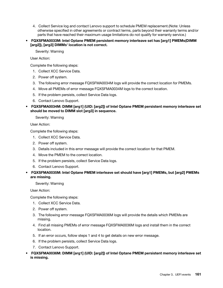- 4. Collect Service log and contact Lenovo support to schedule PMEM replacement.(Note: Unless otherwise specified in other agreements or contract terms, parts beyond their warranty terms and/or parts that have reached their maximum usage limitations do not qualify for warranty service.)
- FQXSFMA0033M: Intel Optane PMEM persistent memory interleave set has [arg1] PMEMs(DIMM [arg2]), [arg3] DIMMs' location is not correct.

Severity: Warning

User Action:

Complete the following steps:

- 1. Collect XCC Service Data.
- 2. Power off system.
- 3. The following error message FQXSFMA0034M logs will provide the correct location for PMEMs.
- 4. Move all PMEMs of error message FQXSFMA0034M logs to the correct location.
- 5. If the problem persists, collect Service Data logs.
- 6. Contact Lenovo Support.
- FQXSFMA0034M: DIMM [arg1] (UID: [arg2]) of Intel Optane PMEM persistent memory interleave set should be moved to DIMM slot [arg3] in sequence.

Severity: Warning

User Action:

Complete the following steps:

- 1. Collect XCC Service Data.
- 2. Power off system.
- 3. Details included in this error message will provide the correct location for that PMEM.
- 4. Move the PMEM to the correct location.
- 5. If the problem persists, collect Service Data logs.
- 6. Contact Lenovo Support.
- FQXSFMA0035M: Intel Optane PMEM interleave set should have [arg1] PMEMs, but [arg2] PMEMs are missing.

Severity: Warning

User Action:

- 1. Collect XCC Service Data.
- 2. Power off system.
- 3. The following error message FQXSFMA0036M logs will provide the details which PMEMs are missing.
- 4. Find all missing PMEMs of error message FQXSFMA0036M logs and install them in the correct location.
- 5. If an error occurs, follow steps 1 and 4 to get details on new error message.
- 6. If the problem persists, collect Service Data logs.
- 7. Contact Lenovo Support.
- FQXSFMA0036M: DIMM [arg1] (UID: [arg2]) of Intel Optane PMEM persistent memory interleave set is missing.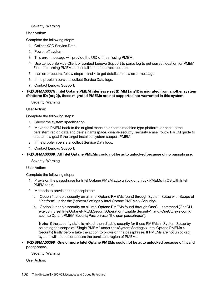#### Severity: Warning

User Action:

Complete the following steps:

- 1. Collect XCC Service Data.
- 2. Power off system.
- 3. This error message will provide the UID of the missing PMEM,
- 4. Use Lenovo Service Client or contact Lenovo Support to parse log to get correct location for PMEM Find the missing PMEM and install it in the correct location.
- 5. If an error occurs, follow steps 1 and 4 to get details on new error message.
- 6. If the problem persists, collect Service Data logs.
- 7. Contact Lenovo Support.
- FQXSFMA0037G: Intel Optane PMEM interleave set (DIMM [arg1]) is migrated from another system (Platform ID: [arg2]), these migrated PMEMs are not supported nor warranted in this system.

Severity: Warning

User Action:

Complete the following steps:

- 1. Check the system specification.
- 2. Move the PMEM back to the original machine or same machine type platform, or backup the persistent region data and delete namespace, disable security, security erase, follow PMEM guide to create new goal if the target installed system support PMEM.
- 3. If the problem persists, collect Service Data logs.
- 4. Contact Lenovo Support.
- FQXSFMA0038K: All Intel Optane PMEMs could not be auto unlocked because of no passphrase.

Severity: Warning

User Action:

Complete the following steps:

- 1. Provision the passphrase for Intel Optane PMEM auto unlock or unlock PMEMs in OS with Intel PMEM tools.
- 2. Methods to provision the passphrase:
	- a. Option 1. enable security on all Intel Optane PMEMs found through System Setup with Scope of "Platform" under the (System Settings > Intel Optane PMEMs > Security).
	- b. Option 2. enable security on all Intel Optane PMEMs found through OneCLI command (OneCLI. exe config set IntelOptanePMEM.SecurityOperation "Enable Security") and (OneCLI.exe config set IntelOptanePMEM.SecurityPassphrase "the user passphrase").

Note: if the security state is mixed, then disable security for those PMEMs in System Setup by selecting the scope of "Single PMEM" under the (System Settings > Intel Optane PMEMs > Security) firstly before take the action to provision the passphrase. If PMEMs are not unlocked, system will not see or access the persistent region of PMEMs.

• FQXSFMA0039K: One or more Intel Optane PMEMs could not be auto unlocked because of invalid passphrase.

Severity: Warning

User Action: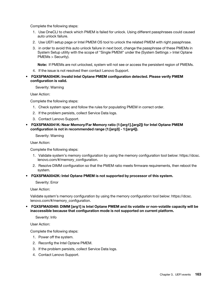Complete the following steps:

- 1. Use OneCLI to check which PMEM is failed for unlock. Using different passphrases could caused auto unlock failure.
- 2. Use UEFI setup page or Intel PMEM OS tool to unlock the related PMEM with right passphrase.
- 3. in order to avoid this auto unlock failure in next boot, change the passphrase of these PMEMs in System Setup utility with the scope of "Single PMEM" under the (System Settings > Intel Optane PMEMs > Security).

Note: If PMEMs are not unlocked, system will not see or access the persistent region of PMEMs.

- 4. If the issue is not resolved then contact Lenovo Support.
- FQXSFMA0040K: Invalid Intel Optane PMEM configuration detected. Please verify PMEM configuration is valid.

Severity: Warning

User Action:

Complete the following steps:

- 1. Check system spec and follow the rules for populating PMEM in correct order.
- 2. If the problem persists, collect Service Data logs.
- 3. Contact Lenovo Support.
- FQXSFMA0041K: Near Memory/Far Memory ratio (1:[arg1].[arg2]) for Intel Optane PMEM configuration is not in recommended range (1:[arg3] - 1:[arg4]).

Severity: Warning

User Action:

Complete the following steps:

- 1. Validate system's memory configuration by using the memory configuration tool below: https://dcsc. lenovo.com/#/memory\_configuration.
- 2. Resolve DIMM configuration so that the PMEM ratio meets firmware requirements, then reboot the system.
- FQXSFMA0042K: Intel Optane PMEM is not supported by processor of this system.

Severity: Error

User Action:

Validate system's memory configuration by using the memory configuration tool below: https://dcsc. lenovo.com/#/memory\_configuration.

#### • FQXSFMA0046I: DIMM [arg1] is Intel Optane PMEM and its volatile or non-volatile capacity will be inaccessible because that configuration mode is not supported on current platform.

Severity: Info

User Action:

- 1. Power off the system.
- 2. Reconfig the Intel Optane PMEM.
- 3. If the problem persists, collect Service Data logs.
- 4. Contact Lenovo Support.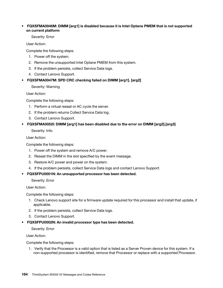# • FQXSFMA0046M: DIMM [arg1] is disabled because it is Intel Optane PMEM that is not supported on current platform

#### Severity: Error

User Action:

Complete the following steps:

- 1. Power off the system.
- 2. Remove the unsupported Intel Optane PMEM from this system.
- 3. If the problem persists, collect Service Data logs.
- 4. Contact Lenovo Support.
- FQXSFMA0047M: SPD CRC checking failed on DIMM [arg1]. [arg2]
	- Severity: Warning

User Action:

Complete the following steps:

- 1. Perform a virtual reseat or AC cycle the server.
- 2. If the problem returns Collect Service Data log.
- 3. Contact Lenovo Support.

# • FQXSFMA0052I: DIMM [arg1] has been disabled due to the error on DIMM [arg2].[arg3]

Severity: Info

User Action:

Complete the following steps:

- 1. Power off the system and remove A/C power.
- 2. Reseat the DIMM in the slot specified by the event message.
- 3. Restore A/C power and power on the system.
- 4. If the problem persists, collect Service Data logs and contact Lenovo Support.

# • FQXSFPU0001N: An unsupported processor has been detected.

Severity: Error

User Action:

Complete the following steps:

- 1. Check Lenovo support site for a firmware update required for this processor and install that update, if applicable.
- 2. If the problem persists, collect Service Data logs.
- 3. Contact Lenovo Support.
- FQXSFPU0002N: An invalid processor type has been detected.

Severity: Error

User Action:

Complete the following steps:

1. Verify that the Processor is a valid option that is listed as a Server Proven device for this system. If a non-supported processor is identified, remove that Processor or replace with a supported Processor.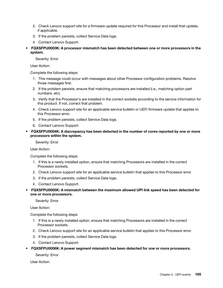- 2. Check Lenovo support site for a firmware update required for this Processor and install that update, if applicable.
- 3. If the problem persists, collect Service Data logs.
- 4. Contact Lenovo Support.
- FQXSFPU0003K: A processor mismatch has been detected between one or more processors in the system.

User Action:

Complete the following steps:

- 1. This message could occur with messages about other Processor configuration problems. Resolve those messages first.
- 2. If the problem persists, ensure that matching processors are installed (i.e., matching option part numbers, etc).
- 3. Verify that the Processor's are installed in the correct sockets according to the service information for this product. If not, correct that problem.
- 4. Check Lenovo support site for an applicable service bulletin or UEFI firmware update that applies to this Processor error.
- 5. If the problem persists, collect Service Data logs.
- 6. Contact Lenovo Support.
- FQXSFPU0004K: A discrepancy has been detected in the number of cores reported by one or more processors within the system.

Severity: Error

User Action:

Complete the following steps:

- 1. If this is a newly installed option, ensure that matching Processors are installed in the correct Processor sockets.
- 2. Check Lenovo support site for an applicable service bulletin that applies to this Processor error.
- 3. If the problem persists, collect Service Data logs.
- 4. Contact Lenovo Support.
- FQXSFPU0005K: A mismatch between the maximum allowed UPI link speed has been detected for one or more processors.

Severity: Error

User Action:

Complete the following steps:

- 1. If this is a newly installed option, ensure that matching Processors are installed in the correct Processor sockets.
- 2. Check Lenovo support site for an applicable service bulletin that applies to this Processor error.
- 3. If the problem persists, collect Service Data logs.
- 4. Contact Lenovo Support.
- FQXSFPU0006K: A power segment mismatch has been detected for one or more processors.

Severity: Error

User Action: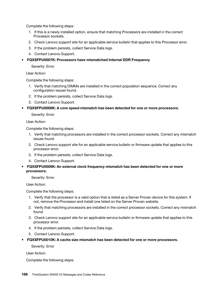Complete the following steps:

- 1. If this is a newly installed option, ensure that matching Processors are installed in the correct Processor sockets.
- 2. Check Lenovo support site for an applicable service bulletin that applies to this Processor error.
- 3. If the problem persists, collect Service Data logs.
- 4. Contact Lenovo Support.

• FQXSFPU0007K: Processors have mismatched Internal DDR Frequency

Severity: Error

User Action:

Complete the following steps:

- 1. Verify that matching DIMMs are installed in the correct population sequence. Correct any configuration issues found.
- 2. If the problem persists, collect Service Data logs.
- 3. Contact Lenovo Support.

• FQXSFPU0008K: A core speed mismatch has been detected for one or more processors.

Severity: Error

User Action:

Complete the following steps:

- 1. Verify that matching processors are installed in the correct processor sockets. Correct any mismatch issues found.
- 2. Check Lenovo support site for an applicable service bulletin or firmware update that applies to this processor error.
- 3. If the problem persists, collect Service Data logs.
- 4. Contact Lenovo Support.

#### • FQXSFPU0009K: An external clock frequency mismatch has been detected for one or more processors.

Severity: Error

User Action:

Complete the following steps:

- 1. Verify that the processor is a valid option that is listed as a Server Proven device for this system. If not, remove the Processor and install one listed on the Server Proven website.
- 2. Verify that matching processors are installed in the correct processor sockets. Correct any mismatch found.
- 3. Check Lenovo support site for an applicable service bulletin or firmware update that applies to this processor error.
- 4. If the problem persists, collect Service Data logs.
- 5. Contact Lenovo Support.
- FQXSFPU0010K: A cache size mismatch has been detected for one or more processors.

Severity: Error

User Action: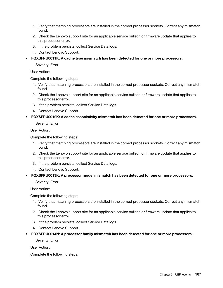- 1. Verify that matching processors are installed in the correct processor sockets. Correct any mismatch found.
- 2. Check the Lenovo support site for an applicable service bulletin or firmware update that applies to this processor error.
- 3. If the problem persists, collect Service Data logs.
- 4. Contact Lenovo Support.
- FQXSFPU0011K: A cache type mismatch has been detected for one or more processors.

User Action:

Complete the following steps:

- 1. Verify that matching processors are installed in the correct processor sockets. Correct any mismatch found.
- 2. Check the Lenovo support site for an applicable service bulletin or firmware update that applies to this processor error.
- 3. If the problem persists, collect Service Data logs.
- 4. Contact Lenovo Support.
- FQXSFPU0012K: A cache associativity mismatch has been detected for one or more processors.

Severity: Error

User Action:

Complete the following steps:

- 1. Verify that matching processors are installed in the correct processor sockets. Correct any mismatch found.
- 2. Check the Lenovo support site for an applicable service bulletin or firmware update that applies to this processor error.
- 3. If the problem persists, collect Service Data logs.
- 4. Contact Lenovo Support.
- FQXSFPU0013K: A processor model mismatch has been detected for one or more processors.

Severity: Error

User Action:

Complete the following steps:

- 1. Verify that matching processors are installed in the correct processor sockets. Correct any mismatch found.
- 2. Check the Lenovo support site for an applicable service bulletin or firmware update that applies to this processor error.
- 3. If the problem persists, collect Service Data logs.
- 4. Contact Lenovo Support.
- FQXSFPU0014N: A processor family mismatch has been detected for one or more processors.

Severity: Error

User Action: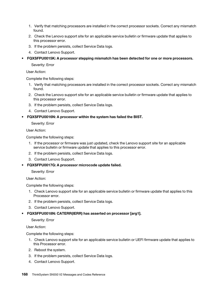- 1. Verify that matching processors are installed in the correct processor sockets. Correct any mismatch found.
- 2. Check the Lenovo support site for an applicable service bulletin or firmware update that applies to this processor error.
- 3. If the problem persists, collect Service Data logs.
- 4. Contact Lenovo Support.
- FQXSFPU0015K: A processor stepping mismatch has been detected for one or more processors.

User Action:

Complete the following steps:

- 1. Verify that matching processors are installed in the correct processor sockets. Correct any mismatch found.
- 2. Check the Lenovo support site for an applicable service bulletin or firmware update that applies to this processor error.
- 3. If the problem persists, collect Service Data logs.
- 4. Contact Lenovo Support.
- FQXSFPU0016N: A processor within the system has failed the BIST.

Severity: Error

User Action:

Complete the following steps:

- 1. If the processor or firmware was just updated, check the Lenovo support site for an applicable service bulletin or firmware update that applies to this processor error.
- 2. If the problem persists, collect Service Data logs.
- 3. Contact Lenovo Support.
- FQXSFPU0017G: A processor microcode update failed.

Severity: Error

User Action:

Complete the following steps:

- 1. Check Lenovo support site for an applicable service bulletin or firmware update that applies to this Processor error.
- 2. If the problem persists, collect Service Data logs.
- 3. Contact Lenovo Support.
- FQXSFPU0018N: CATERR(IERR) has asserted on processor [arg1].

Severity: Error

User Action:

- 1. Check Lenovo support site for an applicable service bulletin or UEFI firmware update that applies to this Processor error.
- 2. Reboot the system.
- 3. If the problem persists, collect Service Data logs.
- 4. Contact Lenovo Support.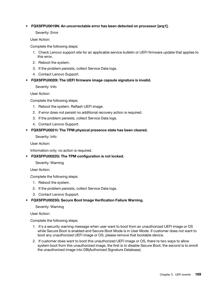#### • FQXSFPU0019N: An uncorrectable error has been detected on processor [arg1].

Severity: Error

User Action:

Complete the following steps:

- 1. Check Lenovo support site for an applicable service bulletin or UEFI firmware update that applies to this error.
- 2. Reboot the system.
- 3. If the problem persists, collect Service Data logs.
- 4. Contact Lenovo Support.
- FQXSFPU0020I: The UEFI firmware image capsule signature is invalid.

Severity: Info

User Action:

Complete the following steps:

- 1. Reboot the system. Reflash UEFI image.
- 2. If error does not persist no additional recovery action is required.
- 3. If the problem persists, collect Service Data logs.
- 4. Contact Lenovo Support.
- FQXSFPU0021I: The TPM physical presence state has been cleared.

Severity: Info

User Action:

Information only; no action is required.

• FQXSFPU0022G: The TPM configuration is not locked.

Severity: Warning

User Action:

Complete the following steps:

- 1. Reboot the system.
- 2. If the problem persists, collect Service Data logs.
- 3. Contact Lenovo Support.
- FQXSFPU0023G: Secure Boot Image Verification Failure Warning.

Severity: Warning

User Action:

- 1. It's a security warning message when user want to boot from an unauthorized UEFI image or OS while Secure Boot is enabled and Secure Boot Mode is in User Mode. If customer does not want to boot any unauthorized UEFI image or OS, please remove that bootable device.
- 2. If customer does want to boot this unauthorized UEFI image or OS, there're two ways to allow system boot from this unauthorized image, the first is to disable Secure Boot, the second is to enroll the unauthorized image into DB(Authorized Signature Database).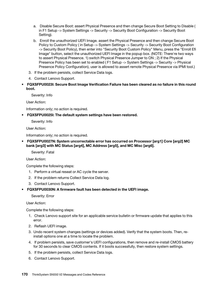- a. Disable Secure Boot: assert Physical Presence and then change Secure Boot Setting to Disable ( in F1 Setup -> System Settings -> Security -> Security Boot Configuration -> Security Boot Setting).
- b. Enroll the unauthorized UEFI Image. assert the Physical Presence and then change Secure Boot Policy to Custom Policy ( in Setup -> System Settings -> Security -> Security Boot Configuration -> Security Boot Policy), then enter into "Security Boot Custom Policy" Menu, press the "Enroll Efi Image" button, select the unauthorized UEFI Image in the popup box. (NOTE: There're two ways to assert Physical Presence. 1) switch Physical Presence Jumper to ON ; 2) If the Physical Presence Policy has been set to enabled ( F1 Setup -> System Settings -> Security -> Physical Presence Policy Configuration), user is allowed to assert remote Physical Presence via IPMI tool.)
- 3. If the problem persists, collect Service Data logs.
- 4. Contact Lenovo Support.
- FQXSFPU0023I: Secure Boot Image Verification Failure has been cleared as no failure in this round boot.

User Action:

Information only; no action is required.

• FQXSFPU0025I: The default system settings have been restored.

Severity: Info

User Action:

Information only; no action is required.

• FQXSFPU0027N: System uncorrectable error has occurred on Processor [arg1] Core [arg2] MC bank [arg3] with MC Status [arg4], MC Address [arg5], and MC Misc [arg6].

Severity: Fatal

User Action:

Complete the following steps:

- 1. Perform a virtual reseat or AC cycle the server.
- 2. If the problem returns Collect Service Data log.
- 3. Contact Lenovo Support.
- FQXSFPU0030N: A firmware fault has been detected in the UEFI image.

Severity: Error

User Action:

- 1. Check Lenovo support site for an applicable service bulletin or firmware update that applies to this error.
- 2. Reflash UEFI image.
- 3. Undo recent system changes (settings or devices added). Verify that the system boots. Then, reinstall options one at a time to locate the problem.
- 4. If problem persists, save customer's UEFI configurations, then remove and re-install CMOS battery for 30 seconds to clear CMOS contents. If it boots successfully, then restore system settings.
- 5. If the problem persists, collect Service Data logs.
- 6. Contact Lenovo Support.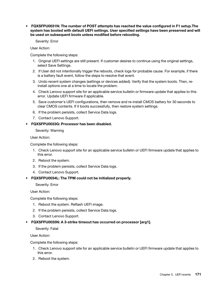• FQXSFPU0031N: The number of POST attempts has reached the value configured in F1 setup.The system has booted with default UEFI settings. User specified settings have been preserved and will be used on subsequent boots unless modified before rebooting.

Severity: Error

User Action:

Complete the following steps:

- 1. Original UEFI settings are still present. If customer desires to continue using the original settings, select Save Settings.
- 2. If User did not intentionally trigger the reboots, check logs for probable cause. For example, if there is a battery fault event, follow the steps to resolve that event.
- 3. Undo recent system changes (settings or devices added). Verify that the system boots. Then, reinstall options one at a time to locate the problem.
- 4. Check Lenovo support site for an applicable service bulletin or firmware update that applies to this error. Update UEFI firmware if applicable.
- 5. Save customer's UEFI configurations, then remove and re-install CMOS battery for 30 seconds to clear CMOS contents. If it boots successfully, then restore system settings.
- 6. If the problem persists, collect Service Data logs.
- 7. Contact Lenovo Support.

#### • FQXSFPU0033G: Processor has been disabled.

Severity: Warning

User Action:

Complete the following steps:

- 1. Check Lenovo support site for an applicable service bulletin or UEFI firmware update that applies to this error.
- 2. Reboot the system.
- 3. If the problem persists, collect Service Data logs.
- 4. Contact Lenovo Support.

# • FQXSFPU0034L: The TPM could not be initialized properly.

Severity: Error

User Action:

Complete the following steps:

- 1. Reboot the system. Reflash UEFI image.
- 2. If the problem persists, collect Service Data logs.
- 3. Contact Lenovo Support.

# • FQXSFPU0035N: A 3-strike timeout has occurred on processor [arg1].

Severity: Fatal

User Action:

- 1. Check Lenovo support site for an applicable service bulletin or UEFI firmware update that applies to this error.
- 2. Reboot the system.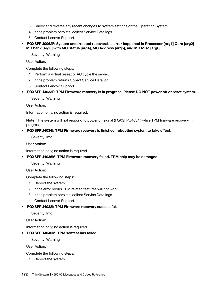- 3. Check and reverse any recent changes to system settings or the Operating System.
- 4. If the problem persists, collect Service Data logs.
- 5. Contact Lenovo Support.
- FQXSFPU0062F: System uncorrected recoverable error happened in Processor [arg1] Core [arg2] MC bank [arg3] with MC Status [arg4], MC Address [arg5], and MC Misc [arg6].

Severity: Warning

User Action:

Complete the following steps:

- 1. Perform a virtual reseat or AC cycle the server.
- 2. If the problem returns Collect Service Data log.
- 3. Contact Lenovo Support.
- FQXSFPU4033F: TPM Firmware recovery is in progress. Please DO NOT power off or reset system.

Severity: Warning

User Action:

Information only; no action is required.

Note: The system will not respond to power off signal (FQXSFPU4034I) while TPM firmware recovery in progress.

#### • FQXSFPU4034I: TPM Firmware recovery is finished, rebooting system to take effect.

Severity: Info

User Action:

Information only; no action is required.

• FQXSFPU4035M: TPM Firmware recovery failed. TPM chip may be damaged.

Severity: Warning

User Action:

Complete the following steps:

- 1. Reboot the system.
- 2. If the error recurs TPM related features will not work.
- 3. If the problem persists, collect Service Data logs.
- 4. Contact Lenovo Support.
- FQXSFPU4038I: TPM Firmware recovery successful.

Severity: Info

User Action:

Information only; no action is required.

• FQXSFPU4040M: TPM selftest has failed.

Severity: Warning

User Action:

Complete the following steps:

1. Reboot the system.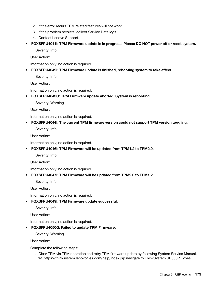- 2. If the error recurs TPM related features will not work.
- 3. If the problem persists, collect Service Data logs.
- 4. Contact Lenovo Support.
- FQXSFPU4041I: TPM Firmware update is in progress. Please DO NOT power off or reset system.

User Action:

Information only; no action is required.

• FQXSFPU4042I: TPM Firmware update is finished, rebooting system to take effect.

Severity: Info

User Action:

Information only; no action is required.

• FQXSFPU4043G: TPM Firmware update aborted. System is rebooting...

Severity: Warning

User Action:

Information only; no action is required.

• FQXSFPU4044I: The current TPM firmware version could not support TPM version toggling.

Severity: Info

User Action:

Information only; no action is required.

• FQXSFPU4046I: TPM Firmware will be updated from TPM1.2 to TPM2.0.

Severity: Info

User Action:

Information only; no action is required.

# • FQXSFPU4047I: TPM Firmware will be updated from TPM2.0 to TPM1.2.

Severity: Info

User Action:

Information only; no action is required.

# • FQXSFPU4049I: TPM Firmware update successful.

Severity: Info

User Action:

Information only; no action is required.

#### • FQXSFPU4050G: Failed to update TPM Firmware.

Severity: Warning

User Action:

Complete the following steps:

1. Clear TPM via TPM operation and retry TPM firmware update by following System Service Manual, ref. https://thinksystem.lenovofiles.com/help/index.jsp navigate to ThinkSystem SR850P Types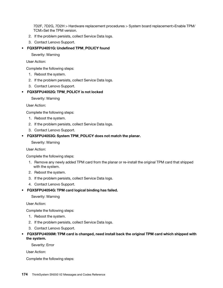7D2F, 7D2G, 7D2H > Hardware replacement procedures > System board replacement>Enable TPM/ TCM>Set the TPM version.

- 2. If the problem persists, collect Service Data logs.
- 3. Contact Lenovo Support.

#### • FQXSFPU4051G: Undefined TPM\_POLICY found

Severity: Warning

User Action:

Complete the following steps:

- 1. Reboot the system.
- 2. If the problem persists, collect Service Data logs.
- 3. Contact Lenovo Support.

#### • FQXSFPU4052G: TPM\_POLICY is not locked

Severity: Warning

User Action:

Complete the following steps:

- 1. Reboot the system.
- 2. If the problem persists, collect Service Data logs.
- 3. Contact Lenovo Support.

#### • FQXSFPU4053G: System TPM\_POLICY does not match the planar.

Severity: Warning

User Action:

Complete the following steps:

- 1. Remove any newly added TPM card from the planar or re-install the original TPM card that shipped with the system.
- 2. Reboot the system.
- 3. If the problem persists, collect Service Data logs.
- 4. Contact Lenovo Support.
- FQXSFPU4054G: TPM card logical binding has failed.

Severity: Warning

User Action:

Complete the following steps:

- 1. Reboot the system.
- 2. If the problem persists, collect Service Data logs.
- 3. Contact Lenovo Support.
- FQXSFPU4056M: TPM card is changed, need install back the original TPM card which shipped with the system.

Severity: Error

User Action: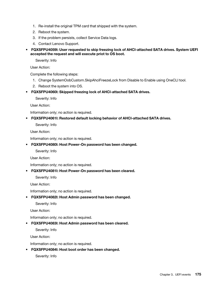- 1. Re-install the original TPM card that shipped with the system.
- 2. Reboot the system.
- 3. If the problem persists, collect Service Data logs.
- 4. Contact Lenovo Support.
- FQXSFPU4059I: User requested to skip freezing lock of AHCI-attached SATA drives. System UEFI accepted the request and will execute priot to OS boot.

User Action:

Complete the following steps:

- 1. Change SystemOobCustom.SkipAhciFreezeLock from Disable to Enable using OneCLI tool.
- 2. Reboot the system into OS.
- FQXSFPU4060I: Skipped freezing lock of AHCI-attached SATA drives.

Severity: Info

User Action:

Information only; no action is required.

• FQXSFPU4061I: Restored default locking behavior of AHCI-attached SATA drives.

Severity: Info

User Action:

Information only; no action is required.

• FQXSFPU4080I: Host Power-On password has been changed.

Severity: Info

User Action:

Information only; no action is required.

• FQXSFPU4081I: Host Power-On password has been cleared.

Severity: Info

User Action:

Information only; no action is required.

• FQXSFPU4082I: Host Admin password has been changed.

Severity: Info

User Action:

Information only; no action is required.

• FQXSFPU4083I: Host Admin password has been cleared.

Severity: Info

User Action:

Information only; no action is required.

• FQXSFPU4084I: Host boot order has been changed.

Severity: Info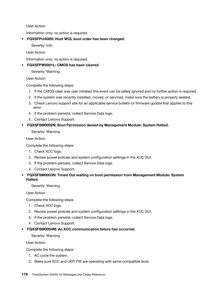User Action:

Information only; no action is required.

• FQXSFPU4085I: Host WOL boot order has been changed.

Severity: Info

User Action:

Information only; no action is required.

• FQXSFPW0001L: CMOS has been cleared.

Severity: Warning

User Action:

Complete the following steps:

- 1. If the CMOS clear was user initiated this event can be safely ignored and no further action is required.
- 2. If the system was recently installed, moved, or serviced, make sure the battery is properly seated.
- 3. Check Lenovo support site for an applicable service bulletin or firmware update that applies to this error.
- 4. If the problem persists, collect Service Data logs.
- 5. Contact Lenovo Support.

# • FQXSFSM0002N: Boot Permission denied by Management Module: System Halted.

Severity: Warning

User Action:

Complete the following steps:

- 1. Check XCC logs.
- 2. Review power policies and system configuration settings in the XCC GUI.
- 3. If the problem persists, collect Service Data logs.
- 4. Contact Lenovo Support.
- FQXSFSM0003N: Timed Out waiting on boot permission from Management Module: System Halted.

Severity: Warning

User Action:

Complete the following steps:

- 1. Check XCC logs.
- 2. Review power policies and system configuration settings in the XCC GUI.
- 3. If the problem persists, collect Service Data logs.
- 4. Contact Lenovo Support.
- FQXSFSM0004M: An XCC communication failure has occurred.

Severity: Warning

User Action:

- 1. AC cycle the system.
- 2. Make sure XCC and UEFI FW are operating with same compatible level.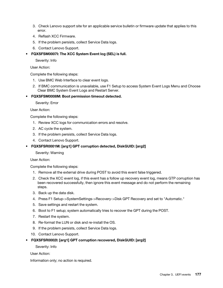- 3. Check Lenovo support site for an applicable service bulletin or firmware update that applies to this error.
- 4. Reflash XCC Firmware.
- 5. If the problem persists, collect Service Data logs.
- 6. Contact Lenovo Support.
- FQXSFSM0007I: The XCC System Event log (SEL) is full.

Severity: Info

User Action:

Complete the following steps:

- 1. Use BMC Web Interface to clear event logs.
- 2. If BMC communication is unavailable, use F1 Setup to access System Event Logs Menu and Choose Clear BMC System Event Logs and Restart Server.
- FQXSFSM0008M: Boot permission timeout detected.

Severity: Error

User Action:

Complete the following steps:

- 1. Review XCC logs for communication errors and resolve.
- 2. AC cycle the system.
- 3. If the problem persists, collect Service Data logs.
- 4. Contact Lenovo Support.
- FQXSFSR0001M: [arg1] GPT corruption detected, DiskGUID: [arg2]

Severity: Warning

User Action:

Complete the following steps:

- 1. Remove all the external drive during POST to avoid this event false triggered.
- 2. Check the XCC event log, if this event has a follow up recovery event log, means GTP corruption has been recovered successfully, then ignore this event message and do not perform the remaining steps.
- 3. Back up the data disk.
- 4. Press F1 Setup->SystemSettings->Recovery->Disk GPT Recovery and set to "Automatic."
- 5. Save settings and restart the system.
- 6. Boot to F1 setup; system automatically tries to recover the GPT during the POST.
- 7. Restart the system.
- 8. Re-format the LUN or disk and re-install the OS.
- 9. If the problem persists, collect Service Data logs.
- 10. Contact Lenovo Support.
- FQXSFSR0002I: [arg1] GPT corruption recovered, DiskGUID: [arg2]

Severity: Info

User Action:

Information only; no action is required.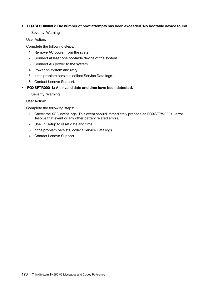# • FQXSFSR0003G: The number of boot attempts has been exceeded. No bootable device found.

Severity: Warning

User Action:

Complete the following steps:

- 1. Remove AC power from the system.
- 2. Connect at least one bootable device ot the system.
- 3. Connect AC power to the system.
- 4. Power on system and retry.
- 5. If the problem persists, collect Service Data logs.
- 6. Contact Lenovo Support.
- FQXSFTR0001L: An invalid date and time have been detected.

Severity: Warning

User Action:

Complete the following steps:

- 1. Check the XCC event logs. This event should immediately precede an FQXSFPW0001L error. Resolve that event or any other battery related errors.
- 2. Use F1 Setup to reset date and time.
- 3. If the problem persists, collect Service Data logs.
- 4. Contact Lenovo Support.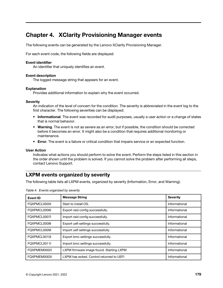# <span id="page-182-0"></span>Chapter 4. XClarity Provisioning Manager events

<span id="page-182-1"></span>The following events can be generated by the Lenovo XClarity Provisioning Manager.

For each event code, the following fields are displayed:

#### Event identifier

An identifier that uniquely identifies an event.

#### Event description

The logged message string that appears for an event.

#### Explanation

Provides additional information to explain why the event occurred.

#### **Severity**

An indication of the level of concern for the condition. The severity is abbreviated in the event log to the first character. The following severities can be displayed:

- Informational. The event was recorded for audit purposes, usually a user action or a change of states that is normal behavior.
- Warning. The event is not as severe as an error, but if possible, the condition should be corrected before it becomes an error. It might also be a condition that requires additional monitoring or maintenance.
- Error. The event is a failure or critical condition that impairs service or an expected function.

#### User Action

Indicates what actions you should perform to solve the event. Perform the steps listed in this section in the order shown until the problem is solved. If you cannot solve the problem after performing all steps, contact Lenovo Support.

# LXPM events organized by severity

The following table lists all LXPM events, organized by severity (Information, Error, and Warning).

| Event ID     | <b>Message String</b>                     | <b>Severity</b> |
|--------------|-------------------------------------------|-----------------|
| FQXPMCL0005I | Start to install OS.                      | Informational   |
| FOXPMCL0006I | Export raid config successfully.          | Informational   |
| FOXPMCL0007I | Import raid config successfully.          | Informational   |
| FOXPMCL0008I | Export uefi settings successfully.        | Informational   |
| FOXPMCL0009I | Import uefi settings successfully.        | Informational   |
| FOXPMCL0010I | Export bmc settings successfully.         | Informational   |
| FOXPMCL0011I | Import bmc settings successfully.         | Informational   |
| FQXPMEM0002I | LXPM firmware image found. Starting LXPM  | Informational   |
| FQXPMEM0003I | LXPM has exited. Control returned to UEFI | Informational   |

Table 4. Events organized by severity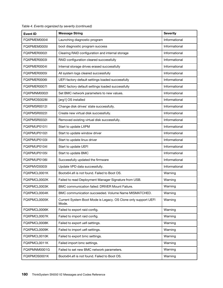| <b>Event ID</b> | <b>Message String</b>                                                   | <b>Severity</b> |
|-----------------|-------------------------------------------------------------------------|-----------------|
| FQXPMEM0004I    | Launching diagnostic program                                            | Informational   |
| FQXPMEM0005I    | boot diagnostic program success                                         | Informational   |
| FQXPMER0002I    | Clearing RAID configuration and internal storage                        | Informational   |
| FQXPMER0003I    | RAID configuration cleared successfully                                 | Informational   |
| FQXPMER0004I    | Internal storage drives erased successfully                             | Informational   |
| FQXPMER0005I    | All system logs cleared successfully                                    | Informational   |
| FQXPMER0006I    | UEFI factory default settings loaded successfully                       | Informational   |
| FQXPMER0007I    | BMC factory default settings loaded successfully                        | Informational   |
| FQXPMNM0002I    | Set BMC network parameters to new values.                               | Informational   |
| FQXPMOS0028I    | [arg1] OS installed                                                     | Informational   |
| FQXPMSR0012I    | Change disk drives' state successfully.                                 | Informational   |
| FQXPMSR0022I    | Create new virtual disk successfully.                                   | Informational   |
| FQXPMSR0032I    | Removed existing virtual disk successfully.                             | Informational   |
| FOXPMUP0101I    | Start to update LXPM                                                    | Informational   |
| FQXPMUP0102I    | Start to update window driver                                           | Informational   |
| FQXPMUP0103I    | Start to update linux driver                                            | Informational   |
| FQXPMUP0104I    | Start to update UEFI                                                    | Informational   |
| FQXPMUP0105I    | Start to update BMC                                                     | Informational   |
| FQXPMUP0106I    | Successfully updated the firmware                                       | Informational   |
| FQXPMVD0003I    | Update VPD data successfully.                                           | Informational   |
| FQXPMCL0001K    | Bootx64.efi is not found. Failed to Boot OS.                            | Warning         |
| FQXPMCL0002K    | Failed to read Deployment Manager Signature from USB.                   | Warning         |
| FQXPMCL0003K    | BMC communication failed: DRIVER Mount Failure.                         | Warning         |
| FQXPMCL0004K    | BMC communication succeeded. Volume Name MISMATCHED.                    | Warning         |
| FQXPMCL0005K    | Current System Boot Mode is Legacy. OS Clone only support UEFI<br>Mode. | Warning         |
| FQXPMCL0006K    | Failed to export raid config.                                           | Warning         |
| FQXPMCL0007K    | Failed to import raid config.                                           | Warning         |
| FQXPMCL0008K    | Failed to export uefi settings.                                         | Warning         |
| FQXPMCL0009K    | Failed to import uefi settings.                                         | Warning         |
| FQXPMCL0010K    | Failed to export bmc settings.                                          | Warning         |
| FQXPMCL0011K    | Failed import bmc settings.                                             | Warning         |
| FQXPMNM0001G    | Failed to set new BMC network parameters.                               | Warning         |
| FQXPMOS0001K    | Bootx64.efi is not found. Failed to Boot OS.                            | Warning         |

Table 4. Events organized by severity (continued)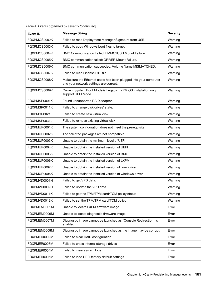| <b>Event ID</b> | <b>Message String</b>                                                                                      | <b>Severity</b> |
|-----------------|------------------------------------------------------------------------------------------------------------|-----------------|
| FQXPMOS0002K    | Failed to read Deployment Manager Signature from USB.                                                      | Warning         |
| FQXPMOS0003K    | Failed to copy Windows boot files to target                                                                | Warning         |
| FQXPMOS0004K    | BMC Communication Failed: EMMC2USB Mount Failure.                                                          | Warning         |
| FQXPMOS0005K    | BMC communication failed: DRIVER Mount Failure.                                                            | Warning         |
| FQXPMOS0006K    | BMC communication succeeded. Volume Name MISMATCHED.                                                       | Warning         |
| FQXPMOS0007K    | Failed to read License RTF file.                                                                           | Warning         |
| FQXPMOS0008K    | Make sure the Ethernet cable has been plugged into your computer<br>and your network settings are correct. | Warning         |
| FQXPMOS0009K    | Current System Boot Mode is Legacy. LXPM OS installation only<br>support UEFI Mode.                        | Warning         |
| FQXPMSR0001K    | Found unsupported RAID adapter.                                                                            | Warning         |
| FQXPMSR0011K    | Failed to change disk drives' state.                                                                       | Warning         |
| FQXPMSR0021L    | Failed to create new virtual disk.                                                                         | Warning         |
| FQXPMSR0031L    | Failed to remove existing virtual disk                                                                     | Warning         |
| FQXPMUP0001K    | The system configuration does not meet the prerequisite                                                    | Warning         |
| FQXPMUP0002K    | The selected packages are not compatible                                                                   | Warning         |
| FQXPMUP0003K    | Unable to obtain the minimum level of UEFI                                                                 | Warning         |
| FQXPMUP0004K    | Unable to obtain the installed version of UEFI                                                             | Warning         |
| FQXPMUP0005K    | Unable to obtain the installed version of BMC                                                              | Warning         |
| FQXPMUP0006K    | Unable to obtain the installed version of LXPM                                                             | Warning         |
| FQXPMUP0007K    | Unable to obtain the installed version of linux driver                                                     | Warning         |
| FQXPMUP0008K    | Unable to obtain the installed version of windows driver                                                   | Warning         |
| FQXPMVD0001H    | Failed to get VPD data.                                                                                    | Warning         |
| FQXPMVD0002H    | Failed to update the VPD data.                                                                             | Warning         |
| FQXPMVD0011K    | Failed to get the TPM/TPM card/TCM policy status                                                           | Warning         |
| FQXPMVD0012K    | Failed to set the TPM/TPM card/TCM policy                                                                  | Warning         |
| FQXPMEM0001M    | Unable to locate LXPM firmware image                                                                       | Error           |
| FQXPMEM0006M    | Unable to locate diagnostic firmware image                                                                 | Error           |
| FQXPMEM0007M    | Diagnostic image cannot be launched as "Console Redirection" is<br>enabled                                 | Error           |
| FQXPMEM0008M    | Diagnostic image cannot be launched as the image may be corrupt                                            | Error           |
| FQXPMER0002M    | Failed to clear RAID configuration                                                                         | Error           |
| FQXPMER0003M    | Failed to erase internal storage drives                                                                    | Error           |
| FQXPMER0004M    | Failed to clear system logs                                                                                | Error           |
| FQXPMER0005M    | Failed to load UEFI factory default settings                                                               | Error           |

Table 4. Events organized by severity (continued)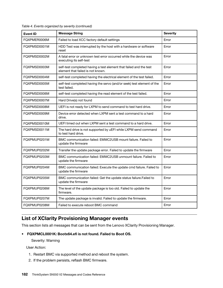| <b>Event ID</b> | <b>Message String</b>                                                                                   | <b>Severity</b> |
|-----------------|---------------------------------------------------------------------------------------------------------|-----------------|
| FQXPMER0006M    | Failed to load XCC factory default settings                                                             | Error           |
| FQXPMSD0001M    | HDD Test was interrupted by the host with a hardware or software<br>reset                               | Error           |
| FQXPMSD0002M    | A fatal error or unknown test error occurred while the device was<br>executing its self-test            | Error           |
| FQXPMSD0003M    | self-test completed having a test element that failed and the test<br>element that failed is not known. | Error           |
| FQXPMSD0004M    | self-test completed having the electrical element of the test failed.                                   | Error           |
| FQXPMSD0005M    | self-test completed having the servo (and/or seek) test element of the<br>test failed.                  | Error           |
| FQXPMSD0006M    | self-test completed having the read element of the test failed.                                         | Error           |
| FQXPMSD0007M    | Hard Drive(s) not found                                                                                 | Error           |
| FQXPMSD0008M    | UEFI is not ready for LXPM to send command to test hard drive.                                          | Error           |
| FQXPMSD0009M    | Device error detected when LXPM sent a test command to a hard<br>drive.                                 | Error           |
| FQXPMSD0010M    | UEFI timed out when LXPM sent a test command to a hard drive.                                           | Error           |
| FQXPMSD0011M    | The hard drive is not supported by uEFI while LXPM send command<br>to test hard drive.                  | Error           |
| FQXPMUP0201M    | BMC communication failed: EMMC2USB mount failure. Failed to<br>update the firmware                      | Error           |
| FQXPMUP0202M    | Transfer the update package error. Failed to update the firmware                                        | Error           |
| FQXPMUP0203M    | BMC communication failed: EMMC2USB unmount failure. Failed to<br>update the firmware                    | Error           |
| FQXPMUP0204M    | BMC communication failed: Execute the update cmd failure. Failed to<br>update the firmware              | Error           |
| FQXPMUP0205M    | BMC communication failed: Get the update status failure.Failed to<br>update the firmware                | Error           |
| FQXPMUP0206M    | The level of the update package is too old. Failed to update the<br>firmware.                           | Error           |
| FQXPMUP0207M    | The update package is invalid. Failed to update the firmware.                                           | Error           |
| FQXPMUP0208M    | Failed to execute reboot BMC command                                                                    | Error           |

Table 4. Events organized by severity (continued)

# List of XClarity Provisioning Manager events

This section lists all messages that can be sent from the Lenovo XClarity Provisioning Manager.

• FQXPMCL0001K: Bootx64.efi is not found. Failed to Boot OS.

Severity: Warning

- 1. Restart BMC via supported method and reboot the system.
- 2. If the problem persists, reflash BMC firmware.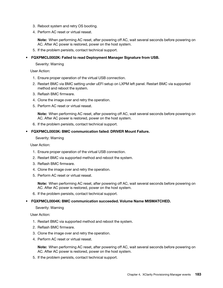- 3. Reboot system and retry OS booting.
- 4. Perform AC reset or virtual reseat.

Note: When performing AC reset, after powering off AC, wait several seconds before powering on AC. After AC power is restored, power on the host system.

5. If the problem persists, contact technical support.

### • FQXPMCL0002K: Failed to read Deployment Manager Signature from USB.

Severity: Warning

User Action:

- 1. Ensure proper operation of the virtual USB connection.
- 2. Restart BMC via BMC setting under uEFI setup on LXPM left panel. Restart BMC via supported method and reboot the system.
- 3. Reflash BMC firmware.
- 4. Clone the image over and retry the operation.
- 5. Perform AC reset or virtual reseat.

Note: When performing AC reset, after powering off AC, wait several seconds before powering on AC. After AC power is restored, power on the host system.

6. If the problem persists, contact technical support.

# • FQXPMCL0003K: BMC communication failed: DRIVER Mount Failure.

Severity: Warning

User Action:

- 1. Ensure proper operation of the virtual USB connection.
- 2. Restart BMC via supported method and reboot the system.
- 3. Reflash BMC firmware.
- 4. Clone the image over and retry the operation.
- 5. Perform AC reset or virtual reseat.

Note: When performing AC reset, after powering off AC, wait several seconds before powering on AC. After AC power is restored, power on the host system.

6. If the problem persists, contact technical support.

#### • FQXPMCL0004K: BMC communication succeeded. Volume Name MISMATCHED.

## Severity: Warning

User Action:

- 1. Restart BMC via supported method and reboot the system.
- 2. Reflash BMC firmware.
- 3. Clone the image over and retry the operation.
- 4. Perform AC reset or virtual reseat.

Note: When performing AC reset, after powering off AC, wait several seconds before powering on AC. After AC power is restored, power on the host system.

5. If the problem persists, contact technical support.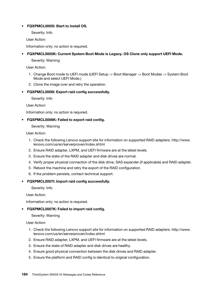# • FQXPMCL0005I: Start to install OS.

Severity: Info

User Action:

Information only; no action is required.

# • FQXPMCL0005K: Current System Boot Mode is Legacy. OS Clone only support UEFI Mode.

Severity: Warning

User Action:

- 1. Change Boot mode to UEFI mode (UEFI Setup -> Boot Manager -> Boot Modes -> System Boot Mode and select UEFI Mode.)
- 2. Clone the image over and retry the operation.

# • FQXPMCL0006I: Export raid config successfully.

Severity: Info

User Action:

Information only; no action is required.

# • FQXPMCL0006K: Failed to export raid config.

Severity: Warning

User Action:

- 1. Check the following Lenovo support site for information on supported RAID adapters. http://www. lenovo.com/us/en/serverproven/index.shtml
- 2. Ensure RAID adapter, LXPM, and UEFI firmware are at the latest levels.
- 3. Ensure the state of the RAID adapter and disk drives are normal.
- 4. Verify proper physical connection of the disk drive, SAS expander (if applicable) and RAID adapter.
- 5. Reboot the machine and retry the export of the RAID configuration.
- 6. If the problem persists, contact technical support.

#### • FQXPMCL0007I: Import raid config successfully.

Severity: Info

User Action:

Information only; no action is required.

# • FQXPMCL0007K: Failed to import raid config.

Severity: Warning

- 1. Check the following Lenovo support site for information on supported RAID adapters. http://www. lenovo.com/us/en/serverproven/index.shtml
- 2. Ensure RAID adapter, LXPM, and UEFI firmware are at the latest levels.
- 3. Ensure the state of RAID adapter and disk drives are healthy.
- 4. Ensure good physical connection between the disk drives and RAID adapter.
- 5. Ensure the platform and RAID config is identical to original configuration.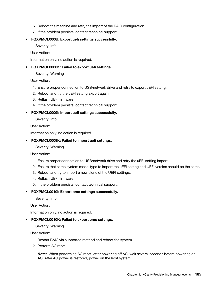- 6. Reboot the machine and retry the import of the RAID configuration.
- 7. If the problem persists, contact technical support.
- FQXPMCL0008I: Export uefi settings successfully.

Severity: Info

User Action:

Information only; no action is required.

• FQXPMCL0008K: Failed to export uefi settings.

Severity: Warning

User Action:

- 1. Ensure proper connection to USB/network drive and retry to export uEFI setting.
- 2. Reboot and try the uEFI setting export again.
- 3. Reflash UEFI firmware.
- 4. If the problem persists, contact technical support.
- FQXPMCL0009I: Import uefi settings successfully.

Severity: Info

User Action:

Information only; no action is required.

# • FQXPMCL0009K: Failed to import uefi settings.

Severity: Warning

User Action:

- 1. Ensure proper connection to USB/network drive and retry the uEFI setting import.
- 2. Ensure that same system model type to import the uEFI setting and UEFI version should be the same.
- 3. Reboot and try to import a new clone of the UEFI settings.
- 4. Reflash UEFI firmware.
- 5. If the problem persists, contact technical support.

#### • FQXPMCL0010I: Export bmc settings successfully.

Severity: Info

User Action:

Information only; no action is required.

• FQXPMCL0010K: Failed to export bmc settings.

Severity: Warning

User Action:

- 1. Restart BMC via supported method and reboot the system.
- 2. Perform AC reset.

Note: When performing AC reset, after powering off AC, wait several seconds before powering on AC. After AC power is restored, power on the host system.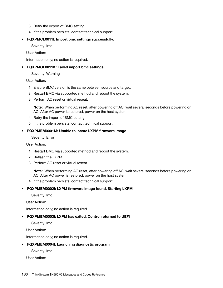- 3. Retry the export of BMC setting.
- 4. If the problem persists, contact technical support.
- FQXPMCL0011I: Import bmc settings successfully.

Severity: Info

User Action:

Information only; no action is required.

• FQXPMCL0011K: Failed import bmc settings.

Severity: Warning

User Action:

- 1. Ensure BMC version is the same between source and target.
- 2. Restart BMC via supported method and reboot the system.
- 3. Perform AC reset or virtual reseat.

Note: When performing AC reset, after powering off AC, wait several seconds before powering on AC. After AC power is restored, power on the host system.

- 4. Retry the import of BMC setting.
- 5. If the problem persists, contact technical support.

# • FQXPMEM0001M: Unable to locate LXPM firmware image

Severity: Error

User Action:

- 1. Restart BMC via supported method and reboot the system.
- 2. Reflash the LXPM.
- 3. Perform AC reset or virtual reseat.

Note: When performing AC reset, after powering off AC, wait several seconds before powering on AC. After AC power is restored, power on the host system.

4. If the problem persists, contact technical support.

# • FQXPMEM0002I: LXPM firmware image found. Starting LXPM

Severity: Info

User Action:

Information only; no action is required.

#### • FQXPMEM0003I: LXPM has exited. Control returned to UEFI

Severity: Info

User Action:

Information only; no action is required.

#### • FQXPMEM0004I: Launching diagnostic program

Severity: Info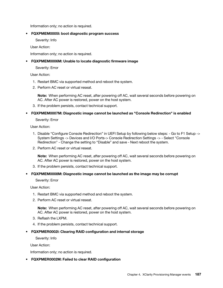Information only; no action is required.

#### • FQXPMEM0005I: boot diagnostic program success

Severity: Info

User Action:

Information only; no action is required.

# • FQXPMEM0006M: Unable to locate diagnostic firmware image

Severity: Error

User Action:

- 1. Restart BMC via supported method and reboot the system.
- 2. Perform AC reset or virtual reseat.

Note: When performing AC reset, after powering off AC, wait several seconds before powering on AC. After AC power is restored, power on the host system.

- 3. If the problem persists, contact technical support.
- FQXPMEM0007M: Diagnostic image cannot be launched as "Console Redirection" is enabled

#### Severity: Error

User Action:

- 1. Disable "Configure Console Redirection" in UEFI Setup by following below steps: Go to F1 Setup -> System Settings -> Devices and I/O Ports-> Console Redirection Settings -> - Select "Console Redirection" - Change the setting to "Disable" and save - Next reboot the system.
- 2. Perform AC reset or virtual reseat.

Note: When performing AC reset, after powering off AC, wait several seconds before powering on AC. After AC power is restored, power on the host system.

3. If the problem persists, contact technical support.

#### • FQXPMEM0008M: Diagnostic image cannot be launched as the image may be corrupt

Severity: Error

User Action:

- 1. Restart BMC via supported method and reboot the system.
- 2. Perform AC reset or virtual reseat.

Note: When performing AC reset, after powering off AC, wait several seconds before powering on AC. After AC power is restored, power on the host system.

- 3. Reflash the LXPM.
- 4. If the problem persists, contact technical support.

# • FQXPMER0002I: Clearing RAID configuration and internal storage

Severity: Info

User Action:

Information only; no action is required.

# • FQXPMER0002M: Failed to clear RAID configuration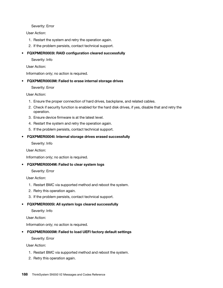Severity: Error

User Action:

- 1. Restart the system and retry the operation again.
- 2. If the problem persists, contact technical support.

# • FQXPMER0003I: RAID configuration cleared successfully

Severity: Info

User Action:

Information only; no action is required.

# • FQXPMER0003M: Failed to erase internal storage drives

Severity: Error

User Action:

- 1. Ensure the proper connection of hard drives, backplane, and related cables.
- 2. Check if security function is enabled for the hard disk drives, if yes, disable that and retry the operation.
- 3. Ensure device firmware is at the latest level.
- 4. Restart the system and retry the operation again.
- 5. If the problem persists, contact technical support.

# • FQXPMER0004I: Internal storage drives erased successfully

Severity: Info

User Action:

Information only; no action is required.

• FQXPMER0004M: Failed to clear system logs

Severity: Error

User Action:

- 1. Restart BMC via supported method and reboot the system.
- 2. Retry this operation again.
- 3. If the problem persists, contact technical support.

# • FQXPMER0005I: All system logs cleared successfully

Severity: Info

User Action:

Information only; no action is required.

• FQXPMER0005M: Failed to load UEFI factory default settings

Severity: Error

- 1. Restart BMC via supported method and reboot the system.
- 2. Retry this operation again.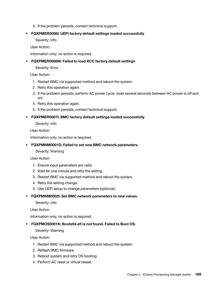3. If the problem persists, contact technical support.

# • FQXPMER0006I: UEFI factory default settings loaded successfully

Severity: Info

User Action:

Information only; no action is required.

# • FQXPMER0006M: Failed to load XCC factory default settings

Severity: Error

User Action:

- 1. Restart BMC via supported method and reboot the system.
- 2. Retry this operation again.
- 3. If the problem persists, perform AC power cycle. (wait several seconds between AC power is off and on)
- 4. Retry this operation again.
- 5. If the problem persists, contact technical support.

# • FQXPMER0007I: BMC factory default settings loaded successfully

Severity: Info

User Action:

Information only; no action is required.

# • FQXPMNM0001G: Failed to set new BMC network parameters.

Severity: Warning

User Action:

- 1. Ensure input parameters are valid.
- 2. Wait for one minute and retry the setting.
- 3. Restart BMC via supported method and reboot the system.
- 4. Retry the setting change.
- 5. Use UEFI setup to change parameters (optional).
- FQXPMNM0002I: Set BMC network parameters to new values.

Severity: Info

User Action:

Information only; no action is required.

# • FQXPMOS0001K: Bootx64.efi is not found. Failed to Boot OS.

Severity: Warning

- 1. Restart BMC via supported method and reboot the system.
- 2. Reflash BMC firmware.
- 3. Reboot system and retry OS booting.
- 4. Perform AC reset or virtual reseat.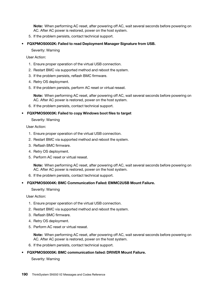Note: When performing AC reset, after powering off AC, wait several seconds before powering on AC. After AC power is restored, power on the host system.

- 5. If the problem persists, contact technical support.
- FQXPMOS0002K: Failed to read Deployment Manager Signature from USB.

Severity: Warning

User Action:

- 1. Ensure proper operation of the virtual USB connection.
- 2. Restart BMC via supported method and reboot the system.
- 3. If the problem persists, reflash BMC firmware.
- 4. Retry OS deployment.
- 5. If the problem persists, perform AC reset or virtual reseat.

Note: When performing AC reset, after powering off AC, wait several seconds before powering on AC. After AC power is restored, power on the host system.

6. If the problem persists, contact technical support.

#### • FQXPMOS0003K: Failed to copy Windows boot files to target

#### Severity: Warning

User Action:

- 1. Ensure proper operation of the virtual USB connection.
- 2. Restart BMC via supported method and reboot the system.
- 3. Reflash BMC firmware.
- 4. Retry OS deployment.
- 5. Perform AC reset or virtual reseat.

Note: When performing AC reset, after powering off AC, wait several seconds before powering on AC. After AC power is restored, power on the host system.

6. If the problem persists, contact technical support.

#### • FQXPMOS0004K: BMC Communication Failed: EMMC2USB Mount Failure.

Severity: Warning

User Action:

- 1. Ensure proper operation of the virtual USB connection.
- 2. Restart BMC via supported method and reboot the system.
- 3. Reflash BMC firmware.
- 4. Retry OS deployment.
- 5. Perform AC reset or virtual reseat.

Note: When performing AC reset, after powering off AC, wait several seconds before powering on AC. After AC power is restored, power on the host system.

6. If the problem persists, contact technical support.

#### • FQXPMOS0005K: BMC communication failed: DRIVER Mount Failure.

Severity: Warning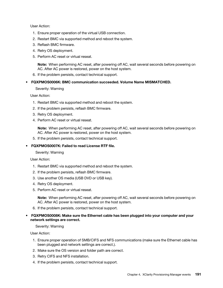User Action:

- 1. Ensure proper operation of the virtual USB connection.
- 2. Restart BMC via supported method and reboot the system.
- 3. Reflash BMC firmware.
- 4. Retry OS deployment.
- 5. Perform AC reset or virtual reseat.

Note: When performing AC reset, after powering off AC, wait several seconds before powering on AC. After AC power is restored, power on the host system.

6. If the problem persists, contact technical support.

#### • FQXPMOS0006K: BMC communication succeeded. Volume Name MISMATCHED.

Severity: Warning

User Action:

- 1. Restart BMC via supported method and reboot the system.
- 2. If the problem persists, reflash BMC firmware.
- 3. Retry OS deployment.
- 4. Perform AC reset or virtual reseat.

Note: When performing AC reset, after powering off AC, wait several seconds before powering on AC. After AC power is restored, power on the host system.

5. If the problem persists, contact technical support.

#### • FQXPMOS0007K: Failed to read License RTF file.

#### Severity: Warning

User Action:

- 1. Restart BMC via supported method and reboot the system.
- 2. If the problem persists, reflash BMC firmware.
- 3. Use another OS media (USB DVD or USB key).
- 4. Retry OS deployment.
- 5. Perform AC reset or virtual reseat.

Note: When performing AC reset, after powering off AC, wait several seconds before powering on AC. After AC power is restored, power on the host system.

6. If the problem persists, contact technical support.

#### • FQXPMOS0008K: Make sure the Ethernet cable has been plugged into your computer and your network settings are correct.

Severity: Warning

- 1. Ensure proper operation of SMB/CIFS and NFS communications (make sure the Ethernet cable has been plugged and network settings are correct.).
- 2. Make sure the OS version and folder path are correct.
- 3. Retry CIFS and NFS installation.
- 4. If the problem persists, contact technical support.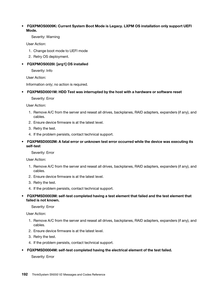# • FQXPMOS0009K: Current System Boot Mode is Legacy. LXPM OS installation only support UEFI Mode.

Severity: Warning

User Action:

- 1. Change boot mode to UEFI mode
- 2. Retry OS deployment.

# • FQXPMOS0028I: [arg1] OS installed

Severity: Info

User Action:

Information only; no action is required.

# • FQXPMSD0001M: HDD Test was interrupted by the host with a hardware or software reset

Severity: Error

User Action:

- 1. Remove A/C from the server and reseat all drives, backplanes, RAID adapters, expanders (if any), and cables.
- 2. Ensure device firmware is at the latest level.
- 3. Retry the test.
- 4. If the problem persists, contact technical support.

# • FQXPMSD0002M: A fatal error or unknown test error occurred while the device was executing its self-test

Severity: Error

User Action:

- 1. Remove A/C from the server and reseat all drives, backplanes, RAID adapters, expanders (if any), and cables.
- 2. Ensure device firmware is at the latest level.
- 3. Retry the test.
- 4. If the problem persists, contact technical support.
- FQXPMSD0003M: self-test completed having a test element that failed and the test element that failed is not known.

#### Severity: Error

User Action:

- 1. Remove A/C from the server and reseat all drives, backplanes, RAID adapters, expanders (if any), and cables.
- 2. Ensure device firmware is at the latest level.
- 3. Retry the test.
- 4. If the problem persists, contact technical support.

#### • FQXPMSD0004M: self-test completed having the electrical element of the test failed.

Severity: Error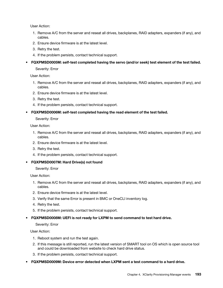User Action:

- 1. Remove A/C from the server and reseat all drives, backplanes, RAID adapters, expanders (if any), and cables.
- 2. Ensure device firmware is at the latest level.
- 3. Retry the test.
- 4. If the problem persists, contact technical support.
- FQXPMSD0005M: self-test completed having the servo (and/or seek) test element of the test failed.

Severity: Error

User Action:

- 1. Remove A/C from the server and reseat all drives, backplanes, RAID adapters, expanders (if any), and cables.
- 2. Ensure device firmware is at the latest level.
- 3. Retry the test.
- 4. If the problem persists, contact technical support.
- FQXPMSD0006M: self-test completed having the read element of the test failed.

Severity: Error

User Action:

- 1. Remove A/C from the server and reseat all drives, backplanes, RAID adapters, expanders (if any), and cables.
- 2. Ensure device firmware is at the latest level.
- 3. Retry the test.
- 4. If the problem persists, contact technical support.
- FQXPMSD0007M: Hard Drive(s) not found

Severity: Error

User Action:

- 1. Remove A/C from the server and reseat all drives, backplanes, RAID adapters, expanders (if any), and cables.
- 2. Ensure device firmware is at the latest level.
- 3. Verify that the same Error is present in BMC or OneCLI inventory log.
- 4. Retry the test.
- 5. If the problem persists, contact technical support.
- FQXPMSD0008M: UEFI is not ready for LXPM to send command to test hard drive.

Severity: Error

- 1. Reboot system and run the test again.
- 2. If this message is still reported, run the latest version of SMART tool on OS which is open source tool and could be downloaded from website to check hard drive status.
- 3. If the problem persists, contact technical support.
- FQXPMSD0009M: Device error detected when LXPM sent a test command to a hard drive.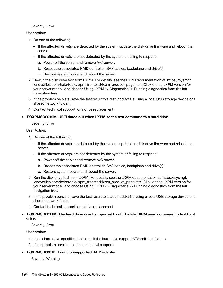### Severity: Error

# User Action:

- 1. Do one of the following:
	- If the affected drive(s) are detected by the system, update the disk drive firmware and reboot the server.
	- If the affected drive(s) are not detected by the system or failing to respond:
		- a. Power off the server and remove A/C power.
		- b. Reseat the associated RAID controller, SAS cables, backplane and drive(s).
		- c. Restore system power and reboot the server.
- 2. Re-run the disk drive test from LXPM. For details, see the LXPM documentation at: https://sysmgt. lenovofiles.com/help/topic/lxpm\_frontend/lxpm\_product\_page.html Click on the LXPM version for your server model, and choose Using LXPM -> Diagnostics -> Running diagnostics from the left navigation tree.
- 3. If the problem persists, save the test result to a test hdd.txt file using a local USB storage device or a shared network folder.
- 4. Contact technical support for a drive replacement.

# • FQXPMSD0010M: UEFI timed out when LXPM sent a test command to a hard drive.

Severity: Error

User Action:

- 1. Do one of the following:
	- If the affected drive(s) are detected by the system, update the disk drive firmware and reboot the server.
	- If the affected drive(s) are not detected by the system or failing to respond:
		- a. Power off the server and remove A/C power.
		- b. Reseat the associated RAID controller, SAS cables, backplane and drive(s).
		- c. Restore system power and reboot the server.
- 2. Run the disk drive test from LXPM. For details, see the LXPM documentation at: https://sysmgt. lenovofiles.com/help/topic/lxpm\_frontend/lxpm\_product\_page.html Click on the LXPM version for your server model, and choose Using LXPM -> Diagnostics -> Running diagnostics from the left navigation tree.
- 3. If the problem persists, save the test result to a test hdd.txt file using a local USB storage device or a shared network folder.
- 4. Contact technical support for a drive replacement.

# • FQXPMSD0011M: The hard drive is not supported by uEFI while LXPM send command to test hard drive.

Severity: Error

User Action:

- 1. check hard drive specification to see if the hard drive support ATA self-test feature.
- 2. If the problem persists, contact technical support.
- FQXPMSR0001K: Found unsupported RAID adapter.

Severity: Warning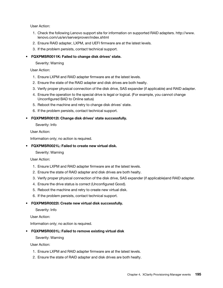User Action:

- 1. Check the following Lenovo support site for information on supported RAID adapters. http://www. lenovo.com/us/en/serverproven/index.shtml
- 2. Ensure RAID adapter, LXPM, and UEFI firmware are at the latest levels.
- 3. If the problem persists, contact technical support.

# • FQXPMSR0011K: Failed to change disk drives' state.

Severity: Warning

User Action:

- 1. Ensure LXPM and RAID adapter firmware are at the latest levels.
- 2. Ensure the state of the RAID adapter and disk drives are both healty.
- 3. Verify proper physical connection of the disk drive, SAS expander (if applicable) and RAID adapter.
- 4. Ensure the operation to the special drive is legal or logical. (For example, you cannot change Unconfigured BAD to Online satus)
- 5. Reboot the machine and retry to change disk drives' state.
- 6. If the problem persists, contact technical support.
- FQXPMSR0012I: Change disk drives' state successfully.

Severity: Info

User Action:

Information only; no action is required.

### • FQXPMSR0021L: Failed to create new virtual disk.

Severity: Warning

User Action:

- 1. Ensure LXPM and RAID adapter firmware are at the latest levels.
- 2. Ensure the state of RAID adapter and disk drives are both healty.
- 3. Verify proper physical connection of the disk drive, SAS expander (if applicable)and RAID adapter.
- 4. Ensure the drive status is correct (Unconfigured Good).
- 5. Reboot the machine and retry to create new virtual disk.
- 6. If the problem persists, contact technical support.

#### • FQXPMSR0022I: Create new virtual disk successfully.

Severity: Info

User Action:

Information only; no action is required.

#### • FQXPMSR0031L: Failed to remove existing virtual disk

Severity: Warning

- 1. Ensure LXPM and RAID adapter firmware are at the latest levels.
- 2. Ensure the state of RAID adapter and disk drives are both healty.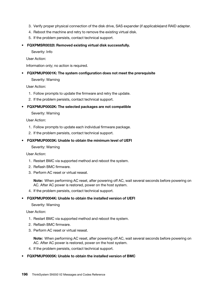- 3. Verify proper physical connection of the disk drive, SAS expander (if applicable)and RAID adapter.
- 4. Reboot the machine and retry to remove the existing virtual disk.
- 5. If the problem persists, contact technical support.

### • FQXPMSR0032I: Removed existing virtual disk successfully.

Severity: Info

User Action:

Information only; no action is required.

# • FQXPMUP0001K: The system configuration does not meet the prerequisite

Severity: Warning

User Action:

- 1. Follow prompts to update the firmware and retry the update.
- 2. If the problem persists, contact technical support.

# • FQXPMUP0002K: The selected packages are not compatible

Severity: Warning

User Action:

- 1. Follow prompts to update each individual firmware package.
- 2. If the problem persists, contact technical support.
- FQXPMUP0003K: Unable to obtain the minimum level of UEFI

Severity: Warning

User Action:

- 1. Restart BMC via supported method and reboot the system.
- 2. Reflash BMC firmware.
- 3. Perform AC reset or virtual reseat.

Note: When performing AC reset, after powering off AC, wait several seconds before powering on AC. After AC power is restored, power on the host system.

4. If the problem persists, contact technical support.

#### • FQXPMUP0004K: Unable to obtain the installed version of UEFI

#### Severity: Warning

User Action:

- 1. Restart BMC via supported method and reboot the system.
- 2. Reflash BMC firmware.
- 3. Perform AC reset or virtual reseat.

Note: When performing AC reset, after powering off AC, wait several seconds before powering on AC. After AC power is restored, power on the host system.

4. If the problem persists, contact technical support.

# • FQXPMUP0005K: Unable to obtain the installed version of BMC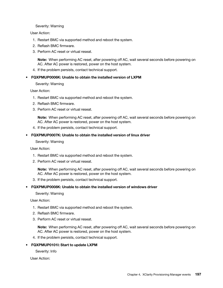#### Severity: Warning

#### User Action:

- 1. Restart BMC via supported method and reboot the system.
- 2. Reflash BMC firmware.
- 3. Perform AC reset or virtual reseat.

Note: When performing AC reset, after powering off AC, wait several seconds before powering on AC. After AC power is restored, power on the host system.

4. If the problem persists, contact technical support.

#### • FQXPMUP0006K: Unable to obtain the installed version of LXPM

#### Severity: Warning

User Action:

- 1. Restart BMC via supported method and reboot the system.
- 2. Reflash BMC firmware.
- 3. Perform AC reset or virtual reseat.

Note: When performing AC reset, after powering off AC, wait several seconds before powering on AC. After AC power is restored, power on the host system.

4. If the problem persists, contact technical support.

#### • FQXPMUP0007K: Unable to obtain the installed version of linux driver

Severity: Warning

User Action:

- 1. Restart BMC via supported method and reboot the system.
- 2. Perform AC reset or virtual reseat.

Note: When performing AC reset, after powering off AC, wait several seconds before powering on AC. After AC power is restored, power on the host system.

3. If the problem persists, contact technical support.

#### • FQXPMUP0008K: Unable to obtain the installed version of windows driver

Severity: Warning

User Action:

- 1. Restart BMC via supported method and reboot the system.
- 2. Reflash BMC firmware.
- 3. Perform AC reset or virtual reseat.

Note: When performing AC reset, after powering off AC, wait several seconds before powering on AC. After AC power is restored, power on the host system.

4. If the problem persists, contact technical support.

#### • FQXPMUP0101I: Start to update LXPM

Severity: Info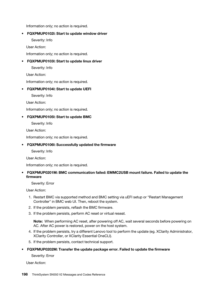Information only; no action is required.

# • FQXPMUP0102I: Start to update window driver

Severity: Info

User Action:

Information only; no action is required.

# • FQXPMUP0103I: Start to update linux driver

Severity: Info

User Action:

Information only; no action is required.

# • FQXPMUP0104I: Start to update UEFI

Severity: Info

User Action:

Information only; no action is required.

# • FQXPMUP0105I: Start to update BMC

Severity: Info

User Action:

Information only; no action is required.

#### • FQXPMUP0106I: Successfully updated the firmware

Severity: Info

User Action:

Information only; no action is required.

# • FQXPMUP0201M: BMC communication failed: EMMC2USB mount failure. Failed to update the firmware

Severity: Error

User Action:

- 1. Restart BMC via supported method and BMC setting via uEFI setup or "Restart Management Controller" in BMC web UI. Then, reboot the system.
- 2. If the problem persists, reflash the BMC firmware.
- 3. If the problem persists, perform AC reset or virtual reseat.

Note: When performing AC reset, after powering off AC, wait several seconds before powering on AC. After AC power is restored, power on the host system.

- 4. If the problem persists, try a different Lenovo tool to perform the update (eg. XClarity Administrator, XClarity Controller, or XClarity Essential OneCLI).
- 5. If the problem persists, contact technical support.

#### • FQXPMUP0202M: Transfer the update package error. Failed to update the firmware

Severity: Error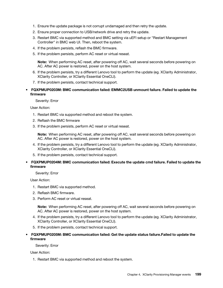- 1. Ensure the update package is not corrupt undamaged and then retry the update.
- 2. Ensure proper connection to USB/network drive and retry the update.
- 3. Restart BMC via supported method and BMC setting via uEFI setup or "Restart Management Controller" in BMC web UI. Then, reboot the system.
- 4. If the problem persists, reflash the BMC firmware.
- 5. If the problem persists, perform AC reset or virtual reseat.

Note: When performing AC reset, after powering off AC, wait several seconds before powering on AC. After AC power is restored, power on the host system.

- 6. If the problem persists, try a different Lenovo tool to perform the update (eg. XClarity Administrator, XClarity Controller, or XClarity Essential OneCLI).
- 7. If the problem persists, contact technical support.
- FQXPMUP0203M: BMC communication failed: EMMC2USB unmount failure. Failed to update the firmware

Severity: Error

User Action:

- 1. Restart BMC via supported method and reboot the system.
- 2. Reflash the BMC firmware
- 3. If the problem persists, perform AC reset or virtual reseat.

Note: When performing AC reset, after powering off AC, wait several seconds before powering on AC. After AC power is restored, power on the host system.

- 4. If the problem persists, try a different Lenovo tool to perform the update (eg. XClarity Administrator, XClarity Controller, or XClarity Essential OneCLI).
- 5. If the problem persists, contact technical support.
- FQXPMUP0204M: BMC communication failed: Execute the update cmd failure. Failed to update the firmware

Severity: Error

User Action:

- 1. Restart BMC via supported method.
- 2. Reflash BMC firmware.
- 3. Perform AC reset or virtual reseat.

Note: When performing AC reset, after powering off AC, wait several seconds before powering on AC. After AC power is restored, power on the host system.

- 4. If the problem persists, try a different Lenovo tool to perform the update (eg. XClarity Administrator, XClarity Controller, or XClarity Essential OneCLI).
- 5. If the problem persists, contact technical support.
- FQXPMUP0205M: BMC communication failed: Get the update status failure.Failed to update the firmware

Severity: Error

User Action:

1. Restart BMC via supported method and reboot the system.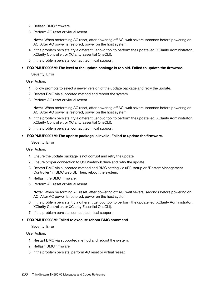- 2. Reflash BMC firmware.
- 3. Perform AC reset or virtual reseat.

Note: When performing AC reset, after powering off AC, wait several seconds before powering on AC. After AC power is restored, power on the host system.

- 4. If the problem persists, try a different Lenovo tool to perform the update (eg. XClarity Administrator, XClarity Controller, or XClarity Essential OneCLI).
- 5. If the problem persists, contact technical support.
- FQXPMUP0206M: The level of the update package is too old. Failed to update the firmware.

Severity: Error

User Action:

- 1. Follow prompts to select a newer version of the update package and retry the update.
- 2. Restart BMC via supported method and reboot the system.
- 3. Perform AC reset or virtual reseat.

Note: When performing AC reset, after powering off AC, wait several seconds before powering on AC. After AC power is restored, power on the host system.

- 4. If the problem persists, try a different Lenovo tool to perform the update (eg. XClarity Administrator, XClarity Controller, or XClarity Essential OneCLI).
- 5. If the problem persists, contact technical support.
- FQXPMUP0207M: The update package is invalid. Failed to update the firmware.

Severity: Error

User Action:

- 1. Ensure the update package is not corrupt and retry the update.
- 2. Ensure proper connection to USB/network drive and retry the update.
- 3. Restart BMC via supported method and BMC setting via uEFI setup or "Restart Management Controller" in BMC web UI. Then, reboot the system.
- 4. Reflash the BMC firmware.
- 5. Perform AC reset or virtual reseat.

Note: When performing AC reset, after powering off AC, wait several seconds before powering on AC. After AC power is restored, power on the host system.

- 6. If the problem persists, try a different Lenovo tool to perform the update (eg. XClarity Administrator, XClarity Controller, or XClarity Essential OneCLI).
- 7. If the problem persists, contact technical support.

#### • FQXPMUP0208M: Failed to execute reboot BMC command

Severity: Error

- 1. Restart BMC via supported method and reboot the system.
- 2. Reflash BMC firmware.
- 3. If the problem persists, perform AC reset or virtual reseat.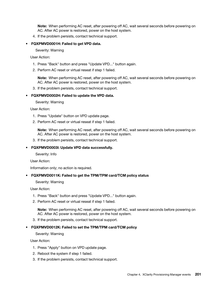Note: When performing AC reset, after powering off AC, wait several seconds before powering on AC. After AC power is restored, power on the host system.

4. If the problem persists, contact technical support.

#### • FQXPMVD0001H: Failed to get VPD data.

Severity: Warning

User Action:

- 1. Press "Back" button and press "Update VPD..." button again.
- 2. Perform AC reset or virtual reseat if step 1 failed.

Note: When performing AC reset, after powering off AC, wait several seconds before powering on AC. After AC power is restored, power on the host system.

3. If the problem persists, contact technical support.

#### • FQXPMVD0002H: Failed to update the VPD data.

Severity: Warning

User Action:

- 1. Press "Update" button on VPD update page.
- 2. Perform AC reset or virtual reseat if step 1 failed.

Note: When performing AC reset, after powering off AC, wait several seconds before powering on AC. After AC power is restored, power on the host system.

3. If the problem persists, contact technical support.

#### • FQXPMVD0003I: Update VPD data successfully.

Severity: Info

User Action:

Information only; no action is required.

#### • FQXPMVD0011K: Failed to get the TPM/TPM card/TCM policy status

Severity: Warning

User Action:

- 1. Press "Back" button and press "Update VPD..." button again.
- 2. Perform AC reset or virtual reseat if step 1 failed.

Note: When performing AC reset, after powering off AC, wait several seconds before powering on AC. After AC power is restored, power on the host system.

3. If the problem persists, contact technical support.

#### • FQXPMVD0012K: Failed to set the TPM/TPM card/TCM policy

Severity: Warning

- 1. Press "Apply" button on VPD update page.
- 2. Reboot the system if step 1 failed.
- 3. If the problem persists, contact technical support.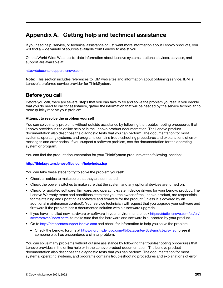# <span id="page-206-0"></span>Appendix A. Getting help and technical assistance

If you need help, service, or technical assistance or just want more information about Lenovo products, you will find a wide variety of sources available from Lenovo to assist you.

<span id="page-206-1"></span>On the World Wide Web, up-to-date information about Lenovo systems, optional devices, services, and support are available at:

#### <http://datacentersupport.lenovo.com>

Note: This section includes references to IBM web sites and information about obtaining service. IBM is Lenovo's preferred service provider for ThinkSystem.

# Before you call

Before you call, there are several steps that you can take to try and solve the problem yourself. If you decide that you do need to call for assistance, gather the information that will be needed by the service technician to more quickly resolve your problem.

#### <span id="page-206-2"></span>Attempt to resolve the problem yourself

You can solve many problems without outside assistance by following the troubleshooting procedures that Lenovo provides in the online help or in the Lenovo product documentation. The Lenovo product documentation also describes the diagnostic tests that you can perform. The documentation for most systems, operating systems, and programs contains troubleshooting procedures and explanations of error messages and error codes. If you suspect a software problem, see the documentation for the operating system or program.

You can find the product documentation for your ThinkSystem products at the following location:

#### <http://thinksystem.lenovofiles.com/help/index.jsp>

You can take these steps to try to solve the problem yourself:

- Check all cables to make sure that they are connected.
- Check the power switches to make sure that the system and any optional devices are turned on.
- Check for updated software, firmware, and operating-system device drivers for your Lenovo product. The Lenovo Warranty terms and conditions state that you, the owner of the Lenovo product, are responsible for maintaining and updating all software and firmware for the product (unless it is covered by an additional maintenance contract). Your service technician will request that you upgrade your software and firmware if the problem has a documented solution within a software upgrade.
- If you have installed new hardware or software in your environment, check [https://static.lenovo.com/us/en/](https://static.lenovo.com/us/en/serverproven/index.shtml)  [serverproven/index.shtml](https://static.lenovo.com/us/en/serverproven/index.shtml) to make sure that the hardware and software is supported by your product.
- Go to <http://datacentersupport.lenovo.com> and check for information to help you solve the problem.
	- Check the Lenovo forums at [https://forums.lenovo.com/t5/Datacenter-Systems/ct-p/sv\\_eg](https://forums.lenovo.com/t5/Datacenter-Systems/ct-p/sv_eg) to see if someone else has encountered a similar problem.

You can solve many problems without outside assistance by following the troubleshooting procedures that Lenovo provides in the online help or in the Lenovo product documentation. The Lenovo product documentation also describes the diagnostic tests that you can perform. The documentation for most systems, operating systems, and programs contains troubleshooting procedures and explanations of error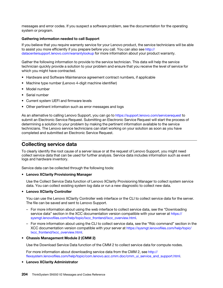messages and error codes. If you suspect a software problem, see the documentation for the operating system or program.

#### Gathering information needed to call Support

If you believe that you require warranty service for your Lenovo product, the service technicians will be able to assist you more efficiently if you prepare before you call. You can also see [http://](http://datacentersupport.lenovo.com/warrantylookup) [datacentersupport.lenovo.com/warrantylookup](http://datacentersupport.lenovo.com/warrantylookup) for more information about your product warranty.

Gather the following information to provide to the service technician. This data will help the service technician quickly provide a solution to your problem and ensure that you receive the level of service for which you might have contracted.

- Hardware and Software Maintenance agreement contract numbers, if applicable
- Machine type number (Lenovo 4-digit machine identifier)
- Model number
- Serial number
- Current system UEFI and firmware levels
- Other pertinent information such as error messages and logs

As an alternative to calling Lenovo Support, you can go to <https://support.lenovo.com/servicerequest> to submit an Electronic Service Request. Submitting an Electronic Service Request will start the process of determining a solution to your problem by making the pertinent information available to the service technicians. The Lenovo service technicians can start working on your solution as soon as you have completed and submitted an Electronic Service Request.

# Collecting service data

To clearly identify the root cause of a server issue or at the request of Lenovo Support, you might need collect service data that can be used for further analysis. Service data includes information such as event logs and hardware inventory.

<span id="page-207-0"></span>Service data can be collected through the following tools:

#### • Lenovo XClarity Provisioning Manager

Use the Collect Service Data function of Lenovo XClarity Provisioning Manager to collect system service data. You can collect existing system log data or run a new diagnostic to collect new data.

#### • Lenovo XClarity Controller

You can use the Lenovo XClarity Controller web interface or the CLI to collect service data for the server. The file can be saved and sent to Lenovo Support.

- For more information about using the web interface to collect service data, see the "Downloading service data" section in the XCC documentation version compatible with your server at https:// [sysmgt.lenovofiles.com/help/topic/lxcc\\_frontend/lxcc\\_overview.html](https://sysmgt.lenovofiles.com/help/topic/lxcc_frontend/lxcc_overview.html).
- For more information about using the CLI to collect service data, see the "ffdc command" section in the XCC documentation version compatible with your server at [https://sysmgt.lenovofiles.com/help/topic/](https://sysmgt.lenovofiles.com/help/topic/lxcc_frontend/lxcc_overview.html)  [lxcc\\_frontend/lxcc\\_overview.html](https://sysmgt.lenovofiles.com/help/topic/lxcc_frontend/lxcc_overview.html).

#### • Chassis Management Module 2 (CMM 2)

Use the Download Service Data function of the CMM 2 to collect service data for compute nodes.

For more information about downloading service data from the CMM 2, see [http://](http://flexsystem.lenovofiles.com/help/topic/com.lenovo.acc.cmm.doc/cmm_ui_service_and_support.html)  [flexsystem.lenovofiles.com/help/topic/com.lenovo.acc.cmm.doc/cmm\\_ui\\_service\\_and\\_support.html](http://flexsystem.lenovofiles.com/help/topic/com.lenovo.acc.cmm.doc/cmm_ui_service_and_support.html).

#### • Lenovo XClarity Administrator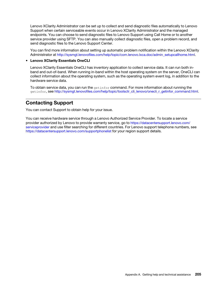Lenovo XClarity Administrator can be set up to collect and send diagnostic files automatically to Lenovo Support when certain serviceable events occur in Lenovo XClarity Administrator and the managed endpoints. You can choose to send diagnostic files to Lenovo Support using Call Home or to another service provider using SFTP. You can also manually collect diagnostic files, open a problem record, and send diagnostic files to the Lenovo Support Center.

You can find more information about setting up automatic problem notification within the Lenovo XClarity Administrator at [http://sysmgt.lenovofiles.com/help/topic/com.lenovo.lxca.doc/admin\\_setupcallhome.html](http://sysmgt.lenovofiles.com/help/topic/com.lenovo.lxca.doc/admin_setupcallhome.html).

# • Lenovo XClarity Essentials OneCLI

Lenovo XClarity Essentials OneCLI has inventory application to collect service data. It can run both inband and out-of-band. When running in-band within the host operating system on the server, OneCLI can collect information about the operating system, such as the operating system event log, in addition to the hardware service data.

To obtain service data, you can run the  $\det_{\sigma}$  command. For more information about running the getinfor, see [http://sysmgt.lenovofiles.com/help/topic/toolsctr\\_cli\\_lenovo/onecli\\_r\\_getinfor\\_command.html](http://sysmgt.lenovofiles.com/help/topic/toolsctr_cli_lenovo/onecli_r_getinfor_command.html).

# Contacting Support

<span id="page-208-0"></span>You can contact Support to obtain help for your issue.

You can receive hardware service through a Lenovo Authorized Service Provider. To locate a service provider authorized by Lenovo to provide warranty service, go to [https://datacentersupport.lenovo.com/](https://datacentersupport.lenovo.com/serviceprovider) [serviceprovider](https://datacentersupport.lenovo.com/serviceprovider) and use filter searching for different countries. For Lenovo support telephone numbers, see <https://datacentersupport.lenovo.com/supportphonelist> for your region support details.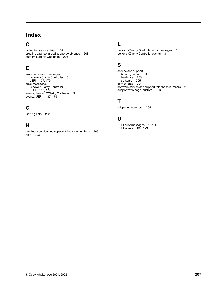# Index

# C

collecting service data [204](#page-207-0) creating a personalized support web page [203](#page-206-1) custom support web page [203](#page-206-1)

# E

error codes and messages Lenovo XClarity Controller [3](#page-6-0) UEFI [137](#page-140-1), [179](#page-182-1) error messages, Lenovo XClarity Controller [3](#page-6-0) UEFI [137](#page-140-1), [179](#page-182-1) events, Lenovo XClarity Controller [3](#page-6-0) events, UEFI [137](#page-140-1), [179](#page-182-1)

# G

Getting help [203](#page-206-1)

# H

hardware service and support telephone numbers [205](#page-208-0) help [203](#page-206-1)

# L

Lenovo XClarity Controller error messages [3](#page-6-0) Lenovo XClarity Controller events [3](#page-6-0)

# S

service and support before you call [203](#page-206-2) hardware [205](#page-208-0) software [205](#page-208-0) service data [204](#page-207-0) software service and support telephone numbers [205](#page-208-0) support web page, custom [203](#page-206-1)

# T

telephone numbers [205](#page-208-0)

# U

UEFI error messages [137](#page-140-1), [179](#page-182-1) UEFI events [137,](#page-140-1) [179](#page-182-1)